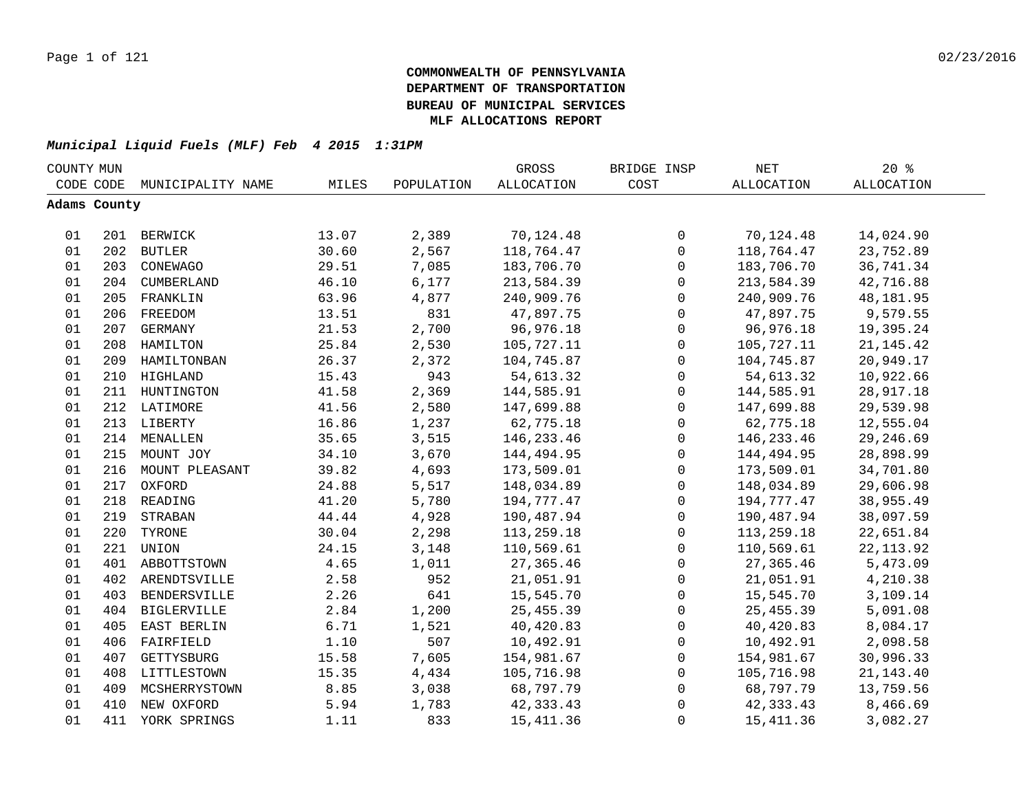| COUNTY MUN |              |                    |       |            | GROSS             | BRIDGE INSP  | $\operatorname{NET}$ | $20*$             |  |
|------------|--------------|--------------------|-------|------------|-------------------|--------------|----------------------|-------------------|--|
|            | CODE CODE    | MUNICIPALITY NAME  | MILES | POPULATION | <b>ALLOCATION</b> | COST         | <b>ALLOCATION</b>    | <b>ALLOCATION</b> |  |
|            | Adams County |                    |       |            |                   |              |                      |                   |  |
|            |              |                    |       |            |                   |              |                      |                   |  |
| 01         |              | 201 BERWICK        | 13.07 | 2,389      | 70,124.48         | 0            | 70,124.48            | 14,024.90         |  |
| 01         |              | 202 BUTLER         | 30.60 | 2,567      | 118,764.47        | $\mathsf{O}$ | 118,764.47           | 23,752.89         |  |
| 01         | 203          | CONEWAGO           | 29.51 | 7,085      | 183,706.70        | 0            | 183,706.70           | 36,741.34         |  |
| 01         |              | 204 CUMBERLAND     | 46.10 | 6,177      | 213,584.39        | 0            | 213,584.39           | 42,716.88         |  |
| 01         | 205          | FRANKLIN           | 63.96 | 4,877      | 240,909.76        | $\mathbf 0$  | 240,909.76           | 48,181.95         |  |
| 01         | 206          | FREEDOM            | 13.51 | 831        | 47,897.75         | $\mathbf 0$  | 47,897.75            | 9,579.55          |  |
| 01         | 207          | GERMANY            | 21.53 | 2,700      | 96,976.18         | $\mathsf{O}$ | 96,976.18            | 19,395.24         |  |
| 01         | 208          | HAMILTON           | 25.84 | 2,530      | 105,727.11        | $\mathsf 0$  | 105,727.11           | 21, 145. 42       |  |
| 01         | 209          | HAMILTONBAN        | 26.37 | 2,372      | 104,745.87        | $\mathbf{0}$ | 104,745.87           | 20,949.17         |  |
| 01         | 210          | HIGHLAND           | 15.43 | 943        | 54,613.32         | $\mathbf 0$  | 54,613.32            | 10,922.66         |  |
| 01         | 211          | HUNTINGTON         | 41.58 | 2,369      | 144,585.91        | 0            | 144,585.91           | 28,917.18         |  |
| 01         | 212          | LATIMORE           | 41.56 | 2,580      | 147,699.88        | $\mathbf 0$  | 147,699.88           | 29,539.98         |  |
| 01         |              | 213 LIBERTY        | 16.86 | 1,237      | 62,775.18         | $\mathsf 0$  | 62,775.18            | 12,555.04         |  |
| 01         |              | 214 MENALLEN       | 35.65 | 3,515      | 146, 233.46       | $\mathsf 0$  | 146, 233.46          | 29,246.69         |  |
| 01         |              | 215 MOUNT JOY      | 34.10 | 3,670      | 144,494.95        | $\mathsf 0$  | 144,494.95           | 28,898.99         |  |
| 01         |              | 216 MOUNT PLEASANT | 39.82 | 4,693      | 173,509.01        | $\mathsf 0$  | 173,509.01           | 34,701.80         |  |
| 01         |              | 217 OXFORD         | 24.88 | 5,517      | 148,034.89        | $\mathsf 0$  | 148,034.89           | 29,606.98         |  |
| 01         |              | 218 READING        | 41.20 | 5,780      | 194,777.47        | 0            | 194,777.47           | 38,955.49         |  |
| 01         | 219          | STRABAN            | 44.44 | 4,928      | 190,487.94        | 0            | 190,487.94           | 38,097.59         |  |
| 01         | 220          | TYRONE             | 30.04 | 2,298      | 113,259.18        | $\mathbf 0$  | 113,259.18           | 22,651.84         |  |
| 01         | 221          | UNION              | 24.15 | 3,148      | 110,569.61        | $\mathbf 0$  | 110,569.61           | 22, 113.92        |  |
| 01         | 401          | ABBOTTSTOWN        | 4.65  | 1,011      | 27, 365.46        | $\mathbf 0$  | 27,365.46            | 5,473.09          |  |
| 01         | 402          | ARENDTSVILLE       | 2.58  | 952        | 21,051.91         | $\mathbf 0$  | 21,051.91            | 4,210.38          |  |
| 01         | 403          | BENDERSVILLE       | 2.26  | 641        | 15,545.70         | $\mathbf 0$  | 15,545.70            | 3,109.14          |  |
| 01         | 404          | BIGLERVILLE        | 2.84  | 1,200      | 25, 455.39        | $\mathbf 0$  | 25, 455.39           | 5,091.08          |  |
| 01         | 405          | EAST BERLIN        | 6.71  | 1,521      | 40,420.83         | 0            | 40,420.83            | 8,084.17          |  |
| 01         | 406          | FAIRFIELD          | 1.10  | 507        | 10,492.91         | 0            | 10,492.91            | 2,098.58          |  |
| 01         | 407          | GETTYSBURG         | 15.58 | 7,605      | 154,981.67        | 0            | 154,981.67           | 30,996.33         |  |
| 01         | 408          | LITTLESTOWN        | 15.35 | 4,434      | 105,716.98        | $\mathsf 0$  | 105,716.98           | 21, 143. 40       |  |
| 01         | 409          | MCSHERRYSTOWN      | 8.85  | 3,038      | 68,797.79         | $\mathsf 0$  | 68,797.79            | 13,759.56         |  |
| 01         | 410          | NEW OXFORD         | 5.94  | 1,783      | 42, 333. 43       | 0            | 42, 333.43           | 8,466.69          |  |
| 01         | 411          | YORK SPRINGS       | 1.11  | 833        | 15, 411.36        | $\mathsf 0$  | 15, 411.36           | 3,082.27          |  |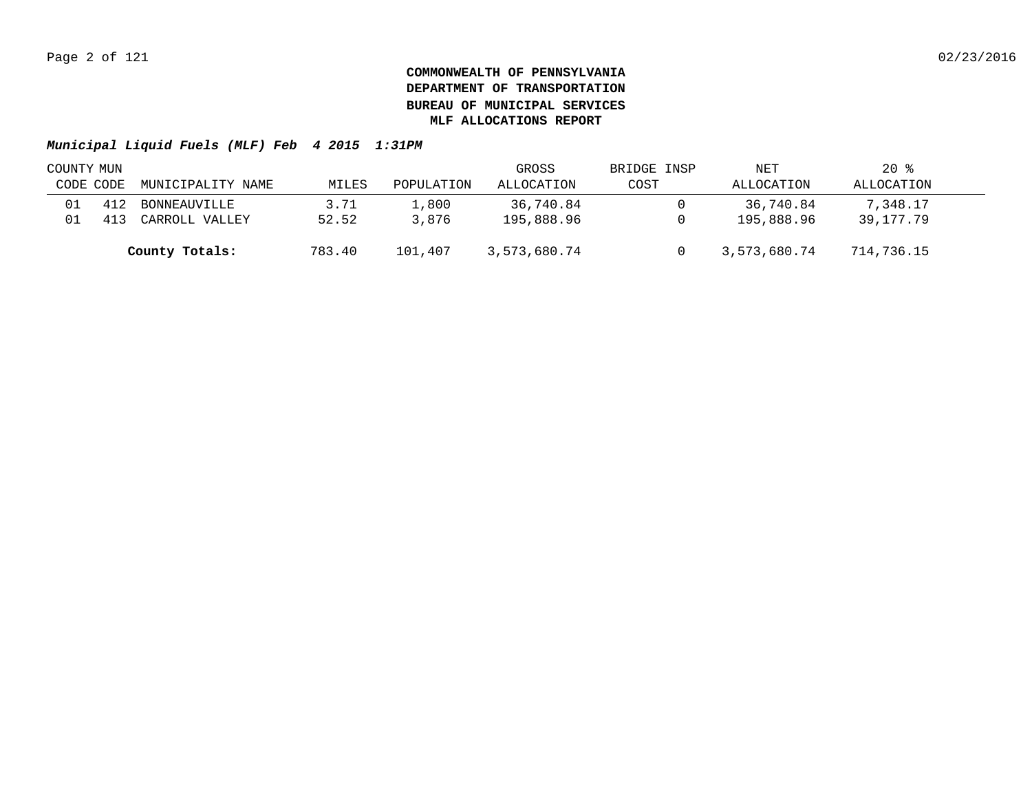| COUNTY MUN |     |                   |        |            | GROSS        | BRIDGE INSP | NET          | $20*$      |  |
|------------|-----|-------------------|--------|------------|--------------|-------------|--------------|------------|--|
| CODE CODE  |     | MUNICIPALITY NAME | MILES  | POPULATION | ALLOCATION   | COST        | ALLOCATION   | ALLOCATION |  |
|            | 412 | BONNEAUVILLE      | 3.71   | 1,800      | 36,740.84    |             | 36,740.84    | 7,348.17   |  |
|            |     | CARROLL VALLEY    | 52.52  | 3,876      | 195,888.96   |             | 195,888.96   | 39,177.79  |  |
|            |     | County Totals:    | 783.40 | 101,407    | 3,573,680.74 |             | 3,573,680.74 | 714,736.15 |  |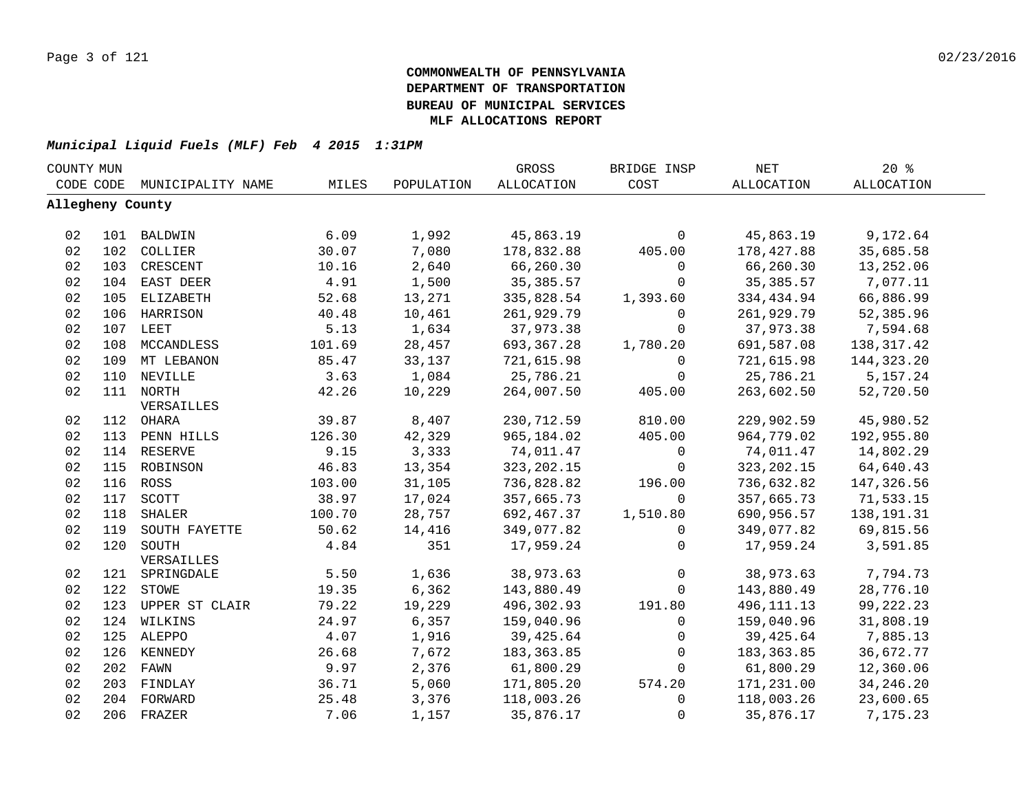| COUNTY MUN       |     |                    |        |            | GROSS       | BRIDGE INSP         | <b>NET</b>        | 20%               |  |
|------------------|-----|--------------------|--------|------------|-------------|---------------------|-------------------|-------------------|--|
| CODE CODE        |     | MUNICIPALITY NAME  | MILES  | POPULATION | ALLOCATION  | COST                | <b>ALLOCATION</b> | <b>ALLOCATION</b> |  |
| Allegheny County |     |                    |        |            |             |                     |                   |                   |  |
|                  |     |                    |        |            |             |                     |                   |                   |  |
| 02               |     | 101 BALDWIN        | 6.09   | 1,992      | 45,863.19   | 0                   | 45,863.19         | 9,172.64          |  |
| 02               |     | 102 COLLIER        | 30.07  | 7,080      | 178,832.88  | 405.00              | 178,427.88        | 35,685.58         |  |
| 02               | 103 | CRESCENT           | 10.16  | 2,640      | 66,260.30   | 0                   | 66,260.30         | 13,252.06         |  |
| 02               | 104 | EAST DEER          | 4.91   | 1,500      | 35, 385.57  | 0                   | 35, 385.57        | 7,077.11          |  |
| 02               | 105 | ELIZABETH          | 52.68  | 13,271     | 335,828.54  | 1,393.60            | 334,434.94        | 66,886.99         |  |
| 02               | 106 | HARRISON           | 40.48  | 10,461     | 261,929.79  | $\mathbf 0$         | 261,929.79        | 52,385.96         |  |
| 02               |     | 107 LEET           | 5.13   | 1,634      | 37,973.38   | $\mathbf 0$         | 37,973.38         | 7,594.68          |  |
| 02               | 108 | MCCANDLESS         | 101.69 | 28,457     | 693,367.28  | 1,780.20            | 691,587.08        | 138, 317.42       |  |
| 02               | 109 | MT LEBANON         | 85.47  | 33,137     | 721,615.98  | $\mathbf 0$         | 721,615.98        | 144, 323. 20      |  |
| 02               | 110 | NEVILLE            | 3.63   | 1,084      | 25,786.21   | $\mathbf 0$         | 25,786.21         | 5,157.24          |  |
| 02               |     | 111 NORTH          | 42.26  | 10,229     | 264,007.50  | 405.00              | 263,602.50        | 52,720.50         |  |
|                  |     | VERSAILLES         |        |            |             |                     |                   |                   |  |
| 02               |     | 112 OHARA          | 39.87  | 8,407      | 230,712.59  | 810.00              | 229,902.59        | 45,980.52         |  |
| 02               |     | 113 PENN HILLS     | 126.30 | 42,329     | 965,184.02  | 405.00              | 964,779.02        | 192,955.80        |  |
| 02               |     | 114 RESERVE        | 9.15   | 3,333      | 74,011.47   | 0                   | 74,011.47         | 14,802.29         |  |
| 02               |     | 115 ROBINSON       | 46.83  | 13,354     | 323, 202.15 | $\mathbf 0$         | 323, 202. 15      | 64,640.43         |  |
| 02               |     | 116 ROSS           | 103.00 | 31,105     | 736,828.82  | 196.00              | 736,632.82        | 147,326.56        |  |
| 02               |     | 117 SCOTT          | 38.97  | 17,024     | 357,665.73  | $\Omega$            | 357,665.73        | 71,533.15         |  |
| 02               | 118 | SHALER             | 100.70 | 28,757     | 692,467.37  | 1,510.80            | 690,956.57        | 138,191.31        |  |
| 02               | 119 | SOUTH FAYETTE      | 50.62  | 14,416     | 349,077.82  | 0                   | 349,077.82        | 69,815.56         |  |
| 02               |     | 120 SOUTH          | 4.84   | 351        | 17,959.24   | $\Omega$            | 17,959.24         | 3,591.85          |  |
|                  |     | VERSAILLES         |        |            |             |                     |                   |                   |  |
| 02               |     | 121 SPRINGDALE     | 5.50   | 1,636      | 38,973.63   | $\mathsf{O}\xspace$ | 38,973.63         | 7,794.73          |  |
| 02               |     | 122 STOWE          | 19.35  | 6,362      | 143,880.49  | $\mathbf 0$         | 143,880.49        | 28,776.10         |  |
| 02               |     | 123 UPPER ST CLAIR | 79.22  | 19,229     | 496,302.93  | 191.80              | 496, 111. 13      | 99, 222. 23       |  |
| 02               |     | 124 WILKINS        | 24.97  | 6,357      | 159,040.96  | $\mathbf 0$         | 159,040.96        | 31,808.19         |  |
| 02               |     | 125 ALEPPO         | 4.07   | 1,916      | 39,425.64   | 0                   | 39,425.64         | 7,885.13          |  |
| 02               |     | 126 KENNEDY        | 26.68  | 7,672      | 183,363.85  | $\mathbf 0$         | 183,363.85        | 36,672.77         |  |
| 02               |     | 202 FAWN           | 9.97   | 2,376      | 61,800.29   | 0                   | 61,800.29         | 12,360.06         |  |
| 02               | 203 | FINDLAY            | 36.71  | 5,060      | 171,805.20  | 574.20              | 171,231.00        | 34, 246. 20       |  |
| 02               |     | 204 FORWARD        | 25.48  | 3,376      | 118,003.26  | 0                   | 118,003.26        | 23,600.65         |  |
| 02               |     | 206 FRAZER         | 7.06   | 1,157      | 35,876.17   | 0                   | 35,876.17         | 7,175.23          |  |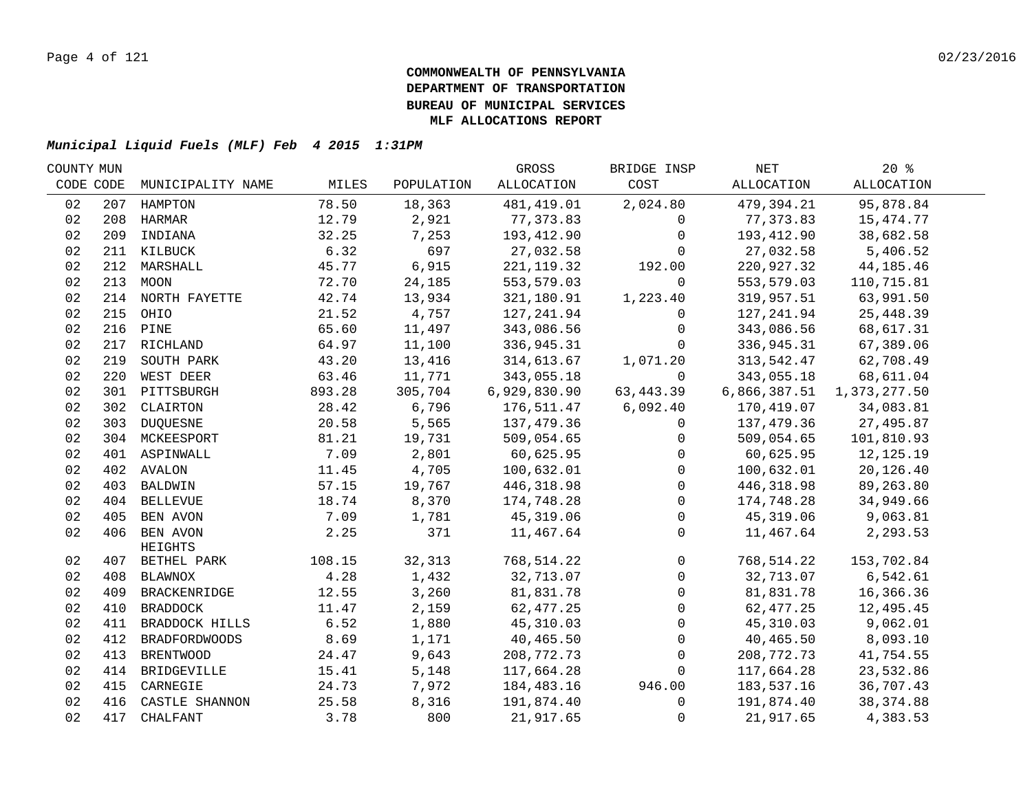| COUNTY MUN |     |                         |        |            | GROSS        | BRIDGE INSP  | NET          | $20*$        |  |
|------------|-----|-------------------------|--------|------------|--------------|--------------|--------------|--------------|--|
| CODE CODE  |     | MUNICIPALITY NAME       | MILES  | POPULATION | ALLOCATION   | COST         | ALLOCATION   | ALLOCATION   |  |
| 02         |     | 207 HAMPTON             | 78.50  | 18,363     | 481, 419.01  | 2,024.80     | 479,394.21   | 95,878.84    |  |
| 02         |     | 208 HARMAR              | 12.79  | 2,921      | 77,373.83    | $\Omega$     | 77,373.83    | 15,474.77    |  |
| 02         |     | 209 INDIANA             | 32.25  | 7,253      | 193,412.90   | $\mathbf{0}$ | 193,412.90   | 38,682.58    |  |
| 02         |     | 211 KILBUCK             | 6.32   | 697        | 27,032.58    | $\Omega$     | 27,032.58    | 5,406.52     |  |
| 02         |     | 212 MARSHALL            | 45.77  | 6,915      | 221, 119.32  | 192.00       | 220,927.32   | 44, 185. 46  |  |
| 02         |     | 213 MOON                | 72.70  | 24,185     | 553,579.03   | $\mathbf 0$  | 553,579.03   | 110,715.81   |  |
| 02         |     | 214 NORTH FAYETTE       | 42.74  | 13,934     | 321,180.91   | 1,223.40     | 319,957.51   | 63,991.50    |  |
| 02         |     | 215 OHIO                | 21.52  | 4,757      | 127, 241.94  | $\mathbf 0$  | 127,241.94   | 25,448.39    |  |
| 02         | 216 | PINE                    | 65.60  | 11,497     | 343,086.56   | 0            | 343,086.56   | 68,617.31    |  |
| 02         | 217 | RICHLAND                | 64.97  | 11,100     | 336,945.31   | $\mathbf 0$  | 336,945.31   | 67,389.06    |  |
| 02         | 219 | SOUTH PARK              | 43.20  | 13,416     | 314,613.67   | 1,071.20     | 313,542.47   | 62,708.49    |  |
| 02         | 220 | WEST DEER               | 63.46  | 11,771     | 343,055.18   | 0            | 343,055.18   | 68,611.04    |  |
| 02         |     | 301 PITTSBURGH          | 893.28 | 305,704    | 6,929,830.90 | 63, 443.39   | 6,866,387.51 | 1,373,277.50 |  |
| 02         |     | 302 CLAIRTON            | 28.42  | 6,796      | 176,511.47   | 6,092.40     | 170,419.07   | 34,083.81    |  |
| 02         |     | 303 DUQUESNE            | 20.58  | 5,565      | 137,479.36   | $\mathbf{0}$ | 137,479.36   | 27,495.87    |  |
| 02         |     | 304 MCKEESPORT          | 81.21  | 19,731     | 509,054.65   | $\mathbf 0$  | 509,054.65   | 101,810.93   |  |
| 02         |     | 401 ASPINWALL           | 7.09   | 2,801      | 60,625.95    | $\mathbf 0$  | 60,625.95    | 12,125.19    |  |
| 02         |     | 402 AVALON              | 11.45  | 4,705      | 100,632.01   | $\mathbf 0$  | 100,632.01   | 20,126.40    |  |
| 02         |     | 403 BALDWIN             | 57.15  | 19,767     | 446, 318.98  | $\mathbf 0$  | 446, 318.98  | 89,263.80    |  |
| 02         |     | 404 BELLEVUE            | 18.74  | 8,370      | 174,748.28   | 0            | 174,748.28   | 34,949.66    |  |
| 02         |     | 405 BEN AVON            | 7.09   | 1,781      | 45, 319.06   | $\mathbf 0$  | 45, 319.06   | 9,063.81     |  |
| 02         |     | 406 BEN AVON<br>HEIGHTS | 2.25   | 371        | 11,467.64    | $\mathbf 0$  | 11,467.64    | 2,293.53     |  |
| 02         |     | 407 BETHEL PARK         | 108.15 | 32,313     | 768,514.22   | $\mathbf 0$  | 768,514.22   | 153,702.84   |  |
| 02         |     | 408 BLAWNOX             | 4.28   | 1,432      | 32,713.07    | $\mathbf 0$  | 32,713.07    | 6,542.61     |  |
| 02         |     | 409 BRACKENRIDGE        | 12.55  | 3,260      | 81,831.78    | $\mathbf 0$  | 81,831.78    | 16,366.36    |  |
| 02         | 410 | BRADDOCK                | 11.47  | 2,159      | 62, 477.25   | $\mathbf 0$  | 62, 477.25   | 12,495.45    |  |
| 02         | 411 | BRADDOCK HILLS          | 6.52   | 1,880      | 45,310.03    | $\mathbf{0}$ | 45,310.03    | 9,062.01     |  |
| 02         | 412 | <b>BRADFORDWOODS</b>    | 8.69   | 1,171      | 40,465.50    | $\mathbf 0$  | 40,465.50    | 8,093.10     |  |
| 02         | 413 | <b>BRENTWOOD</b>        | 24.47  | 9,643      | 208,772.73   | $\mathbf 0$  | 208,772.73   | 41,754.55    |  |
| 02         | 414 | BRIDGEVILLE             | 15.41  | 5,148      | 117,664.28   | $\mathbf{0}$ | 117,664.28   | 23,532.86    |  |
| 02         | 415 | CARNEGIE                | 24.73  | 7,972      | 184,483.16   | 946.00       | 183,537.16   | 36,707.43    |  |
| 02         | 416 | CASTLE SHANNON          | 25.58  | 8,316      | 191,874.40   | $\mathbf{0}$ | 191,874.40   | 38, 374.88   |  |
| 02         | 417 | CHALFANT                | 3.78   | 800        | 21,917.65    | $\mathbf 0$  | 21,917.65    | 4,383.53     |  |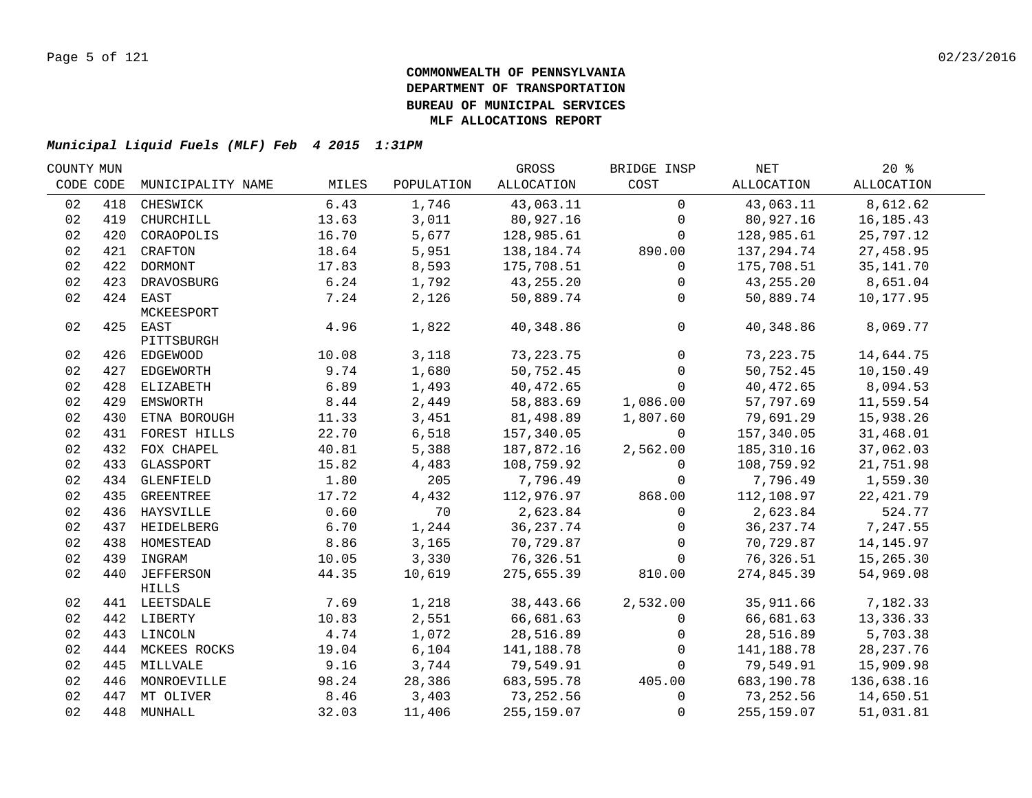| COUNTY MUN |     |                   |               |            | GROSS                  | BRIDGE INSP  | NET                    | $20*$       |  |
|------------|-----|-------------------|---------------|------------|------------------------|--------------|------------------------|-------------|--|
| CODE CODE  |     | MUNICIPALITY NAME | MILES         | POPULATION | ALLOCATION             | COST         | ALLOCATION             | ALLOCATION  |  |
| 02         | 418 | CHESWICK          | 6.43          | 1,746      | 43,063.11              | $\mathbf 0$  | 43,063.11              | 8,612.62    |  |
| 02         | 419 | CHURCHILL         | 13.63         | 3,011      | 80,927.16              | $\mathbf 0$  | 80,927.16              | 16, 185. 43 |  |
| 02         | 420 | CORAOPOLIS        | 16.70         | 5,677      | 128,985.61             | $\mathbf 0$  | 128,985.61             | 25,797.12   |  |
| 02         |     | 421 CRAFTON       | 18.64         | 5,951      | 138,184.74             | 890.00       | 137,294.74             | 27,458.95   |  |
| 02         |     | 422 DORMONT       | 17.83         | 8,593      | 175,708.51             | $\mathbf 0$  | 175,708.51             | 35, 141. 70 |  |
| 02         |     | 423 DRAVOSBURG    | 6.24          | 1,792      | 43,255.20              | $\mathbf 0$  | 43,255.20              | 8,651.04    |  |
| 02         |     | 424 EAST          | 7.24          | 2,126      | 50,889.74              | $\mathbf 0$  | 50,889.74              | 10,177.95   |  |
|            |     | MCKEESPORT        |               |            |                        |              |                        |             |  |
| 02         |     | 425 EAST          | 4.96          | 1,822      | 40,348.86              | $\mathbf 0$  | 40,348.86              | 8,069.77    |  |
|            |     | PITTSBURGH        |               |            |                        |              |                        |             |  |
| 02         |     | 426 EDGEWOOD      | 10.08         | 3,118      | 73, 223. 75            | $\mathbf 0$  | 73, 223. 75            | 14,644.75   |  |
| 02         |     | 427 EDGEWORTH     | 9.74          | 1,680      | 50,752.45              | $\mathbf 0$  | 50,752.45              | 10,150.49   |  |
| 02         |     | 428 ELIZABETH     | 6.89          | 1,493      | 40,472.65              | $\mathbf 0$  | 40,472.65              | 8,094.53    |  |
| 02         |     | 429 EMSWORTH      | 8.44          | 2,449      | 58,883.69              | 1,086.00     | 57,797.69              | 11,559.54   |  |
| 02         | 430 | ETNA BOROUGH      | 11.33         | 3,451      | 81,498.89              | 1,807.60     | 79,691.29              | 15,938.26   |  |
| 02         | 431 | FOREST HILLS      | 22.70         | 6,518      | 157,340.05             | $\Omega$     | 157,340.05             | 31,468.01   |  |
| 02         | 432 | FOX CHAPEL        | 40.81         | 5,388      | 187,872.16             | 2,562.00     | 185,310.16             | 37,062.03   |  |
| 02         | 433 | GLASSPORT         | 15.82         | 4,483      | 108,759.92             | $\Omega$     | 108,759.92             | 21,751.98   |  |
| 02         | 434 | GLENFIELD         | 1.80          | 205        | 7,796.49               | $\mathbf{0}$ | 7,796.49               | 1,559.30    |  |
| 02         | 435 | GREENTREE         | 17.72         | 4,432      | 112,976.97             | 868.00       | 112,108.97             | 22, 421.79  |  |
| 02         |     | 436 HAYSVILLE     | 0.60          | 70         | 2,623.84               | $\mathbf 0$  | 2,623.84               | 524.77      |  |
| 02         |     | 437 HEIDELBERG    | 6.70          | 1,244      | 36, 237.74             | $\mathbf{0}$ | 36, 237. 74            | 7,247.55    |  |
| 02         |     | 438 HOMESTEAD     | 8.86          | 3,165      | 70,729.87              | $\mathbf{0}$ | 70,729.87              | 14, 145.97  |  |
| 02         |     | 439 INGRAM        | 10.05         | 3,330      | 76,326.51              | $\mathbf 0$  | 76,326.51              | 15,265.30   |  |
| 02         |     | 440 JEFFERSON     | 44.35         | 10,619     | 275,655.39             | 810.00       | 274,845.39             | 54,969.08   |  |
|            |     | HILLS             |               | 1,218      |                        |              |                        | 7,182.33    |  |
| 02         |     | 441 LEETSDALE     | 7.69<br>10.83 | 2,551      | 38,443.66<br>66,681.63 | 2,532.00     | 35,911.66<br>66,681.63 | 13,336.33   |  |
| 02<br>02   |     | 442 LIBERTY       | 4.74          | 1,072      | 28,516.89              | $\mathsf{O}$ | 28,516.89              | 5,703.38    |  |
| 02         |     | 443 LINCOLN       | 19.04         |            | 141,188.78             | 0            | 141,188.78             | 28, 237. 76 |  |
|            |     | 444 MCKEES ROCKS  | 9.16          | 6,104      |                        | $\Omega$     |                        |             |  |
| 02         |     | 445 MILLVALE      |               | 3,744      | 79,549.91              | $\mathbf{0}$ | 79,549.91              | 15,909.98   |  |
| 02         |     | 446 MONROEVILLE   | 98.24         | 28,386     | 683,595.78             | 405.00       | 683,190.78             | 136,638.16  |  |
| 02         |     | 447 MT OLIVER     | 8.46          | 3,403      | 73,252.56              | $\mathbf 0$  | 73,252.56              | 14,650.51   |  |
| 02         |     | 448 MUNHALL       | 32.03         | 11,406     | 255, 159.07            | $\mathbf 0$  | 255,159.07             | 51,031.81   |  |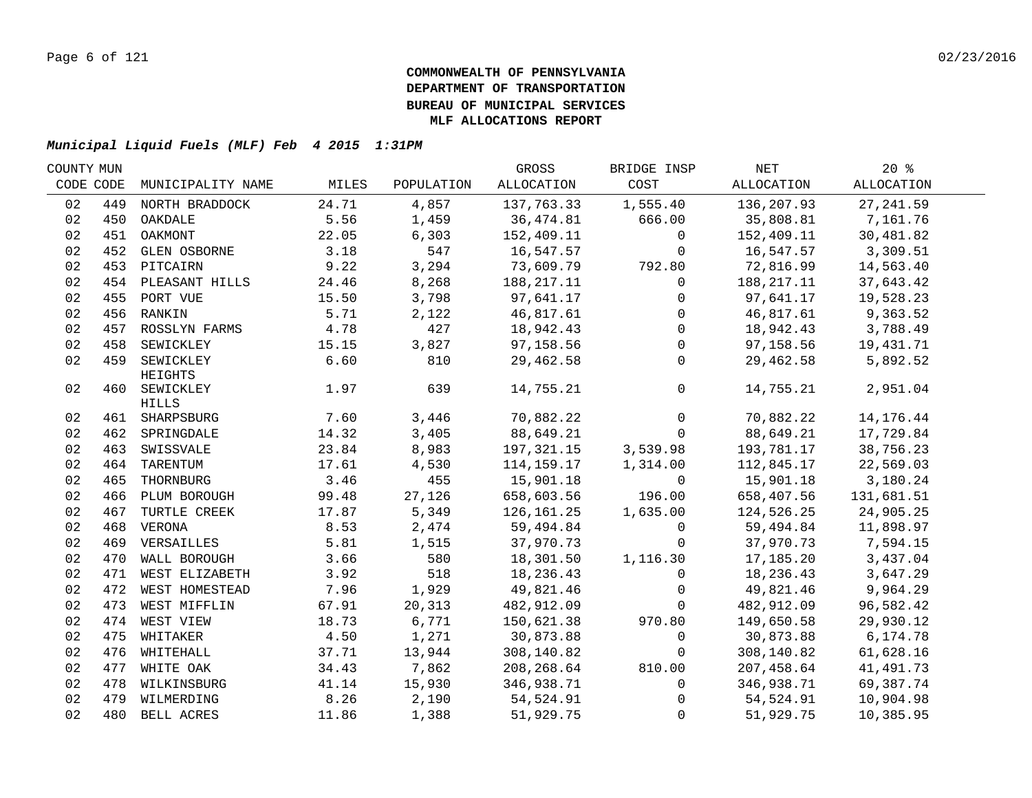| COUNTY MUN |     |                                  |               |                | GROSS                    | BRIDGE INSP           | NET                    | $20*$                  |  |
|------------|-----|----------------------------------|---------------|----------------|--------------------------|-----------------------|------------------------|------------------------|--|
| CODE CODE  |     | MUNICIPALITY NAME                | MILES         | POPULATION     | ALLOCATION               | COST                  | ALLOCATION             | <b>ALLOCATION</b>      |  |
| 02         | 449 | NORTH BRADDOCK                   | 24.71         | 4,857          | 137,763.33               | 1,555.40              | 136,207.93             | 27, 241.59             |  |
| 02         | 450 | OAKDALE                          | 5.56          | 1,459          | 36,474.81                | 666.00                | 35,808.81              | 7,161.76               |  |
| 02         | 451 | OAKMONT                          | 22.05         | 6,303          | 152,409.11               | $\mathbf 0$           | 152,409.11             | 30,481.82              |  |
| 02         |     | 452 GLEN OSBORNE                 | 3.18          | 547            | 16,547.57                | $\mathbf 0$           | 16,547.57              | 3,309.51               |  |
| 02         |     | 453 PITCAIRN                     | 9.22          | 3,294          | 73,609.79                | 792.80                | 72,816.99              | 14,563.40              |  |
| 02         |     | 454 PLEASANT HILLS               | 24.46         | 8,268          | 188, 217. 11             | 0                     | 188, 217. 11           | 37,643.42              |  |
| 02         |     | 455 PORT VUE                     | 15.50         | 3,798          | 97,641.17                | $\mathsf{O}$          | 97,641.17              | 19,528.23              |  |
| 02         |     | 456 RANKIN                       | 5.71          | 2,122          | 46,817.61                | $\overline{0}$        | 46,817.61              | 9,363.52               |  |
| 02         |     | 457 ROSSLYN FARMS                | 4.78          | 427            | 18,942.43                | $\overline{0}$        | 18,942.43              | 3,788.49               |  |
| 02         | 458 | SEWICKLEY                        | 15.15         | 3,827          | 97,158.56                | $\mathbf 0$           | 97,158.56              | 19,431.71              |  |
| 02         | 459 | SEWICKLEY                        | 6.60          | 810            | 29,462.58                | $\Omega$              | 29,462.58              | 5,892.52               |  |
|            |     | HEIGHTS                          |               |                |                          |                       |                        |                        |  |
| 02         |     | 460 SEWICKLEY                    | 1.97          | 639            | 14,755.21                | $\overline{0}$        | 14,755.21              | 2,951.04               |  |
|            |     | <b>HILLS</b>                     |               |                |                          | $\overline{0}$        |                        |                        |  |
| 02         |     | 461 SHARPSBURG<br>462 SPRINGDALE | 7.60<br>14.32 | 3,446<br>3,405 | 70,882.22<br>88,649.21   |                       | 70,882.22<br>88,649.21 | 14,176.44<br>17,729.84 |  |
| 02         |     | 463 SWISSVALE                    | 23.84         | 8,983          |                          | $\mathbf 0$           | 193,781.17             |                        |  |
| 02<br>02   | 464 | TARENTUM                         | 17.61         |                | 197,321.15<br>114,159.17 | 3,539.98<br>1,314.00  | 112,845.17             | 38,756.23<br>22,569.03 |  |
| 02         | 465 | THORNBURG                        | 3.46          | 4,530<br>455   |                          |                       | 15,901.18              |                        |  |
| 02         |     |                                  | 99.48         |                | 15,901.18                | $\mathbf 0$<br>196.00 |                        | 3,180.24               |  |
| 02         | 467 | 466 PLUM BOROUGH                 | 17.87         | 27,126         | 658,603.56               |                       | 658,407.56             | 131,681.51             |  |
|            |     | TURTLE CREEK                     |               | 5,349          | 126,161.25               | 1,635.00              | 124,526.25             | 24,905.25              |  |
| 02         |     | 468 VERONA                       | 8.53          | 2,474          | 59,494.84                | $\mathbf 0$           | 59,494.84              | 11,898.97              |  |
| 02         |     | 469 VERSAILLES                   | 5.81          | 1,515          | 37,970.73                | $\mathbf 0$           | 37,970.73              | 7,594.15               |  |
| 02         |     | 470 WALL BOROUGH                 | 3.66          | 580            | 18,301.50                | 1,116.30              | 17,185.20              | 3,437.04               |  |
| 02         |     | 471 WEST ELIZABETH               | 3.92          | 518            | 18,236.43                | $\mathbf 0$           | 18,236.43              | 3,647.29               |  |
| 02         |     | 472 WEST HOMESTEAD               | 7.96          | 1,929          | 49,821.46                | 0                     | 49,821.46              | 9,964.29               |  |
| 02         |     | 473 WEST MIFFLIN                 | 67.91         | 20,313         | 482,912.09               | $\Omega$              | 482,912.09             | 96,582.42              |  |
| 02         |     | 474 WEST VIEW                    | 18.73         | 6,771          | 150,621.38               | 970.80                | 149,650.58             | 29,930.12              |  |
| 02         |     | 475 WHITAKER                     | 4.50          | 1,271          | 30,873.88                | $\Omega$              | 30,873.88              | 6,174.78               |  |
| 02         |     | 476 WHITEHALL                    | 37.71         | 13,944         | 308,140.82               | $\mathbf{0}$          | 308,140.82             | 61,628.16              |  |
| 02         |     | 477 WHITE OAK                    | 34.43         | 7,862          | 208,268.64               | 810.00                | 207,458.64             | 41,491.73              |  |
| 02         |     | 478 WILKINSBURG                  | 41.14         | 15,930         | 346,938.71               | $\mathbf{0}$          | 346,938.71             | 69,387.74              |  |
| 02         |     | 479 WILMERDING                   | 8.26          | 2,190          | 54,524.91                | $\mathbf 0$           | 54,524.91              | 10,904.98              |  |
| 02         |     | 480 BELL ACRES                   | 11.86         | 1,388          | 51,929.75                | $\mathbf{0}$          | 51,929.75              | 10,385.95              |  |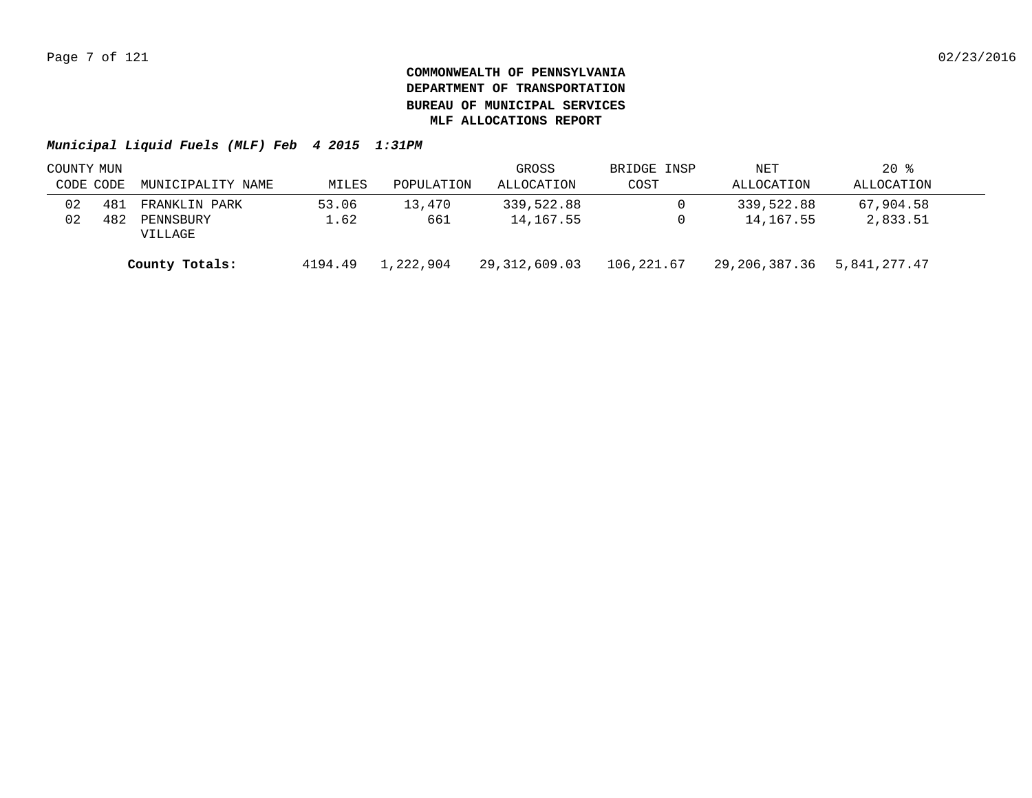|           | COUNTY MUN |                      |         |            | GROSS         | BRIDGE INSP | NET           | $20*$        |  |
|-----------|------------|----------------------|---------|------------|---------------|-------------|---------------|--------------|--|
| CODE CODE |            | MUNICIPALITY NAME    | MILES   | POPULATION | ALLOCATION    | COST        | ALLOCATION    | ALLOCATION   |  |
| 02        | 481        | FRANKLIN PARK        | 53.06   | 13,470     | 339,522.88    | $\Omega$    | 339,522.88    | 67,904.58    |  |
| 02        | 482        | PENNSBURY<br>VILLAGE | 1.62    | 661        | 14,167.55     | 0           | 14,167.55     | 2,833.51     |  |
|           |            | County Totals:       | 4194.49 | 1,222,904  | 29,312,609.03 | 106,221.67  | 29,206,387.36 | 5,841,277.47 |  |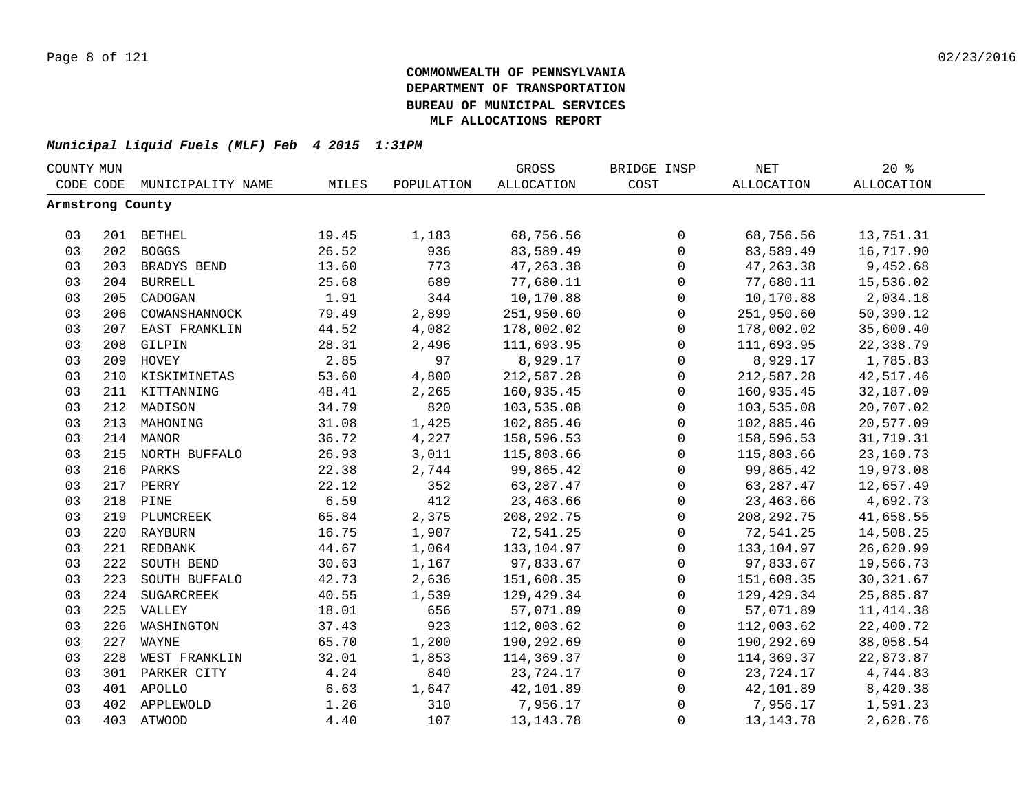| COUNTY MUN       |     |                   |       |            | GROSS             | BRIDGE INSP         | NET               | $20*$             |  |
|------------------|-----|-------------------|-------|------------|-------------------|---------------------|-------------------|-------------------|--|
| CODE CODE        |     | MUNICIPALITY NAME | MILES | POPULATION | <b>ALLOCATION</b> | COST                | <b>ALLOCATION</b> | <b>ALLOCATION</b> |  |
| Armstrong County |     |                   |       |            |                   |                     |                   |                   |  |
|                  |     |                   |       |            |                   |                     |                   |                   |  |
| 03               |     | 201 BETHEL        | 19.45 | 1,183      | 68,756.56         | 0                   | 68,756.56         | 13,751.31         |  |
| 03               |     | 202 BOGGS         | 26.52 | 936        | 83,589.49         | $\mathbf 0$         | 83,589.49         | 16,717.90         |  |
| 03               |     | 203 BRADYS BEND   | 13.60 | 773        | 47, 263.38        | $\mathbf 0$         | 47, 263.38        | 9,452.68          |  |
| 03               |     | 204 BURRELL       | 25.68 | 689        | 77,680.11         | 0                   | 77,680.11         | 15,536.02         |  |
| 03               | 205 | CADOGAN           | 1.91  | 344        | 10,170.88         | $\mathsf{O}$        | 10,170.88         | 2,034.18          |  |
| 03               | 206 | COWANSHANNOCK     | 79.49 | 2,899      | 251,950.60        | $\mathsf{O}$        | 251,950.60        | 50,390.12         |  |
| 03               | 207 | EAST FRANKLIN     | 44.52 | 4,082      | 178,002.02        | $\mathbf 0$         | 178,002.02        | 35,600.40         |  |
| 03               | 208 | GILPIN            | 28.31 | 2,496      | 111,693.95        | $\mathbf 0$         | 111,693.95        | 22,338.79         |  |
| 03               | 209 | HOVEY             | 2.85  | 97         | 8,929.17          | $\mathbf 0$         | 8,929.17          | 1,785.83          |  |
| 03               | 210 | KISKIMINETAS      | 53.60 | 4,800      | 212,587.28        | $\mathbf 0$         | 212,587.28        | 42,517.46         |  |
| 03               | 211 | KITTANNING        | 48.41 | 2,265      | 160,935.45        | $\mathbf 0$         | 160,935.45        | 32,187.09         |  |
| 03               | 212 | MADISON           | 34.79 | 820        | 103,535.08        | 0                   | 103,535.08        | 20,707.02         |  |
| 03               | 213 | MAHONING          | 31.08 | 1,425      | 102,885.46        | 0                   | 102,885.46        | 20,577.09         |  |
| 03               |     | 214 MANOR         | 36.72 | 4,227      | 158,596.53        | $\mathbf 0$         | 158,596.53        | 31,719.31         |  |
| 03               |     | 215 NORTH BUFFALO | 26.93 | 3,011      | 115,803.66        | 0                   | 115,803.66        | 23,160.73         |  |
| 03               | 216 | PARKS             | 22.38 | 2,744      | 99,865.42         | 0                   | 99,865.42         | 19,973.08         |  |
| 03               |     | 217 PERRY         | 22.12 | 352        | 63, 287.47        | 0                   | 63, 287. 47       | 12,657.49         |  |
| 03               | 218 | PINE              | 6.59  | 412        | 23,463.66         | $\mathbf 0$         | 23,463.66         | 4,692.73          |  |
| 03               |     | 219 PLUMCREEK     | 65.84 | 2,375      | 208, 292. 75      | $\mathsf{O}$        | 208, 292. 75      | 41,658.55         |  |
| 03               |     | 220 RAYBURN       | 16.75 | 1,907      | 72,541.25         | $\mathsf{O}$        | 72,541.25         | 14,508.25         |  |
| 03               |     | 221 REDBANK       | 44.67 | 1,064      | 133,104.97        | $\mathbf 0$         | 133,104.97        | 26,620.99         |  |
| 03               | 222 | SOUTH BEND        | 30.63 | 1,167      | 97,833.67         | $\mathbf 0$         | 97,833.67         | 19,566.73         |  |
| 03               | 223 | SOUTH BUFFALO     | 42.73 | 2,636      | 151,608.35        | $\mathbf 0$         | 151,608.35        | 30, 321.67        |  |
| 03               | 224 | SUGARCREEK        | 40.55 | 1,539      | 129,429.34        | $\mathbf 0$         | 129,429.34        | 25,885.87         |  |
| 03               |     | 225 VALLEY        | 18.01 | 656        | 57,071.89         | $\mathbf 0$         | 57,071.89         | 11, 414.38        |  |
| 03               | 226 | WASHINGTON        | 37.43 | 923        | 112,003.62        | 0                   | 112,003.62        | 22,400.72         |  |
| 03               | 227 | WAYNE             | 65.70 | 1,200      | 190,292.69        | 0                   | 190,292.69        | 38,058.54         |  |
| 03               | 228 | WEST FRANKLIN     | 32.01 | 1,853      | 114,369.37        | 0                   | 114,369.37        | 22,873.87         |  |
| 03               | 301 | PARKER CITY       | 4.24  | 840        | 23,724.17         | $\mathsf{O}\xspace$ | 23,724.17         | 4,744.83          |  |
| 03               |     | 401 APOLLO        | 6.63  | 1,647      | 42,101.89         | 0                   | 42,101.89         | 8,420.38          |  |
| 03               | 402 | APPLEWOLD         | 1.26  | 310        | 7,956.17          | 0                   | 7,956.17          | 1,591.23          |  |
| 03               |     | 403 ATWOOD        |       | 107        | 13, 143. 78       |                     | 13, 143. 78       | 2,628.76          |  |
|                  |     |                   | 4.40  |            |                   | 0                   |                   |                   |  |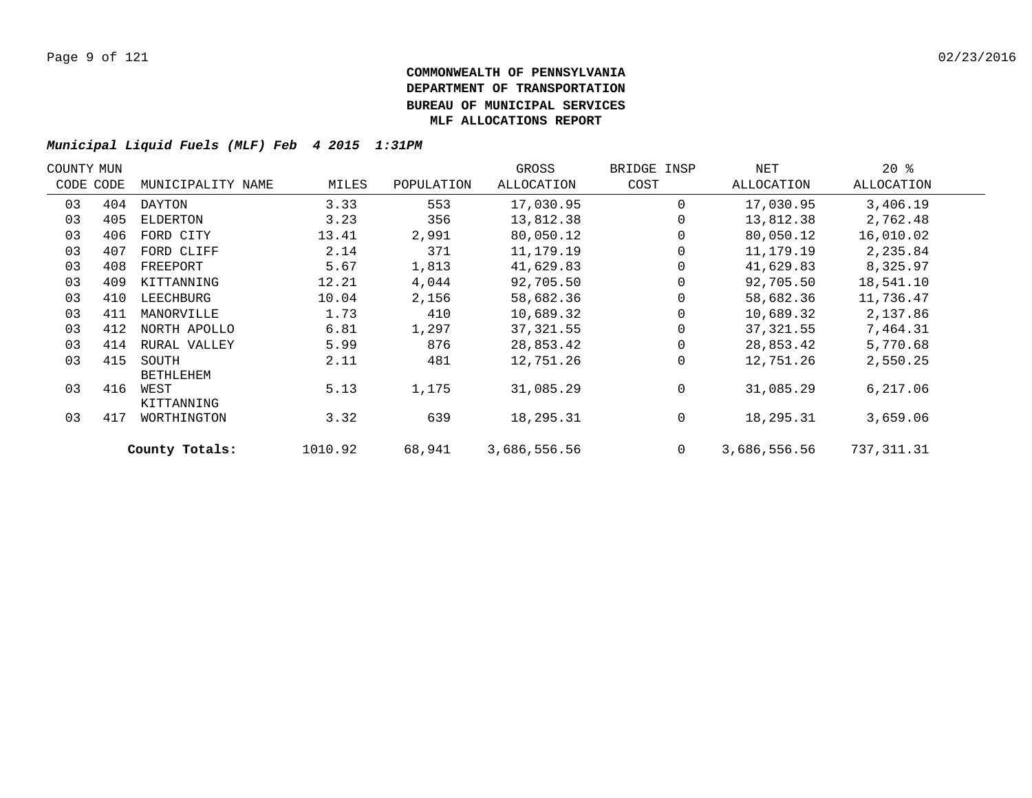| COUNTY MUN |           |                           |         |            | GROSS        | BRIDGE INSP | NET          | $20*$      |  |
|------------|-----------|---------------------------|---------|------------|--------------|-------------|--------------|------------|--|
|            | CODE CODE | MUNICIPALITY NAME         | MILES   | POPULATION | ALLOCATION   | COST        | ALLOCATION   | ALLOCATION |  |
| 03         | 404       | DAYTON                    | 3.33    | 553        | 17,030.95    | $\Omega$    | 17,030.95    | 3,406.19   |  |
| 03         | 405       | ELDERTON                  | 3.23    | 356        | 13,812.38    |             | 13,812.38    | 2,762.48   |  |
| 03         | 406       | FORD CITY                 | 13.41   | 2,991      | 80,050.12    |             | 80,050.12    | 16,010.02  |  |
| 03         | 407       | FORD CLIFF                | 2.14    | 371        | 11,179.19    |             | 11,179.19    | 2,235.84   |  |
| 03         | 408       | FREEPORT                  | 5.67    | 1,813      | 41,629.83    |             | 41,629.83    | 8,325.97   |  |
| 03         | 409       | KITTANNING                | 12.21   | 4,044      | 92,705.50    |             | 92,705.50    | 18,541.10  |  |
| 03         | 410       | LEECHBURG                 | 10.04   | 2,156      | 58,682.36    |             | 58,682.36    | 11,736.47  |  |
| 03         | 411       | MANORVILLE                | 1.73    | 410        | 10,689.32    |             | 10,689.32    | 2,137.86   |  |
| 03         | 412       | NORTH APOLLO              | 6.81    | 1,297      | 37, 321.55   |             | 37, 321.55   | 7,464.31   |  |
| 03         | 414       | RURAL VALLEY              | 5.99    | 876        | 28,853.42    |             | 28,853.42    | 5,770.68   |  |
| 03         | 415       | SOUTH<br><b>BETHLEHEM</b> | 2.11    | 481        | 12,751.26    | $\Omega$    | 12,751.26    | 2,550.25   |  |
| 03         | 416       | WEST<br>KITTANNING        | 5.13    | 1,175      | 31,085.29    | $\Omega$    | 31,085.29    | 6, 217.06  |  |
| 03         | 417       | WORTHINGTON               | 3.32    | 639        | 18,295.31    | 0           | 18,295.31    | 3,659.06   |  |
|            |           | County Totals:            | 1010.92 | 68,941     | 3,686,556.56 | $\mathbf 0$ | 3,686,556.56 | 737,311.31 |  |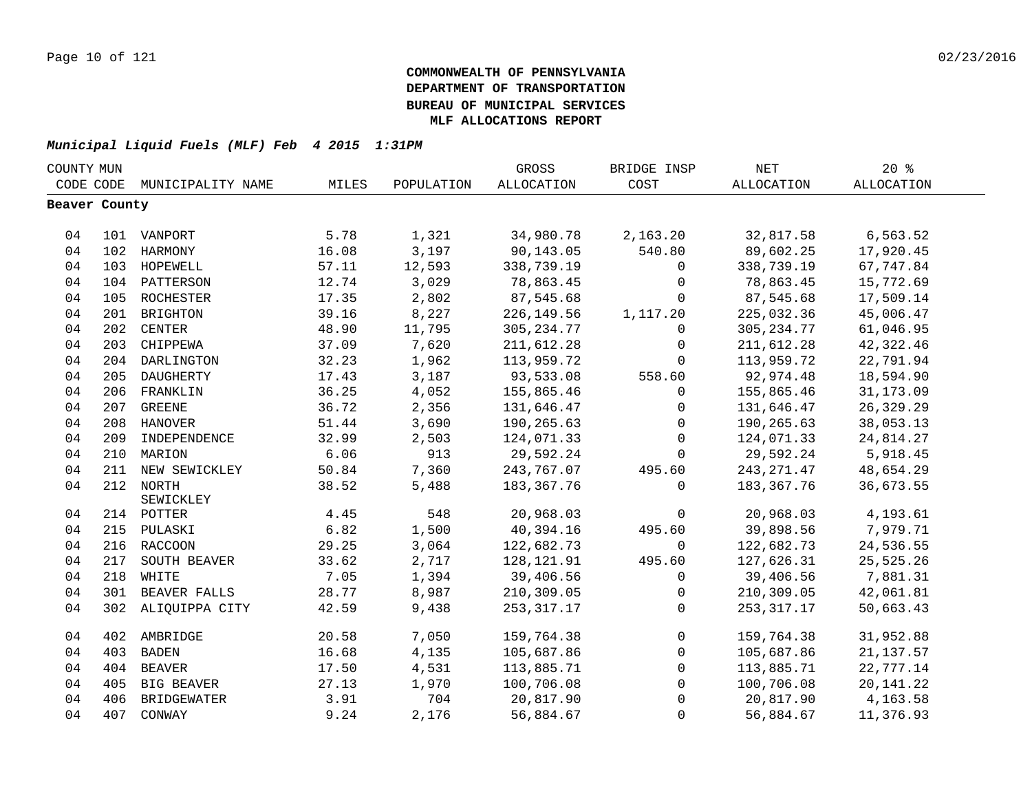|               | COUNTY MUN |                    |       |            | GROSS             | BRIDGE INSP    | <b>NET</b>  | 20%         |  |
|---------------|------------|--------------------|-------|------------|-------------------|----------------|-------------|-------------|--|
| CODE CODE     |            | MUNICIPALITY NAME  | MILES | POPULATION | <b>ALLOCATION</b> | COST           | ALLOCATION  | ALLOCATION  |  |
| Beaver County |            |                    |       |            |                   |                |             |             |  |
|               |            |                    |       |            |                   |                |             |             |  |
| 04            |            | 101 VANPORT        | 5.78  | 1,321      | 34,980.78         | 2,163.20       | 32,817.58   | 6,563.52    |  |
| 04            |            | 102 HARMONY        | 16.08 | 3,197      | 90,143.05         | 540.80         | 89,602.25   | 17,920.45   |  |
| 04            |            | 103 HOPEWELL       | 57.11 | 12,593     | 338,739.19        | $\mathbf 0$    | 338,739.19  | 67,747.84   |  |
| 04            |            | 104 PATTERSON      | 12.74 | 3,029      | 78,863.45         | $\Omega$       | 78,863.45   | 15,772.69   |  |
| 04            | 105        | ROCHESTER          | 17.35 | 2,802      | 87,545.68         | $\mathbf 0$    | 87,545.68   | 17,509.14   |  |
| 04            | 201        | <b>BRIGHTON</b>    | 39.16 | 8,227      | 226,149.56        | 1,117.20       | 225,032.36  | 45,006.47   |  |
| 04            | 202        | <b>CENTER</b>      | 48.90 | 11,795     | 305, 234.77       | $\Omega$       | 305, 234.77 | 61,046.95   |  |
| 04            | 203        | CHIPPEWA           | 37.09 | 7,620      | 211,612.28        | $\mathbf 0$    | 211,612.28  | 42,322.46   |  |
| 04            | 204        | DARLINGTON         | 32.23 | 1,962      | 113,959.72        | $\mathbf 0$    | 113,959.72  | 22,791.94   |  |
| 04            | 205        | DAUGHERTY          | 17.43 | 3,187      | 93,533.08         | 558.60         | 92,974.48   | 18,594.90   |  |
| 04            |            | 206 FRANKLIN       | 36.25 | 4,052      | 155,865.46        | $\mathbf 0$    | 155,865.46  | 31, 173.09  |  |
| 04            |            | 207 GREENE         | 36.72 | 2,356      | 131,646.47        | 0              | 131,646.47  | 26, 329. 29 |  |
| 04            |            | 208 HANOVER        | 51.44 | 3,690      | 190,265.63        | $\mathsf 0$    | 190,265.63  | 38,053.13   |  |
| 04            |            | 209 INDEPENDENCE   | 32.99 | 2,503      | 124,071.33        | $\mathbf 0$    | 124,071.33  | 24,814.27   |  |
| 04            |            | 210 MARION         | 6.06  | 913        | 29,592.24         | $\Omega$       | 29,592.24   | 5,918.45    |  |
| 04            |            | 211 NEW SEWICKLEY  | 50.84 | 7,360      | 243,767.07        | 495.60         | 243, 271.47 | 48,654.29   |  |
| 04            |            | 212 NORTH          | 38.52 | 5,488      | 183, 367. 76      | $\Omega$       | 183,367.76  | 36,673.55   |  |
|               |            | SEWICKLEY          |       |            |                   |                |             |             |  |
| 04            |            | 214 POTTER         | 4.45  | 548        | 20,968.03         | $\mathbf 0$    | 20,968.03   | 4,193.61    |  |
| 04            |            | 215 PULASKI        | 6.82  | 1,500      | 40,394.16         | 495.60         | 39,898.56   | 7,979.71    |  |
| 04            |            | 216 RACCOON        | 29.25 | 3,064      | 122,682.73        | $\mathbf 0$    | 122,682.73  | 24,536.55   |  |
| 04            | 217        | SOUTH BEAVER       | 33.62 | 2,717      | 128,121.91        | 495.60         | 127,626.31  | 25,525.26   |  |
| 04            | 218        | WHITE              | 7.05  | 1,394      | 39,406.56         | $\mathbf 0$    | 39,406.56   | 7,881.31    |  |
| 04            |            | 301 BEAVER FALLS   | 28.77 | 8,987      | 210,309.05        | $\mathbf 0$    | 210,309.05  | 42,061.81   |  |
| 04            |            | 302 ALIQUIPPA CITY | 42.59 | 9,438      | 253, 317.17       | $\mathbf 0$    | 253, 317.17 | 50,663.43   |  |
| 04            |            | 402 AMBRIDGE       | 20.58 | 7,050      | 159,764.38        | $\overline{0}$ | 159,764.38  | 31,952.88   |  |
| 04            | 403        | <b>BADEN</b>       | 16.68 | 4,135      | 105,687.86        | $\mathbf 0$    | 105,687.86  | 21, 137.57  |  |
| 04            | 404        | <b>BEAVER</b>      | 17.50 | 4,531      | 113,885.71        | 0              | 113,885.71  | 22,777.14   |  |
| 04            | 405        | BIG BEAVER         | 27.13 | 1,970      | 100,706.08        | $\mathbf 0$    | 100,706.08  | 20, 141. 22 |  |
| 04            | 406        | <b>BRIDGEWATER</b> | 3.91  | 704        | 20,817.90         | $\Omega$       | 20,817.90   | 4,163.58    |  |
| 04            | 407        | CONWAY             | 9.24  | 2,176      | 56,884.67         | $\mathbf 0$    | 56,884.67   | 11,376.93   |  |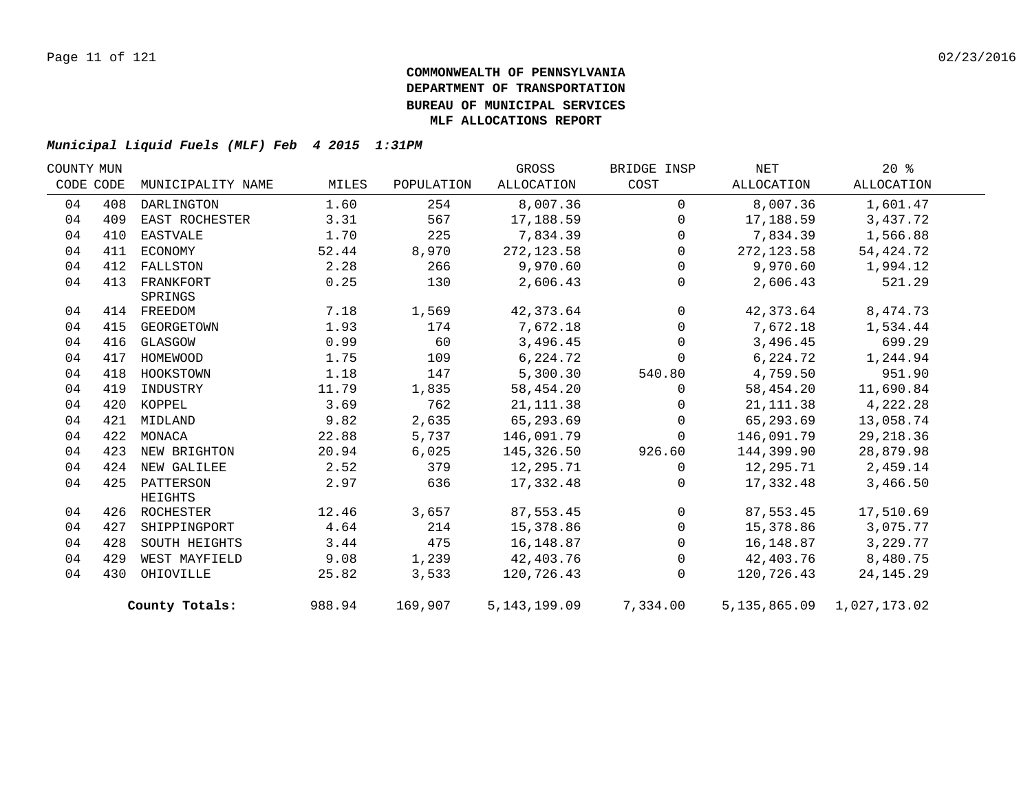| COUNTY MUN |     |                   |        |            | GROSS          | BRIDGE INSP    | NET        | $20*$                         |  |
|------------|-----|-------------------|--------|------------|----------------|----------------|------------|-------------------------------|--|
| CODE CODE  |     | MUNICIPALITY NAME | MILES  | POPULATION | ALLOCATION     | COST           | ALLOCATION | ALLOCATION                    |  |
| 04         | 408 | DARLINGTON        | 1.60   | 254        | 8,007.36       | $\Omega$       | 8,007.36   | 1,601.47                      |  |
| 04         | 409 | EAST ROCHESTER    | 3.31   | 567        | 17,188.59      | $\mathbf 0$    | 17,188.59  | 3,437.72                      |  |
| 04         | 410 | EASTVALE          | 1.70   | 225        | 7,834.39       | $\mathbf 0$    | 7,834.39   | 1,566.88                      |  |
| 04         | 411 | ECONOMY           | 52.44  | 8,970      | 272, 123.58    | $\mathbf 0$    | 272,123.58 | 54, 424. 72                   |  |
| 04         | 412 | FALLSTON          | 2.28   | 266        | 9,970.60       | $\Omega$       | 9,970.60   | 1,994.12                      |  |
| 04         | 413 | FRANKFORT         | 0.25   | 130        | 2,606.43       | $\mathbf 0$    | 2,606.43   | 521.29                        |  |
|            |     | SPRINGS           |        |            |                |                |            |                               |  |
| 04         |     | 414 FREEDOM       | 7.18   | 1,569      | 42, 373.64     | $\mathbf 0$    | 42,373.64  | 8,474.73                      |  |
| 04         | 415 | GEORGETOWN        | 1.93   | 174        | 7,672.18       | $\overline{0}$ | 7,672.18   | 1,534.44                      |  |
| 04         | 416 | GLASGOW           | 0.99   | 60         | 3,496.45       | $\mathbf 0$    | 3,496.45   | 699.29                        |  |
| 04         | 417 | HOMEWOOD          | 1.75   | 109        | 6,224.72       | $\Omega$       | 6,224.72   | 1,244.94                      |  |
| 04         | 418 | HOOKSTOWN         | 1.18   | 147        | 5,300.30       | 540.80         | 4,759.50   | 951.90                        |  |
| 04         | 419 | INDUSTRY          | 11.79  | 1,835      | 58,454.20      | $\mathbf 0$    | 58,454.20  | 11,690.84                     |  |
| 04         | 420 | KOPPEL            | 3.69   | 762        | 21, 111.38     | $\mathbf 0$    | 21, 111.38 | 4,222.28                      |  |
| 04         | 421 | MIDLAND           | 9.82   | 2,635      | 65,293.69      | $\mathbf 0$    | 65,293.69  | 13,058.74                     |  |
| 04         | 422 | MONACA            | 22.88  | 5,737      | 146,091.79     | $\mathbf 0$    | 146,091.79 | 29, 218.36                    |  |
| 04         | 423 | NEW BRIGHTON      | 20.94  | 6,025      | 145,326.50     | 926.60         | 144,399.90 | 28,879.98                     |  |
| 04         | 424 | NEW GALILEE       | 2.52   | 379        | 12,295.71      | $\Omega$       | 12,295.71  | 2,459.14                      |  |
| 04         |     | 425 PATTERSON     | 2.97   | 636        | 17,332.48      | 0              | 17,332.48  | 3,466.50                      |  |
|            |     | HEIGHTS           |        |            |                |                |            |                               |  |
| 04         |     | 426 ROCHESTER     | 12.46  | 3,657      | 87,553.45      | 0              | 87,553.45  | 17,510.69                     |  |
| 04         | 427 | SHIPPINGPORT      | 4.64   | 214        | 15,378.86      | $\mathbf 0$    | 15,378.86  | 3,075.77                      |  |
| 04         | 428 | SOUTH HEIGHTS     | 3.44   | 475        | 16,148.87      | 0              | 16,148.87  | 3,229.77                      |  |
| 04         | 429 | WEST MAYFIELD     | 9.08   | 1,239      | 42,403.76      | $\mathbf 0$    | 42,403.76  | 8,480.75                      |  |
| 04         | 430 | OHIOVILLE         | 25.82  | 3,533      | 120,726.43     | $\Omega$       | 120,726.43 | 24, 145. 29                   |  |
|            |     | County Totals:    | 988.94 | 169,907    | 5, 143, 199.09 | 7,334.00       |            | 5, 135, 865.09 1, 027, 173.02 |  |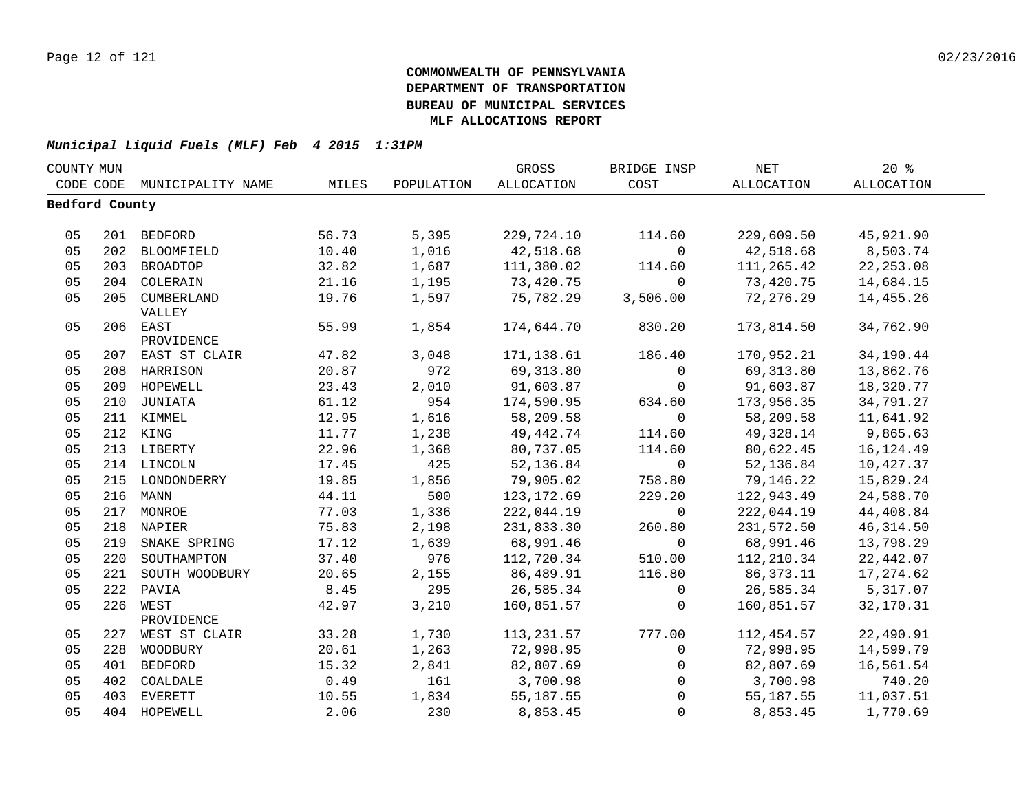| COUNTY MUN     |     |                             |       |            | GROSS       | BRIDGE INSP    | NET         | $20*$      |  |
|----------------|-----|-----------------------------|-------|------------|-------------|----------------|-------------|------------|--|
|                |     | CODE CODE MUNICIPALITY NAME | MILES | POPULATION | ALLOCATION  | COST           | ALLOCATION  | ALLOCATION |  |
| Bedford County |     |                             |       |            |             |                |             |            |  |
|                |     |                             |       |            |             |                |             |            |  |
| 05             |     | 201 BEDFORD                 | 56.73 | 5,395      | 229,724.10  | 114.60         | 229,609.50  | 45,921.90  |  |
| 05             |     | 202 BLOOMFIELD              | 10.40 | 1,016      | 42,518.68   | $\mathbf 0$    | 42,518.68   | 8,503.74   |  |
| 05             |     | 203 BROADTOP                | 32.82 | 1,687      | 111,380.02  | 114.60         | 111,265.42  | 22, 253.08 |  |
| 05             |     | 204 COLERAIN                | 21.16 | 1,195      | 73,420.75   | $\overline{0}$ | 73,420.75   | 14,684.15  |  |
| 05             |     | 205 CUMBERLAND              | 19.76 | 1,597      | 75,782.29   | 3,506.00       | 72,276.29   | 14,455.26  |  |
|                |     | VALLEY                      |       |            |             |                |             |            |  |
| 05             |     | 206 EAST                    | 55.99 | 1,854      | 174,644.70  | 830.20         | 173,814.50  | 34,762.90  |  |
|                |     | PROVIDENCE                  |       |            |             |                |             |            |  |
| 05             |     | 207 EAST ST CLAIR           | 47.82 | 3,048      | 171,138.61  | 186.40         | 170,952.21  | 34,190.44  |  |
| 05             |     | 208 HARRISON                | 20.87 | 972        | 69,313.80   | $\overline{0}$ | 69,313.80   | 13,862.76  |  |
| 05             |     | 209 HOPEWELL                | 23.43 | 2,010      | 91,603.87   | $\overline{0}$ | 91,603.87   | 18,320.77  |  |
| 05             |     | 210 JUNIATA                 | 61.12 | 954        | 174,590.95  | 634.60         | 173,956.35  | 34,791.27  |  |
| 05             |     | 211 KIMMEL                  | 12.95 | 1,616      | 58,209.58   | $\overline{0}$ | 58,209.58   | 11,641.92  |  |
| 05             |     | 212 KING                    | 11.77 | 1,238      | 49,442.74   | 114.60         | 49,328.14   | 9,865.63   |  |
| 05             |     | 213 LIBERTY                 | 22.96 | 1,368      | 80,737.05   | 114.60         | 80,622.45   | 16,124.49  |  |
| 05             |     | 214 LINCOLN                 | 17.45 | 425        | 52,136.84   | $\overline{0}$ | 52,136.84   | 10,427.37  |  |
| 05             |     | 215 LONDONDERRY             | 19.85 | 1,856      | 79,905.02   | 758.80         | 79,146.22   | 15,829.24  |  |
| 05             |     | 216 MANN                    | 44.11 | 500        | 123, 172.69 | 229.20         | 122,943.49  | 24,588.70  |  |
| 05             |     | 217 MONROE                  | 77.03 | 1,336      | 222,044.19  | $\overline{0}$ | 222,044.19  | 44,408.84  |  |
| 05             |     | 218 NAPIER                  | 75.83 | 2,198      | 231,833.30  | 260.80         | 231,572.50  | 46, 314.50 |  |
| 05             |     | 219 SNAKE SPRING            | 17.12 | 1,639      | 68,991.46   | $\overline{0}$ | 68,991.46   | 13,798.29  |  |
| 05             |     | 220 SOUTHAMPTON             | 37.40 | 976        | 112,720.34  | 510.00         | 112,210.34  | 22,442.07  |  |
| 05             | 221 | SOUTH WOODBURY              | 20.65 | 2,155      | 86,489.91   | 116.80         | 86,373.11   | 17,274.62  |  |
| 05             |     | 222 PAVIA                   | 8.45  | 295        | 26,585.34   | $\overline{0}$ | 26,585.34   | 5,317.07   |  |
| 05             |     | 226 WEST                    | 42.97 | 3,210      | 160,851.57  | $\Omega$       | 160,851.57  | 32,170.31  |  |
|                |     | PROVIDENCE                  |       |            |             |                |             |            |  |
| 05             |     | 227 WEST ST CLAIR           | 33.28 | 1,730      | 113, 231.57 | 777.00         | 112,454.57  | 22,490.91  |  |
| 05             |     | 228 WOODBURY                | 20.61 | 1,263      | 72,998.95   | $\overline{0}$ | 72,998.95   | 14,599.79  |  |
| 05             |     | 401 BEDFORD                 | 15.32 | 2,841      | 82,807.69   | $\overline{0}$ | 82,807.69   | 16,561.54  |  |
| 05             |     | 402 COALDALE                | 0.49  | 161        | 3,700.98    | $\overline{0}$ | 3,700.98    | 740.20     |  |
| 05             |     | 403 EVERETT                 | 10.55 | 1,834      | 55, 187.55  | $\Omega$       | 55, 187. 55 | 11,037.51  |  |
| 05             |     | 404 HOPEWELL                | 2.06  | 230        | 8,853.45    | $\Omega$       | 8,853.45    | 1,770.69   |  |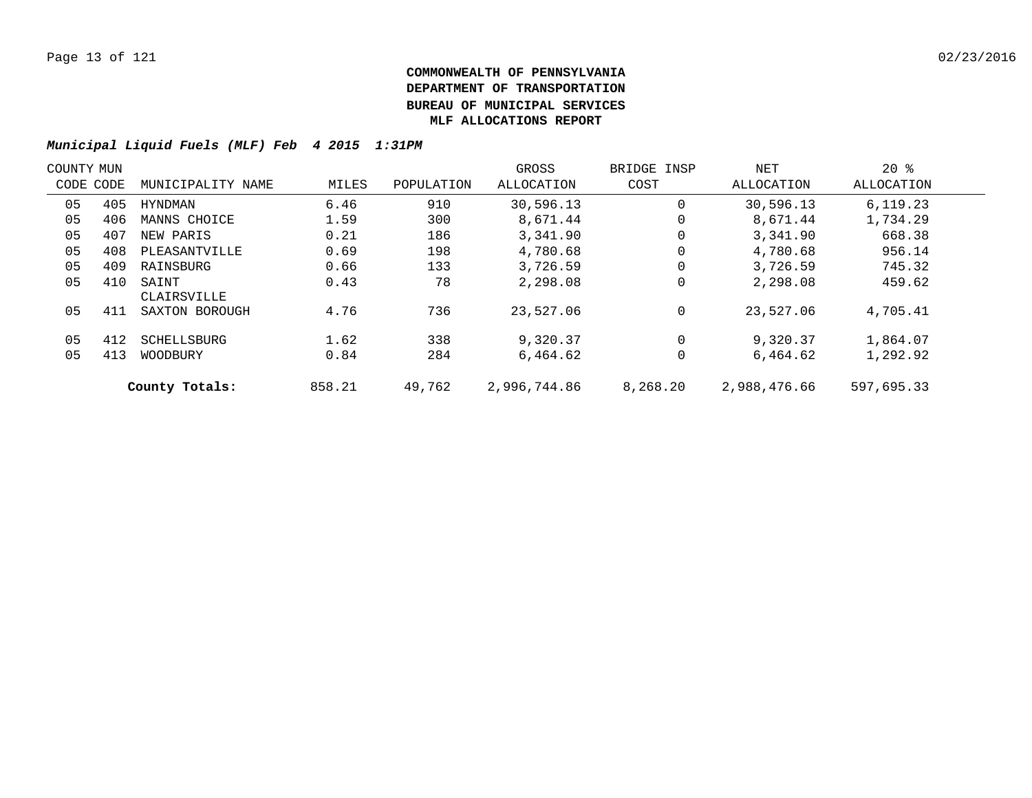| COUNTY MUN |           |                      |        |            | GROSS        | BRIDGE INSP | NET          | $20*$      |  |
|------------|-----------|----------------------|--------|------------|--------------|-------------|--------------|------------|--|
|            | CODE CODE | MUNICIPALITY NAME    | MILES  | POPULATION | ALLOCATION   | COST        | ALLOCATION   | ALLOCATION |  |
| 05         | 405       | HYNDMAN              | 6.46   | 910        | 30,596.13    | 0           | 30,596.13    | 6.119.23   |  |
| 05         | 406       | MANNS CHOICE         | 1.59   | 300        | 8,671.44     | 0           | 8,671.44     | 1,734.29   |  |
| 05         | 407       | NEW PARIS            | 0.21   | 186        | 3,341.90     | 0           | 3,341.90     | 668.38     |  |
| 05         | 408       | PLEASANTVILLE        | 0.69   | 198        | 4,780.68     | 0           | 4,780.68     | 956.14     |  |
| 05         | 409       | RAINSBURG            | 0.66   | 133        | 3,726.59     | 0           | 3,726.59     | 745.32     |  |
| 05         | 410       | SAINT<br>CLAIRSVILLE | 0.43   | 78         | 2,298.08     | 0           | 2,298.08     | 459.62     |  |
| 05         | 411       | SAXTON BOROUGH       | 4.76   | 736        | 23,527.06    | 0           | 23,527.06    | 4,705.41   |  |
| 05         | 412       | SCHELLSBURG          | 1.62   | 338        | 9,320.37     | 0           | 9,320.37     | 1,864.07   |  |
| 05         | 413       | WOODBURY             | 0.84   | 284        | 6,464.62     | 0           | 6,464.62     | 1,292.92   |  |
|            |           | County Totals:       | 858.21 | 49,762     | 2,996,744.86 | 8,268.20    | 2,988,476.66 | 597,695.33 |  |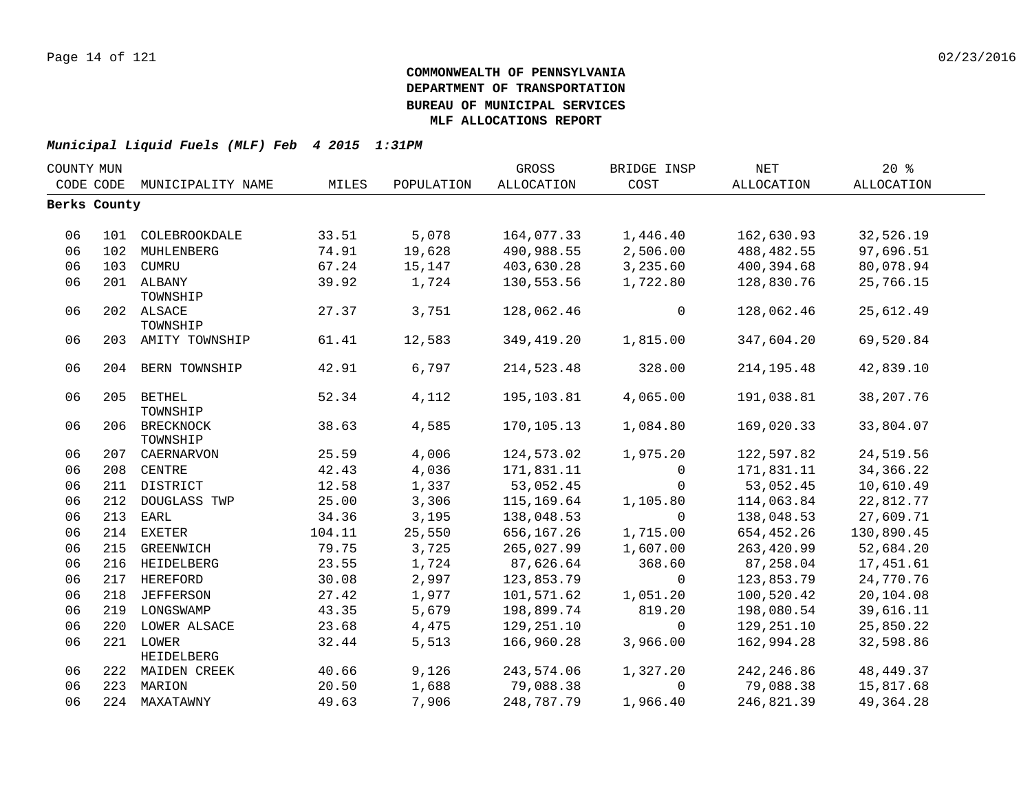| COUNTY MUN |              |                    |        |            | GROSS       | BRIDGE INSP    | NET         | $20*$             |  |
|------------|--------------|--------------------|--------|------------|-------------|----------------|-------------|-------------------|--|
| CODE CODE  |              | MUNICIPALITY NAME  | MILES  | POPULATION | ALLOCATION  | COST           | ALLOCATION  | <b>ALLOCATION</b> |  |
|            | Berks County |                    |        |            |             |                |             |                   |  |
|            |              |                    |        |            |             |                |             |                   |  |
| 06         |              | 101 COLEBROOKDALE  | 33.51  | 5,078      | 164,077.33  | 1,446.40       | 162,630.93  | 32,526.19         |  |
| 06         |              | 102 MUHLENBERG     | 74.91  | 19,628     | 490,988.55  | 2,506.00       | 488,482.55  | 97,696.51         |  |
| 06         |              | 103 CUMRU          | 67.24  | 15,147     | 403,630.28  | 3,235.60       | 400,394.68  | 80,078.94         |  |
| 06         |              | 201 ALBANY         | 39.92  | 1,724      | 130,553.56  | 1,722.80       | 128,830.76  | 25,766.15         |  |
|            |              | TOWNSHIP           |        |            |             |                |             |                   |  |
| 06         |              | 202 ALSACE         | 27.37  | 3,751      | 128,062.46  | $\mathbf 0$    | 128,062.46  | 25,612.49         |  |
|            |              | TOWNSHIP           |        |            |             |                |             |                   |  |
| 06         |              | 203 AMITY TOWNSHIP | 61.41  | 12,583     | 349, 419.20 | 1,815.00       | 347,604.20  | 69,520.84         |  |
| 06         |              | 204 BERN TOWNSHIP  | 42.91  | 6,797      | 214,523.48  | 328.00         | 214, 195.48 | 42,839.10         |  |
|            |              |                    |        |            |             |                |             |                   |  |
| 06         |              | 205 BETHEL         | 52.34  | 4,112      | 195,103.81  | 4,065.00       | 191,038.81  | 38, 207. 76       |  |
|            |              | TOWNSHIP           |        |            |             |                |             |                   |  |
| 06         |              | 206 BRECKNOCK      | 38.63  | 4,585      | 170,105.13  | 1,084.80       | 169,020.33  | 33,804.07         |  |
|            |              | TOWNSHIP           |        |            |             |                |             |                   |  |
| 06         |              | 207 CAERNARVON     | 25.59  | 4,006      | 124,573.02  | 1,975.20       | 122,597.82  | 24,519.56         |  |
| 06         |              | 208 CENTRE         | 42.43  | 4,036      | 171,831.11  | $\mathbf 0$    | 171,831.11  | 34, 366. 22       |  |
| 06         |              | 211 DISTRICT       | 12.58  | 1,337      | 53,052.45   | $\Omega$       | 53,052.45   | 10,610.49         |  |
| 06         |              | 212 DOUGLASS TWP   | 25.00  | 3,306      | 115,169.64  | 1,105.80       | 114,063.84  | 22,812.77         |  |
| 06         | 213          | EARL               | 34.36  | 3,195      | 138,048.53  | $\Omega$       | 138,048.53  | 27,609.71         |  |
| 06         | 214          | EXETER             | 104.11 | 25,550     | 656,167.26  | 1,715.00       | 654,452.26  | 130,890.45        |  |
| 06         | 215          | GREENWICH          | 79.75  | 3,725      | 265,027.99  | 1,607.00       | 263,420.99  | 52,684.20         |  |
| 06         |              | 216 HEIDELBERG     | 23.55  | 1,724      | 87,626.64   | 368.60         | 87,258.04   | 17,451.61         |  |
| 06         |              | 217 HEREFORD       | 30.08  | 2,997      | 123,853.79  | $\overline{0}$ | 123,853.79  | 24,770.76         |  |
| 06         |              | 218 JEFFERSON      | 27.42  | 1,977      | 101,571.62  | 1,051.20       | 100,520.42  | 20,104.08         |  |
| 06         |              | 219 LONGSWAMP      | 43.35  | 5,679      | 198,899.74  | 819.20         | 198,080.54  | 39,616.11         |  |
| 06         |              | 220 LOWER ALSACE   | 23.68  | 4,475      | 129,251.10  | $\Omega$       | 129,251.10  | 25,850.22         |  |
| 06         |              | 221 LOWER          | 32.44  | 5,513      | 166,960.28  | 3,966.00       | 162,994.28  | 32,598.86         |  |
|            |              | HEIDELBERG         |        |            |             |                |             |                   |  |
| 06         |              | 222 MAIDEN CREEK   | 40.66  | 9,126      | 243,574.06  | 1,327.20       | 242, 246.86 | 48, 449. 37       |  |
| 06         |              | 223 MARION         | 20.50  | 1,688      | 79,088.38   | $\Omega$       | 79,088.38   | 15,817.68         |  |
| 06         |              | 224 MAXATAWNY      | 49.63  | 7,906      | 248,787.79  | 1,966.40       | 246,821.39  | 49, 364. 28       |  |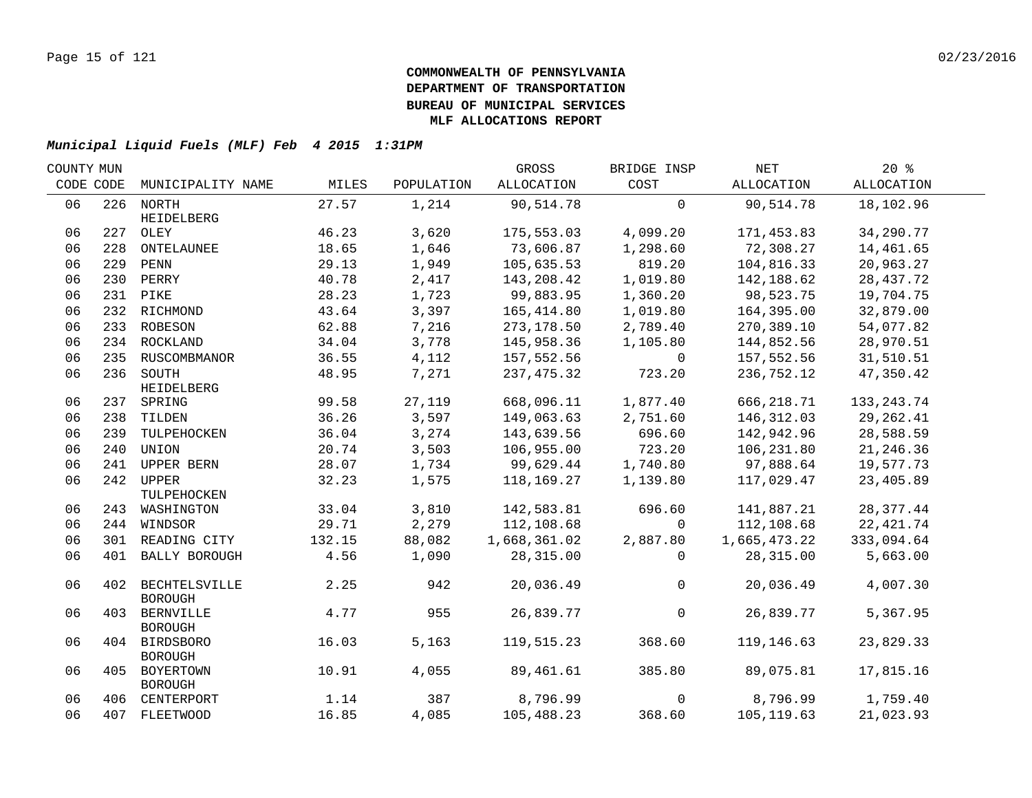| COUNTY MUN |     |                                     |        |            | GROSS        | BRIDGE INSP    | NET          | 20%               |  |
|------------|-----|-------------------------------------|--------|------------|--------------|----------------|--------------|-------------------|--|
| CODE CODE  |     | MUNICIPALITY NAME                   | MILES  | POPULATION | ALLOCATION   | COST           | ALLOCATION   | ALLOCATION        |  |
| 06         |     | 226 NORTH                           | 27.57  | 1,214      | 90,514.78    | $\mathbf 0$    | 90,514.78    | 18,102.96         |  |
| 06         |     | HEIDELBERG<br>227 OLEY              | 46.23  | 3,620      | 175,553.03   | 4,099.20       | 171,453.83   | 34,290.77         |  |
| 06         | 228 | ONTELAUNEE                          | 18.65  | 1,646      | 73,606.87    | 1,298.60       | 72,308.27    | 14,461.65         |  |
| 06         |     | 229 PENN                            | 29.13  | 1,949      | 105,635.53   | 819.20         | 104,816.33   | 20,963.27         |  |
| 06         |     | 230 PERRY                           | 40.78  | 2,417      | 143,208.42   | 1,019.80       | 142,188.62   | 28, 437. 72       |  |
| 06         |     | 231 PIKE                            | 28.23  | 1,723      | 99,883.95    | 1,360.20       | 98,523.75    | 19,704.75         |  |
| 06         |     | 232 RICHMOND                        | 43.64  | 3,397      | 165,414.80   | 1,019.80       | 164,395.00   | 32,879.00         |  |
| 06         |     | 233 ROBESON                         | 62.88  | 7,216      | 273,178.50   | 2,789.40       | 270,389.10   | 54,077.82         |  |
| 06         |     | 234 ROCKLAND                        | 34.04  | 3,778      | 145,958.36   | 1,105.80       | 144,852.56   | 28,970.51         |  |
| 06         |     | 235 RUSCOMBMANOR                    | 36.55  | 4,112      | 157,552.56   | $\overline{0}$ | 157,552.56   | 31,510.51         |  |
| 06         |     | 236 SOUTH                           | 48.95  | 7,271      | 237, 475.32  | 723.20         | 236,752.12   | 47,350.42         |  |
|            |     | HEIDELBERG                          |        |            |              |                |              |                   |  |
| 06         |     | 237 SPRING                          | 99.58  | 27,119     | 668,096.11   | 1,877.40       | 666,218.71   | 133, 243. 74      |  |
| 06         |     | 238 TILDEN                          | 36.26  | 3,597      | 149,063.63   | 2,751.60       | 146,312.03   | 29,262.41         |  |
| 06         |     | 239 TULPEHOCKEN                     | 36.04  | 3,274      | 143,639.56   | 696.60         | 142,942.96   | 28,588.59         |  |
| 06         | 240 | UNION                               | 20.74  | 3,503      | 106,955.00   | 723.20         | 106,231.80   | 21, 246.36        |  |
| 06         | 241 | UPPER BERN                          | 28.07  | 1,734      | 99,629.44    | 1,740.80       | 97,888.64    | 19,577.73         |  |
| 06         |     | 242 UPPER                           | 32.23  | 1,575      | 118,169.27   | 1,139.80       | 117,029.47   | 23,405.89         |  |
|            |     | TULPEHOCKEN                         |        |            |              |                |              |                   |  |
| 06         |     | 243 WASHINGTON                      | 33.04  | 3,810      | 142,583.81   | 696.60         | 141,887.21   | 28,377.44         |  |
| 06         |     | 244 WINDSOR                         | 29.71  | 2,279      | 112,108.68   | $\Omega$       | 112,108.68   | 22, 421.74        |  |
| 06         |     | 301 READING CITY                    | 132.15 | 88,082     | 1,668,361.02 | 2,887.80       | 1,665,473.22 | 333,094.64        |  |
| 06         |     | 401 BALLY BOROUGH                   | 4.56   | 1,090      | 28,315.00    | $\Omega$       | 28,315.00    | 5,663.00          |  |
| 06         |     | 402 BECHTELSVILLE<br><b>BOROUGH</b> | 2.25   | 942        | 20,036.49    | $\overline{0}$ | 20,036.49    | 4,007.30          |  |
| 06         | 403 | BERNVILLE<br><b>BOROUGH</b>         | 4.77   | 955        | 26,839.77    | $\overline{0}$ | 26,839.77    | 5,367.95          |  |
| 06         |     | 404 BIRDSBORO<br><b>BOROUGH</b>     | 16.03  | 5,163      | 119,515.23   | 368.60         | 119,146.63   | 23,829.33         |  |
| 06         |     | 405 BOYERTOWN<br><b>BOROUGH</b>     | 10.91  | 4,055      | 89,461.61    | 385.80         | 89,075.81    | 17,815.16         |  |
| 06         |     | 406 CENTERPORT                      | 1.14   | 387        | 8,796.99     | $\overline{0}$ |              | 8,796.99 1,759.40 |  |
| 06         |     | 407 FLEETWOOD                       | 16.85  | 4,085      | 105,488.23   | 368.60         | 105,119.63   | 21,023.93         |  |
|            |     |                                     |        |            |              |                |              |                   |  |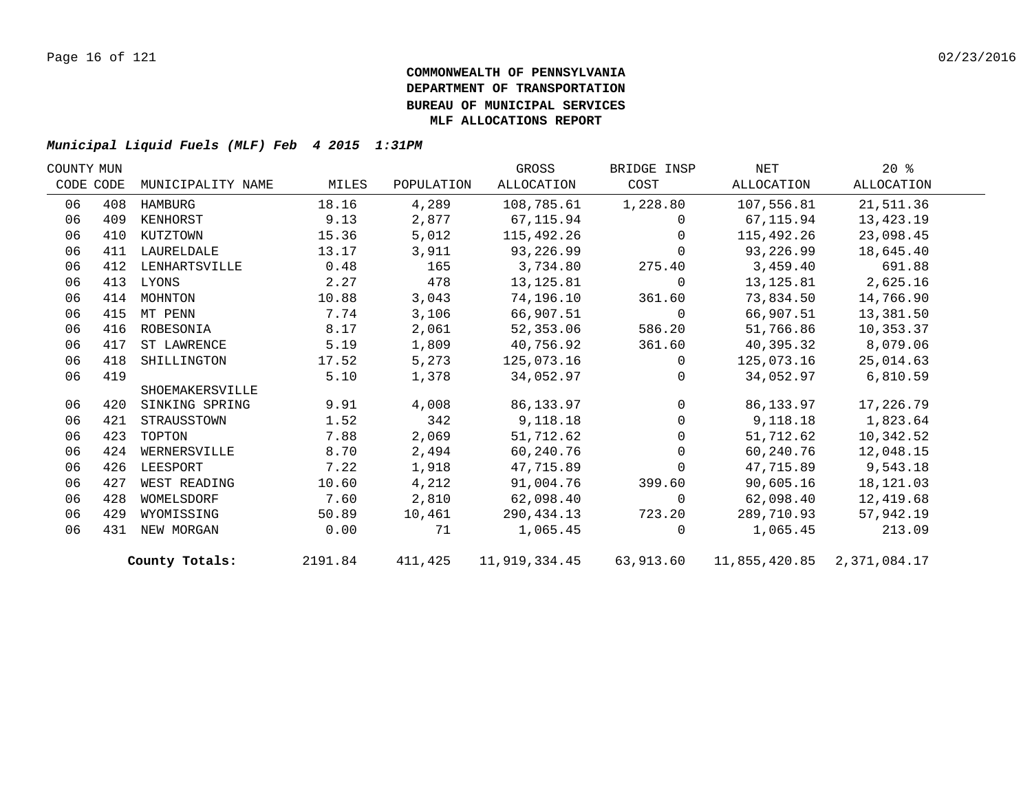| COUNTY MUN |           |                   |         |            | GROSS      | BRIDGE INSP    | NET                                                      | $20*$      |  |
|------------|-----------|-------------------|---------|------------|------------|----------------|----------------------------------------------------------|------------|--|
|            | CODE CODE | MUNICIPALITY NAME | MILES   | POPULATION | ALLOCATION | COST           | ALLOCATION                                               | ALLOCATION |  |
| 06         | 408       | HAMBURG           | 18.16   | 4,289      | 108,785.61 | 1,228.80       | 107,556.81                                               | 21,511.36  |  |
| 06         | 409       | KENHORST          | 9.13    | 2,877      | 67,115.94  | $\Omega$       | 67,115.94                                                | 13,423.19  |  |
| 06         | 410       | KUTZTOWN          | 15.36   | 5,012      | 115,492.26 | $\Omega$       | 115,492.26                                               | 23,098.45  |  |
| 06         | 411       | LAURELDALE        | 13.17   | 3,911      | 93,226.99  | $\Omega$       | 93,226.99                                                | 18,645.40  |  |
| 06         | 412       | LENHARTSVILLE     | 0.48    | 165        | 3,734.80   | 275.40         | 3,459.40                                                 | 691.88     |  |
| 06         | 413       | LYONS             | 2.27    | 478        | 13,125.81  | $\overline{0}$ | 13,125.81                                                | 2,625.16   |  |
| 06         | 414       | MOHNTON           | 10.88   | 3,043      | 74,196.10  | 361.60         | 73,834.50                                                | 14,766.90  |  |
| 06         | 415       | MT PENN           | 7.74    | 3,106      | 66,907.51  | $\overline{0}$ | 66,907.51                                                | 13,381.50  |  |
| 06         | 416       | ROBESONIA         | 8.17    | 2,061      | 52,353.06  | 586.20         | 51,766.86                                                | 10,353.37  |  |
| 06         | 417       | ST LAWRENCE       | 5.19    | 1,809      | 40,756.92  | 361.60         | 40,395.32                                                | 8,079.06   |  |
| 06         | 418       | SHILLINGTON       | 17.52   | 5,273      | 125,073.16 | $\Omega$       | 125,073.16                                               | 25,014.63  |  |
| 06         | 419       |                   | 5.10    | 1,378      | 34,052.97  | $\Omega$       | 34,052.97                                                | 6,810.59   |  |
|            |           | SHOEMAKERSVILLE   |         |            |            |                |                                                          |            |  |
| 06         | 420       | SINKING SPRING    | 9.91    | 4,008      | 86,133.97  | $\Omega$       | 86,133.97                                                | 17,226.79  |  |
| 06         | 421       | STRAUSSTOWN       | 1.52    | 342        | 9,118.18   | $\Omega$       | 9,118.18                                                 | 1,823.64   |  |
| 06         | 423       | TOPTON            | 7.88    | 2,069      | 51,712.62  | $\overline{0}$ | 51,712.62                                                | 10,342.52  |  |
| 06         | 424       | WERNERSVILLE      | 8.70    | 2,494      | 60,240.76  | $\overline{0}$ | 60,240.76                                                | 12,048.15  |  |
| 06         | 426       | LEESPORT          | 7.22    | 1,918      | 47,715.89  | $\overline{0}$ | 47,715.89                                                | 9,543.18   |  |
| 06         | 427       | WEST READING      | 10.60   | 4,212      | 91,004.76  | 399.60         | 90,605.16                                                | 18,121.03  |  |
| 06         | 428       | WOMELSDORF        | 7.60    | 2,810      | 62,098.40  | $\overline{0}$ | 62,098.40                                                | 12,419.68  |  |
| 06         | 429       | WYOMISSING        | 50.89   | 10,461     | 290,434.13 | 723.20         | 289,710.93                                               | 57,942.19  |  |
| 06         |           | 431 NEW MORGAN    | 0.00    | 71         | 1,065.45   | $\Omega$       | 1,065.45                                                 | 213.09     |  |
|            |           | County Totals:    | 2191.84 | 411,425    |            |                | 11,919,334.45   63,913.60   11,855,420.85   2,371,084.17 |            |  |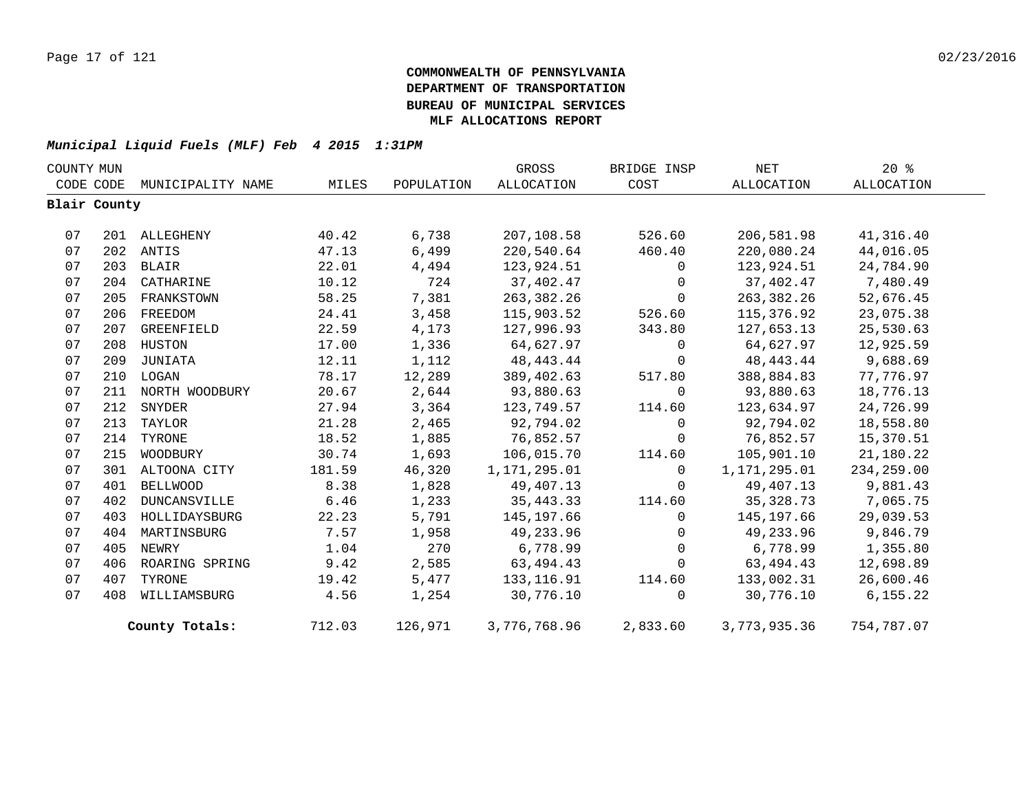| COUNTY MUN |              |                   |        |            | GROSS        | BRIDGE INSP    | NET               | $20*$             |  |
|------------|--------------|-------------------|--------|------------|--------------|----------------|-------------------|-------------------|--|
|            | CODE CODE    | MUNICIPALITY NAME | MILES  | POPULATION | ALLOCATION   | COST           | <b>ALLOCATION</b> | <b>ALLOCATION</b> |  |
|            | Blair County |                   |        |            |              |                |                   |                   |  |
|            |              |                   |        |            |              |                |                   |                   |  |
| 07         |              | 201 ALLEGHENY     | 40.42  | 6,738      | 207,108.58   | 526.60         | 206,581.98        | 41,316.40         |  |
| 07         |              | 202 ANTIS         | 47.13  | 6,499      | 220,540.64   | 460.40         | 220,080.24        | 44,016.05         |  |
| 07         |              | 203 BLAIR         | 22.01  | 4,494      | 123,924.51   | $\mathbf 0$    | 123,924.51        | 24,784.90         |  |
| 07         |              | 204 CATHARINE     | 10.12  | 724        | 37,402.47    | $\Omega$       | 37,402.47         | 7,480.49          |  |
| 07         | 205          | FRANKSTOWN        | 58.25  | 7,381      | 263,382.26   | $\mathbf 0$    | 263,382.26        | 52,676.45         |  |
| 07         | 206          | FREEDOM           | 24.41  | 3,458      | 115,903.52   | 526.60         | 115,376.92        | 23,075.38         |  |
| 07         | 207          | GREENFIELD        | 22.59  | 4,173      | 127,996.93   | 343.80         | 127,653.13        | 25,530.63         |  |
| 07         |              | 208 HUSTON        | 17.00  | 1,336      | 64,627.97    | $\Omega$       | 64,627.97         | 12,925.59         |  |
| 07         | 209          | JUNIATA           | 12.11  | 1,112      | 48,443.44    | 0              | 48,443.44         | 9,688.69          |  |
| 07         |              | 210 LOGAN         | 78.17  | 12,289     | 389,402.63   | 517.80         | 388,884.83        | 77,776.97         |  |
| 07         | 211          | NORTH WOODBURY    | 20.67  | 2,644      | 93,880.63    | $\mathbf 0$    | 93,880.63         | 18,776.13         |  |
| 07         | 212          | SNYDER            | 27.94  | 3,364      | 123,749.57   | 114.60         | 123,634.97        | 24,726.99         |  |
| 07         |              | 213 TAYLOR        | 21.28  | 2,465      | 92,794.02    | $\Omega$       | 92,794.02         | 18,558.80         |  |
| 07         | 214          | TYRONE            | 18.52  | 1,885      | 76,852.57    | $\mathbf 0$    | 76,852.57         | 15,370.51         |  |
| 07         | 215          | WOODBURY          | 30.74  | 1,693      | 106,015.70   | 114.60         | 105,901.10        | 21,180.22         |  |
| 07         |              | 301 ALTOONA CITY  | 181.59 | 46,320     | 1,171,295.01 | $\Omega$       | 1,171,295.01      | 234,259.00        |  |
| 07         | 401          | <b>BELLWOOD</b>   | 8.38   | 1,828      | 49,407.13    | $\Omega$       | 49,407.13         | 9,881.43          |  |
| 07         | 402          | DUNCANSVILLE      | 6.46   | 1,233      | 35, 443. 33  | 114.60         | 35,328.73         | 7,065.75          |  |
| 07         | 403          | HOLLIDAYSBURG     | 22.23  | 5,791      | 145,197.66   | $\overline{0}$ | 145,197.66        | 29,039.53         |  |
| 07         | 404          | MARTINSBURG       | 7.57   | 1,958      | 49,233.96    | $\mathbf 0$    | 49,233.96         | 9,846.79          |  |
| 07         | 405          | NEWRY             | 1.04   | 270        | 6,778.99     | $\Omega$       | 6,778.99          | 1,355.80          |  |
| 07         | 406          | ROARING SPRING    | 9.42   | 2,585      | 63,494.43    | $\mathbf 0$    | 63,494.43         | 12,698.89         |  |
| 07         | 407          | TYRONE            | 19.42  | 5,477      | 133, 116.91  | 114.60         | 133,002.31        | 26,600.46         |  |
| 07         | 408          | WILLIAMSBURG      | 4.56   | 1,254      | 30,776.10    | $\Omega$       | 30,776.10         | 6, 155.22         |  |
|            |              | County Totals:    | 712.03 | 126,971    | 3,776,768.96 | 2,833.60       | 3,773,935.36      | 754,787.07        |  |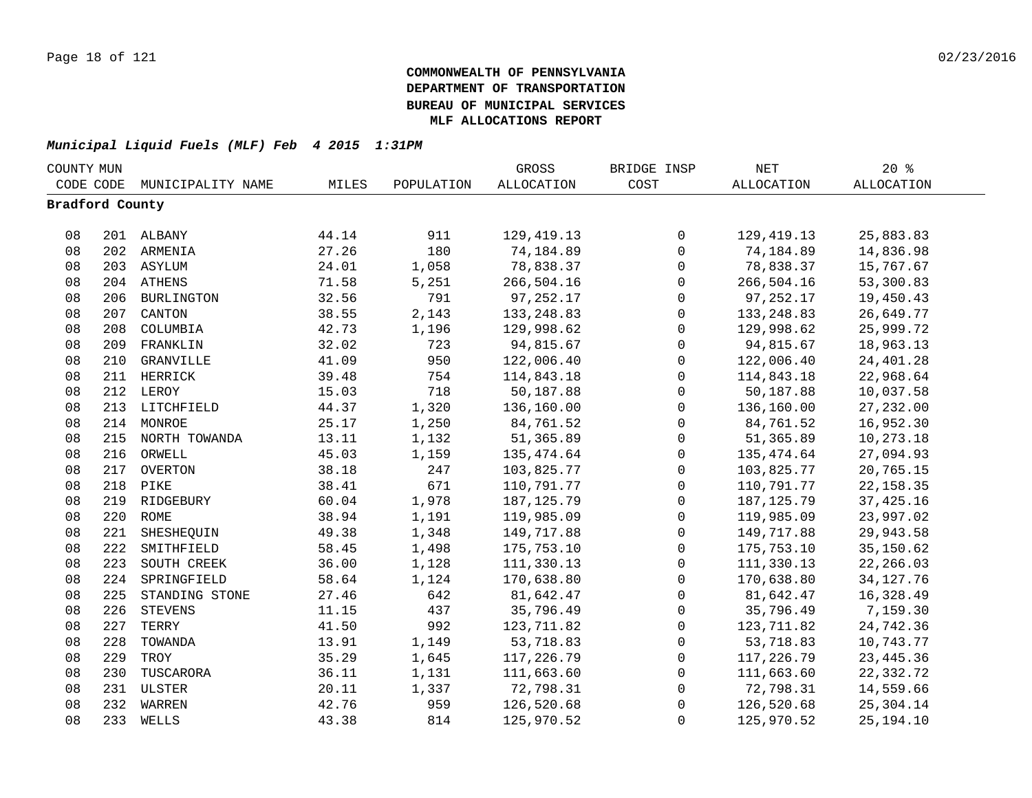| COUNTY MUN      |     |                   |       |            | GROSS             | BRIDGE INSP  | $\operatorname{NET}$ | $20*$             |  |
|-----------------|-----|-------------------|-------|------------|-------------------|--------------|----------------------|-------------------|--|
| CODE CODE       |     | MUNICIPALITY NAME | MILES | POPULATION | <b>ALLOCATION</b> | COST         | <b>ALLOCATION</b>    | <b>ALLOCATION</b> |  |
| Bradford County |     |                   |       |            |                   |              |                      |                   |  |
|                 |     |                   |       |            |                   |              |                      |                   |  |
| 08              |     | 201 ALBANY        | 44.14 | 911        | 129, 419. 13      | $\mathbf 0$  | 129,419.13           | 25,883.83         |  |
| 08              |     | 202 ARMENIA       | 27.26 | 180        | 74,184.89         | $\mathbf 0$  | 74,184.89            | 14,836.98         |  |
| 08              |     | 203 ASYLUM        | 24.01 | 1,058      | 78,838.37         | $\mathbf 0$  | 78,838.37            | 15,767.67         |  |
| 08              |     | 204 ATHENS        | 71.58 | 5,251      | 266,504.16        | $\mathbf 0$  | 266,504.16           | 53,300.83         |  |
| 08              |     | 206 BURLINGTON    | 32.56 | 791        | 97,252.17         | $\mathbf 0$  | 97, 252.17           | 19,450.43         |  |
| 08              | 207 | CANTON            | 38.55 | 2,143      | 133, 248.83       | $\mathbf 0$  | 133, 248.83          | 26,649.77         |  |
| 08              | 208 | COLUMBIA          | 42.73 | 1,196      | 129,998.62        | $\mathbf{0}$ | 129,998.62           | 25,999.72         |  |
| 08              | 209 | FRANKLIN          | 32.02 | 723        | 94,815.67         | $\mathbf{0}$ | 94,815.67            | 18,963.13         |  |
| 08              | 210 | GRANVILLE         | 41.09 | 950        | 122,006.40        | $\mathbf 0$  | 122,006.40           | 24,401.28         |  |
| 08              |     | 211 HERRICK       | 39.48 | 754        | 114,843.18        | $\mathbf{0}$ | 114,843.18           | 22,968.64         |  |
| 08              |     | 212 LEROY         | 15.03 | 718        | 50,187.88         | $\mathbf{0}$ | 50,187.88            | 10,037.58         |  |
| 08              |     | 213 LITCHFIELD    | 44.37 | 1,320      | 136,160.00        | $\mathbf 0$  | 136,160.00           | 27, 232.00        |  |
| 08              |     | 214 MONROE        | 25.17 | 1,250      | 84,761.52         | $\mathbf 0$  | 84,761.52            | 16,952.30         |  |
| 08              |     | 215 NORTH TOWANDA | 13.11 | 1,132      | 51,365.89         | $\mathsf 0$  | 51,365.89            | 10,273.18         |  |
| 08              |     | 216 ORWELL        | 45.03 | 1,159      | 135,474.64        | $\mathbf 0$  | 135,474.64           | 27,094.93         |  |
| 08              |     | 217 OVERTON       | 38.18 | 247        | 103,825.77        | $\mathsf 0$  | 103,825.77           | 20,765.15         |  |
| 08              |     | 218 PIKE          | 38.41 | 671        | 110,791.77        | $\mathbf 0$  | 110,791.77           | 22, 158.35        |  |
| 08              |     | 219 RIDGEBURY     | 60.04 | 1,978      | 187, 125.79       | $\mathbf 0$  | 187, 125.79          | 37, 425.16        |  |
| 08              |     | 220 ROME          | 38.94 | 1,191      | 119,985.09        | $\mathbf 0$  | 119,985.09           | 23,997.02         |  |
| 08              | 221 | SHESHEQUIN        | 49.38 | 1,348      | 149,717.88        | $\mathbf 0$  | 149,717.88           | 29,943.58         |  |
| 08              | 222 | SMITHFIELD        | 58.45 | 1,498      | 175,753.10        | $\mathbf 0$  | 175,753.10           | 35,150.62         |  |
| 08              | 223 | SOUTH CREEK       | 36.00 | 1,128      | 111,330.13        | $\mathbf 0$  | 111,330.13           | 22,266.03         |  |
| 08              | 224 | SPRINGFIELD       | 58.64 | 1,124      | 170,638.80        | $\mathbf 0$  | 170,638.80           | 34, 127. 76       |  |
| 08              | 225 | STANDING STONE    | 27.46 | 642        | 81,642.47         | $\mathbf 0$  | 81,642.47            | 16,328.49         |  |
| 08              | 226 | <b>STEVENS</b>    | 11.15 | 437        | 35,796.49         | $\mathbf{0}$ | 35,796.49            | 7,159.30          |  |
| 08              | 227 | TERRY             | 41.50 | 992        | 123,711.82        | 0            | 123,711.82           | 24,742.36         |  |
| 08              | 228 | TOWANDA           | 13.91 | 1,149      | 53,718.83         | 0            | 53,718.83            | 10,743.77         |  |
| 08              | 229 | TROY              | 35.29 | 1,645      | 117,226.79        | $\mathbf 0$  | 117,226.79           | 23, 445.36        |  |
| 08              | 230 | TUSCARORA         | 36.11 | 1,131      | 111,663.60        | $\mathbf 0$  | 111,663.60           | 22,332.72         |  |
| 08              |     | 231 ULSTER        | 20.11 | 1,337      | 72,798.31         | $\mathbf 0$  | 72,798.31            | 14,559.66         |  |
| 08              |     | 232 WARREN        | 42.76 | 959        | 126,520.68        | $\mathsf 0$  | 126,520.68           | 25,304.14         |  |
| 08              |     | 233 WELLS         | 43.38 | 814        | 125,970.52        | $\mathbf 0$  | 125,970.52           | 25, 194. 10       |  |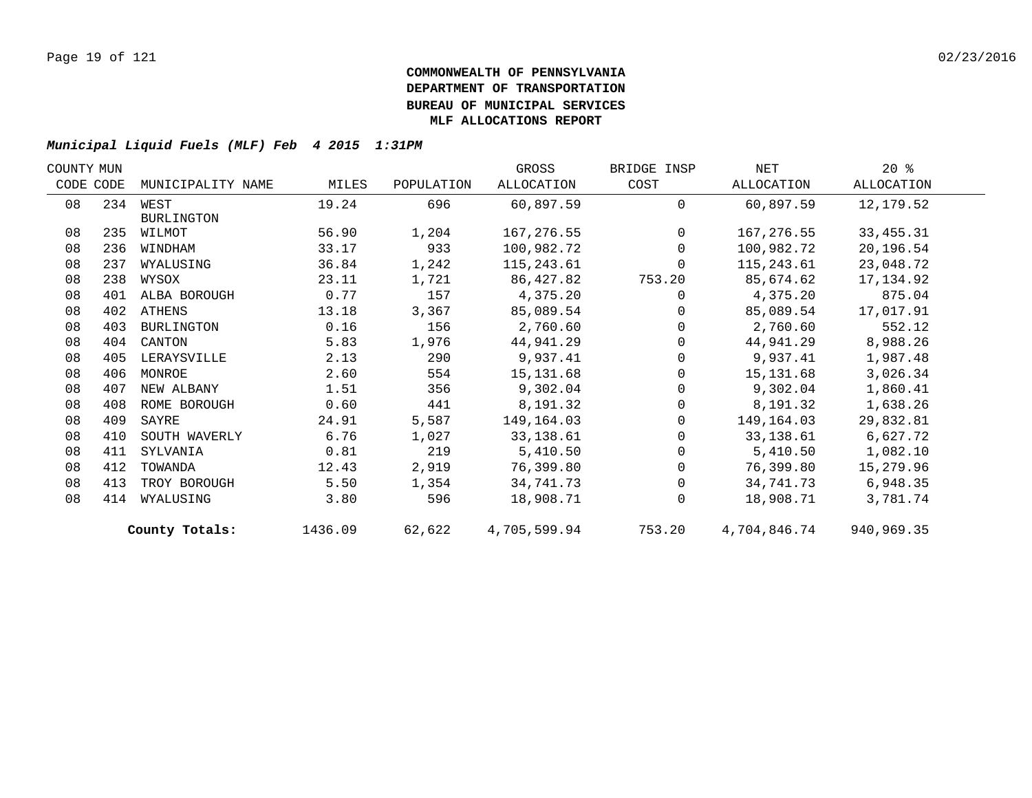| COUNTY MUN |           |                   |         |            | GROSS        | BRIDGE INSP    | NET          | $20*$       |  |
|------------|-----------|-------------------|---------|------------|--------------|----------------|--------------|-------------|--|
|            | CODE CODE | MUNICIPALITY NAME | MILES   | POPULATION | ALLOCATION   | COST           | ALLOCATION   | ALLOCATION  |  |
| 08         |           | 234 WEST          | 19.24   | 696        | 60,897.59    | $\Omega$       | 60,897.59    | 12,179.52   |  |
|            |           | <b>BURLINGTON</b> |         |            |              |                |              |             |  |
| 08         | 235       | WILMOT            | 56.90   | 1,204      | 167,276.55   | $\overline{0}$ | 167,276.55   | 33, 455. 31 |  |
| 08         | 236       | WINDHAM           | 33.17   | 933        | 100,982.72   | $\Omega$       | 100,982.72   | 20,196.54   |  |
| 08         | 237       | WYALUSING         | 36.84   | 1,242      | 115,243.61   | $\Omega$       | 115,243.61   | 23,048.72   |  |
| 08         | 238       | WYSOX             | 23.11   | 1,721      | 86,427.82    | 753.20         | 85,674.62    | 17,134.92   |  |
| 08         | 401       | ALBA BOROUGH      | 0.77    | 157        | 4,375.20     | $\Omega$       | 4,375.20     | 875.04      |  |
| 08         |           | 402 ATHENS        | 13.18   | 3,367      | 85,089.54    | $\Omega$       | 85,089.54    | 17,017.91   |  |
| 08         | 403       | BURLINGTON        | 0.16    | 156        | 2,760.60     | $\Omega$       | 2,760.60     | 552.12      |  |
| 08         | 404       | CANTON            | 5.83    | 1,976      | 44,941.29    | $\Omega$       | 44,941.29    | 8,988.26    |  |
| 08         | 405       | LERAYSVILLE       | 2.13    | 290        | 9,937.41     | 0              | 9,937.41     | 1,987.48    |  |
| 08         | 406       | MONROE            | 2.60    | 554        | 15, 131.68   | $\Omega$       | 15,131.68    | 3,026.34    |  |
| 08         | 407       | NEW ALBANY        | 1.51    | 356        | 9,302.04     | $\Omega$       | 9,302.04     | 1,860.41    |  |
| 08         | 408       | ROME BOROUGH      | 0.60    | 441        | 8,191.32     | $\mathbf 0$    | 8,191.32     | 1,638.26    |  |
| 08         | 409       | SAYRE             | 24.91   | 5,587      | 149,164.03   | $\Omega$       | 149,164.03   | 29,832.81   |  |
| 08         | 410       | SOUTH WAVERLY     | 6.76    | 1,027      | 33, 138.61   | $\Omega$       | 33,138.61    | 6,627.72    |  |
| 08         | 411       | SYLVANIA          | 0.81    | 219        | 5,410.50     | $\Omega$       | 5,410.50     | 1,082.10    |  |
| 08         | 412       | TOWANDA           | 12.43   | 2,919      | 76,399.80    | $\Omega$       | 76,399.80    | 15,279.96   |  |
| 08         | 413       | TROY BOROUGH      | 5.50    | 1,354      | 34,741.73    | $\Omega$       | 34,741.73    | 6,948.35    |  |
| 08         | 414       | WYALUSING         | 3.80    | 596        | 18,908.71    | $\Omega$       | 18,908.71    | 3,781.74    |  |
|            |           | County Totals:    | 1436.09 | 62,622     | 4,705,599.94 | 753.20         | 4,704,846.74 | 940,969.35  |  |
|            |           |                   |         |            |              |                |              |             |  |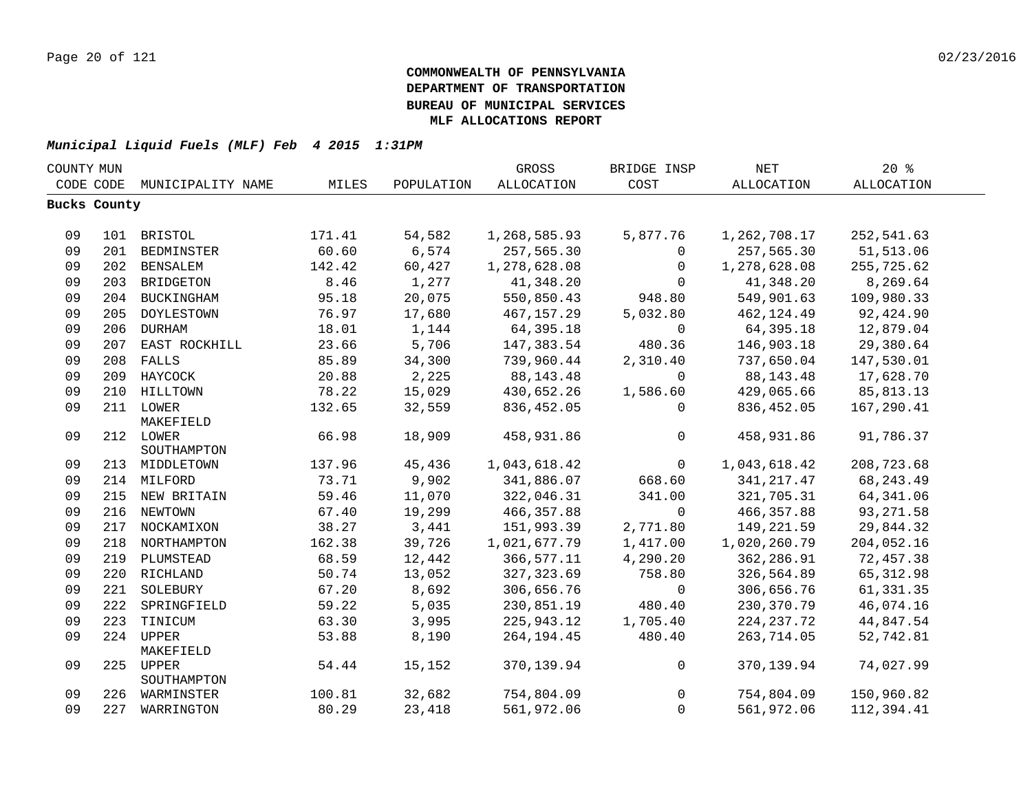| COUNTY MUN |              |                               |        |            | GROSS        | BRIDGE INSP | <b>NET</b>        | 20%        |  |
|------------|--------------|-------------------------------|--------|------------|--------------|-------------|-------------------|------------|--|
|            | CODE CODE    | MUNICIPALITY NAME             | MILES  | POPULATION | ALLOCATION   | COST        | <b>ALLOCATION</b> | ALLOCATION |  |
|            | Bucks County |                               |        |            |              |             |                   |            |  |
|            |              |                               |        |            |              |             |                   |            |  |
| 09         |              | 101 BRISTOL                   | 171.41 | 54,582     | 1,268,585.93 | 5,877.76    | 1,262,708.17      | 252,541.63 |  |
| 09         |              | 201 BEDMINSTER                | 60.60  | 6,574      | 257,565.30   | 0           | 257,565.30        | 51,513.06  |  |
| 09         |              | 202 BENSALEM                  | 142.42 | 60,427     | 1,278,628.08 | $\mathbf 0$ | 1,278,628.08      | 255,725.62 |  |
| 09         |              | 203 BRIDGETON                 | 8.46   | 1,277      | 41,348.20    | $\Omega$    | 41,348.20         | 8,269.64   |  |
| 09         |              | 204 BUCKINGHAM                | 95.18  | 20,075     | 550,850.43   | 948.80      | 549,901.63        | 109,980.33 |  |
| 09         | 205          | DOYLESTOWN                    | 76.97  | 17,680     | 467,157.29   | 5,032.80    | 462, 124.49       | 92,424.90  |  |
| 09         |              | 206 DURHAM                    | 18.01  | 1,144      | 64,395.18    | $\mathbf 0$ | 64,395.18         | 12,879.04  |  |
| 09         |              | 207 EAST ROCKHILL             | 23.66  | 5,706      | 147,383.54   | 480.36      | 146,903.18        | 29,380.64  |  |
| 09         |              | 208 FALLS                     | 85.89  | 34,300     | 739,960.44   | 2,310.40    | 737,650.04        | 147,530.01 |  |
| 09         |              | 209 HAYCOCK                   | 20.88  | 2,225      | 88, 143. 48  | $\mathbf 0$ | 88,143.48         | 17,628.70  |  |
| 09         |              | 210 HILLTOWN                  | 78.22  | 15,029     | 430,652.26   | 1,586.60    | 429,065.66        | 85,813.13  |  |
| 09         |              | 211 LOWER                     | 132.65 | 32,559     | 836,452.05   | $\Omega$    | 836,452.05        | 167,290.41 |  |
|            |              | MAKEFIELD                     |        |            |              |             |                   |            |  |
| 09         |              | 212 LOWER                     | 66.98  | 18,909     | 458,931.86   | 0           | 458,931.86        | 91,786.37  |  |
|            |              | SOUTHAMPTON                   |        |            |              |             |                   |            |  |
| 09         |              | 213 MIDDLETOWN                | 137.96 | 45,436     | 1,043,618.42 | $\mathbf 0$ | 1,043,618.42      | 208,723.68 |  |
| 09         |              | 214 MILFORD                   | 73.71  | 9,902      | 341,886.07   | 668.60      | 341, 217.47       | 68, 243.49 |  |
| 09         |              | 215 NEW BRITAIN               | 59.46  | 11,070     | 322,046.31   | 341.00      | 321,705.31        | 64, 341.06 |  |
| 09         |              | 216 NEWTOWN                   | 67.40  | 19,299     | 466,357.88   | $\mathbf 0$ | 466, 357.88       | 93, 271.58 |  |
| 09         |              | 217 NOCKAMIXON                | 38.27  | 3,441      | 151,993.39   | 2,771.80    | 149,221.59        | 29,844.32  |  |
| 09         |              | 218 NORTHAMPTON               | 162.38 | 39,726     | 1,021,677.79 | 1,417.00    | 1,020,260.79      | 204,052.16 |  |
| 09         |              | 219 PLUMSTEAD                 | 68.59  | 12,442     | 366,577.11   | 4,290.20    | 362,286.91        | 72,457.38  |  |
| 09         |              | 220 RICHLAND                  | 50.74  | 13,052     | 327, 323.69  | 758.80      | 326,564.89        | 65, 312.98 |  |
| 09         | 221          | SOLEBURY                      | 67.20  | 8,692      | 306,656.76   | $\mathbf 0$ | 306,656.76        | 61,331.35  |  |
| 09         | 222          | SPRINGFIELD                   | 59.22  | 5,035      | 230,851.19   | 480.40      | 230,370.79        | 46,074.16  |  |
| 09         |              | 223 TINICUM                   | 63.30  | 3,995      | 225,943.12   | 1,705.40    | 224, 237. 72      | 44,847.54  |  |
| 09         |              | 224 UPPER                     | 53.88  | 8,190      | 264, 194. 45 | 480.40      | 263,714.05        | 52,742.81  |  |
|            |              | MAKEFIELD                     |        |            |              |             |                   |            |  |
| 09         |              | 225 UPPER                     | 54.44  | 15,152     | 370,139.94   | 0           | 370,139.94        | 74,027.99  |  |
| 09         |              | SOUTHAMPTON<br>226 WARMINSTER | 100.81 | 32,682     | 754,804.09   | 0           | 754,804.09        | 150,960.82 |  |
| 09         |              | 227 WARRINGTON                | 80.29  | 23,418     | 561,972.06   | $\mathbf 0$ | 561,972.06        | 112,394.41 |  |
|            |              |                               |        |            |              |             |                   |            |  |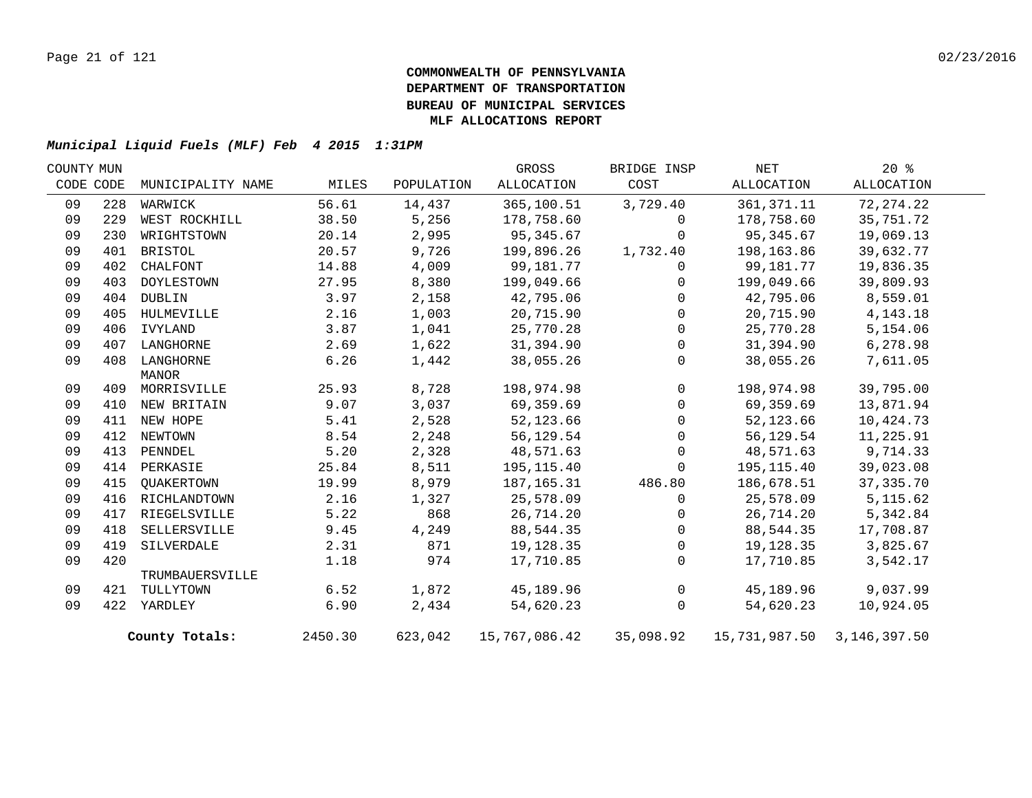| COUNTY MUN |           |                   |         |            | GROSS         | BRIDGE INSP  | NET                        | 20%         |  |
|------------|-----------|-------------------|---------|------------|---------------|--------------|----------------------------|-------------|--|
|            | CODE CODE | MUNICIPALITY NAME | MILES   | POPULATION | ALLOCATION    | COST         | ALLOCATION                 | ALLOCATION  |  |
| 09         | 228       | WARWICK           | 56.61   | 14,437     | 365,100.51    | 3,729.40     | 361, 371. 11               | 72, 274. 22 |  |
| 09         | 229       | WEST ROCKHILL     | 38.50   | 5,256      | 178,758.60    | $\mathbf 0$  | 178,758.60                 | 35,751.72   |  |
| 09         | 230       | WRIGHTSTOWN       | 20.14   | 2,995      | 95,345.67     | $\Omega$     | 95, 345.67                 | 19,069.13   |  |
| 09         | 401       | BRISTOL           | 20.57   | 9,726      | 199,896.26    | 1,732.40     | 198,163.86                 | 39,632.77   |  |
| 09         | 402       | CHALFONT          | 14.88   | 4,009      | 99,181.77     | 0            | 99,181.77                  | 19,836.35   |  |
| 09         | 403       | DOYLESTOWN        | 27.95   | 8,380      | 199,049.66    | $\Omega$     | 199,049.66                 | 39,809.93   |  |
| 09         | 404       | DUBLIN            | 3.97    | 2,158      | 42,795.06     | $\Omega$     | 42,795.06                  | 8,559.01    |  |
| 09         | 405       | HULMEVILLE        | 2.16    | 1,003      | 20,715.90     | $\Omega$     | 20,715.90                  | 4, 143. 18  |  |
| 09         | 406       | IVYLAND           | 3.87    | 1,041      | 25,770.28     | $\Omega$     | 25,770.28                  | 5,154.06    |  |
| 09         | 407       | LANGHORNE         | 2.69    | 1,622      | 31,394.90     | $\mathbf 0$  | 31,394.90                  | 6,278.98    |  |
| 09         |           | 408 LANGHORNE     | 6.26    | 1,442      | 38,055.26     | $\Omega$     | 38,055.26                  | 7,611.05    |  |
|            |           | MANOR             |         |            |               |              |                            |             |  |
| 09         |           | 409 MORRISVILLE   | 25.93   | 8,728      | 198,974.98    | $\mathbf 0$  | 198,974.98                 | 39,795.00   |  |
| 09         |           | 410 NEW BRITAIN   | 9.07    | 3,037      | 69,359.69     | $\Omega$     | 69,359.69                  | 13,871.94   |  |
| 09         |           | 411 NEW HOPE      | 5.41    | 2,528      | 52,123.66     | $\mathbf{0}$ | 52,123.66                  | 10,424.73   |  |
| 09         |           | 412 NEWTOWN       | 8.54    | 2,248      | 56,129.54     | $\Omega$     | 56,129.54                  | 11,225.91   |  |
| 09         | 413       | PENNDEL           | 5.20    | 2,328      | 48,571.63     | $\Omega$     | 48,571.63                  | 9,714.33    |  |
| 09         |           | 414 PERKASIE      | 25.84   | 8,511      | 195,115.40    | $\Omega$     | 195,115.40                 | 39,023.08   |  |
| 09         | 415       | QUAKERTOWN        | 19.99   | 8,979      | 187,165.31    | 486.80       | 186,678.51                 | 37, 335. 70 |  |
| 09         | 416       | RICHLANDTOWN      | 2.16    | 1,327      | 25,578.09     | $\mathbf 0$  | 25,578.09                  | 5, 115.62   |  |
| 09         | 417       | RIEGELSVILLE      | 5.22    | 868        | 26,714.20     | $\Omega$     | 26,714.20                  | 5,342.84    |  |
| 09         | 418       | SELLERSVILLE      | 9.45    | 4,249      | 88,544.35     | $\mathbf{0}$ | 88,544.35                  | 17,708.87   |  |
| 09         | 419       | SILVERDALE        | 2.31    | 871        | 19,128.35     | $\mathbf 0$  | 19,128.35                  | 3,825.67    |  |
| 09         | 420       |                   | 1.18    | 974        | 17,710.85     | $\mathbf{0}$ | 17,710.85                  | 3,542.17    |  |
|            |           | TRUMBAUERSVILLE   |         |            |               |              |                            |             |  |
| 09         | 421       | TULLYTOWN         | 6.52    | 1,872      | 45,189.96     | $\mathbf 0$  | 45,189.96                  | 9,037.99    |  |
| 09         |           | 422 YARDLEY       | 6.90    | 2,434      | 54,620.23     | $\mathbf 0$  | 54,620.23                  | 10,924.05   |  |
|            |           | County Totals:    | 2450.30 | 623,042    | 15,767,086.42 | 35,098.92    | 15,731,987.50 3,146,397.50 |             |  |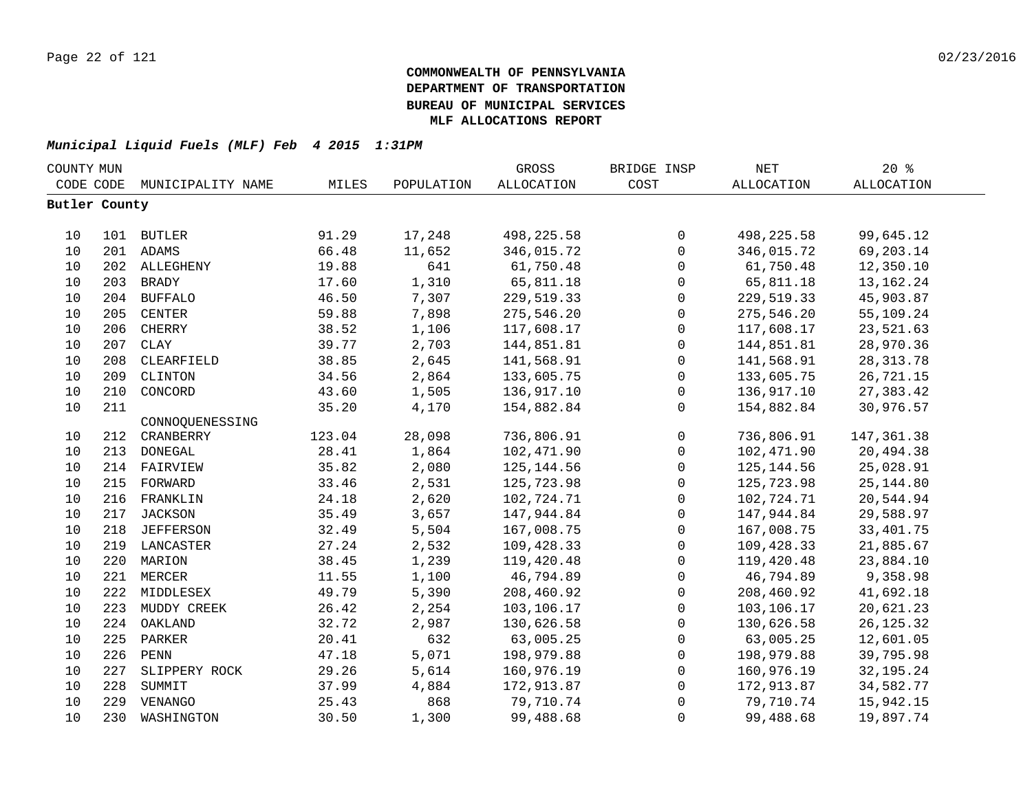| COUNTY MUN    |     |                   |        |            | GROSS       | BRIDGE INSP         | NET               | 20%               |  |
|---------------|-----|-------------------|--------|------------|-------------|---------------------|-------------------|-------------------|--|
| CODE CODE     |     | MUNICIPALITY NAME | MILES  | POPULATION | ALLOCATION  | COST                | <b>ALLOCATION</b> | <b>ALLOCATION</b> |  |
| Butler County |     |                   |        |            |             |                     |                   |                   |  |
|               |     |                   |        |            |             |                     |                   |                   |  |
| 10            |     | 101 BUTLER        | 91.29  | 17,248     | 498, 225.58 | $\mathsf{O}\xspace$ | 498, 225.58       | 99,645.12         |  |
| 10            |     | 201 ADAMS         | 66.48  | 11,652     | 346,015.72  | $\mathsf{O}$        | 346,015.72        | 69,203.14         |  |
| 10            |     | 202 ALLEGHENY     | 19.88  | 641        | 61,750.48   | $\mathsf{O}$        | 61,750.48         | 12,350.10         |  |
| 10            | 203 | <b>BRADY</b>      | 17.60  | 1,310      | 65,811.18   | 0                   | 65,811.18         | 13, 162. 24       |  |
| 10            | 204 | <b>BUFFALO</b>    | 46.50  | 7,307      | 229,519.33  | $\mathbf 0$         | 229,519.33        | 45,903.87         |  |
| 10            | 205 | CENTER            | 59.88  | 7,898      | 275,546.20  | $\mathbf 0$         | 275,546.20        | 55,109.24         |  |
| 10            | 206 | CHERRY            | 38.52  | 1,106      | 117,608.17  | 0                   | 117,608.17        | 23,521.63         |  |
| 10            | 207 | CLAY              | 39.77  | 2,703      | 144,851.81  | $\mathsf{O}$        | 144,851.81        | 28,970.36         |  |
| 10            | 208 | CLEARFIELD        | 38.85  | 2,645      | 141,568.91  | $\mathsf{O}$        | 141,568.91        | 28, 313.78        |  |
| 10            | 209 | CLINTON           | 34.56  | 2,864      | 133,605.75  | $\mathsf{O}$        | 133,605.75        | 26,721.15         |  |
| 10            | 210 | CONCORD           | 43.60  | 1,505      | 136,917.10  | $\mathsf{O}$        | 136,917.10        | 27,383.42         |  |
| 10            | 211 |                   | 35.20  | 4,170      | 154,882.84  | $\mathbf 0$         | 154,882.84        | 30,976.57         |  |
|               |     | CONNOQUENESSING   |        |            |             |                     |                   |                   |  |
| 10            | 212 | CRANBERRY         | 123.04 | 28,098     | 736,806.91  | $\mathsf{O}$        | 736,806.91        | 147, 361.38       |  |
| 10            | 213 | DONEGAL           | 28.41  | 1,864      | 102,471.90  | $\mathsf{O}$        | 102,471.90        | 20,494.38         |  |
| 10            | 214 | FAIRVIEW          | 35.82  | 2,080      | 125, 144.56 | 0                   | 125, 144.56       | 25,028.91         |  |
| 10            | 215 | FORWARD           | 33.46  | 2,531      | 125,723.98  | $\mathsf{O}$        | 125,723.98        | 25, 144.80        |  |
| 10            | 216 | FRANKLIN          | 24.18  | 2,620      | 102,724.71  | $\mathsf{O}\xspace$ | 102,724.71        | 20,544.94         |  |
| 10            | 217 | JACKSON           | 35.49  | 3,657      | 147,944.84  | $\mathsf{O}$        | 147,944.84        | 29,588.97         |  |
| 10            | 218 | JEFFERSON         | 32.49  | 5,504      | 167,008.75  | $\mathsf{O}$        | 167,008.75        | 33, 401. 75       |  |
| 10            |     | 219 LANCASTER     | 27.24  | 2,532      | 109,428.33  | $\mathsf{O}$        | 109,428.33        | 21,885.67         |  |
| 10            |     | 220 MARION        | 38.45  | 1,239      | 119,420.48  | 0                   | 119,420.48        | 23,884.10         |  |
| 10            | 221 | MERCER            | 11.55  | 1,100      | 46,794.89   | 0                   | 46,794.89         | 9,358.98          |  |
| 10            | 222 | MIDDLESEX         | 49.79  | 5,390      | 208,460.92  | $\mathbf 0$         | 208,460.92        | 41,692.18         |  |
| 10            | 223 | MUDDY CREEK       | 26.42  | 2,254      | 103,106.17  | $\mathsf{O}$        | 103,106.17        | 20,621.23         |  |
| 10            | 224 | OAKLAND           | 32.72  | 2,987      | 130,626.58  | $\mathsf{O}$        | 130,626.58        | 26, 125.32        |  |
| 10            | 225 | PARKER            | 20.41  | 632        | 63,005.25   | $\mathbf{0}$        | 63,005.25         | 12,601.05         |  |
| 10            | 226 | PENN              | 47.18  | 5,071      | 198,979.88  | $\mathbf 0$         | 198,979.88        | 39,795.98         |  |
| 10            | 227 | SLIPPERY ROCK     | 29.26  | 5,614      | 160,976.19  | $\mathsf{O}$        | 160,976.19        | 32, 195. 24       |  |
| 10            | 228 | SUMMIT            | 37.99  | 4,884      | 172,913.87  | $\mathsf{O}$        | 172,913.87        | 34,582.77         |  |
| 10            | 229 | VENANGO           | 25.43  | 868        | 79,710.74   | 0                   | 79,710.74         | 15,942.15         |  |
| 10            | 230 | WASHINGTON        | 30.50  | 1,300      | 99,488.68   | $\mathbf{0}$        | 99,488.68         | 19,897.74         |  |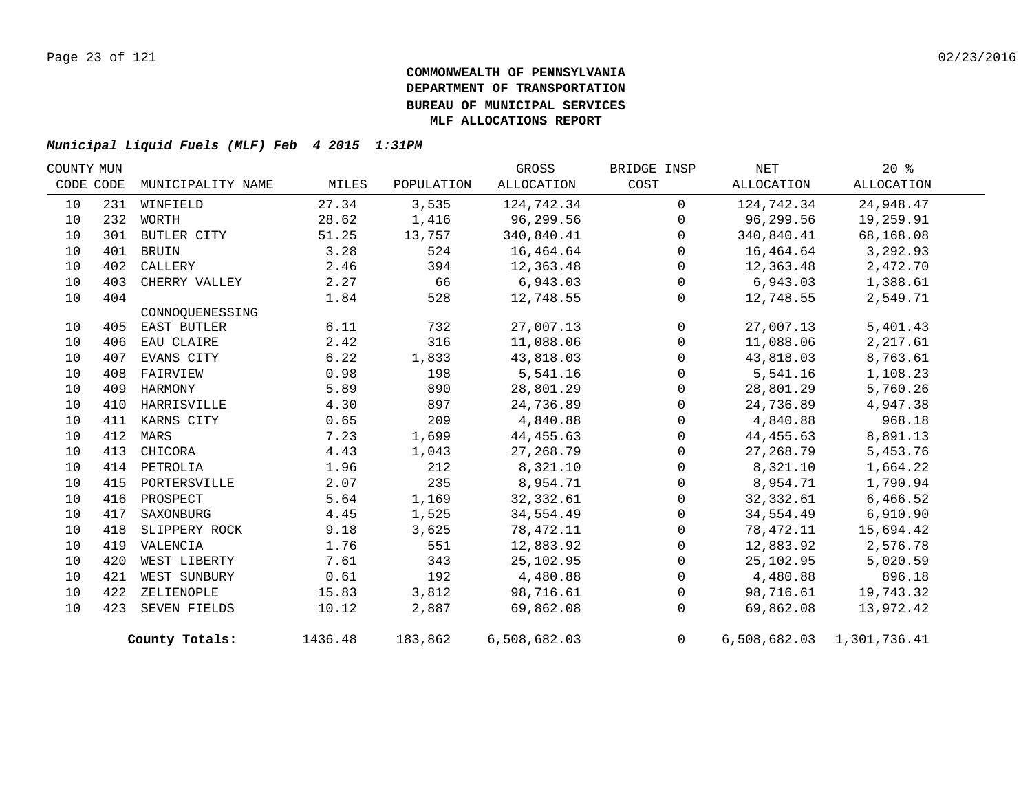| COUNTY MUN |           |                   |         |            | GROSS        | BRIDGE INSP    | NET        | 20%                       |  |
|------------|-----------|-------------------|---------|------------|--------------|----------------|------------|---------------------------|--|
|            | CODE CODE | MUNICIPALITY NAME | MILES   | POPULATION | ALLOCATION   | COST           | ALLOCATION | ALLOCATION                |  |
| 10         |           | 231 WINFIELD      | 27.34   | 3,535      | 124,742.34   | $\Omega$       | 124,742.34 | 24,948.47                 |  |
| 10         | 232       | WORTH             | 28.62   | 1,416      | 96,299.56    | $\Omega$       | 96,299.56  | 19,259.91                 |  |
| 10         | 301       | BUTLER CITY       | 51.25   | 13,757     | 340,840.41   | $\mathbf 0$    | 340,840.41 | 68,168.08                 |  |
| 10         | 401       | <b>BRUIN</b>      | 3.28    | 524        | 16,464.64    | $\Omega$       | 16,464.64  | 3,292.93                  |  |
| 10         |           | 402 CALLERY       | 2.46    | 394        | 12,363.48    | $\mathbf{0}$   | 12,363.48  | 2,472.70                  |  |
| 10         | 403       | CHERRY VALLEY     | 2.27    | 66         | 6,943.03     | $\Omega$       | 6,943.03   | 1,388.61                  |  |
| 10         | 404       |                   | 1.84    | 528        | 12,748.55    | $\mathbf{0}$   | 12,748.55  | 2,549.71                  |  |
|            |           | CONNOQUENESSING   |         |            |              |                |            |                           |  |
| 10         |           | 405 EAST BUTLER   | 6.11    | 732        | 27,007.13    | $\mathbf 0$    | 27,007.13  | 5,401.43                  |  |
| 10         | 406       | EAU CLAIRE        | 2.42    | 316        | 11,088.06    | $\Omega$       | 11,088.06  | 2,217.61                  |  |
| 10         | 407       | EVANS CITY        | 6.22    | 1,833      | 43,818.03    | $\mathbf 0$    | 43,818.03  | 8,763.61                  |  |
| 10         | 408       | FAIRVIEW          | 0.98    | 198        | 5,541.16     | $\Omega$       | 5,541.16   | 1,108.23                  |  |
| 10         | 409       | HARMONY           | 5.89    | 890        | 28,801.29    | $\Omega$       | 28,801.29  | 5,760.26                  |  |
| 10         |           | 410 HARRISVILLE   | 4.30    | 897        | 24,736.89    | $\overline{0}$ | 24,736.89  | 4,947.38                  |  |
| 10         |           | 411 KARNS CITY    | 0.65    | 209        | 4,840.88     | $\Omega$       | 4,840.88   | 968.18                    |  |
| 10         |           | 412 MARS          | 7.23    | 1,699      | 44,455.63    | 0              | 44,455.63  | 8,891.13                  |  |
| 10         |           | 413 CHICORA       | 4.43    | 1,043      | 27,268.79    | $\Omega$       | 27,268.79  | 5,453.76                  |  |
| 10         |           | 414 PETROLIA      | 1.96    | 212        | 8,321.10     | $\mathbf{0}$   | 8,321.10   | 1,664.22                  |  |
| 10         |           | 415 PORTERSVILLE  | 2.07    | 235        | 8,954.71     | $\Omega$       | 8,954.71   | 1,790.94                  |  |
| 10         |           | 416 PROSPECT      | 5.64    | 1,169      | 32,332.61    | $\Omega$       | 32,332.61  | 6,466.52                  |  |
| 10         |           | 417 SAXONBURG     | 4.45    | 1,525      | 34,554.49    | 0              | 34,554.49  | 6,910.90                  |  |
| 10         |           | 418 SLIPPERY ROCK | 9.18    | 3,625      | 78,472.11    | $\Omega$       | 78,472.11  | 15,694.42                 |  |
| 10         |           | 419 VALENCIA      | 1.76    | 551        | 12,883.92    | $\Omega$       | 12,883.92  | 2,576.78                  |  |
| 10         | 420       | WEST LIBERTY      | 7.61    | 343        | 25,102.95    | $\mathbf 0$    | 25,102.95  | 5,020.59                  |  |
| 10         | 421       | WEST SUNBURY      | 0.61    | 192        | 4,480.88     | $\Omega$       | 4,480.88   | 896.18                    |  |
| 10         |           | 422 ZELIENOPLE    | 15.83   | 3,812      | 98,716.61    | 0              | 98,716.61  | 19,743.32                 |  |
| 10         |           | 423 SEVEN FIELDS  | 10.12   | 2,887      | 69,862.08    | $\Omega$       | 69,862.08  | 13,972.42                 |  |
|            |           | County Totals:    | 1436.48 | 183,862    | 6,508,682.03 | 0              |            | 6,508,682.03 1,301,736.41 |  |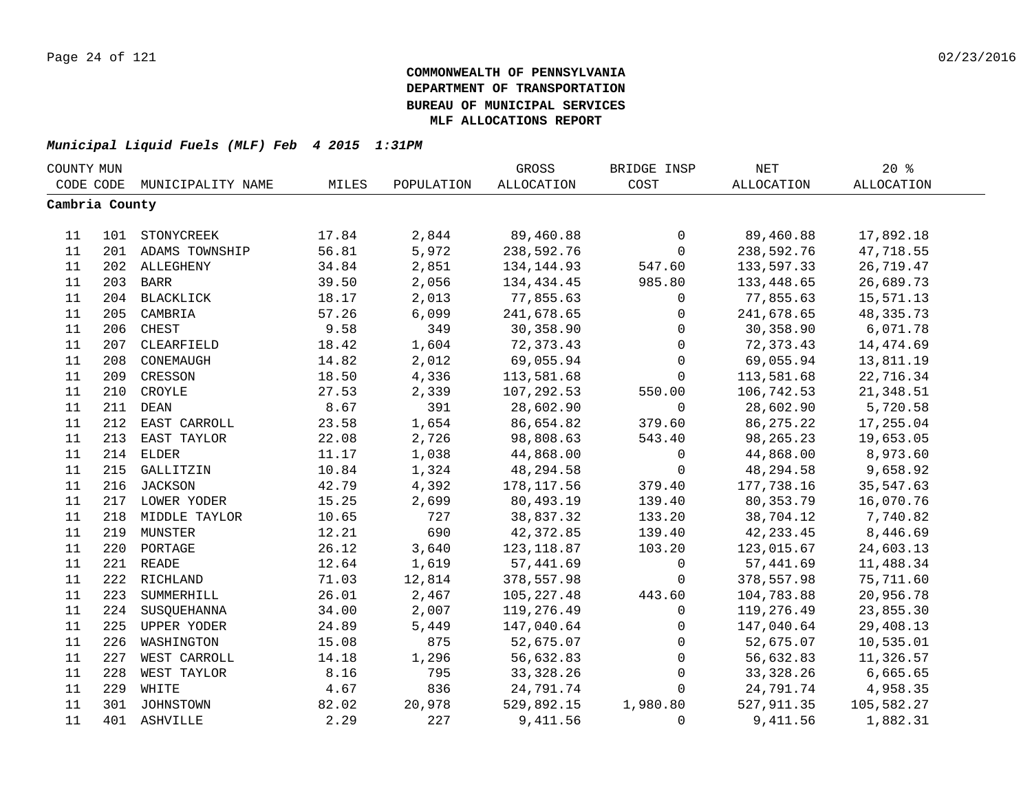| COUNTY MUN     |     |                    |       |            | GROSS        | BRIDGE INSP  | NET         | $20*$       |  |
|----------------|-----|--------------------|-------|------------|--------------|--------------|-------------|-------------|--|
| CODE CODE      |     | MUNICIPALITY NAME  | MILES | POPULATION | ALLOCATION   | COST         | ALLOCATION  | ALLOCATION  |  |
| Cambria County |     |                    |       |            |              |              |             |             |  |
|                |     |                    |       |            |              |              |             |             |  |
| 11             |     | 101 STONYCREEK     | 17.84 | 2,844      | 89,460.88    | 0            | 89,460.88   | 17,892.18   |  |
| 11             |     | 201 ADAMS TOWNSHIP | 56.81 | 5,972      | 238,592.76   | $\mathsf{O}$ | 238,592.76  | 47,718.55   |  |
| 11             |     | 202 ALLEGHENY      | 34.84 | 2,851      | 134, 144.93  | 547.60       | 133,597.33  | 26,719.47   |  |
| 11             |     | 203 BARR           | 39.50 | 2,056      | 134, 434. 45 | 985.80       | 133,448.65  | 26,689.73   |  |
| 11             |     | 204 BLACKLICK      | 18.17 | 2,013      | 77,855.63    | $\mathbf 0$  | 77,855.63   | 15,571.13   |  |
| 11             | 205 | CAMBRIA            | 57.26 | 6,099      | 241,678.65   | $\mathbf 0$  | 241,678.65  | 48, 335. 73 |  |
| 11             | 206 | CHEST              | 9.58  | 349        | 30,358.90    | $\mathbf 0$  | 30,358.90   | 6,071.78    |  |
| 11             | 207 | CLEARFIELD         | 18.42 | 1,604      | 72,373.43    | $\mathbf 0$  | 72,373.43   | 14,474.69   |  |
| 11             | 208 | CONEMAUGH          | 14.82 | 2,012      | 69,055.94    | $\mathbf 0$  | 69,055.94   | 13,811.19   |  |
| 11             | 209 | CRESSON            | 18.50 | 4,336      | 113,581.68   | $\mathbf 0$  | 113,581.68  | 22,716.34   |  |
| 11             | 210 | CROYLE             | 27.53 | 2,339      | 107,292.53   | 550.00       | 106,742.53  | 21,348.51   |  |
| 11             | 211 | <b>DEAN</b>        | 8.67  | 391        | 28,602.90    | $\mathsf{O}$ | 28,602.90   | 5,720.58    |  |
| 11             | 212 | EAST CARROLL       | 23.58 | 1,654      | 86,654.82    | 379.60       | 86, 275. 22 | 17,255.04   |  |
| 11             | 213 | EAST TAYLOR        | 22.08 | 2,726      | 98,808.63    | 543.40       | 98, 265. 23 | 19,653.05   |  |
| 11             | 214 | <b>ELDER</b>       | 11.17 | 1,038      | 44,868.00    | $\mathsf{O}$ | 44,868.00   | 8,973.60    |  |
| 11             |     | 215 GALLITZIN      | 10.84 | 1,324      | 48,294.58    | $\mathbf 0$  | 48,294.58   | 9,658.92    |  |
| 11             |     | 216 JACKSON        | 42.79 | 4,392      | 178, 117.56  | 379.40       | 177,738.16  | 35,547.63   |  |
| 11             |     | 217 LOWER YODER    | 15.25 | 2,699      | 80,493.19    | 139.40       | 80, 353. 79 | 16,070.76   |  |
| 11             |     | 218 MIDDLE TAYLOR  | 10.65 | 727        | 38,837.32    | 133.20       | 38,704.12   | 7,740.82    |  |
| 11             |     | 219 MUNSTER        | 12.21 | 690        | 42,372.85    | 139.40       | 42, 233.45  | 8,446.69    |  |
| 11             | 220 | PORTAGE            | 26.12 | 3,640      | 123,118.87   | 103.20       | 123,015.67  | 24,603.13   |  |
| 11             |     | 221 READE          | 12.64 | 1,619      | 57,441.69    | $\mathsf{O}$ | 57,441.69   | 11,488.34   |  |
| 11             |     | 222 RICHLAND       | 71.03 | 12,814     | 378,557.98   | $\mathbf 0$  | 378,557.98  | 75,711.60   |  |
| 11             | 223 | SUMMERHILL         | 26.01 | 2,467      | 105, 227.48  | 443.60       | 104,783.88  | 20,956.78   |  |
| 11             | 224 | SUSQUEHANNA        | 34.00 | 2,007      | 119,276.49   | $\mathbf 0$  | 119,276.49  | 23,855.30   |  |
| 11             | 225 | UPPER YODER        | 24.89 | 5,449      | 147,040.64   | $\mathbf 0$  | 147,040.64  | 29,408.13   |  |
| 11             | 226 | WASHINGTON         | 15.08 | 875        | 52,675.07    | $\mathbf 0$  | 52,675.07   | 10,535.01   |  |
| 11             | 227 | WEST CARROLL       | 14.18 | 1,296      | 56,632.83    | $\mathsf{O}$ | 56,632.83   | 11,326.57   |  |
| 11             | 228 | WEST TAYLOR        | 8.16  | 795        | 33, 328. 26  | $\mathsf{O}$ | 33, 328. 26 | 6,665.65    |  |
| 11             | 229 | WHITE              | 4.67  | 836        | 24,791.74    | $\mathbf 0$  | 24,791.74   | 4,958.35    |  |
| 11             |     | 301 JOHNSTOWN      | 82.02 | 20,978     | 529,892.15   | 1,980.80     | 527,911.35  | 105,582.27  |  |
| 11             |     | 401 ASHVILLE       | 2.29  | 227        | 9,411.56     | $\Omega$     | 9,411.56    | 1,882.31    |  |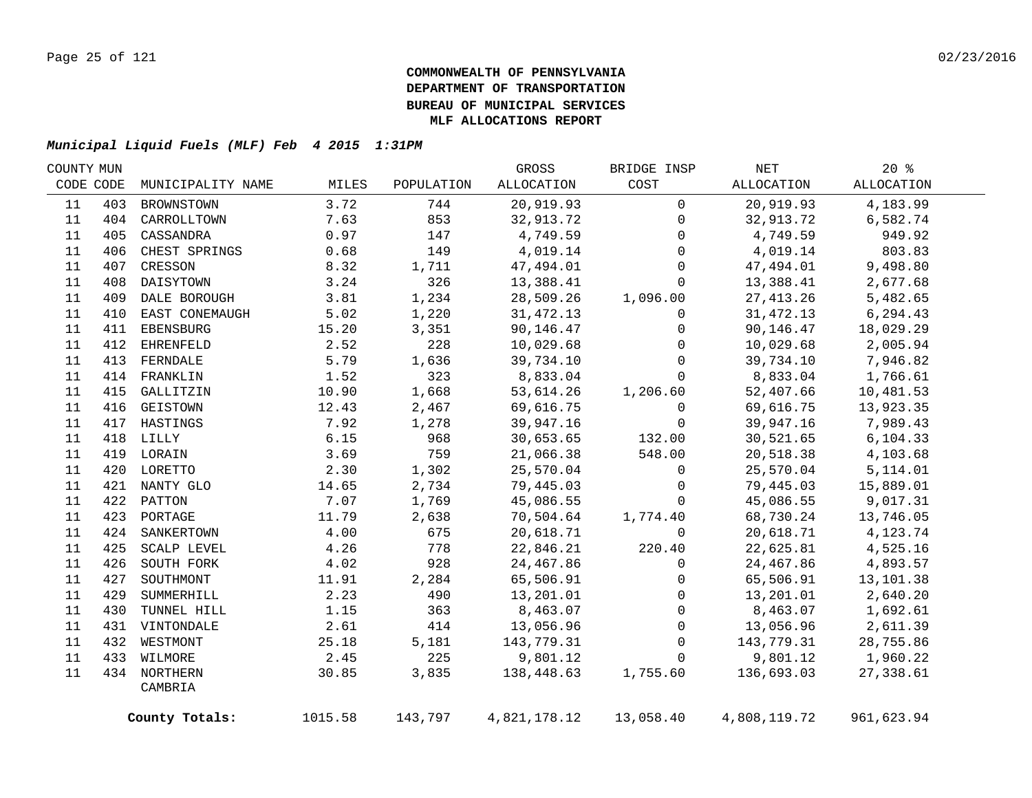| COUNTY MUN |     |                   |         |            | GROSS        | BRIDGE INSP  | NET          | $20*$      |  |
|------------|-----|-------------------|---------|------------|--------------|--------------|--------------|------------|--|
| CODE CODE  |     | MUNICIPALITY NAME | MILES   | POPULATION | ALLOCATION   | COST         | ALLOCATION   | ALLOCATION |  |
| 11         | 403 | BROWNSTOWN        | 3.72    | 744        | 20,919.93    | $\mathbf 0$  | 20,919.93    | 4,183.99   |  |
| 11         |     | 404 CARROLLTOWN   | 7.63    | 853        | 32,913.72    | $\mathbf{0}$ | 32,913.72    | 6,582.74   |  |
| 11         | 405 | CASSANDRA         | 0.97    | 147        | 4,749.59     | 0            | 4,749.59     | 949.92     |  |
| 11         | 406 | CHEST SPRINGS     | 0.68    | 149        | 4,019.14     | $\Omega$     | 4,019.14     | 803.83     |  |
| 11         | 407 | CRESSON           | 8.32    | 1,711      | 47,494.01    | $\mathbf 0$  | 47,494.01    | 9,498.80   |  |
| 11         | 408 | DAISYTOWN         | 3.24    | 326        | 13,388.41    | $\mathbf 0$  | 13,388.41    | 2,677.68   |  |
| 11         |     | 409 DALE BOROUGH  | 3.81    | 1,234      | 28,509.26    | 1,096.00     | 27, 413.26   | 5,482.65   |  |
| 11         | 410 | EAST CONEMAUGH    | 5.02    | 1,220      | 31,472.13    | $\mathbf 0$  | 31,472.13    | 6,294.43   |  |
| 11         | 411 | EBENSBURG         | 15.20   | 3,351      | 90,146.47    | $\mathbf{0}$ | 90,146.47    | 18,029.29  |  |
| 11         | 412 | EHRENFELD         | 2.52    | 228        | 10,029.68    | $\mathbf{0}$ | 10,029.68    | 2,005.94   |  |
| 11         | 413 | FERNDALE          | 5.79    | 1,636      | 39,734.10    | $\mathbf 0$  | 39,734.10    | 7,946.82   |  |
| 11         |     | 414 FRANKLIN      | 1.52    | 323        | 8,833.04     | $\Omega$     | 8,833.04     | 1,766.61   |  |
| 11         | 415 | GALLITZIN         | 10.90   | 1,668      | 53,614.26    | 1,206.60     | 52,407.66    | 10,481.53  |  |
| 11         | 416 | GEISTOWN          | 12.43   | 2,467      | 69,616.75    | $\mathbf 0$  | 69,616.75    | 13,923.35  |  |
| 11         | 417 | HASTINGS          | 7.92    | 1,278      | 39,947.16    | $\mathbf 0$  | 39,947.16    | 7,989.43   |  |
| 11         |     | 418 LILLY         | 6.15    | 968        | 30,653.65    | 132.00       | 30,521.65    | 6, 104.33  |  |
| 11         |     | 419 LORAIN        | 3.69    | 759        | 21,066.38    | 548.00       | 20,518.38    | 4,103.68   |  |
| 11         |     | 420 LORETTO       | 2.30    | 1,302      | 25,570.04    | 0            | 25,570.04    | 5,114.01   |  |
| 11         |     | 421 NANTY GLO     | 14.65   | 2,734      | 79,445.03    | $\mathsf{O}$ | 79,445.03    | 15,889.01  |  |
| 11         |     | 422 PATTON        | 7.07    | 1,769      | 45,086.55    | $\mathbf{0}$ | 45,086.55    | 9,017.31   |  |
| $11\,$     |     | 423 PORTAGE       | 11.79   | 2,638      | 70,504.64    | 1,774.40     | 68,730.24    | 13,746.05  |  |
| 11         |     | 424 SANKERTOWN    | 4.00    | 675        | 20,618.71    | $\Omega$     | 20,618.71    | 4,123.74   |  |
| 11         | 425 | SCALP LEVEL       | 4.26    | 778        | 22,846.21    | 220.40       | 22,625.81    | 4,525.16   |  |
| 11         | 426 | SOUTH FORK        | 4.02    | 928        | 24,467.86    | $\Omega$     | 24,467.86    | 4,893.57   |  |
| 11         | 427 | SOUTHMONT         | 11.91   | 2,284      | 65,506.91    | $\mathbf 0$  | 65,506.91    | 13,101.38  |  |
| 11         | 429 | SUMMERHILL        | 2.23    | 490        | 13,201.01    | $\mathbf 0$  | 13,201.01    | 2,640.20   |  |
| 11         | 430 | TUNNEL HILL       | 1.15    | 363        | 8,463.07     | $\mathbf 0$  | 8,463.07     | 1,692.61   |  |
| 11         |     | 431 VINTONDALE    | 2.61    | 414        | 13,056.96    | $\mathbf 0$  | 13,056.96    | 2,611.39   |  |
| 11         |     | 432 WESTMONT      | 25.18   | 5,181      | 143,779.31   | $\mathbf 0$  | 143,779.31   | 28,755.86  |  |
| 11         |     | 433 WILMORE       | 2.45    | 225        | 9,801.12     | $\mathbf 0$  | 9,801.12     | 1,960.22   |  |
| 11         |     | 434 NORTHERN      | 30.85   | 3,835      | 138,448.63   | 1,755.60     | 136,693.03   | 27,338.61  |  |
|            |     | CAMBRIA           |         |            |              |              |              |            |  |
|            |     | County Totals:    | 1015.58 | 143,797    | 4,821,178.12 | 13,058.40    | 4,808,119.72 | 961,623.94 |  |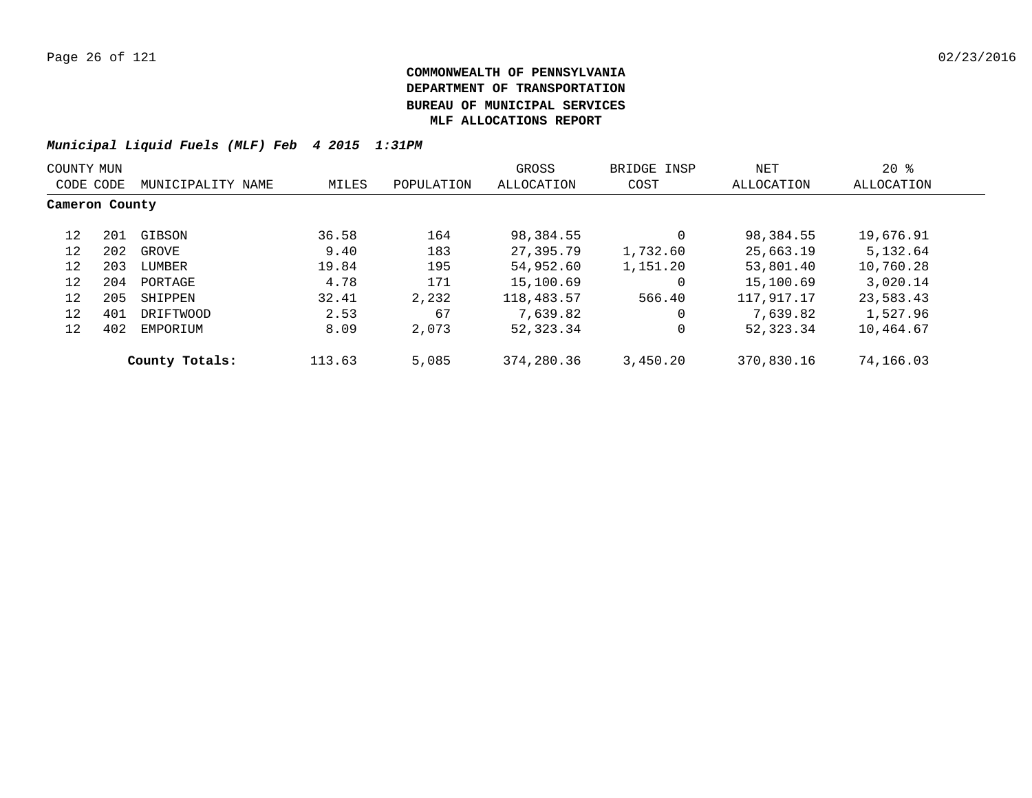| COUNTY MUN     |     |                   |        |            | GROSS      | BRIDGE INSP | NET        | $20*$      |
|----------------|-----|-------------------|--------|------------|------------|-------------|------------|------------|
| CODE CODE      |     | MUNICIPALITY NAME | MILES  | POPULATION | ALLOCATION | COST        | ALLOCATION | ALLOCATION |
| Cameron County |     |                   |        |            |            |             |            |            |
| 12             | 201 | GIBSON            | 36.58  | 164        | 98,384.55  |             | 98,384.55  | 19,676.91  |
| 12             | 202 | GROVE             | 9.40   | 183        | 27,395.79  | 1,732.60    | 25,663.19  | 5,132.64   |
| 12             | 203 | LUMBER            | 19.84  | 195        | 54,952.60  | 1,151.20    | 53,801.40  | 10,760.28  |
| 12             | 204 | PORTAGE           | 4.78   | 171        | 15,100.69  | $\Omega$    | 15,100.69  | 3,020.14   |
| 12             | 205 | SHIPPEN           | 32.41  | 2,232      | 118,483.57 | 566.40      | 117,917.17 | 23,583.43  |
| 12             | 401 | DRIFTWOOD         | 2.53   | 67         | 7,639.82   |             | 7,639.82   | 1,527.96   |
| 12             | 402 | EMPORIUM          | 8.09   | 2,073      | 52,323.34  |             | 52, 323.34 | 10,464.67  |
|                |     | County Totals:    | 113.63 | 5,085      | 374,280.36 | 3,450.20    | 370,830.16 | 74,166.03  |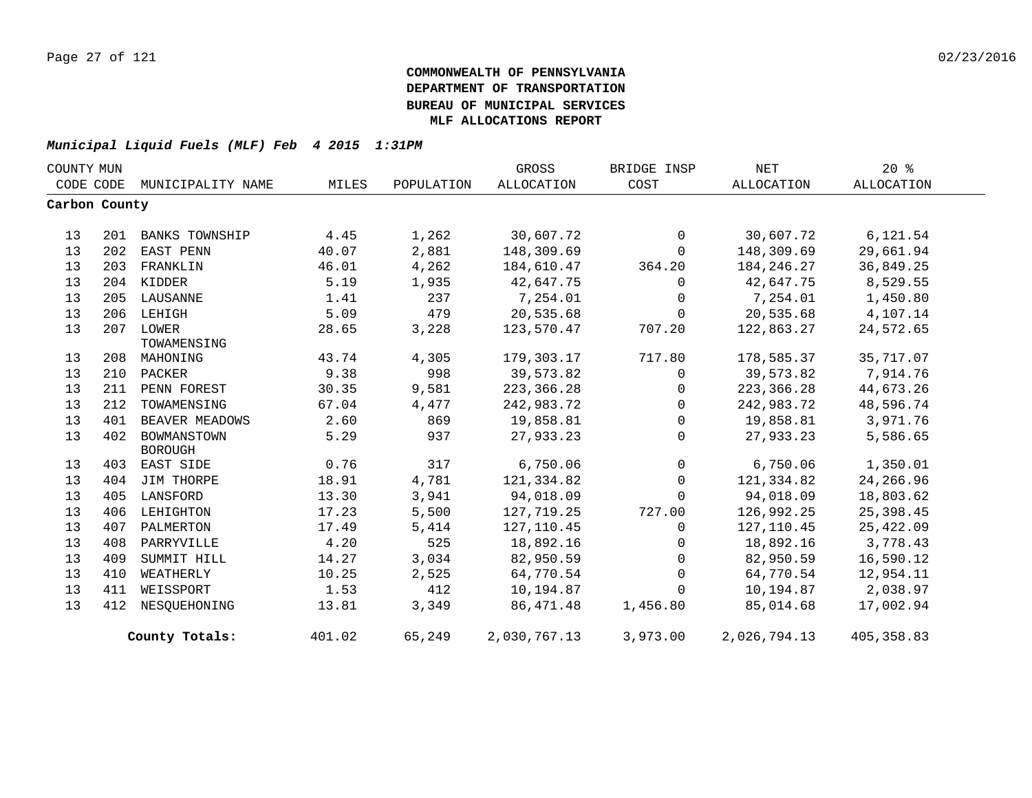| COUNTY MUN    |     |                       |        |            | GROSS             | BRIDGE INSP  | NET          | 20%         |  |
|---------------|-----|-----------------------|--------|------------|-------------------|--------------|--------------|-------------|--|
| CODE CODE     |     | MUNICIPALITY NAME     | MILES  | POPULATION | <b>ALLOCATION</b> | COST         | ALLOCATION   | ALLOCATION  |  |
| Carbon County |     |                       |        |            |                   |              |              |             |  |
|               |     |                       |        |            |                   |              |              |             |  |
| 13            | 201 | <b>BANKS TOWNSHIP</b> | 4.45   | 1,262      | 30,607.72         | $\mathbf 0$  | 30,607.72    | 6,121.54    |  |
| 13            | 202 | EAST PENN             | 40.07  | 2,881      | 148,309.69        | $\mathbf 0$  | 148,309.69   | 29,661.94   |  |
| 13            | 203 | FRANKLIN              | 46.01  | 4,262      | 184,610.47        | 364.20       | 184, 246. 27 | 36,849.25   |  |
| 13            |     | 204 KIDDER            | 5.19   | 1,935      | 42,647.75         | $\Omega$     | 42,647.75    | 8,529.55    |  |
| 13            |     | 205 LAUSANNE          | 1.41   | 237        | 7,254.01          | $\mathbf 0$  | 7,254.01     | 1,450.80    |  |
| 13            | 206 | LEHIGH                | 5.09   | 479        | 20,535.68         | $\mathbf 0$  | 20,535.68    | 4,107.14    |  |
| 13            |     | 207 LOWER             | 28.65  | 3,228      | 123,570.47        | 707.20       | 122,863.27   | 24,572.65   |  |
|               |     | TOWAMENSING           |        |            |                   |              |              |             |  |
| 13            | 208 | MAHONING              | 43.74  | 4,305      | 179,303.17        | 717.80       | 178,585.37   | 35,717.07   |  |
| 13            | 210 | PACKER                | 9.38   | 998        | 39,573.82         | 0            | 39,573.82    | 7,914.76    |  |
| 13            | 211 | PENN FOREST           | 30.35  | 9,581      | 223, 366.28       | $\Omega$     | 223, 366.28  | 44,673.26   |  |
| 13            | 212 | TOWAMENSING           | 67.04  | 4,477      | 242,983.72        | 0            | 242,983.72   | 48,596.74   |  |
| 13            | 401 | BEAVER MEADOWS        | 2.60   | 869        | 19,858.81         | $\mathbf 0$  | 19,858.81    | 3,971.76    |  |
| 13            | 402 | BOWMANSTOWN           | 5.29   | 937        | 27,933.23         | $\Omega$     | 27,933.23    | 5,586.65    |  |
|               |     | <b>BOROUGH</b>        |        |            |                   |              |              |             |  |
| 13            | 403 | EAST SIDE             | 0.76   | 317        | 6,750.06          | $\mathsf{O}$ | 6,750.06     | 1,350.01    |  |
| 13            | 404 | JIM THORPE            | 18.91  | 4,781      | 121,334.82        | $\mathbf 0$  | 121,334.82   | 24,266.96   |  |
| 13            | 405 | LANSFORD              | 13.30  | 3,941      | 94,018.09         | 0            | 94,018.09    | 18,803.62   |  |
| 13            | 406 | LEHIGHTON             | 17.23  | 5,500      | 127,719.25        | 727.00       | 126,992.25   | 25,398.45   |  |
| 13            | 407 | PALMERTON             | 17.49  | 5,414      | 127,110.45        | $\mathbf 0$  | 127,110.45   | 25,422.09   |  |
| 13            | 408 | PARRYVILLE            | 4.20   | 525        | 18,892.16         | 0            | 18,892.16    | 3,778.43    |  |
| 13            | 409 | SUMMIT HILL           | 14.27  | 3,034      | 82,950.59         | $\Omega$     | 82,950.59    | 16,590.12   |  |
| 13            | 410 | WEATHERLY             | 10.25  | 2,525      | 64,770.54         | $\mathbf 0$  | 64,770.54    | 12,954.11   |  |
| 13            | 411 | WEISSPORT             | 1.53   | 412        | 10,194.87         | $\Omega$     | 10,194.87    | 2,038.97    |  |
| 13            | 412 | NESOUEHONING          | 13.81  | 3,349      | 86,471.48         | 1,456.80     | 85,014.68    | 17,002.94   |  |
|               |     | County Totals:        | 401.02 | 65,249     | 2,030,767.13      | 3,973.00     | 2,026,794.13 | 405, 358.83 |  |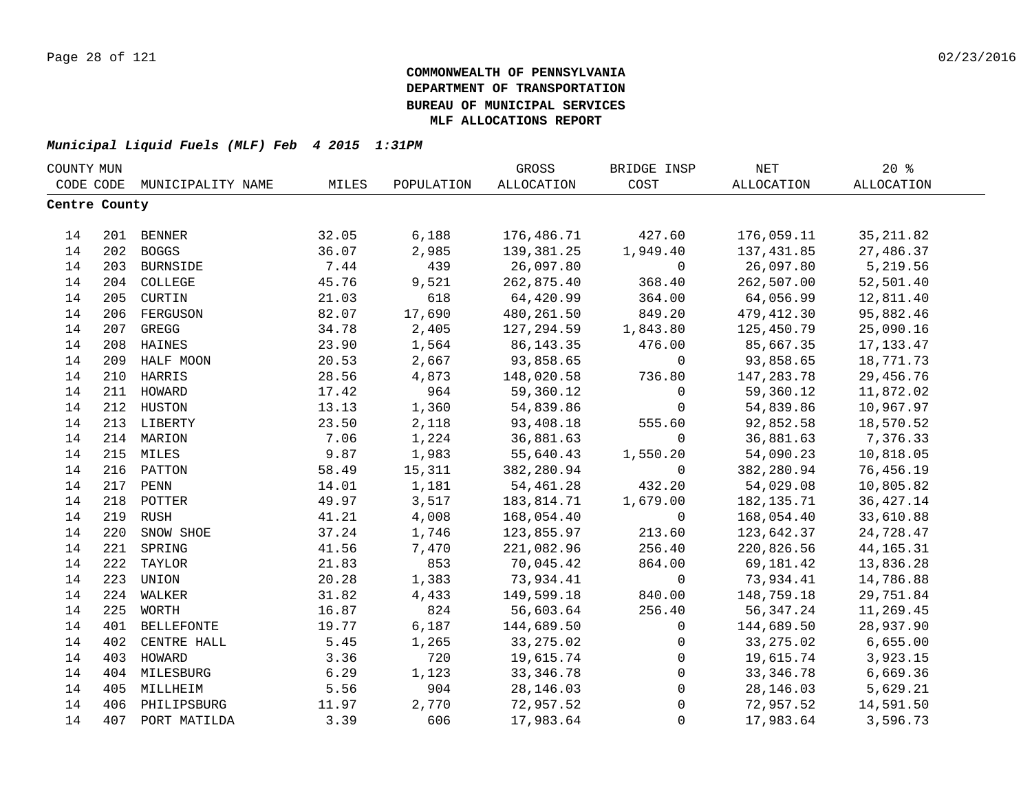|               | COUNTY MUN |                             |       |            | GROSS       | BRIDGE INSP         | $\operatorname{NET}$ | $20*$       |  |
|---------------|------------|-----------------------------|-------|------------|-------------|---------------------|----------------------|-------------|--|
|               |            | CODE CODE MUNICIPALITY NAME | MILES | POPULATION | ALLOCATION  | COST                | ALLOCATION           | ALLOCATION  |  |
| Centre County |            |                             |       |            |             |                     |                      |             |  |
|               |            |                             |       |            |             |                     |                      |             |  |
| 14            |            | 201 BENNER                  | 32.05 | 6,188      | 176,486.71  | 427.60              | 176,059.11           | 35, 211.82  |  |
| 14            |            | 202 BOGGS                   | 36.07 | 2,985      | 139,381.25  | 1,949.40            | 137,431.85           | 27,486.37   |  |
| 14            |            | 203 BURNSIDE                | 7.44  | 439        | 26,097.80   | $\mathbf 0$         | 26,097.80            | 5,219.56    |  |
| 14            |            | 204 COLLEGE                 | 45.76 | 9,521      | 262,875.40  | 368.40              | 262,507.00           | 52,501.40   |  |
| 14            |            | 205 CURTIN                  | 21.03 | 618        | 64,420.99   | 364.00              | 64,056.99            | 12,811.40   |  |
| 14            | 206        | FERGUSON                    | 82.07 | 17,690     | 480,261.50  | 849.20              | 479,412.30           | 95,882.46   |  |
| 14            | 207        | GREGG                       | 34.78 | 2,405      | 127,294.59  | 1,843.80            | 125,450.79           | 25,090.16   |  |
| 14            | 208        | <b>HAINES</b>               | 23.90 | 1,564      | 86, 143. 35 | 476.00              | 85,667.35            | 17, 133. 47 |  |
| 14            | 209        | HALF MOON                   | 20.53 | 2,667      | 93,858.65   | $\mathbf 0$         | 93,858.65            | 18,771.73   |  |
| 14            | 210        | HARRIS                      | 28.56 | 4,873      | 148,020.58  | 736.80              | 147,283.78           | 29,456.76   |  |
| 14            | 211        | HOWARD                      | 17.42 | 964        | 59,360.12   | $\mathbf 0$         | 59,360.12            | 11,872.02   |  |
| 14            | 212        | HUSTON                      | 13.13 | 1,360      | 54,839.86   | $\mathbf 0$         | 54,839.86            | 10,967.97   |  |
| 14            |            | 213 LIBERTY                 | 23.50 | 2,118      | 93,408.18   | 555.60              | 92,852.58            | 18,570.52   |  |
| 14            |            | 214 MARION                  | 7.06  | 1,224      | 36,881.63   | $\Omega$            | 36,881.63            | 7,376.33    |  |
| 14            |            | 215 MILES                   | 9.87  | 1,983      | 55,640.43   | 1,550.20            | 54,090.23            | 10,818.05   |  |
| 14            |            | 216 PATTON                  | 58.49 | 15,311     | 382,280.94  | $\mathbf 0$         | 382,280.94           | 76,456.19   |  |
| 14            |            | 217 PENN                    | 14.01 | 1,181      | 54,461.28   | 432.20              | 54,029.08            | 10,805.82   |  |
| 14            |            | 218 POTTER                  | 49.97 | 3,517      | 183,814.71  | 1,679.00            | 182,135.71           | 36, 427. 14 |  |
| 14            | 219        | RUSH                        | 41.21 | 4,008      | 168,054.40  | $\mathbf 0$         | 168,054.40           | 33,610.88   |  |
| 14            | 220        | SNOW SHOE                   | 37.24 | 1,746      | 123,855.97  | 213.60              | 123,642.37           | 24,728.47   |  |
| 14            | 221        | SPRING                      | 41.56 | 7,470      | 221,082.96  | 256.40              | 220,826.56           | 44, 165. 31 |  |
| 14            | 222        | TAYLOR                      | 21.83 | 853        | 70,045.42   | 864.00              | 69,181.42            | 13,836.28   |  |
| 14            | 223        | UNION                       | 20.28 | 1,383      | 73,934.41   | $\mathbf 0$         | 73,934.41            | 14,786.88   |  |
| 14            | 224        | WALKER                      | 31.82 | 4,433      | 149,599.18  | 840.00              | 148,759.18           | 29,751.84   |  |
| 14            | 225        | WORTH                       | 16.87 | 824        | 56,603.64   | 256.40              | 56,347.24            | 11,269.45   |  |
| 14            | 401        | <b>BELLEFONTE</b>           | 19.77 | 6,187      | 144,689.50  | $\mathbf 0$         | 144,689.50           | 28,937.90   |  |
| 14            | 402        | CENTRE HALL                 | 5.45  | 1,265      | 33, 275.02  | $\mathbf 0$         | 33, 275.02           | 6,655.00    |  |
| 14            | 403        | HOWARD                      | 3.36  | 720        | 19,615.74   | $\mathbf 0$         | 19,615.74            | 3,923.15    |  |
| 14            |            | 404 MILESBURG               | 6.29  | 1,123      | 33, 346. 78 | $\mathsf{O}\xspace$ | 33, 346.78           | 6,669.36    |  |
| 14            |            | 405 MILLHEIM                | 5.56  | 904        | 28, 146.03  | 0                   | 28,146.03            | 5,629.21    |  |
| 14            |            | 406 PHILIPSBURG             | 11.97 | 2,770      | 72,957.52   | $\mathsf{O}\xspace$ | 72,957.52            | 14,591.50   |  |
| 14            |            | 407 PORT MATILDA            | 3.39  | 606        | 17,983.64   | $\mathbf 0$         | 17,983.64            | 3,596.73    |  |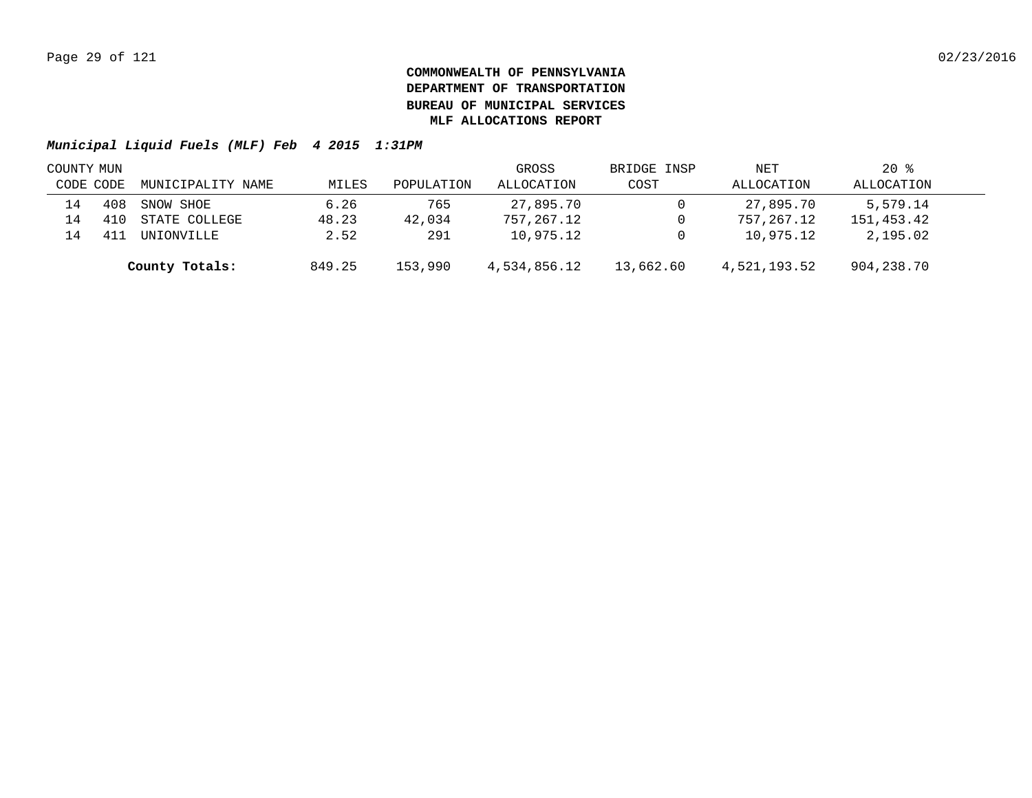| COUNTY MUN     |     |                   |        |            | GROSS        | BRIDGE INSP | NET          | $20*$      |  |
|----------------|-----|-------------------|--------|------------|--------------|-------------|--------------|------------|--|
| CODE CODE      |     | MUNICIPALITY NAME | MILES  | POPULATION | ALLOCATION   | COST        | ALLOCATION   | ALLOCATION |  |
| 14             | 408 | SNOW SHOE         | 6.26   | 765        | 27,895.70    |             | 27,895.70    | 5,579.14   |  |
| 14             |     | STATE COLLEGE     | 48.23  | 42,034     | 757,267.12   |             | 757,267.12   | 151,453.42 |  |
| $\overline{4}$ |     | <b>UNIONVILLE</b> | 2.52   | 291        | 10,975.12    |             | 10,975.12    | 2,195.02   |  |
|                |     | County Totals:    | 849.25 | 153,990    | 4,534,856.12 | 13,662.60   | 4,521,193.52 | 904,238.70 |  |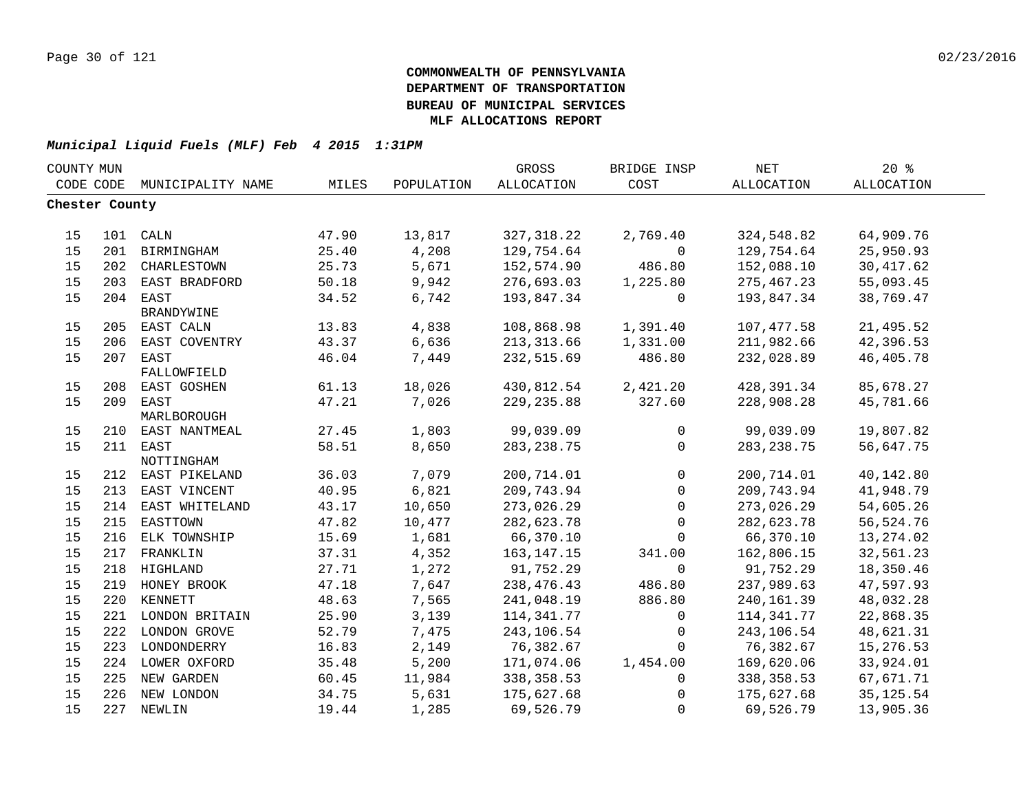| COUNTY MUN     |     |                           |       |            | GROSS        | BRIDGE INSP    | <b>NET</b>   | 20%        |  |
|----------------|-----|---------------------------|-------|------------|--------------|----------------|--------------|------------|--|
| CODE CODE      |     | MUNICIPALITY NAME         | MILES | POPULATION | ALLOCATION   | COST           | ALLOCATION   | ALLOCATION |  |
| Chester County |     |                           |       |            |              |                |              |            |  |
|                |     |                           |       |            |              |                |              |            |  |
| 15             |     | 101 CALN                  | 47.90 | 13,817     | 327, 318.22  | 2,769.40       | 324,548.82   | 64,909.76  |  |
| 15             |     | 201 BIRMINGHAM            | 25.40 | 4,208      | 129,754.64   | $\mathsf{O}$   | 129,754.64   | 25,950.93  |  |
| 15             |     | 202 CHARLESTOWN           | 25.73 | 5,671      | 152,574.90   | 486.80         | 152,088.10   | 30, 417.62 |  |
| 15             | 203 | EAST BRADFORD             | 50.18 | 9,942      | 276,693.03   | 1,225.80       | 275, 467.23  | 55,093.45  |  |
| 15             | 204 | EAST<br><b>BRANDYWINE</b> | 34.52 | 6,742      | 193,847.34   | 0              | 193,847.34   | 38,769.47  |  |
| 15             | 205 | EAST CALN                 | 13.83 | 4,838      | 108,868.98   | 1,391.40       | 107, 477.58  | 21,495.52  |  |
| 15             | 206 | EAST COVENTRY             | 43.37 | 6,636      | 213, 313.66  | 1,331.00       | 211,982.66   | 42,396.53  |  |
| 15             | 207 | EAST                      | 46.04 | 7,449      | 232,515.69   | 486.80         | 232,028.89   | 46,405.78  |  |
|                |     | FALLOWFIELD               |       |            |              |                |              |            |  |
| 15             | 208 | EAST GOSHEN               | 61.13 | 18,026     | 430,812.54   | 2,421.20       | 428,391.34   | 85,678.27  |  |
| 15             | 209 | EAST                      | 47.21 | 7,026      | 229, 235.88  | 327.60         | 228,908.28   | 45,781.66  |  |
|                |     | MARLBOROUGH               |       |            |              |                |              |            |  |
| 15             | 210 | EAST NANTMEAL             | 27.45 | 1,803      | 99,039.09    | $\mathbf{0}$   | 99,039.09    | 19,807.82  |  |
| 15             |     | 211 EAST                  | 58.51 | 8,650      | 283, 238.75  | $\mathbf{0}$   | 283, 238.75  | 56,647.75  |  |
|                |     | NOTTINGHAM                |       |            |              |                |              |            |  |
| 15             |     | 212 EAST PIKELAND         | 36.03 | 7,079      | 200,714.01   | $\overline{0}$ | 200,714.01   | 40,142.80  |  |
| 15             | 213 | EAST VINCENT              | 40.95 | 6,821      | 209,743.94   | $\mathbf{0}$   | 209,743.94   | 41,948.79  |  |
| 15             | 214 | EAST WHITELAND            | 43.17 | 10,650     | 273,026.29   | $\mathbf 0$    | 273,026.29   | 54,605.26  |  |
| 15             | 215 | EASTTOWN                  | 47.82 | 10,477     | 282,623.78   | $\mathbf 0$    | 282,623.78   | 56,524.76  |  |
| 15             | 216 | ELK TOWNSHIP              | 15.69 | 1,681      | 66,370.10    | $\Omega$       | 66,370.10    | 13, 274.02 |  |
| 15             | 217 | FRANKLIN                  | 37.31 | 4,352      | 163, 147. 15 | 341.00         | 162,806.15   | 32,561.23  |  |
| 15             |     | 218 HIGHLAND              | 27.71 | 1,272      | 91,752.29    | $\mathbf 0$    | 91,752.29    | 18,350.46  |  |
| 15             |     | 219 HONEY BROOK           | 47.18 | 7,647      | 238,476.43   | 486.80         | 237,989.63   | 47,597.93  |  |
| 15             |     | 220 KENNETT               | 48.63 | 7,565      | 241,048.19   | 886.80         | 240, 161.39  | 48,032.28  |  |
| 15             |     | 221 LONDON BRITAIN        | 25.90 | 3,139      | 114,341.77   | $\mathsf{O}$   | 114, 341. 77 | 22,868.35  |  |
| 15             |     | 222 LONDON GROVE          | 52.79 | 7,475      | 243,106.54   | 0              | 243,106.54   | 48,621.31  |  |
| 15             |     | 223 LONDONDERRY           | 16.83 | 2,149      | 76,382.67    | $\mathbf 0$    | 76,382.67    | 15,276.53  |  |
| 15             |     | 224 LOWER OXFORD          | 35.48 | 5,200      | 171,074.06   | 1,454.00       | 169,620.06   | 33,924.01  |  |
| 15             |     | 225 NEW GARDEN            | 60.45 | 11,984     | 338,358.53   | $\mathbf 0$    | 338,358.53   | 67,671.71  |  |
| 15             |     | 226 NEW LONDON            | 34.75 | 5,631      | 175,627.68   | $\mathbf{0}$   | 175,627.68   | 35, 125.54 |  |
| 15             |     | 227 NEWLIN                | 19.44 | 1,285      | 69,526.79    | $\Omega$       | 69,526.79    | 13,905.36  |  |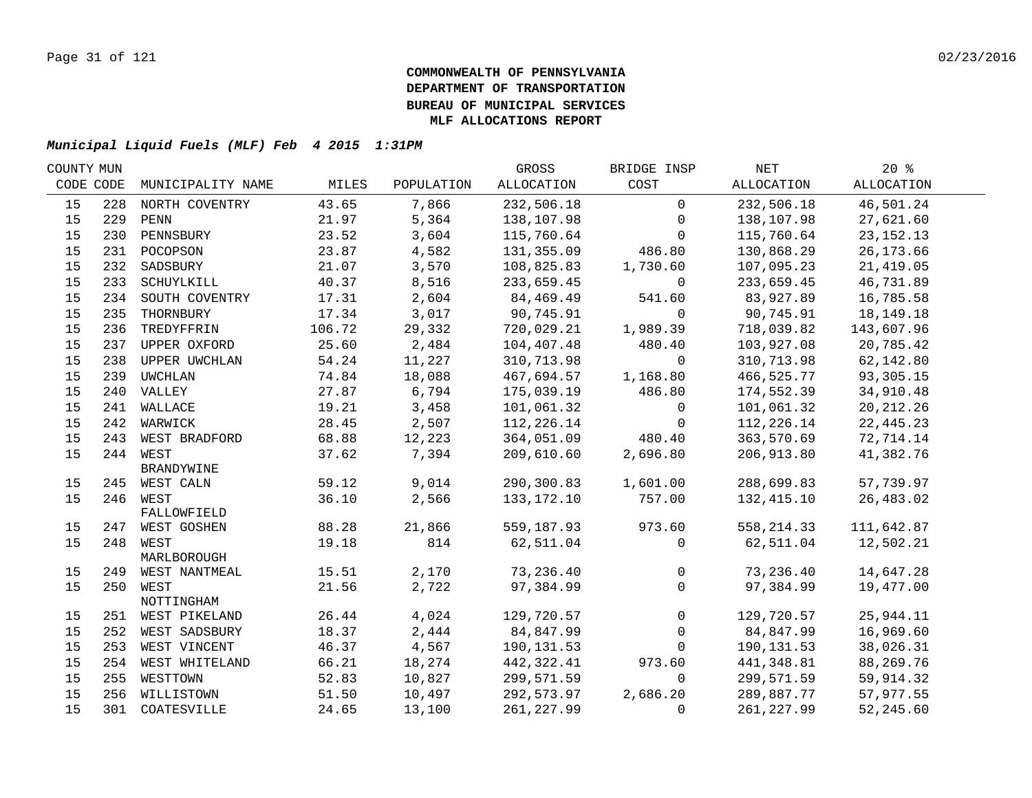| COUNTY MUN |     |                               |        |            | GROSS        | BRIDGE INSP  | NET                    | $20*$       |  |
|------------|-----|-------------------------------|--------|------------|--------------|--------------|------------------------|-------------|--|
| CODE CODE  |     | MUNICIPALITY NAME             | MILES  | POPULATION | ALLOCATION   | COST         | ALLOCATION             | ALLOCATION  |  |
| 15         |     | 228 NORTH COVENTRY            | 43.65  | 7,866      | 232,506.18   | $\mathbf 0$  | 232,506.18             | 46,501.24   |  |
| 15         | 229 | PENN                          | 21.97  | 5,364      | 138,107.98   | 0            | 138,107.98             | 27,621.60   |  |
| 15         |     | 230 PENNSBURY                 | 23.52  | 3,604      | 115,760.64   | $\Omega$     | 115,760.64             | 23, 152. 13 |  |
| 15         |     | 231 POCOPSON                  | 23.87  | 4,582      | 131,355.09   | 486.80       | 130,868.29             | 26, 173.66  |  |
| 15         |     | 232 SADSBURY                  | 21.07  | 3,570      | 108,825.83   | 1,730.60     | 107,095.23             | 21, 419.05  |  |
| 15         |     | 233 SCHUYLKILL                | 40.37  | 8,516      | 233,659.45   | $\mathbf 0$  | 233,659.45             | 46,731.89   |  |
| 15         |     | 234 SOUTH COVENTRY            | 17.31  | 2,604      | 84,469.49    | 541.60       | 83,927.89              | 16,785.58   |  |
| 15         | 235 | THORNBURY                     | 17.34  | 3,017      | 90,745.91    | 0            | 90,745.91              | 18, 149. 18 |  |
| 15         | 236 | TREDYFFRIN                    | 106.72 | 29,332     | 720,029.21   | 1,989.39     | 718,039.82             | 143,607.96  |  |
| 15         |     | 237 UPPER OXFORD              | 25.60  | 2,484      | 104,407.48   | 480.40       | 103,927.08             | 20,785.42   |  |
| 15         | 238 | UPPER UWCHLAN                 | 54.24  | 11,227     | 310,713.98   | $\mathbf 0$  | 310,713.98             | 62,142.80   |  |
| 15         |     | 239 UWCHLAN                   | 74.84  | 18,088     | 467,694.57   | 1,168.80     | 466,525.77             | 93, 305. 15 |  |
| 15         |     | 240 VALLEY                    | 27.87  | 6,794      | 175,039.19   | 486.80       | 174,552.39             | 34,910.48   |  |
| 15         |     | 241 WALLACE                   | 19.21  | 3,458      | 101,061.32   | $\mathsf{O}$ | 101,061.32             | 20, 212. 26 |  |
| 15         |     | 242 WARWICK                   | 28.45  | 2,507      | 112,226.14   | $\mathbf 0$  | 112,226.14             | 22, 445.23  |  |
| 15         |     | 243 WEST BRADFORD             | 68.88  | 12,223     | 364,051.09   | 480.40       | 363,570.69             | 72,714.14   |  |
| 15         |     | 244 WEST                      | 37.62  | 7,394      | 209,610.60   | 2,696.80     | 206,913.80             | 41,382.76   |  |
|            |     | <b>BRANDYWINE</b>             |        |            |              |              |                        |             |  |
| 15         |     | 245 WEST CALN                 | 59.12  | 9,014      | 290,300.83   | 1,601.00     | 288,699.83             | 57,739.97   |  |
| 15         |     | 246 WEST                      | 36.10  | 2,566      | 133, 172. 10 | 757.00       | 132,415.10             | 26,483.02   |  |
|            |     | FALLOWFIELD                   |        |            |              |              |                        |             |  |
| 15         |     | 247 WEST GOSHEN               | 88.28  | 21,866     | 559,187.93   | 973.60       | 558, 214.33            | 111,642.87  |  |
| 15         |     | 248 WEST                      | 19.18  | 814        | 62,511.04    | $\Omega$     | 62,511.04              | 12,502.21   |  |
|            |     | MARLBOROUGH                   | 15.51  | 2,170      | 73,236.40    | $\mathsf{O}$ |                        | 14,647.28   |  |
| 15<br>15   |     | 249 WEST NANTMEAL<br>250 WEST | 21.56  | 2,722      | 97,384.99    | $\Omega$     | 73,236.40<br>97,384.99 | 19,477.00   |  |
|            |     | NOTTINGHAM                    |        |            |              |              |                        |             |  |
| 15         |     | 251 WEST PIKELAND             | 26.44  | 4,024      | 129,720.57   | $\mathsf{O}$ | 129,720.57             | 25,944.11   |  |
| 15         |     | 252 WEST SADSBURY             | 18.37  | 2,444      | 84,847.99    | $\mathbf 0$  | 84,847.99              | 16,969.60   |  |
| 15         |     | 253 WEST VINCENT              | 46.37  | 4,567      | 190, 131.53  | $\Omega$     | 190,131.53             | 38,026.31   |  |
| 15         |     | 254 WEST WHITELAND            | 66.21  | 18,274     | 442,322.41   | 973.60       | 441,348.81             | 88,269.76   |  |
| 15         | 255 | WESTTOWN                      | 52.83  | 10,827     | 299,571.59   | $\mathbf 0$  | 299,571.59             | 59,914.32   |  |
| 15         |     | 256 WILLISTOWN                | 51.50  | 10,497     | 292,573.97   | 2,686.20     | 289,887.77             | 57,977.55   |  |
| 15         |     | 301 COATESVILLE               | 24.65  | 13,100     | 261, 227.99  | $\mathbf{0}$ | 261, 227.99            | 52,245.60   |  |
|            |     |                               |        |            |              |              |                        |             |  |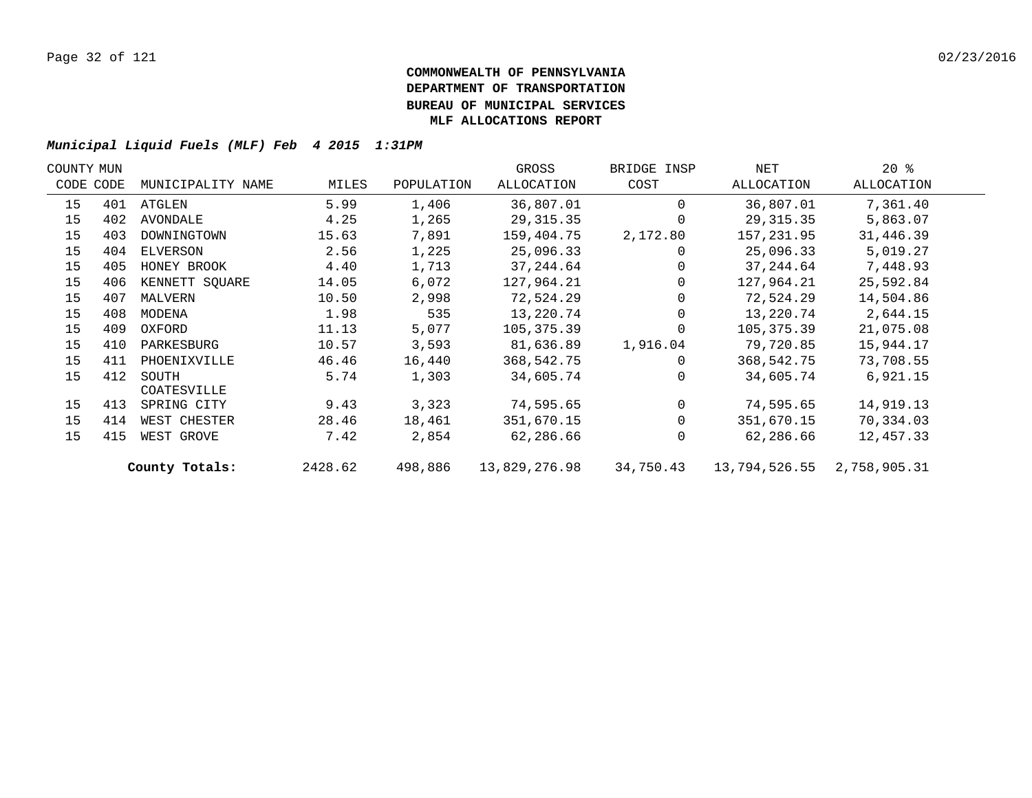| COUNTY MUN |           |                   |         |            | GROSS         | BRIDGE INSP | NET           | $20*$        |  |
|------------|-----------|-------------------|---------|------------|---------------|-------------|---------------|--------------|--|
|            | CODE CODE | MUNICIPALITY NAME | MILES   | POPULATION | ALLOCATION    | COST        | ALLOCATION    | ALLOCATION   |  |
| 15         | 401       | ATGLEN            | 5.99    | 1,406      | 36,807.01     | $\Omega$    | 36,807.01     | 7,361.40     |  |
| 15         | 402       | AVONDALE          | 4.25    | 1,265      | 29, 315.35    | $\Omega$    | 29, 315.35    | 5,863.07     |  |
| 15         | 403       | DOWNINGTOWN       | 15.63   | 7,891      | 159,404.75    | 2,172.80    | 157,231.95    | 31,446.39    |  |
| 15         | 404       | ELVERSON          | 2.56    | 1,225      | 25,096.33     | 0           | 25,096.33     | 5,019.27     |  |
| 15         | 405       | HONEY BROOK       | 4.40    | 1,713      | 37, 244.64    | $\Omega$    | 37,244.64     | 7,448.93     |  |
| 15         | 406       | KENNETT SQUARE    | 14.05   | 6,072      | 127,964.21    | $\Omega$    | 127,964.21    | 25,592.84    |  |
| 15         | 407       | MALVERN           | 10.50   | 2,998      | 72,524.29     |             | 72,524.29     | 14,504.86    |  |
| 15         | 408       | MODENA            | 1.98    | 535        | 13,220.74     | $\Omega$    | 13,220.74     | 2,644.15     |  |
| 15         | 409       | OXFORD            | 11.13   | 5,077      | 105,375.39    | $\Omega$    | 105,375.39    | 21,075.08    |  |
| 15         | 410       | PARKESBURG        | 10.57   | 3,593      | 81,636.89     | 1,916.04    | 79,720.85     | 15,944.17    |  |
| 15         | 411       | PHOENIXVILLE      | 46.46   | 16,440     | 368,542.75    | $\Omega$    | 368,542.75    | 73,708.55    |  |
| 15         | 412       | SOUTH             | 5.74    | 1,303      | 34,605.74     | $\Omega$    | 34,605.74     | 6,921.15     |  |
|            |           | COATESVILLE       |         |            |               |             |               |              |  |
| 15         | 413       | SPRING CITY       | 9.43    | 3,323      | 74,595.65     | $\Omega$    | 74,595.65     | 14,919.13    |  |
| 15         | 414       | WEST CHESTER      | 28.46   | 18,461     | 351,670.15    | $\Omega$    | 351,670.15    | 70,334.03    |  |
| 15         | 415       | WEST GROVE        | 7.42    | 2,854      | 62,286.66     | $\Omega$    | 62,286.66     | 12,457.33    |  |
|            |           | County Totals:    | 2428.62 | 498,886    | 13,829,276.98 | 34,750.43   | 13,794,526.55 | 2,758,905.31 |  |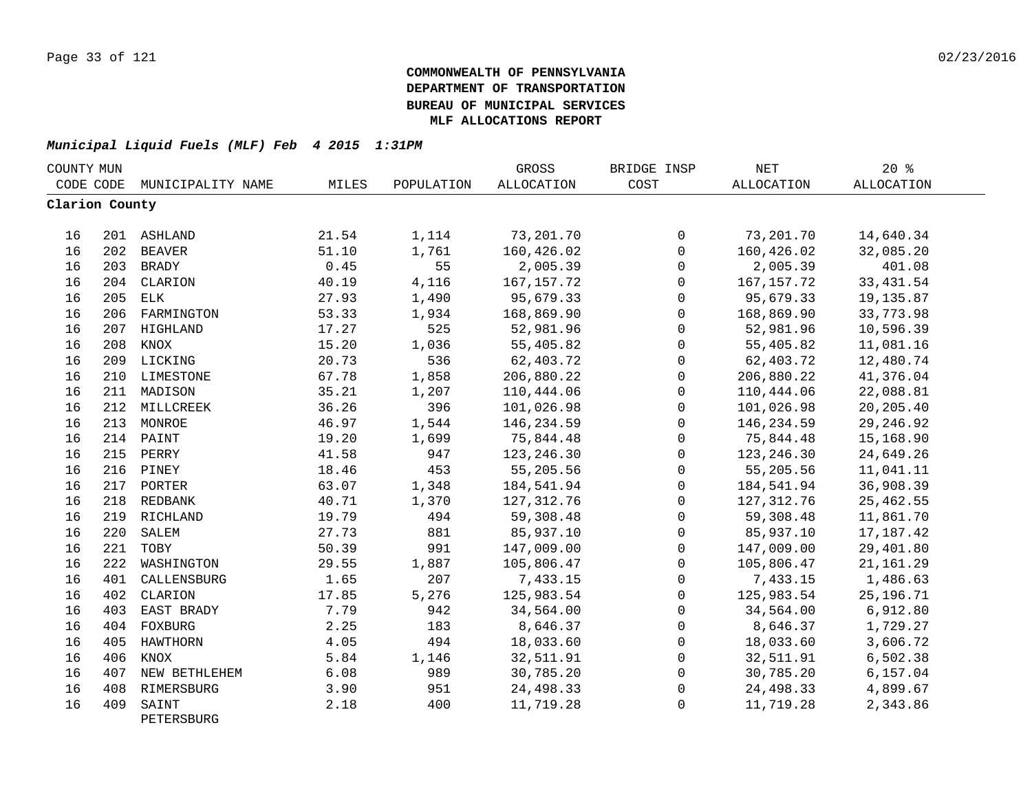| COUNTY MUN     |     |                     |       |            | GROSS        | BRIDGE INSP  | $\operatorname{NET}$ | 20%         |  |
|----------------|-----|---------------------|-------|------------|--------------|--------------|----------------------|-------------|--|
| CODE CODE      |     | MUNICIPALITY NAME   | MILES | POPULATION | ALLOCATION   | COST         | ALLOCATION           | ALLOCATION  |  |
| Clarion County |     |                     |       |            |              |              |                      |             |  |
| 16             |     | 201 ASHLAND         | 21.54 | 1,114      | 73,201.70    | 0            | 73,201.70            | 14,640.34   |  |
| 16             |     | 202 BEAVER          | 51.10 | 1,761      | 160,426.02   | $\mathbf 0$  | 160,426.02           | 32,085.20   |  |
| 16             |     | 203 BRADY           | 0.45  | 55         | 2,005.39     | 0            | 2,005.39             | 401.08      |  |
| 16             |     | 204 CLARION         | 40.19 | 4,116      | 167, 157. 72 | 0            | 167, 157. 72         | 33, 431.54  |  |
| 16             | 205 | ELK                 | 27.93 | 1,490      | 95,679.33    | $\mathbf 0$  | 95,679.33            | 19,135.87   |  |
| 16             | 206 | FARMINGTON          | 53.33 | 1,934      | 168,869.90   | $\mathbf 0$  | 168,869.90           | 33,773.98   |  |
| 16             |     | 207 HIGHLAND        | 17.27 | 525        | 52,981.96    | $\mathbf 0$  | 52,981.96            | 10,596.39   |  |
| 16             | 208 | KNOX                | 15.20 | 1,036      | 55,405.82    | $\mathbf 0$  | 55,405.82            | 11,081.16   |  |
| 16             |     | 209 LICKING         | 20.73 | 536        | 62,403.72    | 0            | 62,403.72            | 12,480.74   |  |
| 16             |     | 210 LIMESTONE       | 67.78 | 1,858      | 206,880.22   | 0            | 206,880.22           | 41,376.04   |  |
| 16             |     | 211 MADISON         | 35.21 | 1,207      | 110,444.06   | $\mathbf 0$  | 110,444.06           | 22,088.81   |  |
| 16             |     | 212 MILLCREEK       | 36.26 | 396        | 101,026.98   | $\mathsf{O}$ | 101,026.98           | 20,205.40   |  |
| 16             |     | 213 MONROE          | 46.97 | 1,544      | 146,234.59   | 0            | 146,234.59           | 29, 246.92  |  |
| 16             |     | 214 PAINT           | 19.20 | 1,699      | 75,844.48    | $\mathsf{O}$ | 75,844.48            | 15,168.90   |  |
| 16             |     | 215 PERRY           | 41.58 | 947        | 123, 246.30  | $\mathsf{O}$ | 123, 246.30          | 24,649.26   |  |
| 16             |     | 216 PINEY           | 18.46 | 453        | 55,205.56    | 0            | 55,205.56            | 11,041.11   |  |
| 16             |     | 217 PORTER          | 63.07 | 1,348      | 184,541.94   | $\mathbf 0$  | 184,541.94           | 36,908.39   |  |
| 16             |     | 218 REDBANK         | 40.71 | 1,370      | 127, 312.76  | $\mathbf 0$  | 127,312.76           | 25,462.55   |  |
| 16             |     | 219 RICHLAND        | 19.79 | 494        | 59,308.48    | $\mathbf 0$  | 59,308.48            | 11,861.70   |  |
| 16             | 220 | SALEM               | 27.73 | 881        | 85,937.10    | $\mathbf 0$  | 85,937.10            | 17, 187. 42 |  |
| 16             | 221 | TOBY                | 50.39 | 991        | 147,009.00   | $\mathbf 0$  | 147,009.00           | 29,401.80   |  |
| 16             | 222 | WASHINGTON          | 29.55 | 1,887      | 105,806.47   | $\mathbf 0$  | 105,806.47           | 21, 161.29  |  |
| 16             | 401 | CALLENSBURG         | 1.65  | 207        | 7,433.15     | $\mathbf 0$  | 7,433.15             | 1,486.63    |  |
| 16             | 402 | CLARION             | 17.85 | 5,276      | 125,983.54   | $\mathsf{O}$ | 125,983.54           | 25, 196. 71 |  |
| 16             | 403 | EAST BRADY          | 7.79  | 942        | 34,564.00    | 0            | 34,564.00            | 6,912.80    |  |
| 16             |     | 404 FOXBURG         | 2.25  | 183        | 8,646.37     | $\mathsf{O}$ | 8,646.37             | 1,729.27    |  |
| 16             | 405 | HAWTHORN            | 4.05  | 494        | 18,033.60    | $\mathsf{O}$ | 18,033.60            | 3,606.72    |  |
| 16             | 406 | KNOX                | 5.84  | 1,146      | 32,511.91    | 0            | 32,511.91            | 6,502.38    |  |
| 16             | 407 | NEW BETHLEHEM       | 6.08  | 989        | 30,785.20    | $\mathbf 0$  | 30,785.20            | 6,157.04    |  |
| 16             | 408 | RIMERSBURG          | 3.90  | 951        | 24,498.33    | 0            | 24,498.33            | 4,899.67    |  |
| 16             | 409 | SAINT<br>PETERSBURG | 2.18  | 400        | 11,719.28    | $\mathbf 0$  | 11,719.28            | 2,343.86    |  |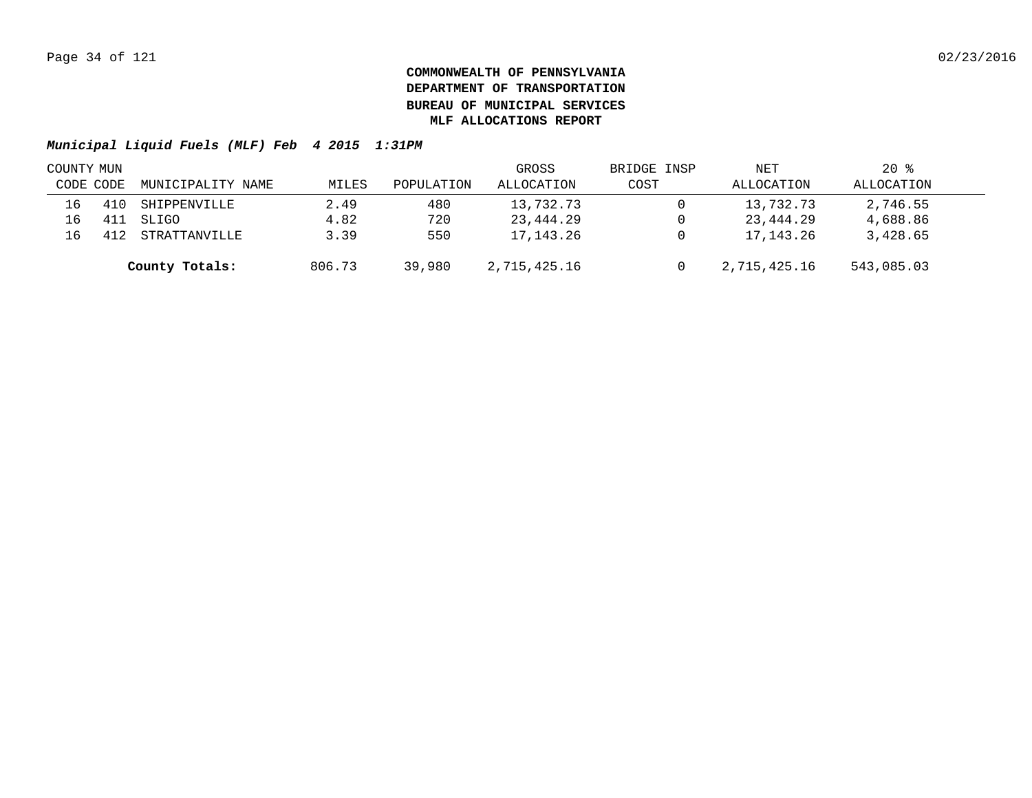| COUNTY MUN |           |                   |        |            | GROSS        | BRIDGE INSP | NET          | $20*$      |  |
|------------|-----------|-------------------|--------|------------|--------------|-------------|--------------|------------|--|
|            | CODE CODE | MUNICIPALITY NAME | MILES  | POPULATION | ALLOCATION   | COST        | ALLOCATION   | ALLOCATION |  |
| 16         |           | SHIPPENVILLE      | 2.49   | 480        | 13,732.73    |             | 13,732.73    | 2,746.55   |  |
| 16         |           | SLIGO             | 4.82   | 720        | 23,444.29    |             | 23,444.29    | 4,688.86   |  |
| 16         |           | STRATTANVILLE     | 3.39   | 550        | 17,143.26    |             | 17,143.26    | 3,428.65   |  |
|            |           | County Totals:    | 806.73 | 39,980     | 2,715,425.16 |             | 2,715,425.16 | 543,085.03 |  |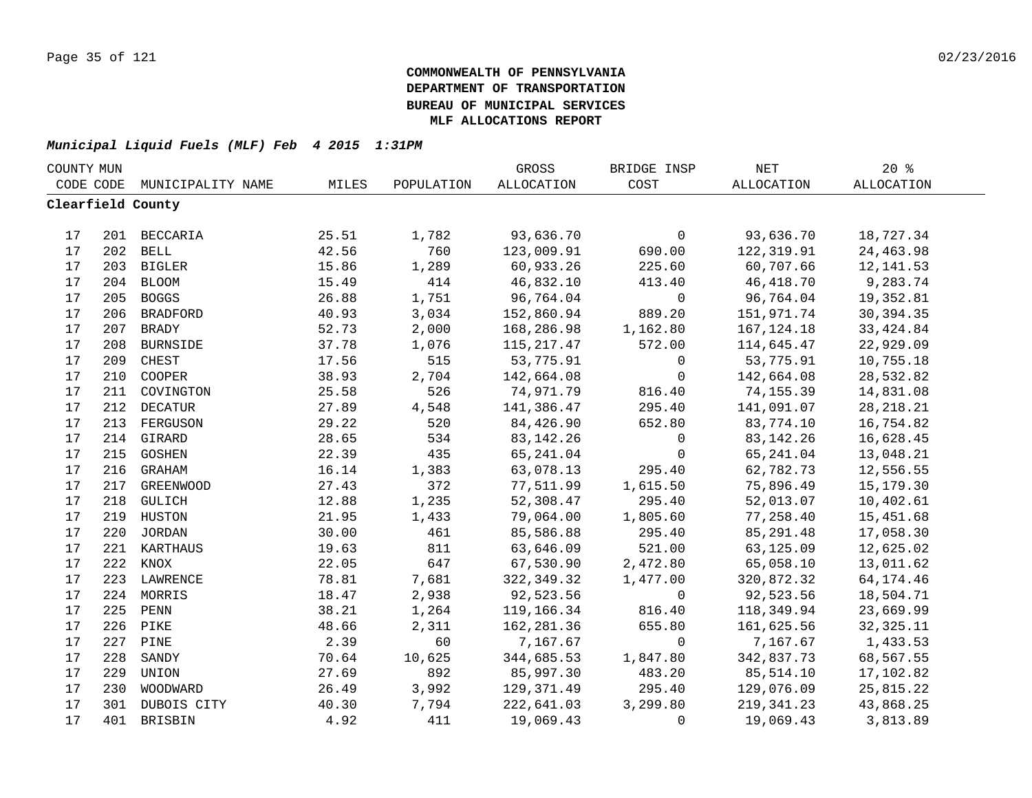| COUNTY MUN |     |                   |       |            | GROSS       | BRIDGE INSP  | NET          | $20*$       |  |
|------------|-----|-------------------|-------|------------|-------------|--------------|--------------|-------------|--|
| CODE CODE  |     | MUNICIPALITY NAME | MILES | POPULATION | ALLOCATION  | COST         | ALLOCATION   | ALLOCATION  |  |
|            |     | Clearfield County |       |            |             |              |              |             |  |
|            |     |                   |       |            |             |              |              |             |  |
| 17         |     | 201 BECCARIA      | 25.51 | 1,782      | 93,636.70   | $\mathsf{O}$ | 93,636.70    | 18,727.34   |  |
| 17         |     | 202 BELL          | 42.56 | 760        | 123,009.91  | 690.00       | 122,319.91   | 24,463.98   |  |
| 17         |     | 203 BIGLER        | 15.86 | 1,289      | 60,933.26   | 225.60       | 60,707.66    | 12, 141.53  |  |
| 17         |     | 204 BLOOM         | 15.49 | 414        | 46,832.10   | 413.40       | 46, 418.70   | 9,283.74    |  |
| 17         | 205 | <b>BOGGS</b>      | 26.88 | 1,751      | 96,764.04   | $\mathsf{O}$ | 96,764.04    | 19,352.81   |  |
| 17         | 206 | <b>BRADFORD</b>   | 40.93 | 3,034      | 152,860.94  | 889.20       | 151,971.74   | 30, 394. 35 |  |
| 17         | 207 | <b>BRADY</b>      | 52.73 | 2,000      | 168,286.98  | 1,162.80     | 167, 124. 18 | 33, 424.84  |  |
| 17         | 208 | <b>BURNSIDE</b>   | 37.78 | 1,076      | 115,217.47  | 572.00       | 114,645.47   | 22,929.09   |  |
| 17         | 209 | CHEST             | 17.56 | 515        | 53,775.91   | $\mathbf 0$  | 53,775.91    | 10,755.18   |  |
| 17         | 210 | COOPER            | 38.93 | 2,704      | 142,664.08  | $\mathbf 0$  | 142,664.08   | 28,532.82   |  |
| 17         | 211 | COVINGTON         | 25.58 | 526        | 74,971.79   | 816.40       | 74,155.39    | 14,831.08   |  |
| 17         | 212 | <b>DECATUR</b>    | 27.89 | 4,548      | 141,386.47  | 295.40       | 141,091.07   | 28, 218. 21 |  |
| 17         | 213 | FERGUSON          | 29.22 | 520        | 84,426.90   | 652.80       | 83,774.10    | 16,754.82   |  |
| 17         | 214 | GIRARD            | 28.65 | 534        | 83, 142. 26 | 0            | 83, 142. 26  | 16,628.45   |  |
| $17$       |     | 215 GOSHEN        | 22.39 | 435        | 65,241.04   | $\mathbf 0$  | 65,241.04    | 13,048.21   |  |
| $17$       |     | 216 GRAHAM        | 16.14 | 1,383      | 63,078.13   | 295.40       | 62,782.73    | 12,556.55   |  |
| $17$       |     | 217 GREENWOOD     | 27.43 | 372        | 77,511.99   | 1,615.50     | 75,896.49    | 15,179.30   |  |
| 17         |     | 218 GULICH        | 12.88 | 1,235      | 52,308.47   | 295.40       | 52,013.07    | 10,402.61   |  |
| 17         |     | 219 HUSTON        | 21.95 | 1,433      | 79,064.00   | 1,805.60     | 77,258.40    | 15,451.68   |  |
| 17         |     | 220 JORDAN        | 30.00 | 461        | 85,586.88   | 295.40       | 85, 291.48   | 17,058.30   |  |
| 17         |     | 221 KARTHAUS      | 19.63 | 811        | 63,646.09   | 521.00       | 63,125.09    | 12,625.02   |  |
| 17         |     | 222 KNOX          | 22.05 | 647        | 67,530.90   | 2,472.80     | 65,058.10    | 13,011.62   |  |
| 17         |     | 223 LAWRENCE      | 78.81 | 7,681      | 322,349.32  | 1,477.00     | 320,872.32   | 64, 174. 46 |  |
| 17         | 224 | MORRIS            | 18.47 | 2,938      | 92,523.56   | $\mathbf 0$  | 92,523.56    | 18,504.71   |  |
| 17         | 225 | PENN              | 38.21 | 1,264      | 119,166.34  | 816.40       | 118,349.94   | 23,669.99   |  |
| 17         | 226 | PIKE              | 48.66 | 2,311      | 162,281.36  | 655.80       | 161,625.56   | 32, 325. 11 |  |
| 17         | 227 | PINE              | 2.39  | 60         | 7,167.67    | $\mathbf 0$  | 7,167.67     | 1,433.53    |  |
| 17         | 228 | SANDY             | 70.64 | 10,625     | 344,685.53  | 1,847.80     | 342,837.73   | 68,567.55   |  |
| 17         | 229 | UNION             | 27.69 | 892        | 85,997.30   | 483.20       | 85,514.10    | 17,102.82   |  |
| 17         | 230 | WOODWARD          | 26.49 | 3,992      | 129,371.49  | 295.40       | 129,076.09   | 25,815.22   |  |
| 17         |     | 301 DUBOIS CITY   | 40.30 | 7,794      | 222,641.03  | 3,299.80     | 219, 341.23  | 43,868.25   |  |
| 17         |     | 401 BRISBIN       | 4.92  | 411        | 19,069.43   | $\mathbf 0$  | 19,069.43    | 3,813.89    |  |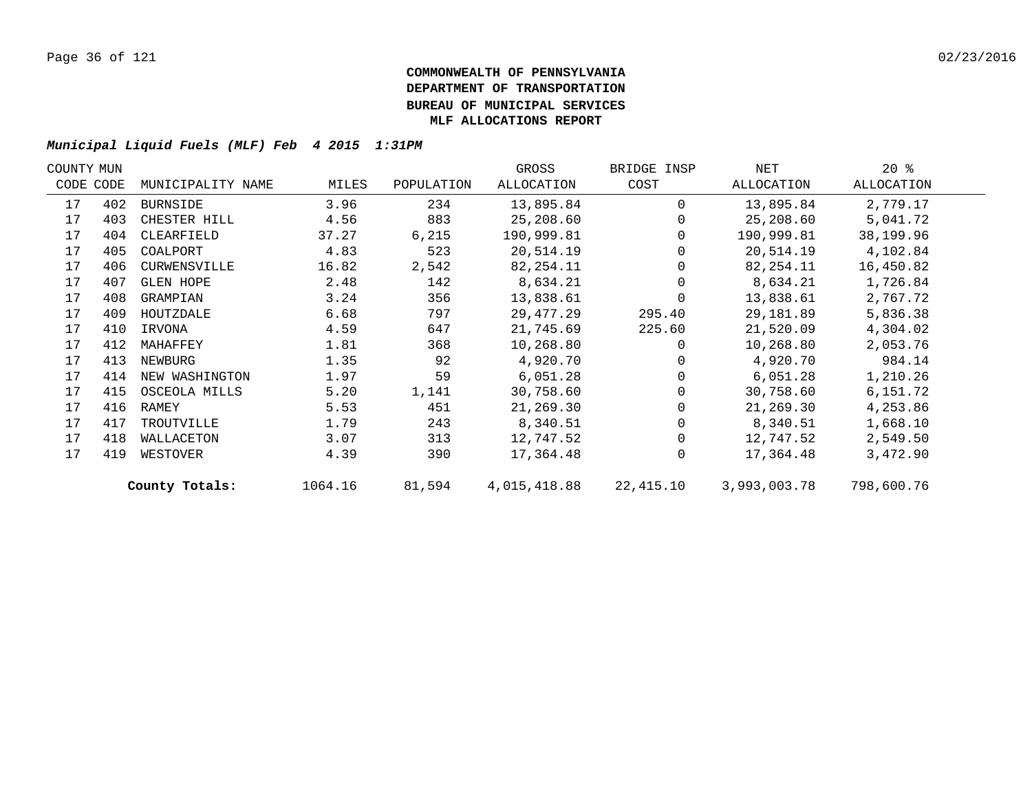| COUNTY MUN |           |                   |         |            | GROSS        | BRIDGE INSP | NET          | $20*$      |  |
|------------|-----------|-------------------|---------|------------|--------------|-------------|--------------|------------|--|
|            | CODE CODE | MUNICIPALITY NAME | MILES   | POPULATION | ALLOCATION   | COST        | ALLOCATION   | ALLOCATION |  |
| 17         | 402       | BURNSIDE          | 3.96    | 234        | 13,895.84    | $\Omega$    | 13,895.84    | 2,779.17   |  |
| 17         | 403       | CHESTER HILL      | 4.56    | 883        | 25,208.60    | $\Omega$    | 25,208.60    | 5,041.72   |  |
| 17         | 404       | CLEARFIELD        | 37.27   | 6,215      | 190,999.81   | 0           | 190,999.81   | 38,199.96  |  |
| 17         | 405       | COALPORT          | 4.83    | 523        | 20,514.19    |             | 20,514.19    | 4,102.84   |  |
| 17         | 406       | CURWENSVILLE      | 16.82   | 2,542      | 82,254.11    |             | 82,254.11    | 16,450.82  |  |
| 17         | 407       | <b>GLEN HOPE</b>  | 2.48    | 142        | 8,634.21     |             | 8,634.21     | 1,726.84   |  |
| 17         | 408       | GRAMPIAN          | 3.24    | 356        | 13,838.61    | $\Omega$    | 13,838.61    | 2,767.72   |  |
| 17         | 409       | HOUTZDALE         | 6.68    | 797        | 29, 477.29   | 295.40      | 29,181.89    | 5,836.38   |  |
| 17         | 410       | IRVONA            | 4.59    | 647        | 21,745.69    | 225.60      | 21,520.09    | 4,304.02   |  |
| 17         | 412       | MAHAFFEY          | 1.81    | 368        | 10,268.80    | $\Omega$    | 10,268.80    | 2,053.76   |  |
| 17         | 413       | NEWBURG           | 1.35    | 92         | 4,920.70     |             | 4,920.70     | 984.14     |  |
| 17         | 414       | NEW WASHINGTON    | 1.97    | 59         | 6,051.28     | $\Omega$    | 6,051.28     | 1,210.26   |  |
| 17         | 415       | OSCEOLA MILLS     | 5.20    | 1,141      | 30,758.60    |             | 30,758.60    | 6,151.72   |  |
| 17         | 416       | RAMEY             | 5.53    | 451        | 21,269.30    |             | 21,269.30    | 4,253.86   |  |
| 17         | 417       | TROUTVILLE        | 1.79    | 243        | 8,340.51     | 0           | 8,340.51     | 1,668.10   |  |
| 17         | 418       | WALLACETON        | 3.07    | 313        | 12,747.52    | $\Omega$    | 12,747.52    | 2,549.50   |  |
| 17         | 419       | WESTOVER          | 4.39    | 390        | 17,364.48    | $\mathbf 0$ | 17,364.48    | 3,472.90   |  |
|            |           | County Totals:    | 1064.16 | 81,594     | 4,015,418.88 | 22,415.10   | 3,993,003.78 | 798,600.76 |  |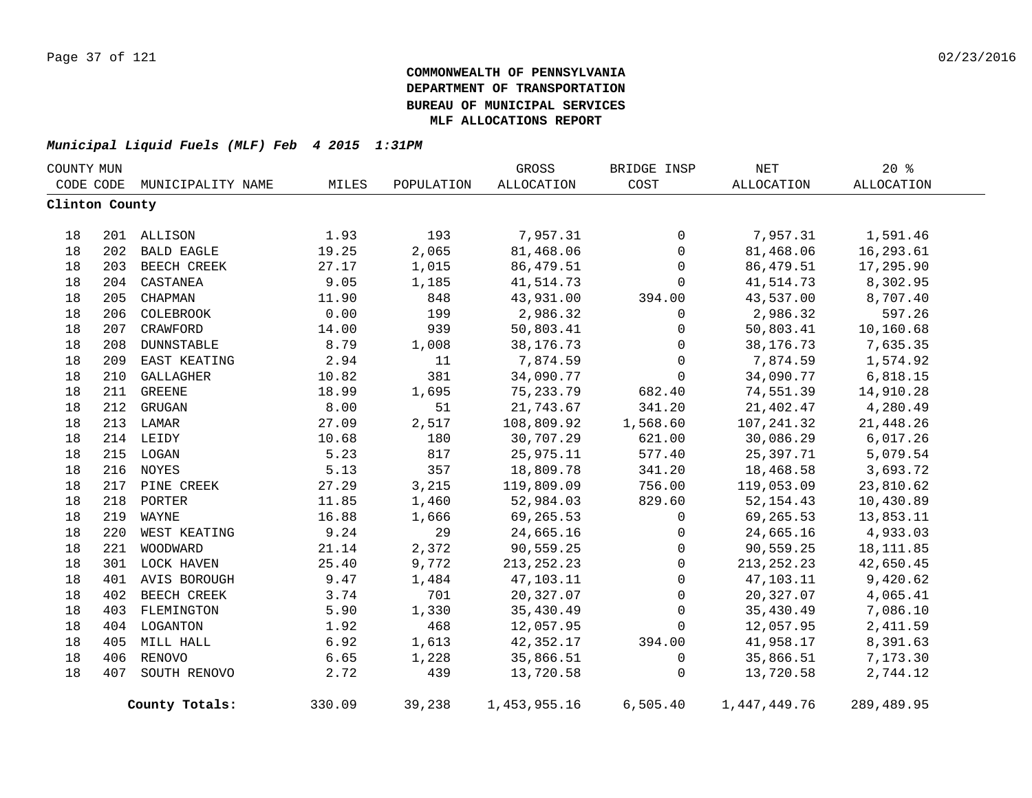| COUNTY MUN     |     |                   |        |            | GROSS        | BRIDGE INSP | $\operatorname{NET}$ | 20%        |
|----------------|-----|-------------------|--------|------------|--------------|-------------|----------------------|------------|
| CODE CODE      |     | MUNICIPALITY NAME | MILES  | POPULATION | ALLOCATION   | COST        | ALLOCATION           | ALLOCATION |
| Clinton County |     |                   |        |            |              |             |                      |            |
| 18             |     | 201 ALLISON       | 1.93   | 193        | 7,957.31     | 0           | 7,957.31             | 1,591.46   |
| 18             | 202 | <b>BALD EAGLE</b> | 19.25  | 2,065      | 81,468.06    | $\mathbf 0$ | 81,468.06            | 16,293.61  |
| 18             |     | 203 BEECH CREEK   | 27.17  | 1,015      | 86,479.51    | 0           | 86,479.51            | 17,295.90  |
| 18             | 204 | CASTANEA          | 9.05   | 1,185      | 41,514.73    | $\mathbf 0$ | 41,514.73            | 8,302.95   |
| 18             | 205 | CHAPMAN           | 11.90  | 848        | 43,931.00    | 394.00      | 43,537.00            | 8,707.40   |
| 18             |     | 206 COLEBROOK     | 0.00   | 199        | 2,986.32     | 0           | 2,986.32             | 597.26     |
| 18             |     | 207 CRAWFORD      | 14.00  | 939        | 50,803.41    | 0           | 50,803.41            | 10,160.68  |
| 18             |     | 208 DUNNSTABLE    | 8.79   | 1,008      | 38, 176. 73  | 0           | 38, 176. 73          | 7,635.35   |
| 18             |     | 209 EAST KEATING  | 2.94   | 11         | 7,874.59     | 0           | 7,874.59             | 1,574.92   |
| 18             |     | 210 GALLAGHER     | 10.82  | 381        | 34,090.77    | $\mathbf 0$ | 34,090.77            | 6,818.15   |
| 18             |     | 211 GREENE        | 18.99  | 1,695      | 75, 233. 79  | 682.40      | 74,551.39            | 14,910.28  |
| 18             |     | 212 GRUGAN        | 8.00   | 51         | 21,743.67    | 341.20      | 21,402.47            | 4,280.49   |
| 18             |     | 213 LAMAR         | 27.09  | 2,517      | 108,809.92   | 1,568.60    | 107,241.32           | 21,448.26  |
| 18             |     | 214 LEIDY         | 10.68  | 180        | 30,707.29    | 621.00      | 30,086.29            | 6,017.26   |
| 18             |     | 215 LOGAN         | 5.23   | 817        | 25,975.11    | 577.40      | 25,397.71            | 5,079.54   |
| 18             |     | 216 NOYES         | 5.13   | 357        | 18,809.78    | 341.20      | 18,468.58            | 3,693.72   |
| 18             |     | 217 PINE CREEK    | 27.29  | 3,215      | 119,809.09   | 756.00      | 119,053.09           | 23,810.62  |
| 18             | 218 | PORTER            | 11.85  | 1,460      | 52,984.03    | 829.60      | 52, 154.43           | 10,430.89  |
| 18             | 219 | WAYNE             | 16.88  | 1,666      | 69,265.53    | 0           | 69,265.53            | 13,853.11  |
| 18             | 220 | WEST KEATING      | 9.24   | 29         | 24,665.16    | 0           | 24,665.16            | 4,933.03   |
| 18             | 221 | WOODWARD          | 21.14  | 2,372      | 90,559.25    | 0           | 90,559.25            | 18, 111.85 |
| 18             |     | 301 LOCK HAVEN    | 25.40  | 9,772      | 213, 252. 23 | 0           | 213, 252. 23         | 42,650.45  |
| 18             |     | 401 AVIS BOROUGH  | 9.47   | 1,484      | 47,103.11    | 0           | 47,103.11            | 9,420.62   |
| 18             |     | 402 BEECH CREEK   | 3.74   | 701        | 20,327.07    | 0           | 20,327.07            | 4,065.41   |
| 18             |     | 403 FLEMINGTON    | 5.90   | 1,330      | 35,430.49    | $\mathsf 0$ | 35,430.49            | 7,086.10   |
| 18             |     | 404 LOGANTON      | 1.92   | 468        | 12,057.95    | 0           | 12,057.95            | 2,411.59   |
| 18             |     | 405 MILL HALL     | 6.92   | 1,613      | 42,352.17    | 394.00      | 41,958.17            | 8,391.63   |
| 18             |     | 406 RENOVO        | 6.65   | 1,228      | 35,866.51    | 0           | 35,866.51            | 7,173.30   |
| 18             | 407 | SOUTH RENOVO      | 2.72   | 439        | 13,720.58    | 0           | 13,720.58            | 2,744.12   |
|                |     | County Totals:    | 330.09 | 39,238     | 1,453,955.16 | 6,505.40    | 1,447,449.76         | 289,489.95 |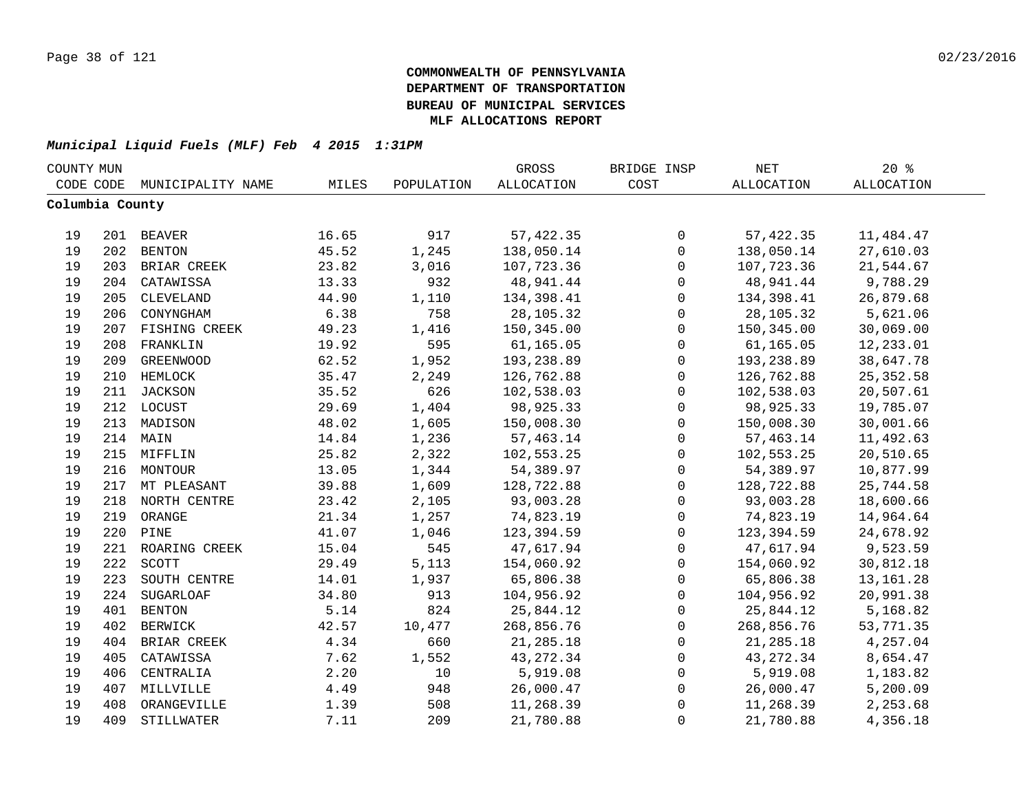| COUNTY MUN      |     |                   |       |            | GROSS             | BRIDGE INSP         | NET               | $20*$             |  |
|-----------------|-----|-------------------|-------|------------|-------------------|---------------------|-------------------|-------------------|--|
| CODE CODE       |     | MUNICIPALITY NAME | MILES | POPULATION | <b>ALLOCATION</b> | COST                | <b>ALLOCATION</b> | <b>ALLOCATION</b> |  |
| Columbia County |     |                   |       |            |                   |                     |                   |                   |  |
|                 |     |                   |       |            |                   |                     |                   |                   |  |
| 19              |     | 201 BEAVER        | 16.65 | 917        | 57,422.35         | $\mathsf{O}$        | 57, 422.35        | 11,484.47         |  |
| 19              |     | 202 BENTON        | 45.52 | 1,245      | 138,050.14        | $\mathbf 0$         | 138,050.14        | 27,610.03         |  |
| 19              |     | 203 BRIAR CREEK   | 23.82 | 3,016      | 107,723.36        | $\mathsf{O}\xspace$ | 107,723.36        | 21,544.67         |  |
| 19              |     | 204 CATAWISSA     | 13.33 | 932        | 48,941.44         | $\mathsf{O}\xspace$ | 48,941.44         | 9,788.29          |  |
| 19              | 205 | CLEVELAND         | 44.90 | 1,110      | 134,398.41        | $\mathbf 0$         | 134,398.41        | 26,879.68         |  |
| 19              | 206 | CONYNGHAM         | 6.38  | 758        | 28,105.32         | $\mathsf{O}$        | 28,105.32         | 5,621.06          |  |
| 19              | 207 | FISHING CREEK     | 49.23 | 1,416      | 150,345.00        | $\mathsf{O}$        | 150,345.00        | 30,069.00         |  |
| 19              | 208 | FRANKLIN          | 19.92 | 595        | 61,165.05         | $\mathbf 0$         | 61,165.05         | 12,233.01         |  |
| 19              | 209 | GREENWOOD         | 62.52 | 1,952      | 193,238.89        | $\mathsf{O}$        | 193,238.89        | 38,647.78         |  |
| 19              | 210 | HEMLOCK           | 35.47 | 2,249      | 126,762.88        | $\mathsf{O}$        | 126,762.88        | 25, 352.58        |  |
| 19              | 211 | JACKSON           | 35.52 | 626        | 102,538.03        | $\mathsf{O}$        | 102,538.03        | 20,507.61         |  |
| 19              |     | 212 LOCUST        | 29.69 | 1,404      | 98,925.33         | $\mathbf 0$         | 98,925.33         | 19,785.07         |  |
| 19              | 213 | MADISON           | 48.02 | 1,605      | 150,008.30        | $\mathbf 0$         | 150,008.30        | 30,001.66         |  |
| 19              | 214 | MAIN              | 14.84 | 1,236      | 57,463.14         | $\mathsf 0$         | 57,463.14         | 11,492.63         |  |
| 19              |     | 215 MIFFLIN       | 25.82 | 2,322      | 102,553.25        | $\mathbf 0$         | 102,553.25        | 20,510.65         |  |
| 19              |     | 216 MONTOUR       | 13.05 | 1,344      | 54,389.97         | 0                   | 54,389.97         | 10,877.99         |  |
| 19              |     | 217 MT PLEASANT   | 39.88 | 1,609      | 128,722.88        | 0                   | 128,722.88        | 25,744.58         |  |
| 19              |     | 218 NORTH CENTRE  | 23.42 | 2,105      | 93,003.28         | $\mathsf{O}\xspace$ | 93,003.28         | 18,600.66         |  |
| 19              | 219 | ORANGE            | 21.34 | 1,257      | 74,823.19         | $\mathsf{O}\xspace$ | 74,823.19         | 14,964.64         |  |
| 19              | 220 | PINE              | 41.07 | 1,046      | 123,394.59        | 0                   | 123,394.59        | 24,678.92         |  |
| 19              | 221 | ROARING CREEK     | 15.04 | 545        | 47,617.94         | $\mathsf{O}$        | 47,617.94         | 9,523.59          |  |
| 19              | 222 | SCOTT             | 29.49 | 5,113      | 154,060.92        | $\mathbf 0$         | 154,060.92        | 30,812.18         |  |
| 19              | 223 | SOUTH CENTRE      | 14.01 | 1,937      | 65,806.38         | $\mathbf 0$         | 65,806.38         | 13, 161. 28       |  |
| 19              | 224 | <b>SUGARLOAF</b>  | 34.80 | 913        | 104,956.92        | $\mathsf{O}$        | 104,956.92        | 20,991.38         |  |
| 19              | 401 | <b>BENTON</b>     | 5.14  | 824        | 25,844.12         | $\mathbf 0$         | 25,844.12         | 5,168.82          |  |
| 19              | 402 | <b>BERWICK</b>    | 42.57 | 10,477     | 268,856.76        | $\mathsf{O}$        | 268,856.76        | 53,771.35         |  |
| 19              | 404 | BRIAR CREEK       | 4.34  | 660        | 21,285.18         | 0                   | 21,285.18         | 4,257.04          |  |
| 19              | 405 | CATAWISSA         | 7.62  | 1,552      | 43, 272.34        | 0                   | 43, 272.34        | 8,654.47          |  |
| 19              | 406 | CENTRALIA         | 2.20  | 10         | 5,919.08          | 0                   | 5,919.08          | 1,183.82          |  |
| 19              | 407 | MILLVILLE         | 4.49  | 948        | 26,000.47         | 0                   | 26,000.47         | 5,200.09          |  |
| 19              | 408 | ORANGEVILLE       | 1.39  | 508        | 11,268.39         | 0                   | 11,268.39         | 2,253.68          |  |
| 19              | 409 | STILLWATER        | 7.11  | 209        | 21,780.88         | $\mathbf 0$         | 21,780.88         | 4,356.18          |  |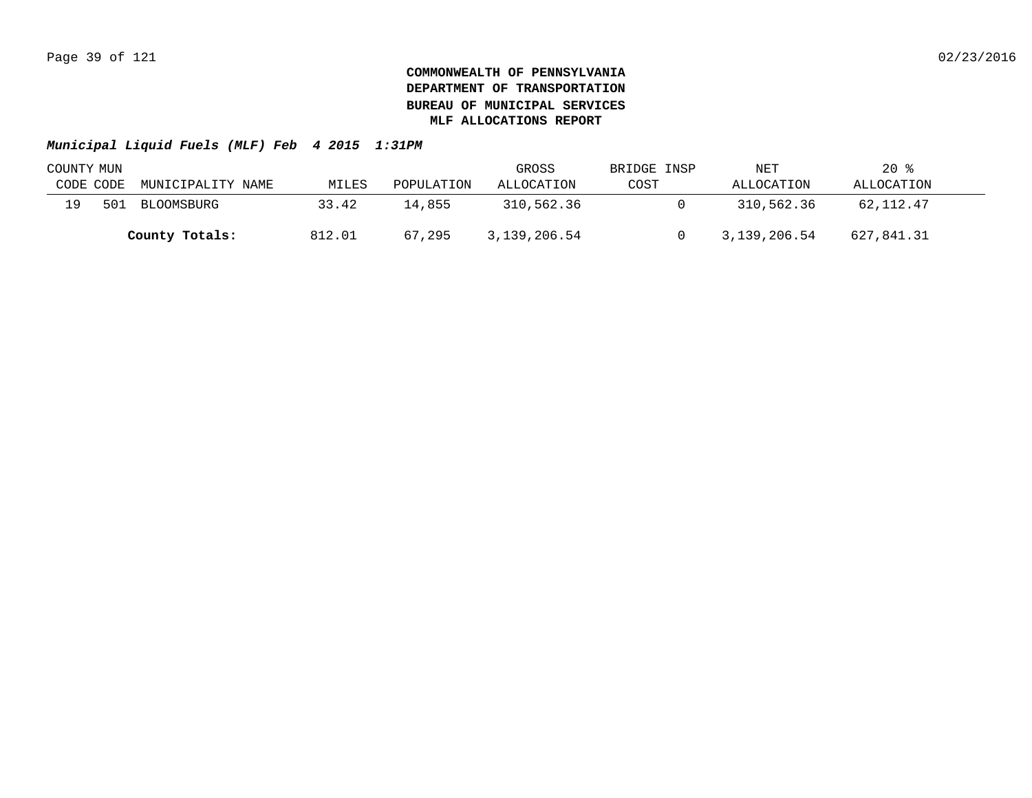| COUNTY MUN |     |                   |        |            | GROSS        | BRIDGE INSP | NET          | $20*$      |  |
|------------|-----|-------------------|--------|------------|--------------|-------------|--------------|------------|--|
| CODE CODE  |     | MUNICIPALITY NAME | MILES  | POPULATION | ALLOCATION   | COST        | ALLOCATION   | ALLOCATION |  |
| 19         | 501 | BLOOMSBURG        | 33.42  | 14.855     | 310,562.36   |             | 310,562.36   | 62,112.47  |  |
|            |     | County Totals:    | 812.01 | 67,295     | 3,139,206.54 |             | 3,139,206.54 | 627,841.31 |  |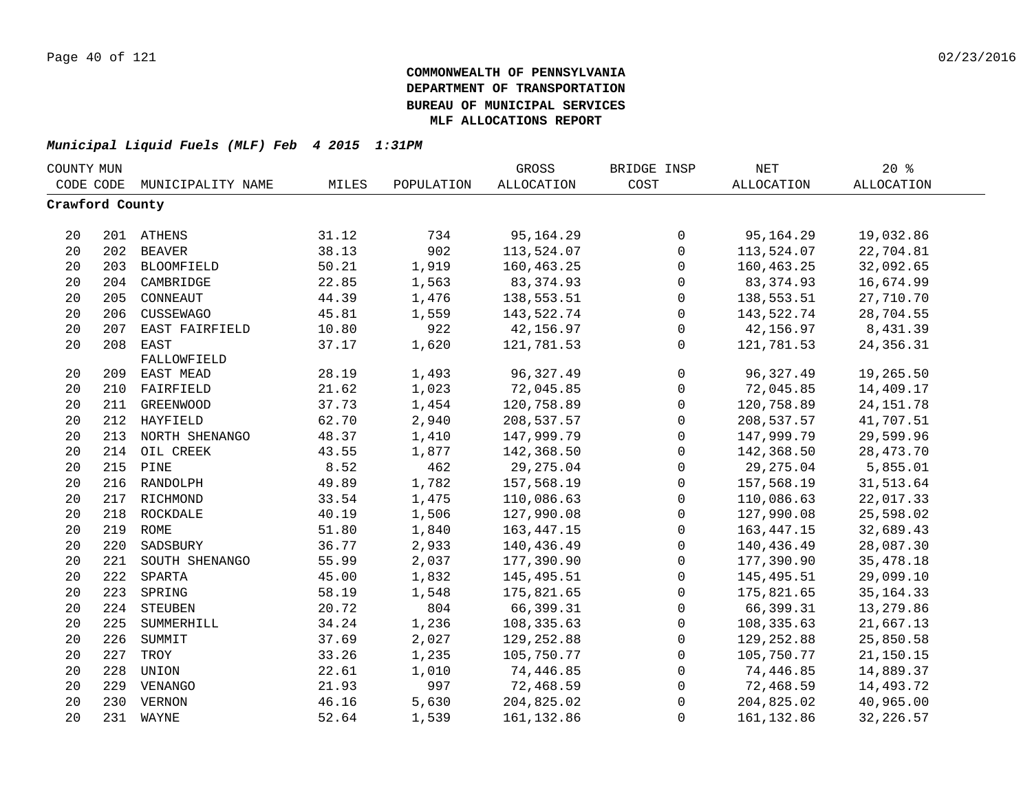| COUNTY MUN |                 |                    |       |            | GROSS             | BRIDGE INSP  | $\operatorname{NET}$ | $20*$             |  |
|------------|-----------------|--------------------|-------|------------|-------------------|--------------|----------------------|-------------------|--|
| CODE CODE  |                 | MUNICIPALITY NAME  | MILES | POPULATION | <b>ALLOCATION</b> | COST         | <b>ALLOCATION</b>    | <b>ALLOCATION</b> |  |
|            | Crawford County |                    |       |            |                   |              |                      |                   |  |
|            |                 |                    |       |            |                   |              |                      |                   |  |
| 20         |                 | 201 ATHENS         | 31.12 | 734        | 95, 164. 29       | $\mathbf 0$  | 95, 164. 29          | 19,032.86         |  |
| 20         |                 | 202 BEAVER         | 38.13 | 902        | 113,524.07        | $\mathsf{O}$ | 113,524.07           | 22,704.81         |  |
| 20         |                 | 203 BLOOMFIELD     | 50.21 | 1,919      | 160,463.25        | $\mathsf{O}$ | 160,463.25           | 32,092.65         |  |
| 20         |                 | 204 CAMBRIDGE      | 22.85 | 1,563      | 83, 374.93        | 0            | 83, 374.93           | 16,674.99         |  |
| 20         | 205             | CONNEAUT           | 44.39 | 1,476      | 138,553.51        | $\mathsf 0$  | 138,553.51           | 27,710.70         |  |
| 20         | 206             | CUSSEWAGO          | 45.81 | 1,559      | 143,522.74        | $\mathsf{O}$ | 143,522.74           | 28,704.55         |  |
| 20         | 207             | EAST FAIRFIELD     | 10.80 | 922        | 42,156.97         | $\mathsf{O}$ | 42,156.97            | 8,431.39          |  |
| 20         | 208             | EAST               | 37.17 | 1,620      | 121,781.53        | $\mathbf 0$  | 121,781.53           | 24, 356. 31       |  |
|            |                 | FALLOWFIELD        |       |            |                   |              |                      |                   |  |
| 20         |                 | 209 EAST MEAD      | 28.19 | 1,493      | 96, 327.49        | 0            | 96,327.49            | 19,265.50         |  |
| 20         |                 | 210 FAIRFIELD      | 21.62 | 1,023      | 72,045.85         | 0            | 72,045.85            | 14,409.17         |  |
| 20         | 211             | <b>GREENWOOD</b>   | 37.73 | 1,454      | 120,758.89        | $\mathsf{O}$ | 120,758.89           | 24, 151. 78       |  |
| 20         | 212             | HAYFIELD           | 62.70 | 2,940      | 208,537.57        | $\mathbf 0$  | 208,537.57           | 41,707.51         |  |
| 20         | 213             | NORTH SHENANGO     | 48.37 | 1,410      | 147,999.79        | $\mathbf 0$  | 147,999.79           | 29,599.96         |  |
| 20         | 214             | OIL CREEK          | 43.55 | 1,877      | 142,368.50        | $\mathbf 0$  | 142,368.50           | 28, 473. 70       |  |
| 20         | 215             | PINE               | 8.52  | 462        | 29, 275.04        | 0            | 29, 275.04           | 5,855.01          |  |
| 20         | 216             | RANDOLPH           | 49.89 | 1,782      | 157,568.19        | $\mathsf{O}$ | 157,568.19           | 31,513.64         |  |
| 20         |                 | 217 RICHMOND       | 33.54 | 1,475      | 110,086.63        | $\mathbf 0$  | 110,086.63           | 22,017.33         |  |
| 20         |                 | 218 ROCKDALE       | 40.19 | 1,506      | 127,990.08        | $\mathsf 0$  | 127,990.08           | 25,598.02         |  |
| 20         |                 | 219 ROME           | 51.80 | 1,840      | 163, 447. 15      | 0            | 163, 447. 15         | 32,689.43         |  |
| 20         |                 | 220 SADSBURY       | 36.77 | 2,933      | 140,436.49        | 0            | 140,436.49           | 28,087.30         |  |
| 20         |                 | 221 SOUTH SHENANGO | 55.99 | 2,037      | 177,390.90        | $\mathsf 0$  | 177,390.90           | 35, 478.18        |  |
| 20         |                 | 222 SPARTA         | 45.00 | 1,832      | 145,495.51        | $\mathsf 0$  | 145,495.51           | 29,099.10         |  |
| 20         | 223             | SPRING             | 58.19 | 1,548      | 175,821.65        | 0            | 175,821.65           | 35, 164. 33       |  |
| 20         |                 | 224 STEUBEN        | 20.72 | 804        | 66,399.31         | 0            | 66,399.31            | 13,279.86         |  |
| 20         | 225             | SUMMERHILL         | 34.24 | 1,236      | 108,335.63        | 0            | 108,335.63           | 21,667.13         |  |
| 20         | 226             | SUMMIT             | 37.69 | 2,027      | 129,252.88        | $\mathsf{O}$ | 129,252.88           | 25,850.58         |  |
| 20         | 227             | TROY               | 33.26 | 1,235      | 105,750.77        | $\mathsf{O}$ | 105,750.77           | 21,150.15         |  |
| 20         | 228             | UNION              | 22.61 | 1,010      | 74,446.85         | $\mathbf 0$  | 74,446.85            | 14,889.37         |  |
| 20         |                 | 229 VENANGO        | 21.93 | 997        | 72,468.59         | 0            | 72,468.59            | 14,493.72         |  |
| 20         |                 | 230 VERNON         | 46.16 | 5,630      | 204,825.02        | $\mathbf 0$  | 204,825.02           | 40,965.00         |  |
| 20         |                 | 231 WAYNE          | 52.64 | 1,539      | 161,132.86        | $\mathbf 0$  | 161,132.86           | 32, 226.57        |  |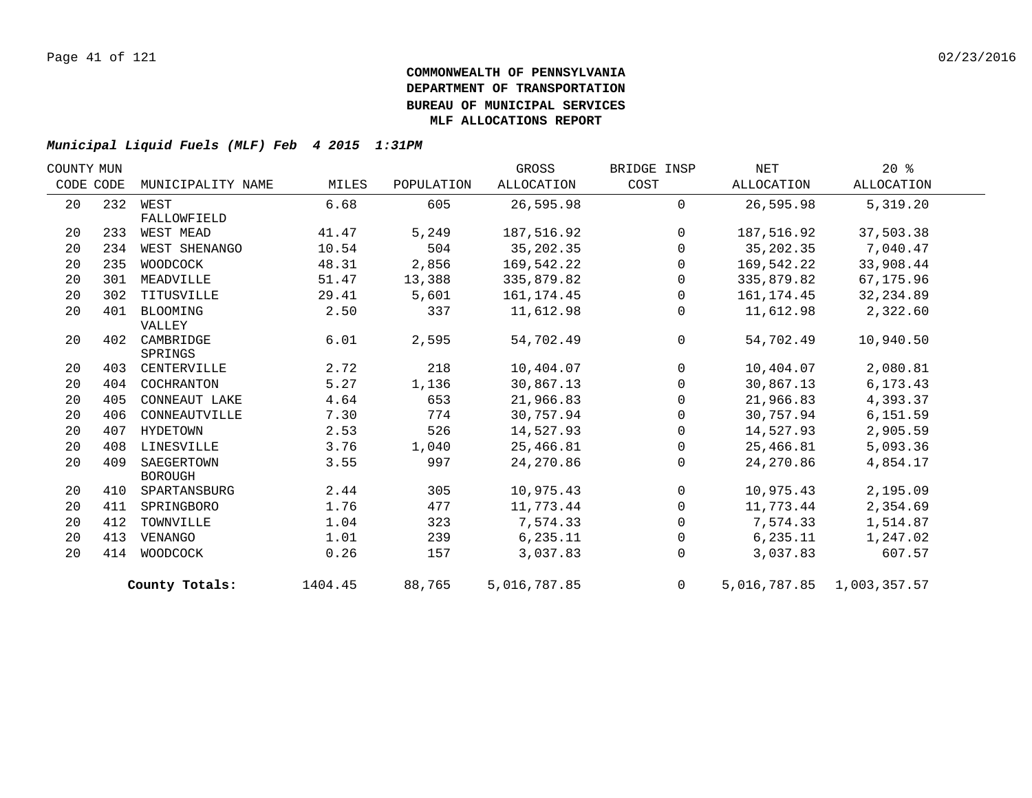| COUNTY MUN |     |                   |         |            | GROSS        | BRIDGE INSP    | NET        | $20*$                     |  |
|------------|-----|-------------------|---------|------------|--------------|----------------|------------|---------------------------|--|
| CODE CODE  |     | MUNICIPALITY NAME | MILES   | POPULATION | ALLOCATION   | COST           | ALLOCATION | ALLOCATION                |  |
| 20         |     | 232 WEST          | 6.68    | 605        | 26,595.98    | $\mathbf{0}$   | 26,595.98  | 5,319.20                  |  |
|            |     | FALLOWFIELD       |         |            |              |                |            |                           |  |
| 20         | 233 | WEST MEAD         | 41.47   | 5,249      | 187,516.92   | $\overline{0}$ | 187,516.92 | 37,503.38                 |  |
| 20         | 234 | WEST SHENANGO     | 10.54   | 504        | 35, 202.35   | 0              | 35,202.35  | 7,040.47                  |  |
| 20         | 235 | WOODCOCK          | 48.31   | 2,856      | 169,542.22   | $\mathbf{0}$   | 169,542.22 | 33,908.44                 |  |
| 20         | 301 | MEADVILLE         | 51.47   | 13,388     | 335,879.82   | $\mathbf 0$    | 335,879.82 | 67,175.96                 |  |
| 20         | 302 | TITUSVILLE        | 29.41   | 5,601      | 161,174.45   | $\mathbf 0$    | 161,174.45 | 32,234.89                 |  |
| 20         | 401 | BLOOMING          | 2.50    | 337        | 11,612.98    | 0              | 11,612.98  | 2,322.60                  |  |
|            |     | VALLEY            |         |            |              |                |            |                           |  |
| 20         | 402 | CAMBRIDGE         | 6.01    | 2,595      | 54,702.49    | $\mathbf 0$    | 54,702.49  | 10,940.50                 |  |
|            |     | SPRINGS           |         |            |              |                |            |                           |  |
| 20         | 403 | CENTERVILLE       | 2.72    | 218        | 10,404.07    | $\mathbf 0$    | 10,404.07  | 2,080.81                  |  |
| 20         | 404 | COCHRANTON        | 5.27    | 1,136      | 30,867.13    | $\mathbf 0$    | 30,867.13  | 6,173.43                  |  |
| 20         | 405 | CONNEAUT LAKE     | 4.64    | 653        | 21,966.83    | $\mathbf 0$    | 21,966.83  | 4,393.37                  |  |
| 20         | 406 | CONNEAUTVILLE     | 7.30    | 774        | 30,757.94    | $\mathbf 0$    | 30,757.94  | 6, 151.59                 |  |
| 20         | 407 | HYDETOWN          | 2.53    | 526        | 14,527.93    | 0              | 14,527.93  | 2,905.59                  |  |
| 20         | 408 | LINESVILLE        | 3.76    | 1,040      | 25,466.81    | $\Omega$       | 25,466.81  | 5,093.36                  |  |
| 20         | 409 | SAEGERTOWN        | 3.55    | 997        | 24, 270.86   | $\Omega$       | 24,270.86  | 4,854.17                  |  |
|            |     | <b>BOROUGH</b>    |         |            |              |                |            |                           |  |
| 20         | 410 | SPARTANSBURG      | 2.44    | 305        | 10,975.43    | $\overline{0}$ | 10,975.43  | 2,195.09                  |  |
| 20         | 411 | SPRINGBORO        | 1.76    | 477        | 11,773.44    | 0              | 11,773.44  | 2,354.69                  |  |
| 20         | 412 | TOWNVILLE         | 1.04    | 323        | 7,574.33     | 0              | 7,574.33   | 1,514.87                  |  |
| 20         | 413 | VENANGO           | 1.01    | 239        | 6,235.11     | $\mathbf 0$    | 6, 235.11  | 1,247.02                  |  |
| 20         | 414 | WOODCOCK          | 0.26    | 157        | 3,037.83     | $\mathbf 0$    | 3,037.83   | 607.57                    |  |
|            |     | County Totals:    | 1404.45 | 88,765     | 5,016,787.85 | $\overline{0}$ |            | 5,016,787.85 1,003,357.57 |  |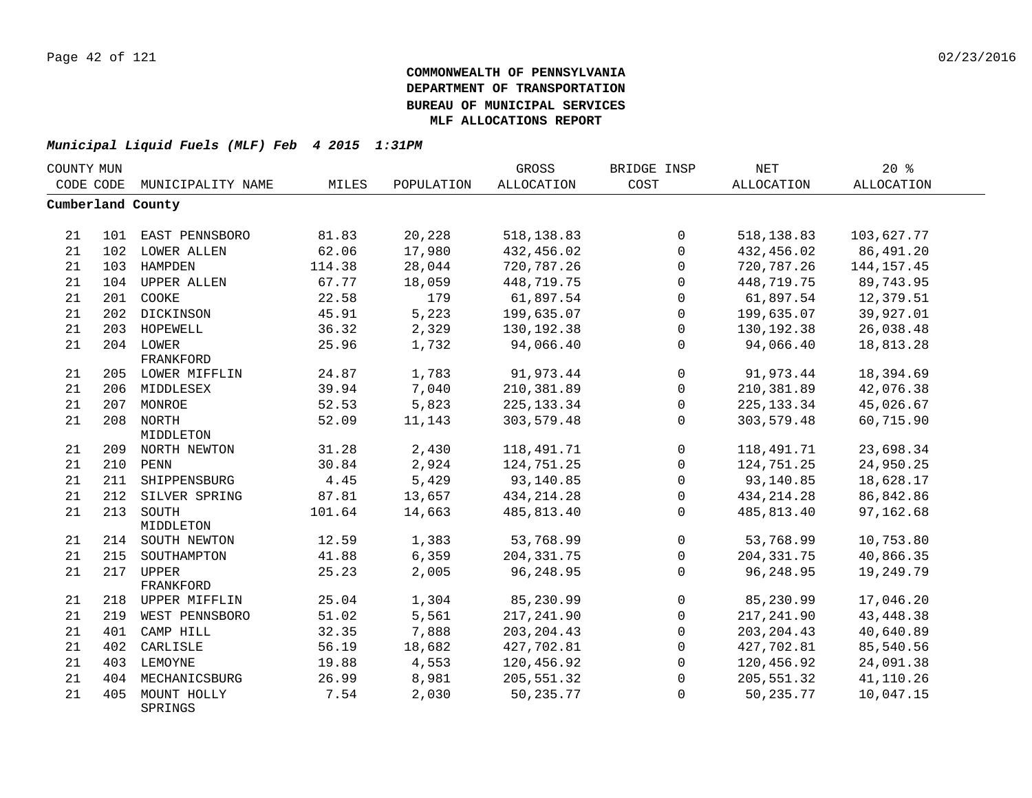| COUNTY MUN |     |                        |        |            | GROSS             | BRIDGE INSP  | NET               | $20*$             |  |
|------------|-----|------------------------|--------|------------|-------------------|--------------|-------------------|-------------------|--|
| CODE CODE  |     | MUNICIPALITY NAME      | MILES  | POPULATION | <b>ALLOCATION</b> | COST         | <b>ALLOCATION</b> | <b>ALLOCATION</b> |  |
|            |     | Cumberland County      |        |            |                   |              |                   |                   |  |
|            |     |                        |        |            |                   |              |                   |                   |  |
| 21         |     | 101 EAST PENNSBORO     | 81.83  | 20,228     | 518, 138.83       | 0            | 518, 138.83       | 103,627.77        |  |
| 21         |     | 102 LOWER ALLEN        | 62.06  | 17,980     | 432,456.02        | $\mathbf 0$  | 432,456.02        | 86,491.20         |  |
| 21         |     | 103 HAMPDEN            | 114.38 | 28,044     | 720,787.26        | $\Omega$     | 720,787.26        | 144, 157. 45      |  |
| 21         |     | 104 UPPER ALLEN        | 67.77  | 18,059     | 448,719.75        | $\Omega$     | 448,719.75        | 89,743.95         |  |
| 21         |     | 201 COOKE              | 22.58  | 179        | 61,897.54         | $\Omega$     | 61,897.54         | 12,379.51         |  |
| 21         |     | 202 DICKINSON          | 45.91  | 5,223      | 199,635.07        | $\mathbf 0$  | 199,635.07        | 39,927.01         |  |
| 21         |     | 203 HOPEWELL           | 36.32  | 2,329      | 130, 192. 38      | $\mathbf 0$  | 130,192.38        | 26,038.48         |  |
| 21         |     | 204 LOWER              | 25.96  | 1,732      | 94,066.40         | $\Omega$     | 94,066.40         | 18,813.28         |  |
|            |     | FRANKFORD              |        |            |                   |              |                   |                   |  |
| 21         |     | 205 LOWER MIFFLIN      | 24.87  | 1,783      | 91,973.44         | $\mathbf 0$  | 91,973.44         | 18,394.69         |  |
| 21         |     | 206 MIDDLESEX          | 39.94  | 7,040      | 210,381.89        | $\mathbf{0}$ | 210,381.89        | 42,076.38         |  |
| 21         |     | 207 MONROE             | 52.53  | 5,823      | 225, 133.34       | 0            | 225, 133.34       | 45,026.67         |  |
| 21         |     | 208 NORTH              | 52.09  | 11,143     | 303,579.48        | $\Omega$     | 303,579.48        | 60,715.90         |  |
|            |     | MIDDLETON              |        |            |                   |              |                   |                   |  |
| 21         |     | 209 NORTH NEWTON       | 31.28  | 2,430      | 118,491.71        | 0            | 118,491.71        | 23,698.34         |  |
| 21         |     | 210 PENN               | 30.84  | 2,924      | 124,751.25        | $\mathbf 0$  | 124,751.25        | 24,950.25         |  |
| 21         |     | 211 SHIPPENSBURG       | 4.45   | 5,429      | 93,140.85         | $\mathbf 0$  | 93,140.85         | 18,628.17         |  |
| 21         |     | 212 SILVER SPRING      | 87.81  | 13,657     | 434, 214. 28      | $\mathbf 0$  | 434, 214. 28      | 86,842.86         |  |
| 21         |     | 213 SOUTH              | 101.64 | 14,663     | 485,813.40        | $\Omega$     | 485,813.40        | 97,162.68         |  |
|            |     | MIDDLETON              |        |            |                   |              |                   |                   |  |
| 21         |     | 214 SOUTH NEWTON       | 12.59  | 1,383      | 53,768.99         | $\Omega$     | 53,768.99         | 10,753.80         |  |
| 21         |     | 215 SOUTHAMPTON        | 41.88  | 6,359      | 204, 331.75       | $\mathbf 0$  | 204, 331.75       | 40,866.35         |  |
| 21         | 217 | UPPER                  | 25.23  | 2,005      | 96,248.95         | $\mathbf 0$  | 96,248.95         | 19,249.79         |  |
|            |     | FRANKFORD              |        |            |                   |              |                   |                   |  |
| 21         |     | 218 UPPER MIFFLIN      | 25.04  | 1,304      | 85,230.99         | $\mathbf 0$  | 85,230.99         | 17,046.20         |  |
| 21         | 219 | WEST PENNSBORO         | 51.02  | 5,561      | 217,241.90        | $\mathbf 0$  | 217, 241.90       | 43, 448. 38       |  |
| 21         | 401 | CAMP HILL              | 32.35  | 7,888      | 203, 204.43       | $\Omega$     | 203, 204.43       | 40,640.89         |  |
| 21         | 402 | CARLISLE               | 56.19  | 18,682     | 427,702.81        | $\mathbf 0$  | 427,702.81        | 85,540.56         |  |
| 21         |     | 403 LEMOYNE            | 19.88  | 4,553      | 120,456.92        | $\mathbf 0$  | 120,456.92        | 24,091.38         |  |
| 21         |     | 404 MECHANICSBURG      | 26.99  | 8,981      | 205,551.32        | $\mathbf 0$  | 205,551.32        | 41,110.26         |  |
| 21         | 405 | MOUNT HOLLY<br>SPRINGS | 7.54   | 2,030      | 50,235.77         | $\Omega$     | 50,235.77         | 10,047.15         |  |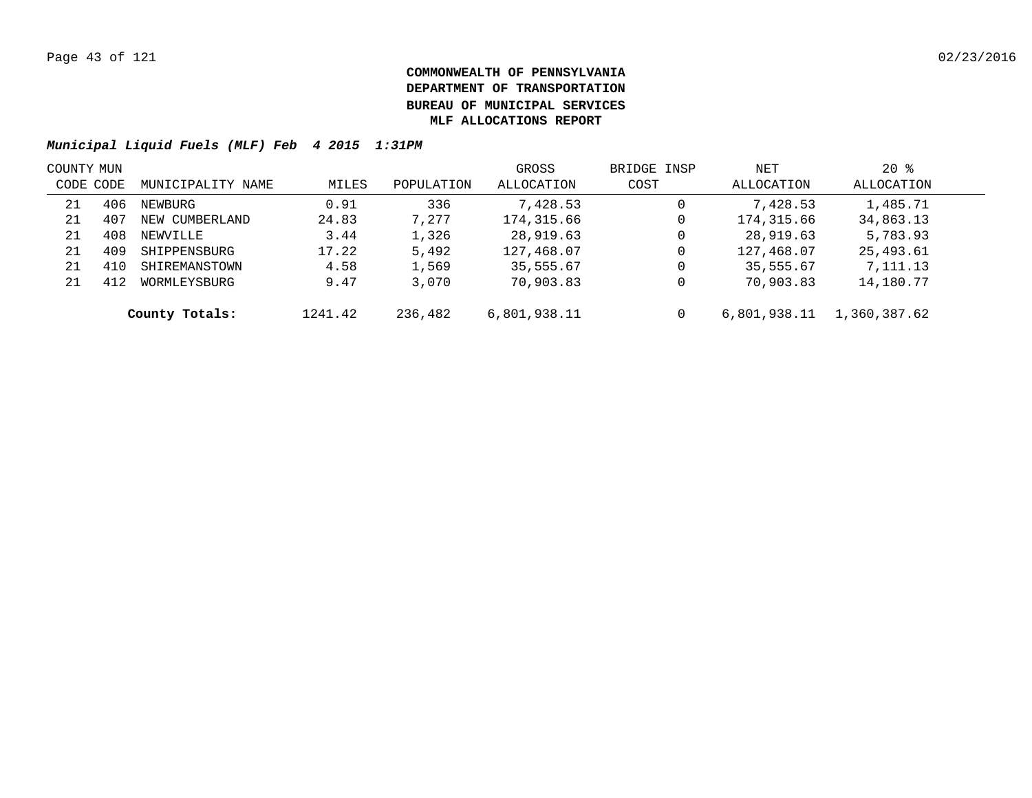| COUNTY MUN |     |                   |         |            | GROSS        | BRIDGE INSP | NET          | $20*$        |  |
|------------|-----|-------------------|---------|------------|--------------|-------------|--------------|--------------|--|
| CODE CODE  |     | MUNICIPALITY NAME | MILES   | POPULATION | ALLOCATION   | COST        | ALLOCATION   | ALLOCATION   |  |
| 21         | 406 | NEWBURG           | 0.91    | 336        | 7,428.53     | 0           | 7,428.53     | 1,485.71     |  |
| 21         | 407 | NEW CUMBERLAND    | 24.83   | 7,277      | 174,315.66   | 0           | 174,315.66   | 34,863.13    |  |
| 21         | 408 | NEWVILLE          | 3.44    | 1,326      | 28,919.63    | 0           | 28,919.63    | 5,783.93     |  |
| 21         | 409 | SHIPPENSBURG      | 17.22   | 5,492      | 127,468.07   | 0           | 127,468.07   | 25,493.61    |  |
| 21         | 410 | SHIREMANSTOWN     | 4.58    | 1,569      | 35,555.67    | 0           | 35,555.67    | 7,111.13     |  |
| 21         | 412 | WORMLEYSBURG      | 9.47    | 3,070      | 70,903.83    | 0           | 70,903.83    | 14,180.77    |  |
|            |     | County Totals:    | 1241.42 | 236,482    | 6,801,938.11 | 0           | 6,801,938.11 | 1,360,387.62 |  |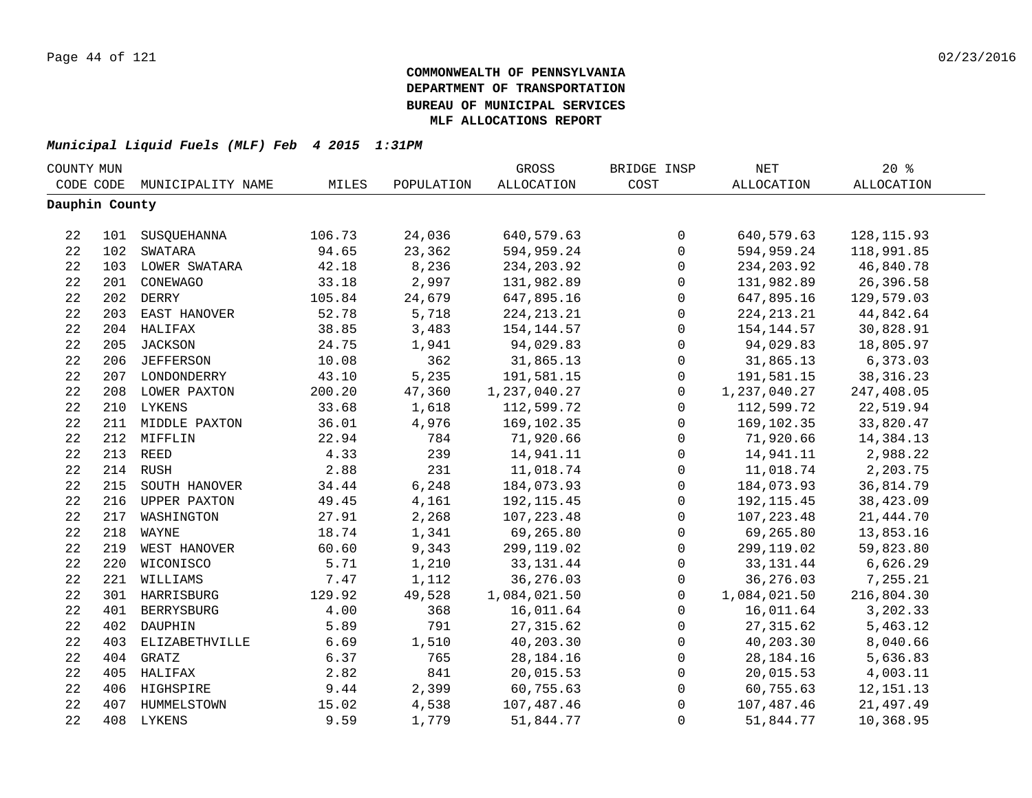| COUNTY MUN     |     |                   |        |            | GROSS        | BRIDGE INSP    | NET          | $20*$             |  |
|----------------|-----|-------------------|--------|------------|--------------|----------------|--------------|-------------------|--|
| CODE CODE      |     | MUNICIPALITY NAME | MILES  | POPULATION | ALLOCATION   | COST           | ALLOCATION   | <b>ALLOCATION</b> |  |
| Dauphin County |     |                   |        |            |              |                |              |                   |  |
|                |     |                   |        |            |              |                |              |                   |  |
| 22             |     | 101 SUSQUEHANNA   | 106.73 | 24,036     | 640,579.63   | $\mathsf{O}$   | 640,579.63   | 128, 115.93       |  |
| 22             |     | 102 SWATARA       | 94.65  | 23,362     | 594,959.24   | $\mathsf{O}$   | 594,959.24   | 118,991.85        |  |
| 22             |     | 103 LOWER SWATARA | 42.18  | 8,236      | 234, 203.92  | $\mathsf{O}$   | 234, 203.92  | 46,840.78         |  |
| 22             |     | 201 CONEWAGO      | 33.18  | 2,997      | 131,982.89   | $\mathsf{O}$   | 131,982.89   | 26,396.58         |  |
| 22             |     | 202 DERRY         | 105.84 | 24,679     | 647,895.16   | 0              | 647,895.16   | 129,579.03        |  |
| 22             |     | 203 EAST HANOVER  | 52.78  | 5,718      | 224, 213. 21 | 0              | 224, 213. 21 | 44,842.64         |  |
| 22             |     | 204 HALIFAX       | 38.85  | 3,483      | 154,144.57   | 0              | 154,144.57   | 30,828.91         |  |
| 22             | 205 | <b>JACKSON</b>    | 24.75  | 1,941      | 94,029.83    | $\mathbf 0$    | 94,029.83    | 18,805.97         |  |
| 22             | 206 | <b>JEFFERSON</b>  | 10.08  | 362        | 31,865.13    | $\mathsf{O}$   | 31,865.13    | 6,373.03          |  |
| 22             |     | 207 LONDONDERRY   | 43.10  | 5,235      | 191,581.15   | $\mathbf 0$    | 191,581.15   | 38, 316. 23       |  |
| 22             |     | 208 LOWER PAXTON  | 200.20 | 47,360     | 1,237,040.27 | $\mathbf 0$    | 1,237,040.27 | 247,408.05        |  |
| 22             |     | 210 LYKENS        | 33.68  | 1,618      | 112,599.72   | $\mathbf 0$    | 112,599.72   | 22,519.94         |  |
| 22             |     | 211 MIDDLE PAXTON | 36.01  | 4,976      | 169,102.35   | 0              | 169,102.35   | 33,820.47         |  |
| 22             |     | 212 MIFFLIN       | 22.94  | 784        | 71,920.66    | 0              | 71,920.66    | 14,384.13         |  |
| 22             |     | 213 REED          | 4.33   | 239        | 14,941.11    | 0              | 14,941.11    | 2,988.22          |  |
| 22             |     | 214 RUSH          | 2.88   | 231        | 11,018.74    | $\mathsf 0$    | 11,018.74    | 2,203.75          |  |
| 22             |     | 215 SOUTH HANOVER | 34.44  | 6,248      | 184,073.93   | $\mathsf 0$    | 184,073.93   | 36,814.79         |  |
| 22             |     | 216 UPPER PAXTON  | 49.45  | 4,161      | 192, 115.45  | $\mathbf 0$    | 192, 115.45  | 38,423.09         |  |
| 22             |     | 217 WASHINGTON    | 27.91  | 2,268      | 107, 223.48  | $\mathbf 0$    | 107, 223.48  | 21, 444.70        |  |
| 22             |     | 218 WAYNE         | 18.74  | 1,341      | 69,265.80    | $\mathbf 0$    | 69,265.80    | 13,853.16         |  |
| 22             |     | 219 WEST HANOVER  | 60.60  | 9,343      | 299,119.02   | $\mathsf{O}$   | 299,119.02   | 59,823.80         |  |
| 22             |     | 220 WICONISCO     | 5.71   | 1,210      | 33, 131. 44  | $\mathbf 0$    | 33, 131. 44  | 6,626.29          |  |
| 22             |     | 221 WILLIAMS      | 7.47   | 1,112      | 36, 276.03   | $\mathsf{O}$   | 36,276.03    | 7,255.21          |  |
| 22             |     | 301 HARRISBURG    | 129.92 | 49,528     | 1,084,021.50 | $\mathsf{O}$   | 1,084,021.50 | 216,804.30        |  |
| 22             |     | 401 BERRYSBURG    | 4.00   | 368        | 16,011.64    | $\mathsf{O}$   | 16,011.64    | 3,202.33          |  |
| 22             | 402 | DAUPHIN           | 5.89   | 791        | 27, 315.62   | 0              | 27, 315.62   | 5,463.12          |  |
| 22             | 403 | ELIZABETHVILLE    | 6.69   | 1,510      | 40,203.30    | 0              | 40,203.30    | 8,040.66          |  |
| 22             | 404 | GRATZ             | 6.37   | 765        | 28, 184. 16  | 0              | 28,184.16    | 5,636.83          |  |
| 22             |     | 405 HALIFAX       | 2.82   | 841        | 20,015.53    | 0              | 20,015.53    | 4,003.11          |  |
| 22             |     | 406 HIGHSPIRE     | 9.44   | 2,399      | 60,755.63    | 0              | 60,755.63    | 12, 151. 13       |  |
| 22             |     | 407 HUMMELSTOWN   | 15.02  | 4,538      | 107,487.46   | $\mathsf 0$    | 107,487.46   | 21,497.49         |  |
| 22             |     | 408 LYKENS        | 9.59   | 1,779      | 51,844.77    | $\overline{0}$ | 51,844.77    | 10,368.95         |  |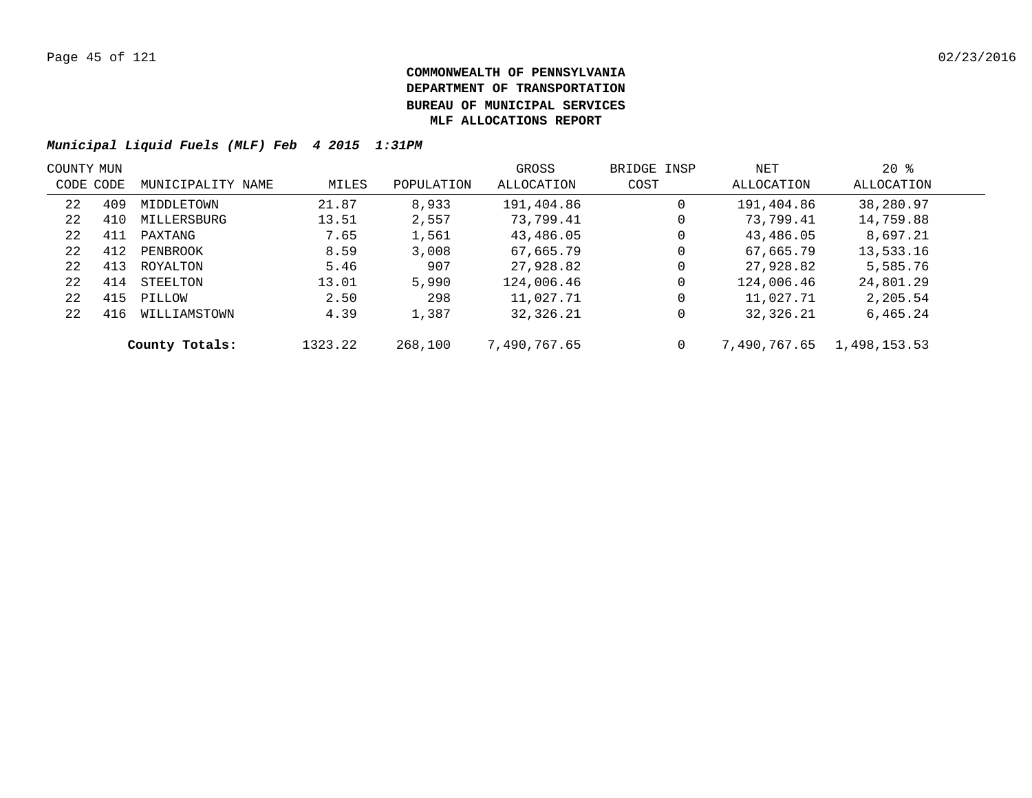| COUNTY MUN |           |                   |         |            | GROSS        | BRIDGE INSP | NET          | $20*$        |  |
|------------|-----------|-------------------|---------|------------|--------------|-------------|--------------|--------------|--|
|            | CODE CODE | MUNICIPALITY NAME | MILES   | POPULATION | ALLOCATION   | COST        | ALLOCATION   | ALLOCATION   |  |
| 22         | 409       | MIDDLETOWN        | 21.87   | 8,933      | 191,404.86   | 0           | 191,404.86   | 38,280.97    |  |
| 22         | 410       | MILLERSBURG       | 13.51   | 2,557      | 73,799.41    | 0           | 73,799.41    | 14,759.88    |  |
| 22         | 411       | PAXTANG           | 7.65    | 1,561      | 43,486.05    | 0           | 43,486.05    | 8,697.21     |  |
| 22         | 412       | PENBROOK          | 8.59    | 3,008      | 67,665.79    | 0           | 67,665.79    | 13,533.16    |  |
| 22         | 413       | ROYALTON          | 5.46    | 907        | 27,928.82    | 0           | 27,928.82    | 5,585.76     |  |
| 22         | 414       | STEELTON          | 13.01   | 5,990      | 124,006.46   | 0           | 124,006.46   | 24,801.29    |  |
| 22         | 415       | PILLOW            | 2.50    | 298        | 11,027.71    | 0           | 11,027.71    | 2,205.54     |  |
| 22         | 416       | WILLIAMSTOWN      | 4.39    | 1,387      | 32,326.21    | 0           | 32,326.21    | 6,465.24     |  |
|            |           | County Totals:    | 1323.22 | 268,100    | 7,490,767.65 |             | 7,490,767.65 | 1,498,153.53 |  |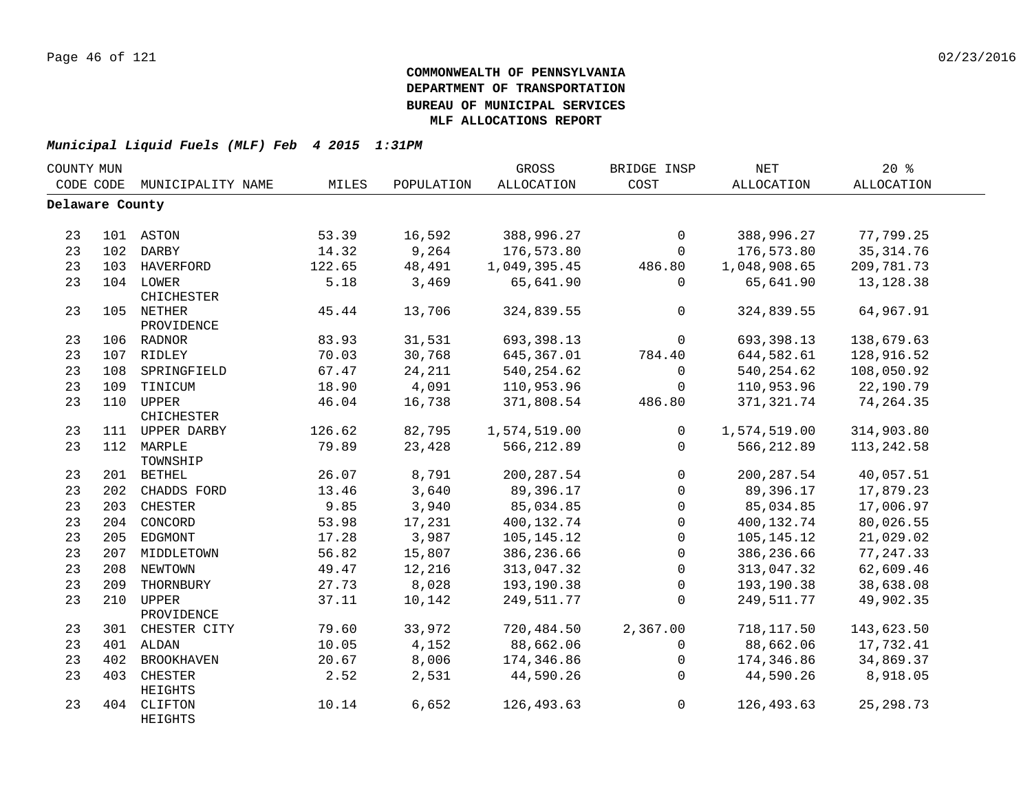| COUNTY MUN      |     |                         |        |            | GROSS             | BRIDGE INSP    | $\operatorname{NET}$ | 20%               |  |
|-----------------|-----|-------------------------|--------|------------|-------------------|----------------|----------------------|-------------------|--|
| CODE CODE       |     | MUNICIPALITY NAME       | MILES  | POPULATION | <b>ALLOCATION</b> | COST           | ALLOCATION           | <b>ALLOCATION</b> |  |
| Delaware County |     |                         |        |            |                   |                |                      |                   |  |
|                 |     |                         |        |            |                   |                |                      |                   |  |
| 23              |     | 101 ASTON               | 53.39  | 16,592     | 388,996.27        | $\Omega$       | 388,996.27           | 77,799.25         |  |
| 23              |     | 102 DARBY               | 14.32  | 9,264      | 176,573.80        | $\mathbf 0$    | 176,573.80           | 35, 314.76        |  |
| 23              |     | 103 HAVERFORD           | 122.65 | 48,491     | 1,049,395.45      | 486.80         | 1,048,908.65         | 209,781.73        |  |
| 23              |     | 104 LOWER<br>CHICHESTER | 5.18   | 3,469      | 65,641.90         | 0              | 65,641.90            | 13, 128.38        |  |
| 23              |     | 105 NETHER              | 45.44  | 13,706     | 324,839.55        | $\overline{0}$ | 324,839.55           | 64,967.91         |  |
|                 |     | PROVIDENCE              |        |            |                   |                |                      |                   |  |
| 23              |     | 106 RADNOR              | 83.93  | 31,531     | 693,398.13        | $\Omega$       | 693,398.13           | 138,679.63        |  |
| 23              |     | 107 RIDLEY              | 70.03  | 30,768     | 645,367.01        | 784.40         | 644,582.61           | 128,916.52        |  |
| 23              |     | 108 SPRINGFIELD         | 67.47  | 24,211     | 540, 254.62       | $\overline{0}$ | 540,254.62           | 108,050.92        |  |
| 23              |     | 109 TINICUM             | 18.90  | 4,091      | 110,953.96        | $\mathsf{O}$   | 110,953.96           | 22,190.79         |  |
| 23              |     | 110 UPPER<br>CHICHESTER | 46.04  | 16,738     | 371,808.54        | 486.80         | 371,321.74           | 74,264.35         |  |
| 23              |     | 111 UPPER DARBY         | 126.62 | 82,795     | 1,574,519.00      | $\overline{0}$ | 1,574,519.00         | 314,903.80        |  |
| 23              |     | 112 MARPLE<br>TOWNSHIP  | 79.89  | 23,428     | 566, 212.89       | $\overline{0}$ | 566,212.89           | 113, 242.58       |  |
| 23              |     | 201 BETHEL              | 26.07  | 8,791      | 200, 287.54       | $\mathbf 0$    | 200, 287.54          | 40,057.51         |  |
| 23              | 202 | CHADDS FORD             | 13.46  | 3,640      | 89,396.17         | $\mathbf 0$    | 89,396.17            | 17,879.23         |  |
| 23              |     | 203 CHESTER             | 9.85   | 3,940      | 85,034.85         | $\mathbf 0$    | 85,034.85            | 17,006.97         |  |
| 23              |     | 204 CONCORD             | 53.98  | 17,231     | 400,132.74        | $\mathsf{O}$   | 400,132.74           | 80,026.55         |  |
| 23              |     | 205 EDGMONT             | 17.28  | 3,987      | 105, 145. 12      | $\mathsf{O}$   | 105, 145. 12         | 21,029.02         |  |
| 23              |     | 207 MIDDLETOWN          | 56.82  | 15,807     | 386,236.66        | $\mathsf{O}$   | 386,236.66           | 77, 247.33        |  |
| 23              |     | 208 NEWTOWN             | 49.47  | 12,216     | 313,047.32        | $\mathbf 0$    | 313,047.32           | 62,609.46         |  |
| 23              | 209 | THORNBURY               | 27.73  | 8,028      | 193,190.38        | $\mathbf 0$    | 193,190.38           | 38,638.08         |  |
| 23              | 210 | UPPER<br>PROVIDENCE     | 37.11  | 10,142     | 249,511.77        | $\Omega$       | 249,511.77           | 49,902.35         |  |
| 23              |     | 301 CHESTER CITY        | 79.60  | 33,972     | 720,484.50        | 2,367.00       | 718,117.50           | 143,623.50        |  |
| 23              |     | 401 ALDAN               | 10.05  | 4,152      | 88,662.06         | $\mathbf 0$    | 88,662.06            | 17,732.41         |  |
| 23              | 402 | <b>BROOKHAVEN</b>       | 20.67  | 8,006      | 174,346.86        | $\mathbf 0$    | 174,346.86           | 34,869.37         |  |
| 23              | 403 | CHESTER<br>HEIGHTS      | 2.52   | 2,531      | 44,590.26         | $\Omega$       | 44,590.26            | 8,918.05          |  |
| 23              | 404 | CLIFTON<br>HEIGHTS      | 10.14  | 6,652      | 126,493.63        | $\mathsf{O}$   | 126,493.63           | 25, 298.73        |  |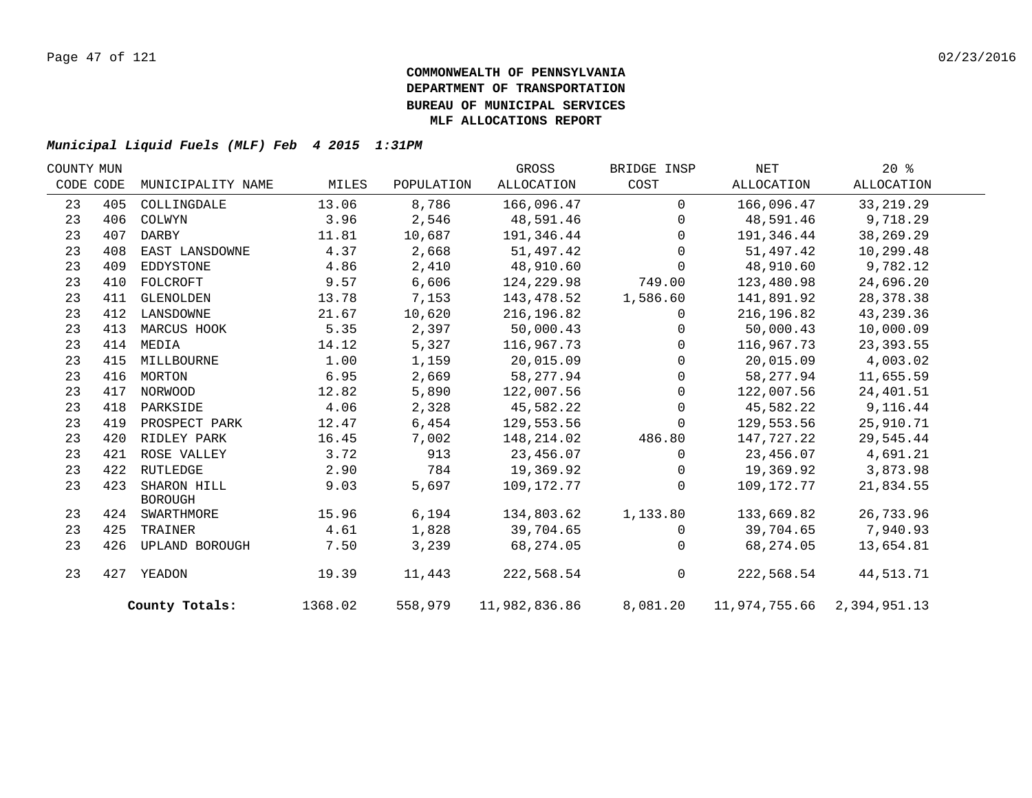| COUNTY MUN |     |                               |         |            | GROSS         | BRIDGE INSP  | NET                        | $20*$       |  |
|------------|-----|-------------------------------|---------|------------|---------------|--------------|----------------------------|-------------|--|
| CODE CODE  |     | MUNICIPALITY NAME             | MILES   | POPULATION | ALLOCATION    | COST         | ALLOCATION                 | ALLOCATION  |  |
| 23         | 405 | COLLINGDALE                   | 13.06   | 8,786      | 166,096.47    | $\Omega$     | 166,096.47                 | 33, 219.29  |  |
| 23         | 406 | COLWYN                        | 3.96    | 2,546      | 48,591.46     | $\mathbf 0$  | 48,591.46                  | 9,718.29    |  |
| 23         | 407 | DARBY                         | 11.81   | 10,687     | 191,346.44    | $\mathbf 0$  | 191,346.44                 | 38,269.29   |  |
| 23         | 408 | EAST LANSDOWNE                | 4.37    | 2,668      | 51,497.42     | $\Omega$     | 51,497.42                  | 10,299.48   |  |
| 23         | 409 | EDDYSTONE                     | 4.86    | 2,410      | 48,910.60     | $\Omega$     | 48,910.60                  | 9,782.12    |  |
| 23         | 410 | FOLCROFT                      | 9.57    | 6,606      | 124,229.98    | 749.00       | 123,480.98                 | 24,696.20   |  |
| 23         | 411 | GLENOLDEN                     | 13.78   | 7,153      | 143,478.52    | 1,586.60     | 141,891.92                 | 28, 378. 38 |  |
| 23         | 412 | LANSDOWNE                     | 21.67   | 10,620     | 216,196.82    | $\mathbf 0$  | 216, 196.82                | 43,239.36   |  |
| 23         | 413 | MARCUS HOOK                   | 5.35    | 2,397      | 50,000.43     | $\mathbf 0$  | 50,000.43                  | 10,000.09   |  |
| 23         | 414 | MEDIA                         | 14.12   | 5,327      | 116,967.73    | $\mathbf{0}$ | 116,967.73                 | 23, 393.55  |  |
| 23         | 415 | MILLBOURNE                    | 1.00    | 1,159      | 20,015.09     | 0            | 20,015.09                  | 4,003.02    |  |
| 23         |     | 416 MORTON                    | 6.95    | 2,669      | 58, 277.94    | $\mathbf 0$  | 58,277.94                  | 11,655.59   |  |
| 23         | 417 | NORWOOD                       | 12.82   | 5,890      | 122,007.56    | $\mathbf 0$  | 122,007.56                 | 24,401.51   |  |
| 23         | 418 | PARKSIDE                      | 4.06    | 2,328      | 45,582.22     | $\Omega$     | 45,582.22                  | 9,116.44    |  |
| 23         | 419 | PROSPECT PARK                 | 12.47   | $6,454$    | 129,553.56    | $\mathbf 0$  | 129,553.56                 | 25,910.71   |  |
| 23         | 420 | RIDLEY PARK                   | 16.45   | 7,002      | 148,214.02    | 486.80       | 147,727.22                 | 29,545.44   |  |
| 23         | 421 | ROSE VALLEY                   | 3.72    | 913        | 23,456.07     | 0            | 23,456.07                  | 4,691.21    |  |
| 23         |     | 422 RUTLEDGE                  | 2.90    | 784        | 19,369.92     | $\mathbf{0}$ | 19,369.92                  | 3,873.98    |  |
| 23         | 423 | SHARON HILL<br><b>BOROUGH</b> | 9.03    | 5,697      | 109,172.77    | $\Omega$     | 109,172.77                 | 21,834.55   |  |
| 23         |     | 424 SWARTHMORE                | 15.96   | 6,194      | 134,803.62    | 1,133.80     | 133,669.82                 | 26,733.96   |  |
| 23         | 425 | TRAINER                       | 4.61    | 1,828      | 39,704.65     | $\mathbf{0}$ | 39,704.65                  | 7,940.93    |  |
| 23         | 426 | UPLAND BOROUGH                | 7.50    | 3,239      | 68,274.05     | $\mathbf{0}$ | 68,274.05                  | 13,654.81   |  |
| 23         |     | 427 YEADON                    | 19.39   | 11,443     | 222,568.54    | $\mathbf 0$  | 222,568.54                 | 44,513.71   |  |
|            |     | County Totals:                | 1368.02 | 558,979    | 11,982,836.86 | 8,081.20     | 11,974,755.66 2,394,951.13 |             |  |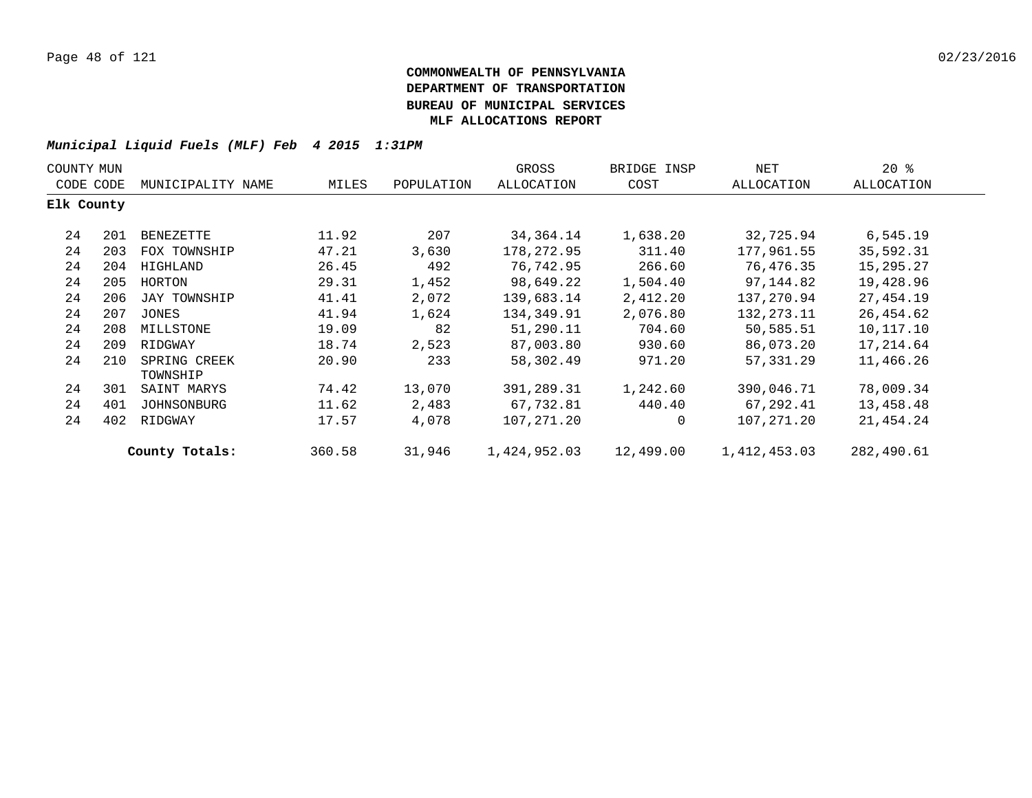| COUNTY MUN |     |                          |        |            | GROSS        | BRIDGE INSP | NET          | $20*$      |  |
|------------|-----|--------------------------|--------|------------|--------------|-------------|--------------|------------|--|
| CODE CODE  |     | MUNICIPALITY NAME        | MILES  | POPULATION | ALLOCATION   | COST        | ALLOCATION   | ALLOCATION |  |
| Elk County |     |                          |        |            |              |             |              |            |  |
| 24         | 201 | BENEZETTE                | 11.92  | 207        | 34,364.14    | 1,638.20    | 32,725.94    | 6,545.19   |  |
| 24         | 203 | FOX TOWNSHIP             | 47.21  | 3,630      | 178,272.95   | 311.40      | 177,961.55   | 35,592.31  |  |
| 24         | 204 | HIGHLAND                 | 26.45  | 492        | 76,742.95    | 266.60      | 76,476.35    | 15,295.27  |  |
| 24         | 205 | HORTON                   | 29.31  | 1,452      | 98,649.22    | 1,504.40    | 97,144.82    | 19,428.96  |  |
| 24         | 206 | JAY TOWNSHIP             | 41.41  | 2,072      | 139,683.14   | 2,412.20    | 137,270.94   | 27,454.19  |  |
| 24         | 207 | JONES                    | 41.94  | 1,624      | 134,349.91   | 2,076.80    | 132, 273. 11 | 26,454.62  |  |
| 24         | 208 | MILLSTONE                | 19.09  | 82         | 51,290.11    | 704.60      | 50,585.51    | 10,117.10  |  |
| 24         | 209 | RIDGWAY                  | 18.74  | 2,523      | 87,003.80    | 930.60      | 86,073.20    | 17,214.64  |  |
| 24         | 210 | SPRING CREEK<br>TOWNSHIP | 20.90  | 233        | 58,302.49    | 971.20      | 57,331.29    | 11,466.26  |  |
| 24         | 301 | SAINT MARYS              | 74.42  | 13,070     | 391,289.31   | 1,242.60    | 390,046.71   | 78,009.34  |  |
| 24         | 401 | JOHNSONBURG              | 11.62  | 2,483      | 67,732.81    | 440.40      | 67,292.41    | 13,458.48  |  |
| 24         | 402 | RIDGWAY                  | 17.57  | 4,078      | 107,271.20   | 0           | 107,271.20   | 21,454.24  |  |
|            |     | County Totals:           | 360.58 | 31,946     | 1,424,952.03 | 12,499.00   | 1,412,453.03 | 282,490.61 |  |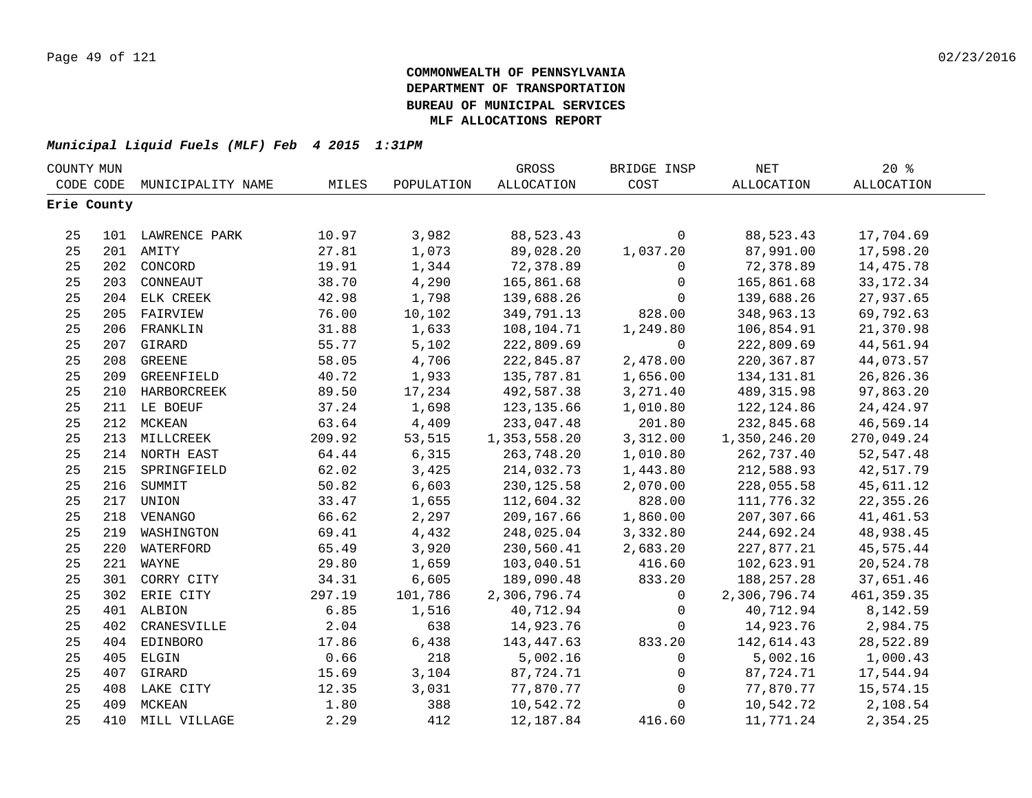| COUNTY MUN |             |                   |        |            | GROSS             | BRIDGE INSP    | $\operatorname{NET}$ | 20%               |  |
|------------|-------------|-------------------|--------|------------|-------------------|----------------|----------------------|-------------------|--|
|            | CODE CODE   | MUNICIPALITY NAME | MILES  | POPULATION | <b>ALLOCATION</b> | COST           | <b>ALLOCATION</b>    | <b>ALLOCATION</b> |  |
|            | Erie County |                   |        |            |                   |                |                      |                   |  |
|            |             |                   |        |            |                   |                |                      |                   |  |
| 25         |             | 101 LAWRENCE PARK | 10.97  | 3,982      | 88,523.43         | $\mathbf 0$    | 88,523.43            | 17,704.69         |  |
| 25         |             | 201 AMITY         | 27.81  | 1,073      | 89,028.20         | 1,037.20       | 87,991.00            | 17,598.20         |  |
| 25         |             | 202 CONCORD       | 19.91  | 1,344      | 72,378.89         | 0              | 72,378.89            | 14,475.78         |  |
| 25         |             | 203 CONNEAUT      | 38.70  | 4,290      | 165,861.68        | $\mathsf{O}$   | 165,861.68           | 33, 172. 34       |  |
| 25         |             | 204 ELK CREEK     | 42.98  | 1,798      | 139,688.26        | $\mathbf 0$    | 139,688.26           | 27,937.65         |  |
| 25         | 205         | FAIRVIEW          | 76.00  | 10,102     | 349,791.13        | 828.00         | 348,963.13           | 69,792.63         |  |
| 25         | 206         | FRANKLIN          | 31.88  | 1,633      | 108,104.71        | 1,249.80       | 106,854.91           | 21,370.98         |  |
| 25         | 207         | GIRARD            | 55.77  | 5,102      | 222,809.69        | $\mathbf 0$    | 222,809.69           | 44,561.94         |  |
| 25         | 208         | <b>GREENE</b>     | 58.05  | 4,706      | 222,845.87        | 2,478.00       | 220, 367.87          | 44,073.57         |  |
| 25         | 209         | GREENFIELD        | 40.72  | 1,933      | 135,787.81        | 1,656.00       | 134,131.81           | 26,826.36         |  |
| 25         |             | 210 HARBORCREEK   | 89.50  | 17,234     | 492,587.38        | 3,271.40       | 489, 315.98          | 97,863.20         |  |
| 25         |             | 211 LE BOEUF      | 37.24  | 1,698      | 123,135.66        | 1,010.80       | 122, 124.86          | 24, 424.97        |  |
| 25         |             | 212 MCKEAN        | 63.64  | 4,409      | 233,047.48        | 201.80         | 232,845.68           | 46,569.14         |  |
| 25         |             | 213 MILLCREEK     | 209.92 | 53,515     | 1,353,558.20      | 3,312.00       | 1,350,246.20         | 270,049.24        |  |
| 25         |             | 214 NORTH EAST    | 64.44  | 6,315      | 263,748.20        | 1,010.80       | 262,737.40           | 52, 547.48        |  |
| 25         |             | 215 SPRINGFIELD   | 62.02  | 3,425      | 214,032.73        | 1,443.80       | 212,588.93           | 42,517.79         |  |
| 25         |             | 216 SUMMIT        | 50.82  | 6,603      | 230, 125.58       | 2,070.00       | 228,055.58           | 45,611.12         |  |
| 25         |             | 217 UNION         | 33.47  | 1,655      | 112,604.32        | 828.00         | 111,776.32           | 22, 355.26        |  |
| 25         |             | 218 VENANGO       | 66.62  | 2,297      | 209,167.66        | 1,860.00       | 207,307.66           | 41, 461.53        |  |
| 25         |             | 219 WASHINGTON    | 69.41  | 4,432      | 248,025.04        | 3,332.80       | 244,692.24           | 48,938.45         |  |
| 25         |             | 220 WATERFORD     | 65.49  | 3,920      | 230,560.41        | 2,683.20       | 227,877.21           | 45,575.44         |  |
| 25         |             | 221 WAYNE         | 29.80  | 1,659      | 103,040.51        | 416.60         | 102,623.91           | 20,524.78         |  |
| 25         |             | 301 CORRY CITY    | 34.31  | 6,605      | 189,090.48        | 833.20         | 188,257.28           | 37,651.46         |  |
| 25         |             | 302 ERIE CITY     | 297.19 | 101,786    | 2,306,796.74      | $\overline{0}$ | 2,306,796.74         | 461, 359.35       |  |
| 25         |             | 401 ALBION        | 6.85   | 1,516      | 40,712.94         | $\mathbf{0}$   | 40,712.94            | 8,142.59          |  |
| 25         | 402         | CRANESVILLE       | 2.04   | 638        | 14,923.76         | $\mathbf 0$    | 14,923.76            | 2,984.75          |  |
| 25         | 404         | EDINBORO          | 17.86  | 6,438      | 143,447.63        | 833.20         | 142,614.43           | 28,522.89         |  |
| 25         | 405         | ELGIN             | 0.66   | 218        | 5,002.16          | $\mathbf 0$    | 5,002.16             | 1,000.43          |  |
| 25         |             | 407 GIRARD        | 15.69  | 3,104      | 87,724.71         | $\mathbf 0$    | 87,724.71            | 17,544.94         |  |
| 25         |             | 408 LAKE CITY     | 12.35  | 3,031      | 77,870.77         | 0              | 77,870.77            | 15,574.15         |  |
| 25         | 409         | MCKEAN            | 1.80   | 388        | 10,542.72         | $\mathbf{0}$   | 10,542.72            | 2,108.54          |  |
| 25         |             | 410 MILL VILLAGE  | 2.29   | 412        | 12, 187.84        | 416.60         | 11,771.24            | 2,354.25          |  |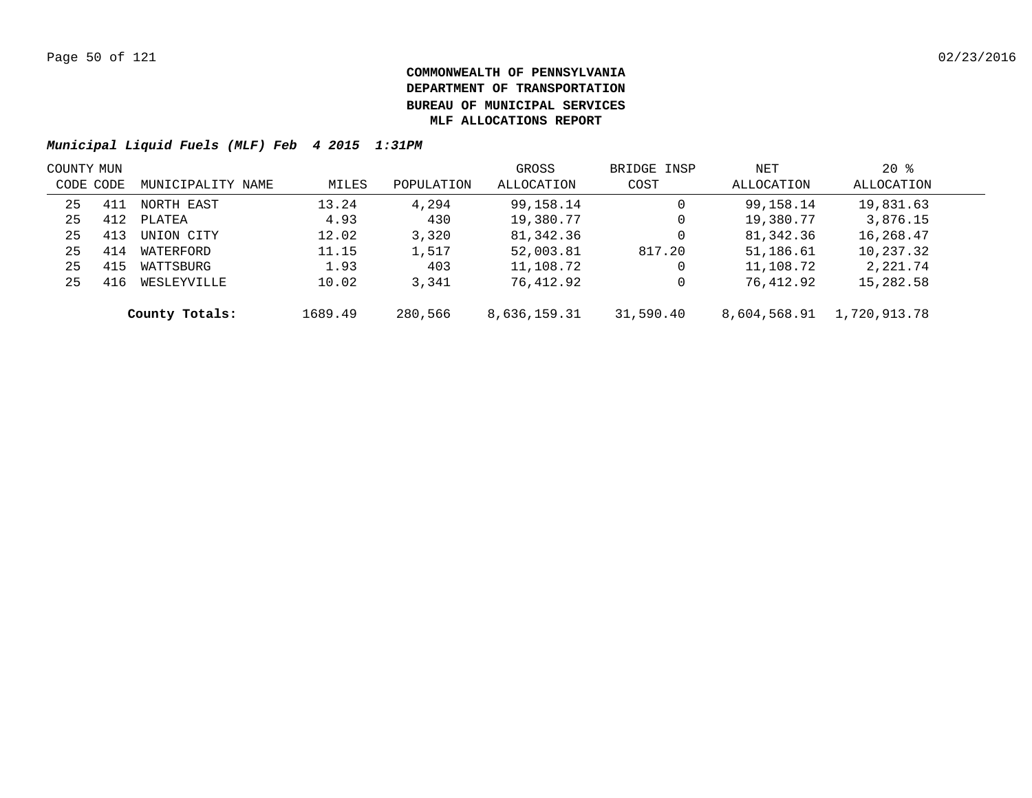| COUNTY MUN |     |                   |         |            | GROSS        | BRIDGE INSP | NET          | $20*$        |  |
|------------|-----|-------------------|---------|------------|--------------|-------------|--------------|--------------|--|
| CODE CODE  |     | MUNICIPALITY NAME | MILES   | POPULATION | ALLOCATION   | COST        | ALLOCATION   | ALLOCATION   |  |
| 25         | 411 | NORTH EAST        | 13.24   | 4,294      | 99,158.14    | 0           | 99,158.14    | 19,831.63    |  |
| 25         | 412 | PLATEA            | 4.93    | 430        | 19,380.77    | 0           | 19,380.77    | 3,876.15     |  |
| 25         | 413 | UNION CITY        | 12.02   | 3,320      | 81,342.36    | 0           | 81,342.36    | 16,268.47    |  |
| 25         | 414 | WATERFORD         | 11.15   | 1,517      | 52,003.81    | 817.20      | 51,186.61    | 10,237.32    |  |
| 25         | 415 | WATTSBURG         | 1.93    | 403        | 11,108.72    | 0           | 11,108.72    | 2,221.74     |  |
| 25         | 416 | WESLEYVILLE       | 10.02   | 3,341      | 76,412.92    | 0           | 76,412.92    | 15,282.58    |  |
|            |     | County Totals:    | 1689.49 | 280,566    | 8,636,159.31 | 31,590.40   | 8,604,568.91 | 1,720,913.78 |  |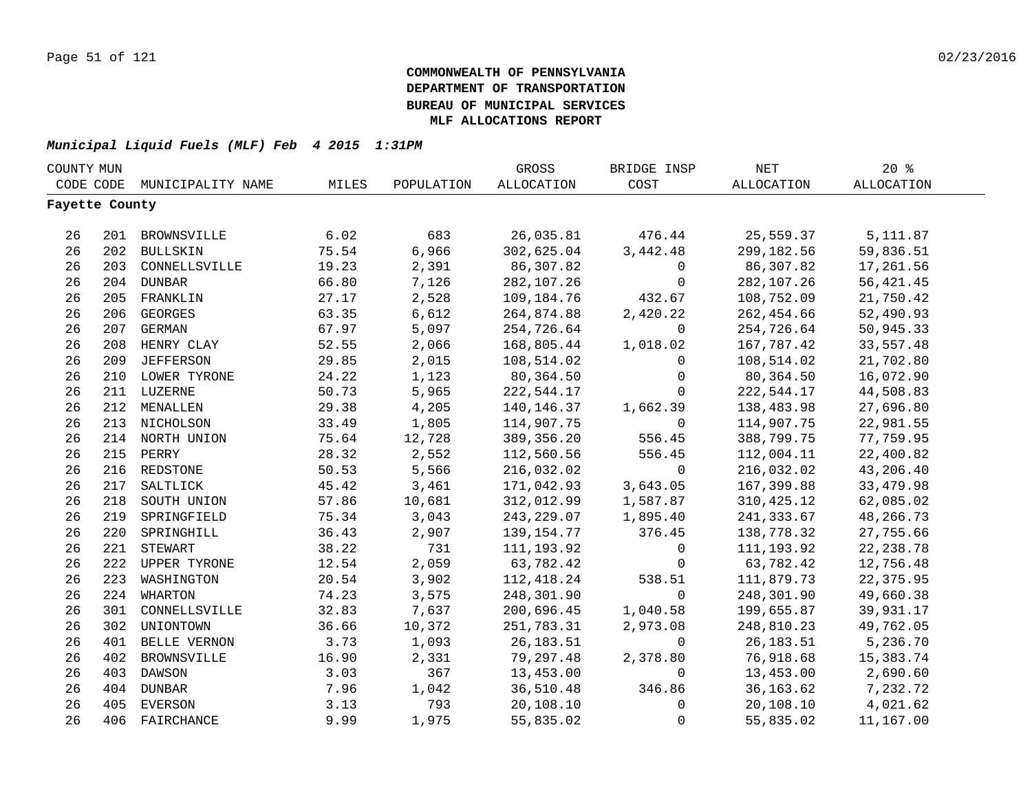| COUNTY MUN     |     |                    |       |            | GROSS             | BRIDGE INSP  | NET         | 20%               |  |
|----------------|-----|--------------------|-------|------------|-------------------|--------------|-------------|-------------------|--|
| CODE CODE      |     | MUNICIPALITY NAME  | MILES | POPULATION | <b>ALLOCATION</b> | COST         | ALLOCATION  | <b>ALLOCATION</b> |  |
| Fayette County |     |                    |       |            |                   |              |             |                   |  |
|                |     |                    |       |            |                   |              |             |                   |  |
| 26             |     | 201 BROWNSVILLE    | 6.02  | 683        | 26,035.81         | 476.44       | 25,559.37   | 5,111.87          |  |
| 26             |     | 202 BULLSKIN       | 75.54 | 6,966      | 302,625.04        | 3,442.48     | 299,182.56  | 59,836.51         |  |
| 26             |     | 203 CONNELLSVILLE  | 19.23 | 2,391      | 86,307.82         | $\mathbf 0$  | 86,307.82   | 17,261.56         |  |
| 26             |     | 204 DUNBAR         | 66.80 | 7,126      | 282,107.26        | $\mathsf{O}$ | 282,107.26  | 56, 421.45        |  |
| 26             | 205 | FRANKLIN           | 27.17 | 2,528      | 109,184.76        | 432.67       | 108,752.09  | 21,750.42         |  |
| 26             | 206 | <b>GEORGES</b>     | 63.35 | 6,612      | 264,874.88        | 2,420.22     | 262,454.66  | 52,490.93         |  |
| 26             | 207 | <b>GERMAN</b>      | 67.97 | 5,097      | 254,726.64        | $\mathbf 0$  | 254,726.64  | 50,945.33         |  |
| 26             | 208 | HENRY CLAY         | 52.55 | 2,066      | 168,805.44        | 1,018.02     | 167,787.42  | 33,557.48         |  |
| 26             | 209 | <b>JEFFERSON</b>   | 29.85 | 2,015      | 108,514.02        | $\Omega$     | 108,514.02  | 21,702.80         |  |
| 26             |     | 210 LOWER TYRONE   | 24.22 | 1,123      | 80,364.50         | $\mathbf 0$  | 80,364.50   | 16,072.90         |  |
| 26             |     | 211 LUZERNE        | 50.73 | 5,965      | 222,544.17        | $\mathbf 0$  | 222,544.17  | 44,508.83         |  |
| 26             |     | 212 MENALLEN       | 29.38 | 4,205      | 140, 146. 37      | 1,662.39     | 138,483.98  | 27,696.80         |  |
| 26             |     | 213 NICHOLSON      | 33.49 | 1,805      | 114,907.75        | $\mathbf 0$  | 114,907.75  | 22,981.55         |  |
| 26             |     | 214 NORTH UNION    | 75.64 | 12,728     | 389, 356.20       | 556.45       | 388,799.75  | 77,759.95         |  |
| 26             |     | 215 PERRY          | 28.32 | 2,552      | 112,560.56        | 556.45       | 112,004.11  | 22,400.82         |  |
| 26             |     | 216 REDSTONE       | 50.53 | 5,566      | 216,032.02        | $\mathbf 0$  | 216,032.02  | 43,206.40         |  |
| 26             |     | 217 SALTLICK       | 45.42 | 3,461      | 171,042.93        | 3,643.05     | 167,399.88  | 33, 479.98        |  |
| 26             |     | 218 SOUTH UNION    | 57.86 | 10,681     | 312,012.99        | 1,587.87     | 310, 425.12 | 62,085.02         |  |
| 26             |     | 219 SPRINGFIELD    | 75.34 | 3,043      | 243, 229.07       | 1,895.40     | 241, 333.67 | 48,266.73         |  |
| 26             | 220 | SPRINGHILL         | 36.43 | 2,907      | 139, 154. 77      | 376.45       | 138,778.32  | 27,755.66         |  |
| 26             | 221 | STEWART            | 38.22 | 731        | 111, 193.92       | $\mathbf 0$  | 111,193.92  | 22, 238.78        |  |
| 26             |     | 222 UPPER TYRONE   | 12.54 | 2,059      | 63,782.42         | $\mathbf 0$  | 63,782.42   | 12,756.48         |  |
| 26             | 223 | WASHINGTON         | 20.54 | 3,902      | 112, 418.24       | 538.51       | 111,879.73  | 22,375.95         |  |
| 26             | 224 | <b>WHARTON</b>     | 74.23 | 3,575      | 248,301.90        | $\mathbf 0$  | 248,301.90  | 49,660.38         |  |
| 26             | 301 | CONNELLSVILLE      | 32.83 | 7,637      | 200,696.45        | 1,040.58     | 199,655.87  | 39,931.17         |  |
| 26             | 302 | UNIONTOWN          | 36.66 | 10,372     | 251,783.31        | 2,973.08     | 248,810.23  | 49,762.05         |  |
| 26             | 401 | BELLE VERNON       | 3.73  | 1,093      | 26,183.51         | $\mathbf 0$  | 26,183.51   | 5,236.70          |  |
| 26             | 402 | <b>BROWNSVILLE</b> | 16.90 | 2,331      | 79,297.48         | 2,378.80     | 76,918.68   | 15,383.74         |  |
| 26             | 403 | DAWSON             | 3.03  | 367        | 13,453.00         | $\mathbf 0$  | 13,453.00   | 2,690.60          |  |
| 26             | 404 | DUNBAR             | 7.96  | 1,042      | 36,510.48         | 346.86       | 36,163.62   | 7,232.72          |  |
| 26             | 405 | EVERSON            | 3.13  | 793        | 20,108.10         | $\mathsf{O}$ | 20,108.10   | 4,021.62          |  |
| 26             | 406 | FAIRCHANCE         | 9.99  | 1,975      | 55,835.02         | $\mathbf 0$  | 55,835.02   | 11,167.00         |  |
|                |     |                    |       |            |                   |              |             |                   |  |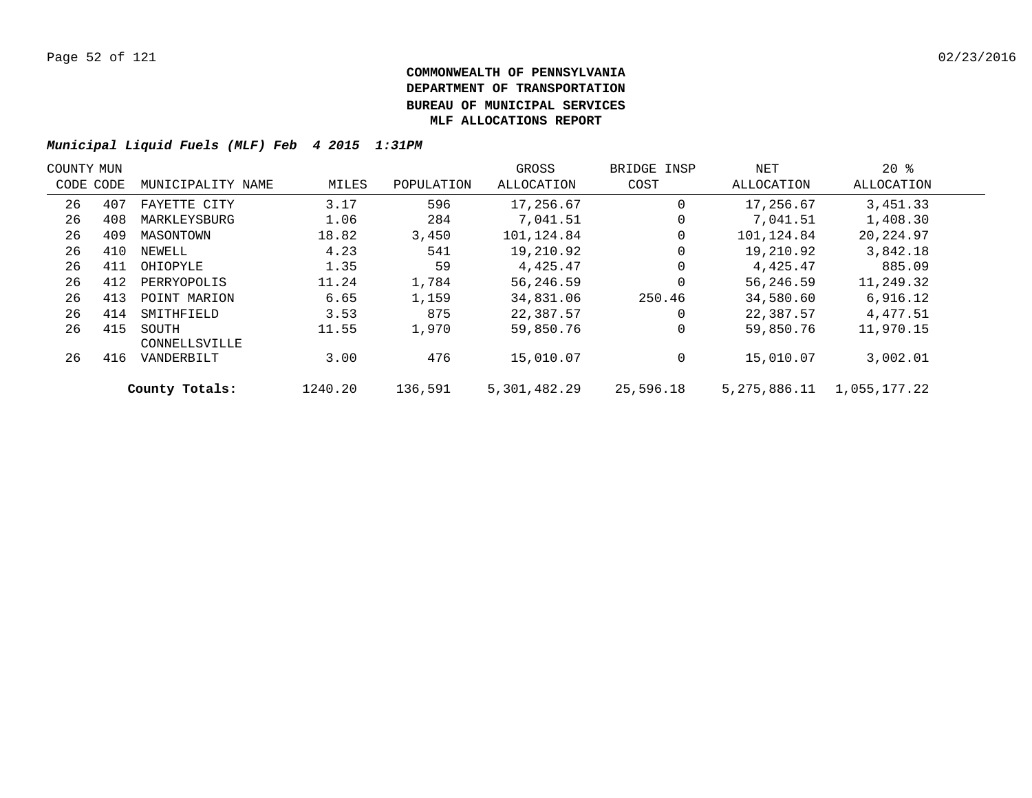| COUNTY MUN |           |                        |         |            | GROSS        | BRIDGE INSP | NET          | $20*$        |  |
|------------|-----------|------------------------|---------|------------|--------------|-------------|--------------|--------------|--|
|            | CODE CODE | MUNICIPALITY NAME      | MILES   | POPULATION | ALLOCATION   | COST        | ALLOCATION   | ALLOCATION   |  |
| 26         | 407       | FAYETTE CITY           | 3.17    | 596        | 17,256.67    | 0           | 17,256.67    | 3,451.33     |  |
| 26         | 408       | MARKLEYSBURG           | 1.06    | 284        | 7,041.51     | 0           | 7,041.51     | 1,408.30     |  |
| 26         | 409       | MASONTOWN              | 18.82   | 3,450      | 101,124.84   | $\mathbf 0$ | 101,124.84   | 20,224.97    |  |
| 26         | 410       | NEWELL                 | 4.23    | 541        | 19,210.92    | 0           | 19,210.92    | 3,842.18     |  |
| 26         | 411       | OHIOPYLE               | 1.35    | 59         | 4,425.47     | 0           | 4,425.47     | 885.09       |  |
| 26         | 412       | PERRYOPOLIS            | 11.24   | 1,784      | 56,246.59    | 0           | 56,246.59    | 11,249.32    |  |
| 26         | 413       | POINT MARION           | 6.65    | 1,159      | 34,831.06    | 250.46      | 34,580.60    | 6,916.12     |  |
| 26         | 414       | SMITHFIELD             | 3.53    | 875        | 22,387.57    | $\Omega$    | 22,387.57    | 4,477.51     |  |
| 26         | 415       | SOUTH<br>CONNELLSVILLE | 11.55   | 1,970      | 59,850.76    | $\mathbf 0$ | 59,850.76    | 11,970.15    |  |
| 26         | 416       | VANDERBILT             | 3.00    | 476        | 15,010.07    | $\mathbf 0$ | 15,010.07    | 3,002.01     |  |
|            |           | County Totals:         | 1240.20 | 136,591    | 5,301,482.29 | 25,596.18   | 5,275,886.11 | 1,055,177.22 |  |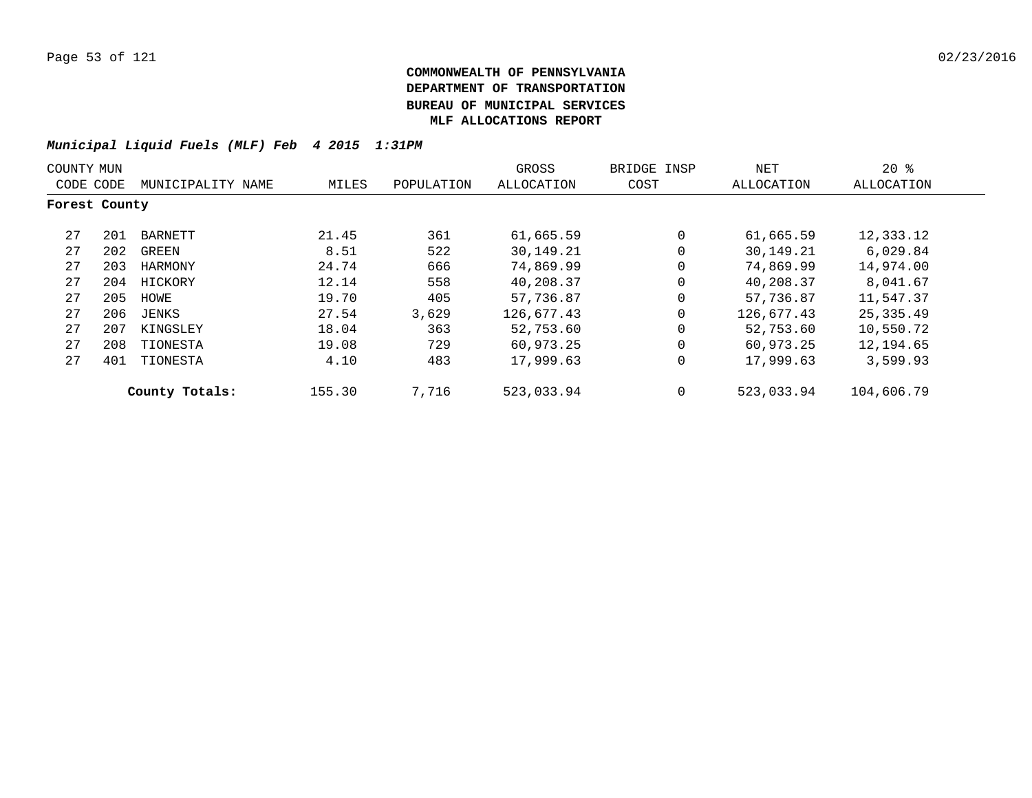| COUNTY MUN    |     |                   |        |            | GROSS      | BRIDGE INSP | NET        | $20*$      |
|---------------|-----|-------------------|--------|------------|------------|-------------|------------|------------|
| CODE CODE     |     | MUNICIPALITY NAME | MILES  | POPULATION | ALLOCATION | COST        | ALLOCATION | ALLOCATION |
| Forest County |     |                   |        |            |            |             |            |            |
| 27            | 201 | BARNETT           | 21.45  | 361        | 61,665.59  | $\Omega$    | 61,665.59  | 12,333.12  |
| 27            | 202 | GREEN             | 8.51   | 522        | 30,149.21  | $\mathbf 0$ | 30,149.21  | 6,029.84   |
| 27            | 203 | HARMONY           | 24.74  | 666        | 74,869.99  | $\Omega$    | 74,869.99  | 14,974.00  |
| 27            | 204 | HICKORY           | 12.14  | 558        | 40,208.37  | $\mathbf 0$ | 40,208.37  | 8,041.67   |
| 27            | 205 | HOWE              | 19.70  | 405        | 57,736.87  | $\Omega$    | 57,736.87  | 11,547.37  |
| 27            | 206 | JENKS             | 27.54  | 3,629      | 126,677.43 | $\mathbf 0$ | 126,677.43 | 25,335.49  |
| 27            | 207 | KINGSLEY          | 18.04  | 363        | 52,753.60  | $\Omega$    | 52,753.60  | 10,550.72  |
| 27            | 208 | TIONESTA          | 19.08  | 729        | 60,973.25  | $\mathbf 0$ | 60,973.25  | 12,194.65  |
| 27            | 401 | TIONESTA          | 4.10   | 483        | 17,999.63  | $\mathbf 0$ | 17,999.63  | 3,599.93   |
|               |     | County Totals:    | 155.30 | 7,716      | 523,033.94 | $\mathbf 0$ | 523,033.94 | 104,606.79 |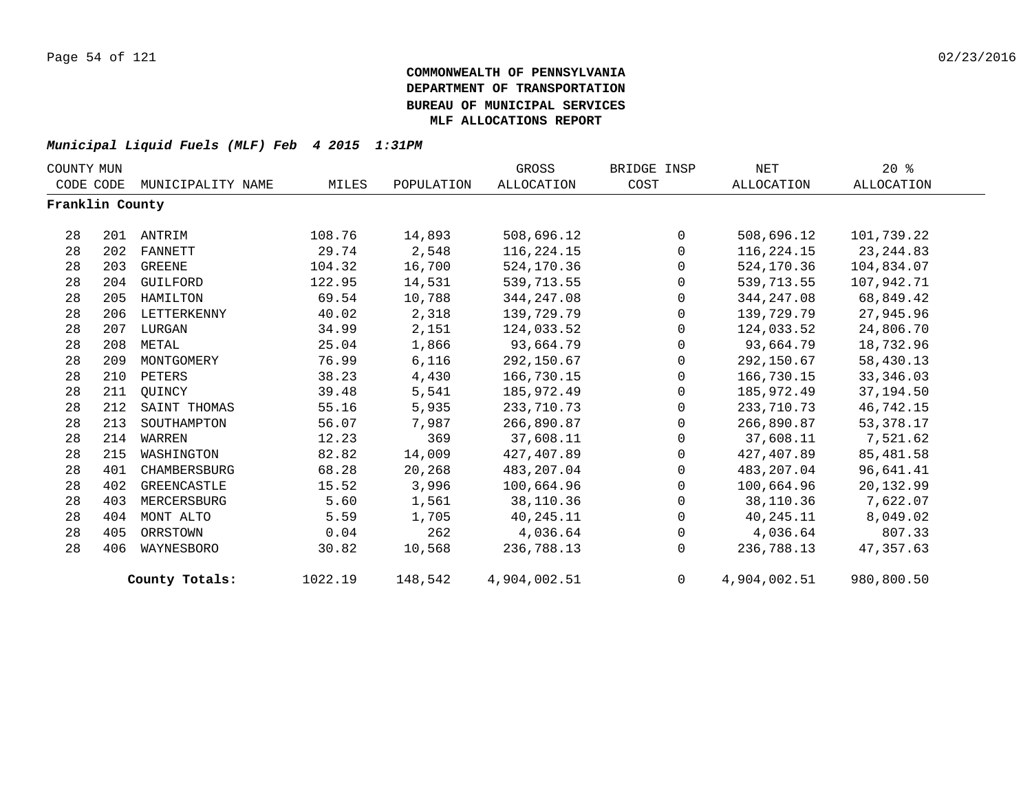| COUNTY MUN      |     |                   |         |            | GROSS             | BRIDGE INSP | NET          | $20*$             |  |
|-----------------|-----|-------------------|---------|------------|-------------------|-------------|--------------|-------------------|--|
| CODE CODE       |     | MUNICIPALITY NAME | MILES   | POPULATION | <b>ALLOCATION</b> | COST        | ALLOCATION   | <b>ALLOCATION</b> |  |
| Franklin County |     |                   |         |            |                   |             |              |                   |  |
| 28              | 201 | ANTRIM            | 108.76  | 14,893     | 508,696.12        | $\Omega$    | 508,696.12   | 101,739.22        |  |
| 28              | 202 | <b>FANNETT</b>    | 29.74   | 2,548      | 116,224.15        | $\mathbf 0$ | 116,224.15   | 23, 244.83        |  |
| 28              | 203 | GREENE            | 104.32  | 16,700     | 524,170.36        | 0           | 524,170.36   | 104,834.07        |  |
| 28              | 204 | GUILFORD          | 122.95  | 14,531     | 539,713.55        | $\Omega$    | 539,713.55   | 107,942.71        |  |
| 28              | 205 | HAMILTON          | 69.54   | 10,788     | 344, 247.08       | $\mathbf 0$ | 344, 247.08  | 68,849.42         |  |
| 28              | 206 | LETTERKENNY       | 40.02   | 2,318      | 139,729.79        | $\mathbf 0$ | 139,729.79   | 27,945.96         |  |
| 28              | 207 | LURGAN            | 34.99   | 2,151      | 124,033.52        | $\mathbf 0$ | 124,033.52   | 24,806.70         |  |
| 28              | 208 | METAL             | 25.04   | 1,866      | 93,664.79         | $\mathbf 0$ | 93,664.79    | 18,732.96         |  |
| 28              | 209 | MONTGOMERY        | 76.99   | 6,116      | 292,150.67        | $\mathbf 0$ | 292,150.67   | 58,430.13         |  |
| 28              | 210 | PETERS            | 38.23   | 4,430      | 166,730.15        | $\mathbf 0$ | 166,730.15   | 33, 346.03        |  |
| 28              | 211 | OUINCY            | 39.48   | 5,541      | 185,972.49        | 0           | 185,972.49   | 37,194.50         |  |
| 28              | 212 | SAINT THOMAS      | 55.16   | 5,935      | 233,710.73        | $\mathbf 0$ | 233,710.73   | 46,742.15         |  |
| 28              | 213 | SOUTHAMPTON       | 56.07   | 7,987      | 266,890.87        | $\mathbf 0$ | 266,890.87   | 53, 378. 17       |  |
| 28              | 214 | WARREN            | 12.23   | 369        | 37,608.11         | $\mathbf 0$ | 37,608.11    | 7,521.62          |  |
| 28              | 215 | WASHINGTON        | 82.82   | 14,009     | 427,407.89        | 0           | 427,407.89   | 85,481.58         |  |
| 28              | 401 | CHAMBERSBURG      | 68.28   | 20,268     | 483,207.04        | $\mathbf 0$ | 483,207.04   | 96,641.41         |  |
| 28              | 402 | GREENCASTLE       | 15.52   | 3,996      | 100,664.96        | $\Omega$    | 100,664.96   | 20,132.99         |  |
| 28              | 403 | MERCERSBURG       | 5.60    | 1,561      | 38,110.36         | $\mathbf 0$ | 38,110.36    | 7,622.07          |  |
| 28              | 404 | MONT ALTO         | 5.59    | 1,705      | 40,245.11         | 0           | 40,245.11    | 8,049.02          |  |
| 28              | 405 | ORRSTOWN          | 0.04    | 262        | 4,036.64          | $\mathbf 0$ | 4,036.64     | 807.33            |  |
| 28              | 406 | WAYNESBORO        | 30.82   | 10,568     | 236,788.13        | $\Omega$    | 236,788.13   | 47,357.63         |  |
|                 |     | County Totals:    | 1022.19 | 148,542    | 4,904,002.51      | $\mathbf 0$ | 4,904,002.51 | 980,800.50        |  |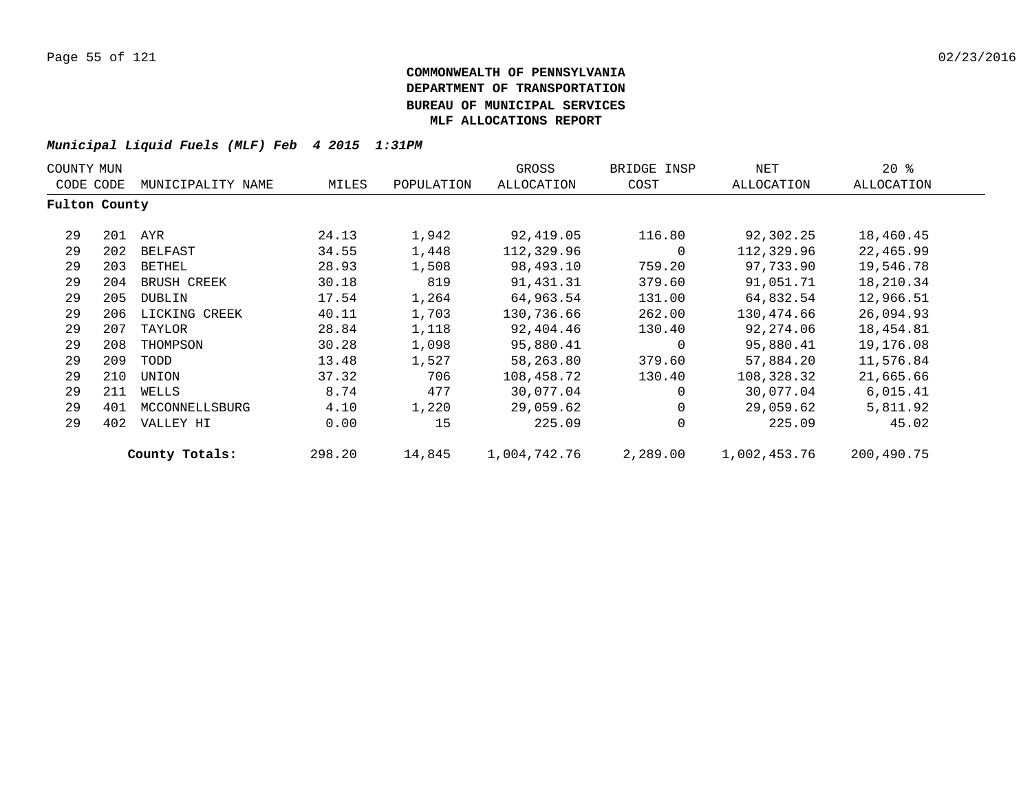| COUNTY MUN    |     |                   |        |            | GROSS        | BRIDGE INSP | NET          | $20*$      |  |
|---------------|-----|-------------------|--------|------------|--------------|-------------|--------------|------------|--|
| CODE CODE     |     | MUNICIPALITY NAME | MILES  | POPULATION | ALLOCATION   | COST        | ALLOCATION   | ALLOCATION |  |
| Fulton County |     |                   |        |            |              |             |              |            |  |
| 29            |     | 201 AYR           | 24.13  | 1,942      | 92,419.05    | 116.80      | 92,302.25    | 18,460.45  |  |
| 29            | 202 | BELFAST           | 34.55  | 1,448      | 112,329.96   | 0           | 112,329.96   | 22,465.99  |  |
| 29            | 203 | BETHEL            | 28.93  | 1,508      | 98,493.10    | 759.20      | 97,733.90    | 19,546.78  |  |
| 29            | 204 | BRUSH CREEK       | 30.18  | 819        | 91,431.31    | 379.60      | 91,051.71    | 18,210.34  |  |
| 29            | 205 | DUBLIN            | 17.54  | 1,264      | 64,963.54    | 131.00      | 64,832.54    | 12,966.51  |  |
| 29            | 206 | LICKING CREEK     | 40.11  | 1,703      | 130,736.66   | 262.00      | 130,474.66   | 26,094.93  |  |
| 29            | 207 | TAYLOR            | 28.84  | 1,118      | 92,404.46    | 130.40      | 92,274.06    | 18,454.81  |  |
| 29            | 208 | THOMPSON          | 30.28  | 1,098      | 95,880.41    | 0           | 95,880.41    | 19,176.08  |  |
| 29            | 209 | TODD              | 13.48  | 1,527      | 58,263.80    | 379.60      | 57,884.20    | 11,576.84  |  |
| 29            | 210 | UNION             | 37.32  | 706        | 108,458.72   | 130.40      | 108,328.32   | 21,665.66  |  |
| 29            | 211 | WELLS             | 8.74   | 477        | 30,077.04    | $\Omega$    | 30,077.04    | 6,015.41   |  |
| 29            | 401 | MCCONNELLSBURG    | 4.10   | 1,220      | 29,059.62    | 0           | 29,059.62    | 5,811.92   |  |
| 29            | 402 | VALLEY HI         | 0.00   | 15         | 225.09       | $\mathbf 0$ | 225.09       | 45.02      |  |
|               |     | County Totals:    | 298.20 | 14,845     | 1,004,742.76 | 2,289.00    | 1,002,453.76 | 200,490.75 |  |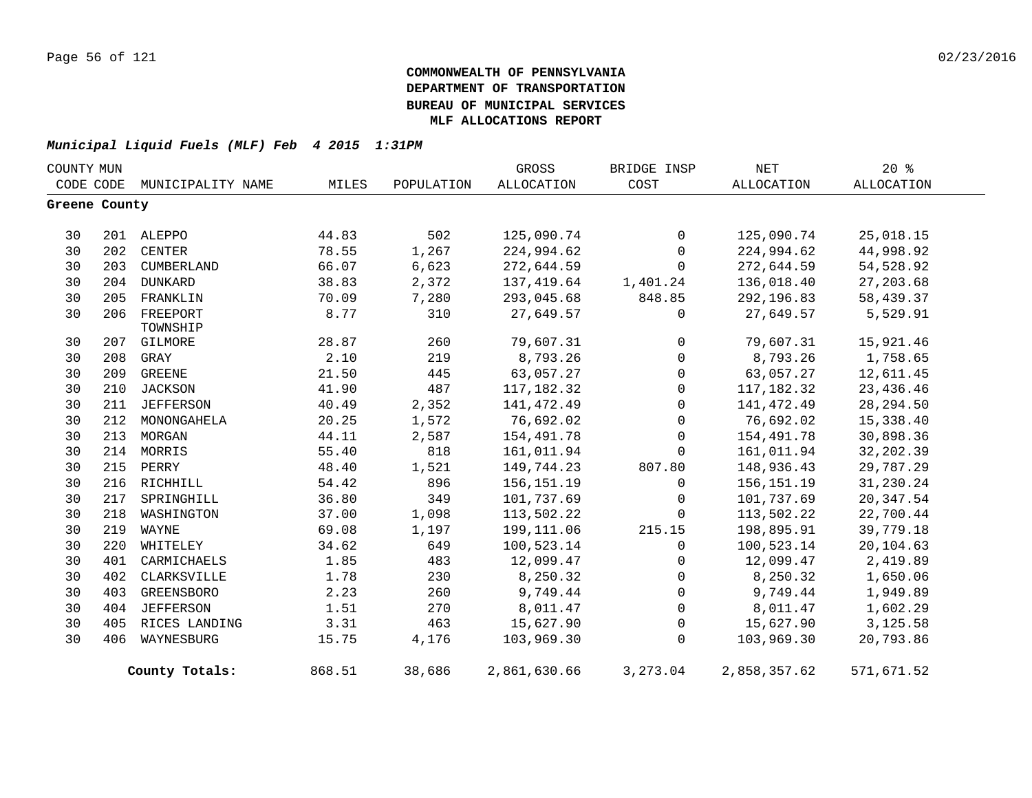| COUNTY MUN    |     |                             |        |            | GROSS        | BRIDGE INSP    | NET          | $20*$      |
|---------------|-----|-----------------------------|--------|------------|--------------|----------------|--------------|------------|
|               |     | CODE CODE MUNICIPALITY NAME | MILES  | POPULATION | ALLOCATION   | COST           | ALLOCATION   | ALLOCATION |
| Greene County |     |                             |        |            |              |                |              |            |
| 30            |     | 201 ALEPPO                  | 44.83  | 502        | 125,090.74   | 0              | 125,090.74   | 25,018.15  |
| 30            |     | 202 CENTER                  | 78.55  | 1,267      | 224,994.62   | $\mathbf 0$    | 224,994.62   | 44,998.92  |
| 30            | 203 | CUMBERLAND                  | 66.07  | 6,623      | 272,644.59   | $\mathbf 0$    | 272,644.59   | 54,528.92  |
| 30            |     | 204 DUNKARD                 | 38.83  | 2,372      | 137,419.64   | 1,401.24       | 136,018.40   | 27,203.68  |
| 30            | 205 | FRANKLIN                    | 70.09  | 7,280      | 293,045.68   | 848.85         | 292,196.83   | 58,439.37  |
| 30            | 206 | FREEPORT<br>TOWNSHIP        | 8.77   | 310        | 27,649.57    | $\mathsf{O}$   | 27,649.57    | 5,529.91   |
| 30            | 207 | GILMORE                     | 28.87  | 260        | 79,607.31    | $\overline{0}$ | 79,607.31    | 15,921.46  |
| 30            | 208 | GRAY                        | 2.10   | 219        | 8,793.26     | $\overline{0}$ | 8,793.26     | 1,758.65   |
| 30            | 209 | GREENE                      | 21.50  | 445        | 63,057.27    | 0              | 63,057.27    | 12,611.45  |
| 30            | 210 | JACKSON                     | 41.90  | 487        | 117,182.32   | $\mathbf 0$    | 117,182.32   | 23,436.46  |
| 30            | 211 | JEFFERSON                   | 40.49  | 2,352      | 141,472.49   | $\overline{0}$ | 141,472.49   | 28, 294.50 |
| 30            | 212 | MONONGAHELA                 | 20.25  | 1,572      | 76,692.02    | $\mathbf 0$    | 76,692.02    | 15,338.40  |
| 30            | 213 | MORGAN                      | 44.11  | 2,587      | 154,491.78   | $\mathbf 0$    | 154,491.78   | 30,898.36  |
| 30            |     | 214 MORRIS                  | 55.40  | 818        | 161,011.94   | $\mathbf{0}$   | 161,011.94   | 32,202.39  |
| 30            |     | 215 PERRY                   | 48.40  | 1,521      | 149,744.23   | 807.80         | 148,936.43   | 29,787.29  |
| 30            | 216 | RICHHILL                    | 54.42  | 896        | 156, 151. 19 | $\Omega$       | 156, 151. 19 | 31,230.24  |
| 30            | 217 | SPRINGHILL                  | 36.80  | 349        | 101,737.69   | $\mathbf 0$    | 101,737.69   | 20, 347.54 |
| 30            | 218 | WASHINGTON                  | 37.00  | 1,098      | 113,502.22   | $\Omega$       | 113,502.22   | 22,700.44  |
| 30            | 219 | WAYNE                       | 69.08  | 1,197      | 199,111.06   | 215.15         | 198,895.91   | 39,779.18  |
| 30            | 220 | WHITELEY                    | 34.62  | 649        | 100,523.14   | $\mathbf{0}$   | 100,523.14   | 20,104.63  |
| 30            | 401 | CARMICHAELS                 | 1.85   | 483        | 12,099.47    | $\mathbf 0$    | 12,099.47    | 2,419.89   |
| 30            | 402 | CLARKSVILLE                 | 1.78   | 230        | 8,250.32     | $\mathsf{O}$   | 8,250.32     | 1,650.06   |
| 30            | 403 | GREENSBORO                  | 2.23   | 260        | 9,749.44     | $\overline{0}$ | 9,749.44     | 1,949.89   |
| 30            | 404 | <b>JEFFERSON</b>            | 1.51   | 270        | 8,011.47     | $\mathbf 0$    | 8,011.47     | 1,602.29   |
| 30            | 405 | RICES LANDING               | 3.31   | 463        | 15,627.90    | $\mathbf 0$    | 15,627.90    | 3,125.58   |
| 30            | 406 | WAYNESBURG                  | 15.75  | 4,176      | 103,969.30   | $\Omega$       | 103,969.30   | 20,793.86  |
|               |     | County Totals:              | 868.51 | 38,686     | 2,861,630.66 | 3,273.04       | 2,858,357.62 | 571,671.52 |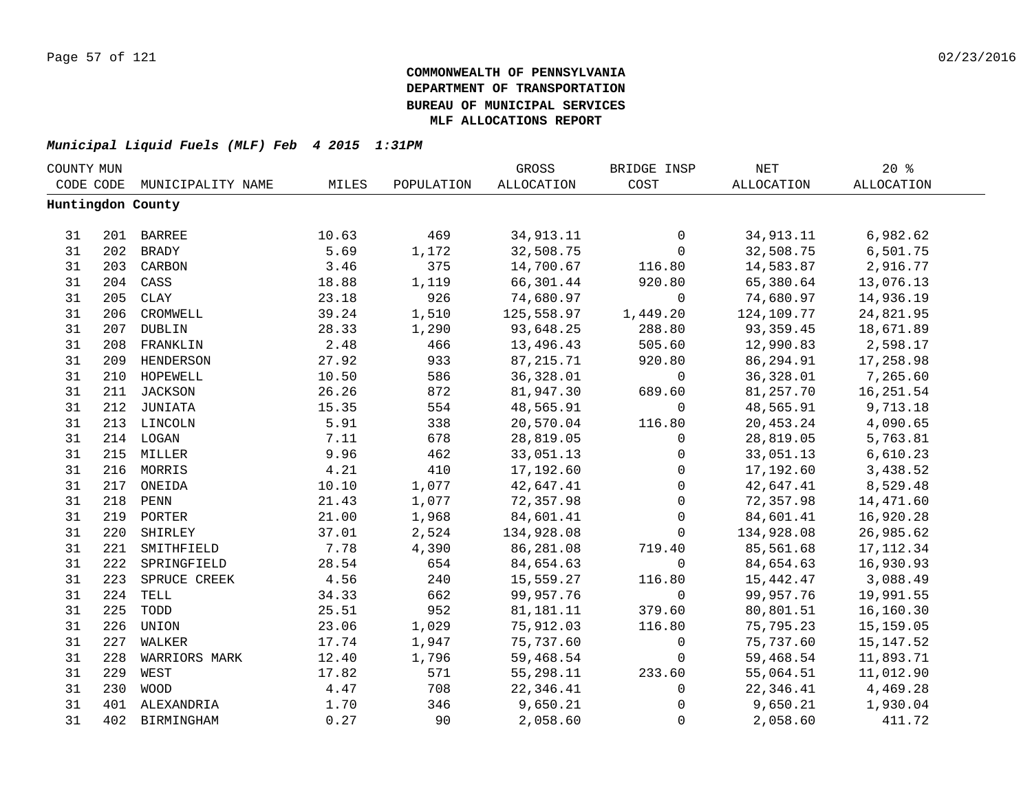| COUNTY MUN |     |                             |       |            | GROSS      | BRIDGE INSP  | NET        | $20*$      |  |
|------------|-----|-----------------------------|-------|------------|------------|--------------|------------|------------|--|
|            |     | CODE CODE MUNICIPALITY NAME | MILES | POPULATION | ALLOCATION | COST         | ALLOCATION | ALLOCATION |  |
|            |     | Huntingdon County           |       |            |            |              |            |            |  |
|            |     |                             |       |            |            |              |            |            |  |
| 31         |     | 201 BARREE                  | 10.63 | 469        | 34,913.11  | 0            | 34,913.11  | 6,982.62   |  |
| 31         |     | 202 BRADY                   | 5.69  | 1,172      | 32,508.75  | $\mathbf 0$  | 32,508.75  | 6,501.75   |  |
| 31         |     | 203 CARBON                  | 3.46  | 375        | 14,700.67  | 116.80       | 14,583.87  | 2,916.77   |  |
| 31         | 204 | CASS                        | 18.88 | 1,119      | 66,301.44  | 920.80       | 65,380.64  | 13,076.13  |  |
| 31         | 205 | CLAY                        | 23.18 | 926        | 74,680.97  | $\mathbf 0$  | 74,680.97  | 14,936.19  |  |
| 31         | 206 | CROMWELL                    | 39.24 | 1,510      | 125,558.97 | 1,449.20     | 124,109.77 | 24,821.95  |  |
| 31         | 207 | DUBLIN                      | 28.33 | 1,290      | 93,648.25  | 288.80       | 93,359.45  | 18,671.89  |  |
| 31         | 208 | FRANKLIN                    | 2.48  | 466        | 13,496.43  | 505.60       | 12,990.83  | 2,598.17   |  |
| 31         | 209 | HENDERSON                   | 27.92 | 933        | 87, 215.71 | 920.80       | 86,294.91  | 17,258.98  |  |
| 31         | 210 | HOPEWELL                    | 10.50 | 586        | 36,328.01  | 0            | 36,328.01  | 7,265.60   |  |
| 31         | 211 | JACKSON                     | 26.26 | 872        | 81,947.30  | 689.60       | 81,257.70  | 16,251.54  |  |
| 31         | 212 | JUNIATA                     | 15.35 | 554        | 48,565.91  | $\mathbf 0$  | 48,565.91  | 9,713.18   |  |
| 31         |     | 213 LINCOLN                 | 5.91  | 338        | 20,570.04  | 116.80       | 20,453.24  | 4,090.65   |  |
| 31         |     | 214 LOGAN                   | 7.11  | 678        | 28,819.05  | 0            | 28,819.05  | 5,763.81   |  |
| 31         |     | 215 MILLER                  | 9.96  | 462        | 33,051.13  | $\mathsf{O}$ | 33,051.13  | 6,610.23   |  |
| 31         |     | 216 MORRIS                  | 4.21  | 410        | 17,192.60  | $\mathbf 0$  | 17,192.60  | 3,438.52   |  |
| 31         |     | 217 ONEIDA                  | 10.10 | 1,077      | 42,647.41  | $\mathbf 0$  | 42,647.41  | 8,529.48   |  |
| 31         |     | 218 PENN                    | 21.43 | 1,077      | 72,357.98  | $\mathbf 0$  | 72,357.98  | 14,471.60  |  |
| 31         |     | 219 PORTER                  | 21.00 | 1,968      | 84,601.41  | $\mathsf{O}$ | 84,601.41  | 16,920.28  |  |
| 31         |     | 220 SHIRLEY                 | 37.01 | 2,524      | 134,928.08 | $\mathbf 0$  | 134,928.08 | 26,985.62  |  |
| 31         | 221 | SMITHFIELD                  | 7.78  | 4,390      | 86,281.08  | 719.40       | 85,561.68  | 17, 112.34 |  |
| 31         | 222 | SPRINGFIELD                 | 28.54 | 654        | 84,654.63  | $\mathbf 0$  | 84,654.63  | 16,930.93  |  |
| 31         | 223 | SPRUCE CREEK                | 4.56  | 240        | 15,559.27  | 116.80       | 15,442.47  | 3,088.49   |  |
| 31         | 224 | TELL                        | 34.33 | 662        | 99,957.76  | $\mathsf{O}$ | 99,957.76  | 19,991.55  |  |
| 31         | 225 | TODD                        | 25.51 | 952        | 81,181.11  | 379.60       | 80,801.51  | 16,160.30  |  |
| 31         | 226 | UNION                       | 23.06 | 1,029      | 75,912.03  | 116.80       | 75,795.23  | 15,159.05  |  |
| 31         | 227 | WALKER                      | 17.74 | 1,947      | 75,737.60  | $\mathsf{O}$ | 75,737.60  | 15, 147.52 |  |
| 31         | 228 | WARRIORS MARK               | 12.40 | 1,796      | 59,468.54  | $\mathbf 0$  | 59,468.54  | 11,893.71  |  |
| 31         | 229 | WEST                        | 17.82 | 571        | 55,298.11  | 233.60       | 55,064.51  | 11,012.90  |  |
| 31         | 230 | <b>WOOD</b>                 | 4.47  | 708        | 22,346.41  | 0            | 22,346.41  | 4,469.28   |  |
| 31         |     | 401 ALEXANDRIA              | 1.70  | 346        | 9,650.21   | 0            | 9,650.21   | 1,930.04   |  |
| 31         | 402 | BIRMINGHAM                  | 0.27  | 90         | 2,058.60   | $\mathbf 0$  | 2,058.60   | 411.72     |  |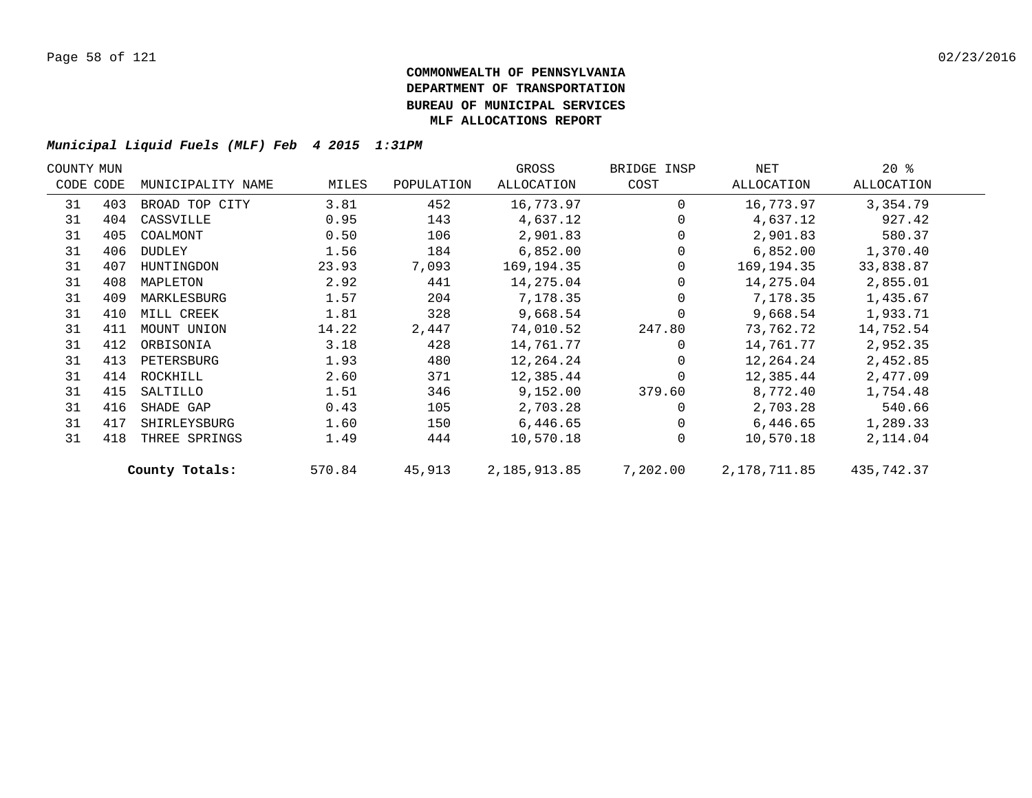| COUNTY MUN |           |                   |        |            | GROSS        | BRIDGE INSP | NET          | $20*$      |  |
|------------|-----------|-------------------|--------|------------|--------------|-------------|--------------|------------|--|
|            | CODE CODE | MUNICIPALITY NAME | MILES  | POPULATION | ALLOCATION   | COST        | ALLOCATION   | ALLOCATION |  |
| 31         | 403       | BROAD TOP CITY    | 3.81   | 452        | 16,773.97    | $\Omega$    | 16,773.97    | 3,354.79   |  |
| 31         | 404       | CASSVILLE         | 0.95   | 143        | 4,637.12     |             | 4,637.12     | 927.42     |  |
| 31         | 405       | COALMONT          | 0.50   | 106        | 2,901.83     |             | 2,901.83     | 580.37     |  |
| 31         | 406       | DUDLEY            | 1.56   | 184        | 6,852.00     | 0           | 6,852.00     | 1,370.40   |  |
| 31         | 407       | HUNTINGDON        | 23.93  | 7,093      | 169,194.35   | 0           | 169,194.35   | 33,838.87  |  |
| 31         | 408       | MAPLETON          | 2.92   | 441        | 14,275.04    |             | 14,275.04    | 2,855.01   |  |
| 31         | 409       | MARKLESBURG       | 1.57   | 204        | 7,178.35     |             | 7,178.35     | 1,435.67   |  |
| 31         | 410       | MILL CREEK        | 1.81   | 328        | 9,668.54     |             | 9,668.54     | 1,933.71   |  |
| 31         | 411       | MOUNT UNION       | 14.22  | 2,447      | 74,010.52    | 247.80      | 73,762.72    | 14,752.54  |  |
| 31         | 412       | ORBISONIA         | 3.18   | 428        | 14,761.77    | $\Omega$    | 14,761.77    | 2,952.35   |  |
| 31         | 413       | PETERSBURG        | 1.93   | 480        | 12,264.24    | 0           | 12,264.24    | 2,452.85   |  |
| 31         | 414       | ROCKHILL          | 2.60   | 371        | 12,385.44    | $\Omega$    | 12,385.44    | 2,477.09   |  |
| 31         | 415       | SALTILLO          | 1.51   | 346        | 9,152.00     | 379.60      | 8,772.40     | 1,754.48   |  |
| 31         | 416       | SHADE GAP         | 0.43   | 105        | 2,703.28     |             | 2,703.28     | 540.66     |  |
| 31         | 417       | SHIRLEYSBURG      | 1.60   | 150        | 6,446.65     | $\Omega$    | 6,446.65     | 1,289.33   |  |
| 31         | 418       | THREE SPRINGS     | 1.49   | 444        | 10,570.18    | $\Omega$    | 10,570.18    | 2,114.04   |  |
|            |           | County Totals:    | 570.84 | 45,913     | 2,185,913.85 | 7,202.00    | 2,178,711.85 | 435,742.37 |  |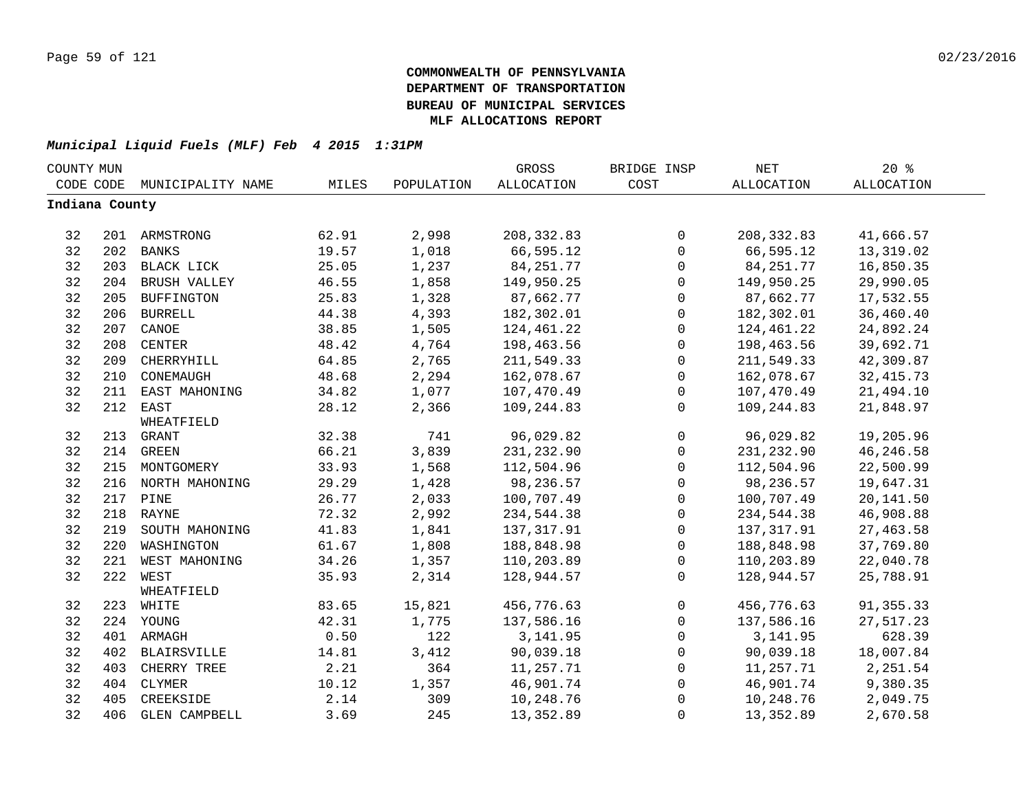| COUNTY MUN     |     |                    |       |            | <b>GROSS</b> | BRIDGE INSP  | <b>NET</b>  | 20%               |  |
|----------------|-----|--------------------|-------|------------|--------------|--------------|-------------|-------------------|--|
| CODE CODE      |     | MUNICIPALITY NAME  | MILES | POPULATION | ALLOCATION   | COST         | ALLOCATION  | <b>ALLOCATION</b> |  |
| Indiana County |     |                    |       |            |              |              |             |                   |  |
|                |     |                    |       |            |              |              |             |                   |  |
| 32             |     | 201 ARMSTRONG      | 62.91 | 2,998      | 208, 332.83  | $\mathbf 0$  | 208, 332.83 | 41,666.57         |  |
| 32             |     | 202 BANKS          | 19.57 | 1,018      | 66,595.12    | $\mathbf{0}$ | 66,595.12   | 13,319.02         |  |
| 32             |     | 203 BLACK LICK     | 25.05 | 1,237      | 84, 251. 77  | $\mathbf 0$  | 84, 251. 77 | 16,850.35         |  |
| 32             | 204 | BRUSH VALLEY       | 46.55 | 1,858      | 149,950.25   | $\mathbf 0$  | 149,950.25  | 29,990.05         |  |
| 32             | 205 | <b>BUFFINGTON</b>  | 25.83 | 1,328      | 87,662.77    | $\mathbf 0$  | 87,662.77   | 17,532.55         |  |
| 32             | 206 | <b>BURRELL</b>     | 44.38 | 4,393      | 182,302.01   | $\mathsf{O}$ | 182,302.01  | 36,460.40         |  |
| 32             | 207 | CANOE              | 38.85 | 1,505      | 124,461.22   | $\mathbf 0$  | 124,461.22  | 24,892.24         |  |
| 32             | 208 | CENTER             | 48.42 | 4,764      | 198,463.56   | $\mathbf 0$  | 198,463.56  | 39,692.71         |  |
| 32             | 209 | CHERRYHILL         | 64.85 | 2,765      | 211,549.33   | $\mathbf 0$  | 211,549.33  | 42,309.87         |  |
| 32             | 210 | CONEMAUGH          | 48.68 | 2,294      | 162,078.67   | $\mathbf 0$  | 162,078.67  | 32, 415.73        |  |
| 32             | 211 | EAST MAHONING      | 34.82 | 1,077      | 107,470.49   | $\mathbf 0$  | 107,470.49  | 21,494.10         |  |
| 32             | 212 | EAST               | 28.12 | 2,366      | 109,244.83   | $\mathbf{0}$ | 109,244.83  | 21,848.97         |  |
|                |     | WHEATFIELD         |       |            |              |              |             |                   |  |
| 32             |     | 213 GRANT          | 32.38 | 741        | 96,029.82    | $\mathbf{0}$ | 96,029.82   | 19,205.96         |  |
| 32             |     | 214 GREEN          | 66.21 | 3,839      | 231,232.90   | $\mathbf 0$  | 231, 232.90 | 46, 246.58        |  |
| 32             |     | 215 MONTGOMERY     | 33.93 | 1,568      | 112,504.96   | $\mathbf 0$  | 112,504.96  | 22,500.99         |  |
| 32             |     | 216 NORTH MAHONING | 29.29 | 1,428      | 98,236.57    | $\mathbf 0$  | 98,236.57   | 19,647.31         |  |
| 32             |     | 217 PINE           | 26.77 | 2,033      | 100,707.49   | $\mathbf 0$  | 100,707.49  | 20,141.50         |  |
| 32             |     | 218 RAYNE          | 72.32 | 2,992      | 234,544.38   | $\mathbf 0$  | 234,544.38  | 46,908.88         |  |
| 32             |     | 219 SOUTH MAHONING | 41.83 | 1,841      | 137, 317.91  | $\mathsf{O}$ | 137, 317.91 | 27, 463.58        |  |
| 32             | 220 | WASHINGTON         | 61.67 | 1,808      | 188,848.98   | $\mathbf 0$  | 188,848.98  | 37,769.80         |  |
| 32             |     | 221 WEST MAHONING  | 34.26 | 1,357      | 110,203.89   | $\mathbf 0$  | 110,203.89  | 22,040.78         |  |
| 32             | 222 | WEST               | 35.93 | 2,314      | 128,944.57   | $\Omega$     | 128,944.57  | 25,788.91         |  |
|                |     | WHEATFIELD         |       |            |              |              |             |                   |  |
| 32             |     | 223 WHITE          | 83.65 | 15,821     | 456,776.63   | $\mathbf 0$  | 456,776.63  | 91, 355. 33       |  |
| 32             |     | 224 YOUNG          | 42.31 | 1,775      | 137,586.16   | $\mathbf 0$  | 137,586.16  | 27,517.23         |  |
| 32             |     | 401 ARMAGH         | 0.50  | 122        | 3, 141.95    | $\mathbf 0$  | 3, 141.95   | 628.39            |  |
| 32             |     | 402 BLAIRSVILLE    | 14.81 | 3,412      | 90,039.18    | $\Omega$     | 90,039.18   | 18,007.84         |  |
| 32             | 403 | CHERRY TREE        | 2.21  | 364        | 11,257.71    | $\mathbf{0}$ | 11,257.71   | 2,251.54          |  |
| 32             | 404 | CLYMER             | 10.12 | 1,357      | 46,901.74    | $\mathbf 0$  | 46,901.74   | 9,380.35          |  |
| 32             | 405 | CREEKSIDE          | 2.14  | 309        | 10,248.76    | $\Omega$     | 10,248.76   | 2,049.75          |  |
| 32             |     | 406 GLEN CAMPBELL  | 3.69  | 245        | 13,352.89    | $\mathbf 0$  | 13,352.89   | 2,670.58          |  |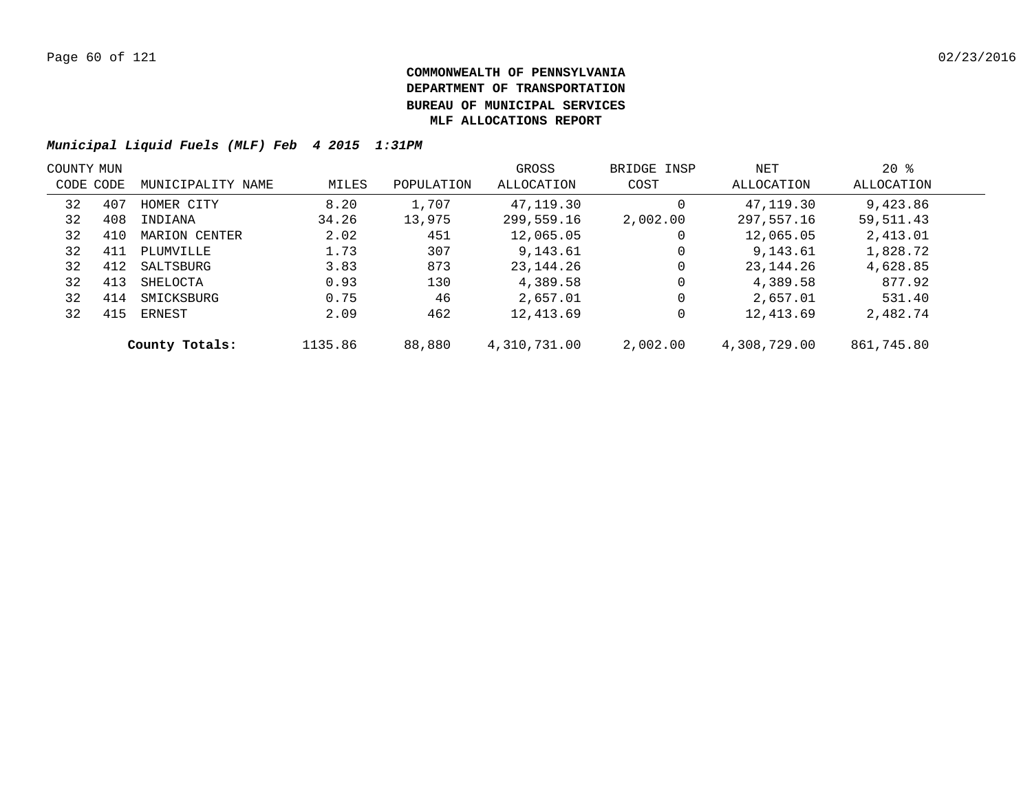|           | COUNTY MUN |                   |         |            | GROSS        | BRIDGE INSP | NET          | $20*$      |  |
|-----------|------------|-------------------|---------|------------|--------------|-------------|--------------|------------|--|
| CODE CODE |            | MUNICIPALITY NAME | MILES   | POPULATION | ALLOCATION   | COST        | ALLOCATION   | ALLOCATION |  |
| 32        | 407        | HOMER CITY        | 8.20    | 1,707      | 47,119.30    | 0           | 47,119.30    | 9,423.86   |  |
| 32        | 408        | INDIANA           | 34.26   | 13,975     | 299,559.16   | 2,002.00    | 297,557.16   | 59,511.43  |  |
| 32        | 410        | MARION CENTER     | 2.02    | 451        | 12,065.05    | 0           | 12,065.05    | 2,413.01   |  |
| 32        | 411        | PLUMVILLE         | 1.73    | 307        | 9,143.61     | 0           | 9,143.61     | 1,828.72   |  |
| 32        | 412        | SALTSBURG         | 3.83    | 873        | 23,144.26    | $\mathbf 0$ | 23, 144. 26  | 4,628.85   |  |
| 32        | 413        | SHELOCTA          | 0.93    | 130        | 4,389.58     | $\mathbf 0$ | 4,389.58     | 877.92     |  |
| 32        | 414        | SMICKSBURG        | 0.75    | 46         | 2,657.01     | $\mathbf 0$ | 2,657.01     | 531.40     |  |
| 32        | 415        | ERNEST            | 2.09    | 462        | 12,413.69    | 0           | 12,413.69    | 2,482.74   |  |
|           |            | County Totals:    | 1135.86 | 88,880     | 4,310,731.00 | 2,002.00    | 4,308,729.00 | 861,745.80 |  |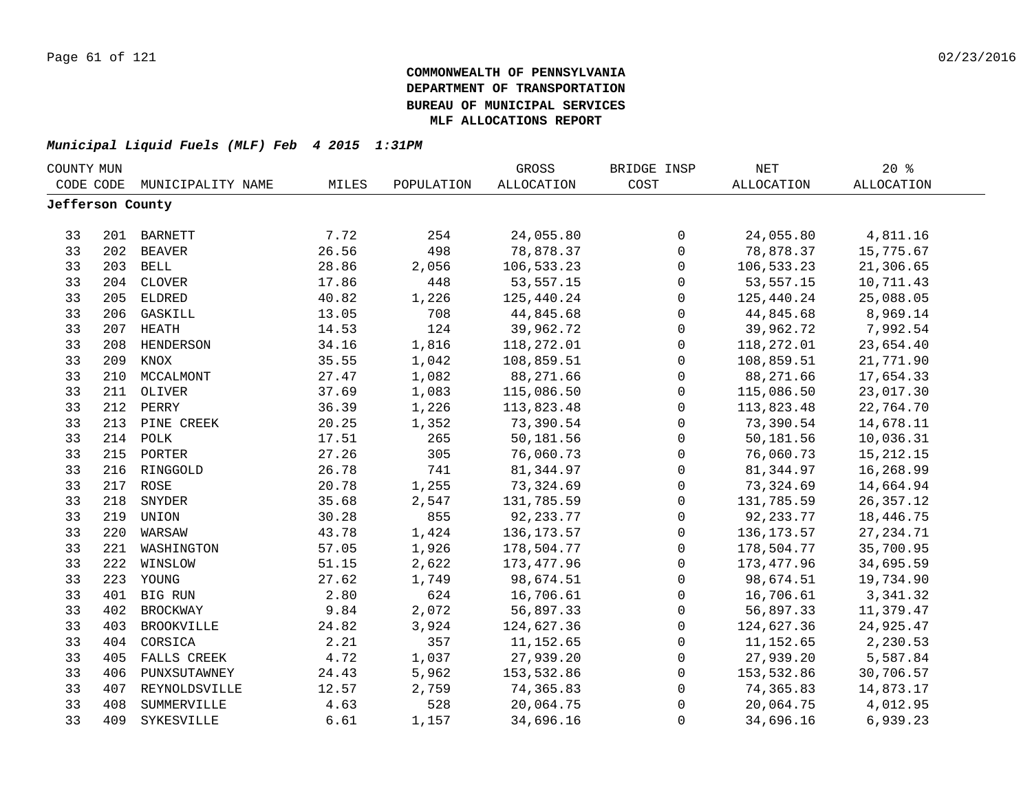| COUNTY MUN       |     |                   |       |            | GROSS             | BRIDGE INSP         | $\operatorname{NET}$ | $20*$             |  |
|------------------|-----|-------------------|-------|------------|-------------------|---------------------|----------------------|-------------------|--|
| CODE CODE        |     | MUNICIPALITY NAME | MILES | POPULATION | <b>ALLOCATION</b> | COST                | <b>ALLOCATION</b>    | <b>ALLOCATION</b> |  |
| Jefferson County |     |                   |       |            |                   |                     |                      |                   |  |
|                  |     |                   |       |            |                   |                     |                      |                   |  |
| 33               |     | 201 BARNETT       | 7.72  | 254        | 24,055.80         | $\mathsf{O}$        | 24,055.80            | 4,811.16          |  |
| 33               |     | 202 BEAVER        | 26.56 | 498        | 78,878.37         | $\mathbf 0$         | 78,878.37            | 15,775.67         |  |
| 33               |     | 203 BELL          | 28.86 | 2,056      | 106,533.23        | $\mathsf{O}$        | 106,533.23           | 21,306.65         |  |
| 33               | 204 | CLOVER            | 17.86 | 448        | 53,557.15         | 0                   | 53, 557. 15          | 10,711.43         |  |
| 33               | 205 | <b>ELDRED</b>     | 40.82 | 1,226      | 125,440.24        | $\mathsf{O}$        | 125,440.24           | 25,088.05         |  |
| 33               | 206 | GASKILL           | 13.05 | 708        | 44,845.68         | $\mathbf 0$         | 44,845.68            | 8,969.14          |  |
| 33               | 207 | HEATH             | 14.53 | 124        | 39,962.72         | $\mathbf 0$         | 39,962.72            | 7,992.54          |  |
| 33               | 208 | HENDERSON         | 34.16 | 1,816      | 118,272.01        | $\mathsf{O}$        | 118,272.01           | 23,654.40         |  |
| 33               | 209 | KNOX              | 35.55 | 1,042      | 108,859.51        | $\mathbf 0$         | 108,859.51           | 21,771.90         |  |
| 33               | 210 | MCCALMONT         | 27.47 | 1,082      | 88,271.66         | $\mathbf 0$         | 88,271.66            | 17,654.33         |  |
| 33               | 211 | OLIVER            | 37.69 | 1,083      | 115,086.50        | 0                   | 115,086.50           | 23,017.30         |  |
| 33               | 212 | PERRY             | 36.39 | 1,226      | 113,823.48        | 0                   | 113,823.48           | 22,764.70         |  |
| 33               | 213 | PINE CREEK        | 20.25 | 1,352      | 73,390.54         | 0                   | 73,390.54            | 14,678.11         |  |
| 33               | 214 | POLK              | 17.51 | 265        | 50,181.56         | $\mathsf 0$         | 50,181.56            | 10,036.31         |  |
| 33               | 215 | PORTER            | 27.26 | 305        | 76,060.73         | 0                   | 76,060.73            | 15, 212. 15       |  |
| 33               |     | 216 RINGGOLD      | 26.78 | 741        | 81, 344.97        | 0                   | 81, 344.97           | 16,268.99         |  |
| 33               |     | 217 ROSE          | 20.78 | 1,255      | 73,324.69         | $\mathsf 0$         | 73,324.69            | 14,664.94         |  |
| 33               | 218 | SNYDER            | 35.68 | 2,547      | 131,785.59        | $\mathbf 0$         | 131,785.59           | 26, 357. 12       |  |
| 33               | 219 | UNION             | 30.28 | 855        | 92, 233. 77       | 0                   | 92, 233. 77          | 18,446.75         |  |
| 33               | 220 | WARSAW            | 43.78 | 1,424      | 136, 173. 57      | $\mathsf{O}$        | 136,173.57           | 27, 234.71        |  |
| 33               | 221 | WASHINGTON        | 57.05 | 1,926      | 178,504.77        | $\mathbf 0$         | 178,504.77           | 35,700.95         |  |
| 33               | 222 | WINSLOW           | 51.15 | 2,622      | 173,477.96        | $\mathbf 0$         | 173,477.96           | 34,695.59         |  |
| 33               |     | 223 YOUNG         | 27.62 | 1,749      | 98,674.51         | $\mathbf 0$         | 98,674.51            | 19,734.90         |  |
| 33               |     | 401 BIG RUN       | 2.80  | 624        | 16,706.61         | $\mathbf 0$         | 16,706.61            | 3,341.32          |  |
| 33               | 402 | <b>BROCKWAY</b>   | 9.84  | 2,072      | 56,897.33         | 0                   | 56,897.33            | 11,379.47         |  |
| 33               | 403 | BROOKVILLE        | 24.82 | 3,924      | 124,627.36        | 0                   | 124,627.36           | 24,925.47         |  |
| 33               | 404 | CORSICA           | 2.21  | 357        | 11,152.65         | 0                   | 11,152.65            | 2,230.53          |  |
| 33               | 405 | FALLS CREEK       | 4.72  | 1,037      | 27,939.20         | 0                   | 27,939.20            | 5,587.84          |  |
| 33               | 406 | PUNXSUTAWNEY      | 24.43 | 5,962      | 153,532.86        | $\mathsf{O}\xspace$ | 153,532.86           | 30,706.57         |  |
| 33               | 407 | REYNOLDSVILLE     | 12.57 | 2,759      | 74,365.83         | 0                   | 74,365.83            | 14,873.17         |  |
| 33               | 408 | SUMMERVILLE       | 4.63  | 528        | 20,064.75         | 0                   | 20,064.75            | 4,012.95          |  |
| 33               | 409 | SYKESVILLE        | 6.61  | 1,157      | 34,696.16         | 0                   | 34,696.16            | 6,939.23          |  |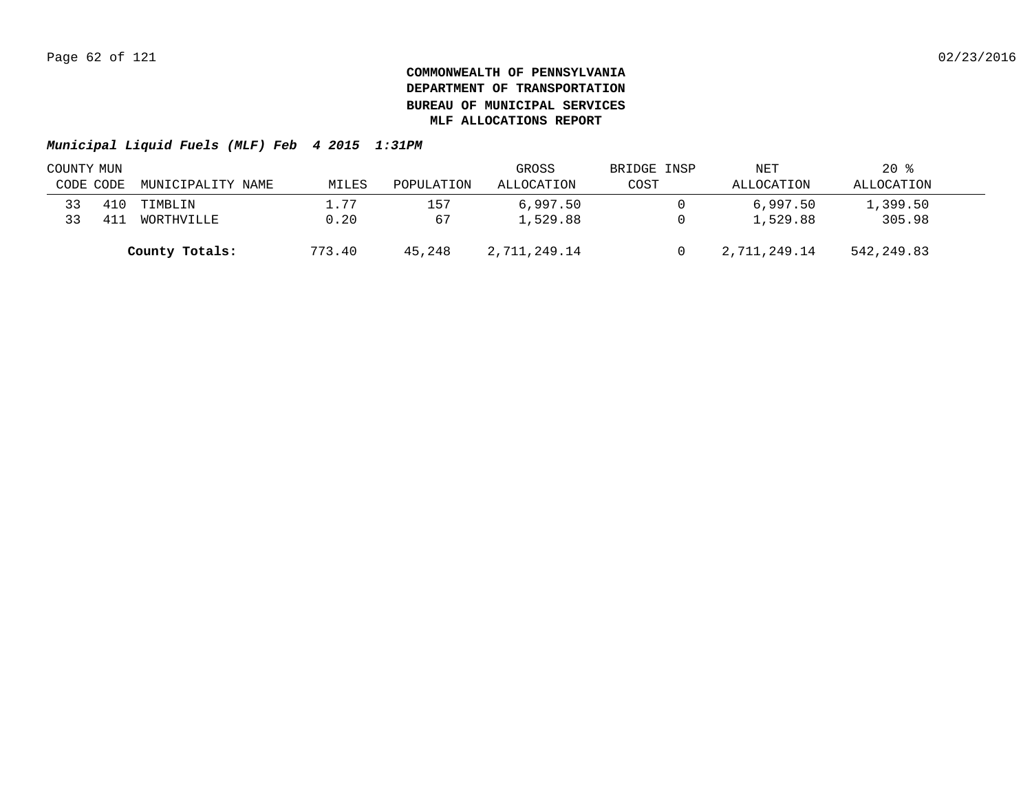| COUNTY MUN |     |                   |        | GROSS      | BRIDGE INSP  | NET  | $20*$        |            |  |
|------------|-----|-------------------|--------|------------|--------------|------|--------------|------------|--|
| CODE CODE  |     | MUNICIPALITY NAME | MILES  | POPULATION | ALLOCATION   | COST | ALLOCATION   | ALLOCATION |  |
| 33         | 410 | TIMBLIN           | 1.77   | 157        | 6,997.50     |      | 6,997.50     | 1,399.50   |  |
| 33         | 41. | WORTHVILLE        | 0.20   | 67         | 1,529.88     |      | 1,529.88     | 305.98     |  |
|            |     | County Totals:    | 773.40 | 45,248     | 2,711,249.14 |      | 2,711,249.14 | 542,249.83 |  |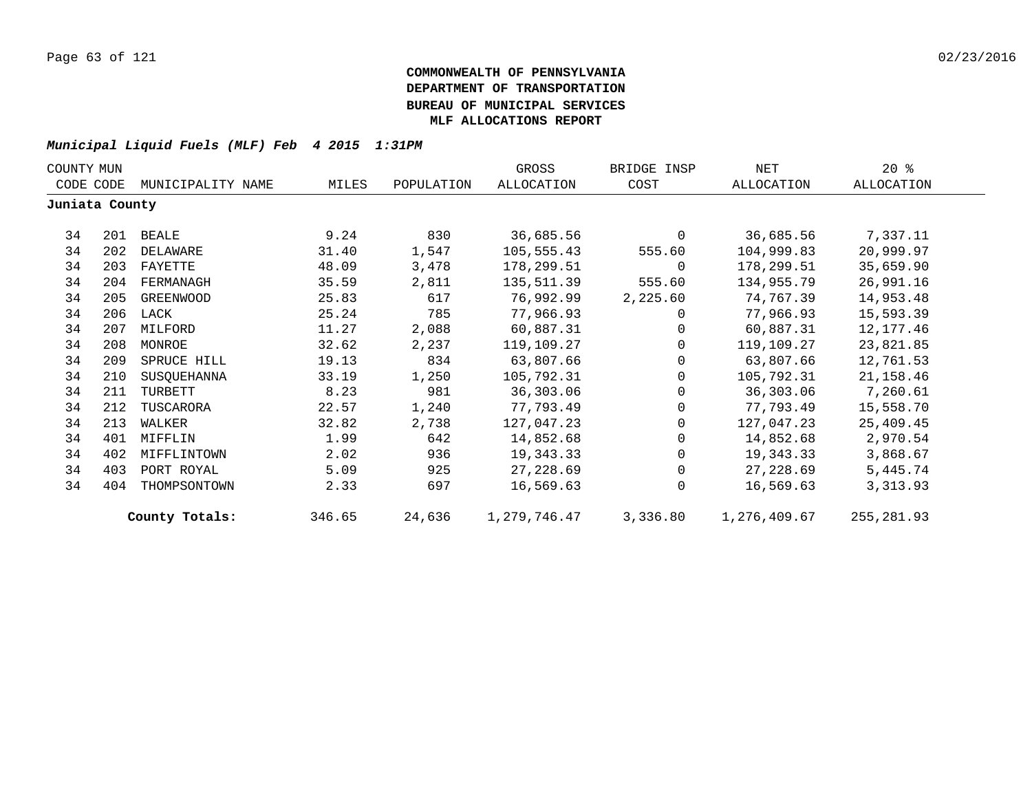| COUNTY MUN     |     |                   |        |            | GROSS        | BRIDGE INSP  | NET          | $20*$      |
|----------------|-----|-------------------|--------|------------|--------------|--------------|--------------|------------|
| CODE CODE      |     | MUNICIPALITY NAME | MILES  | POPULATION | ALLOCATION   | COST         | ALLOCATION   | ALLOCATION |
| Juniata County |     |                   |        |            |              |              |              |            |
| 34             | 201 | BEALE             | 9.24   | 830        | 36,685.56    | $\mathbf{0}$ | 36,685.56    | 7,337.11   |
| 34             | 202 | DELAWARE          | 31.40  | 1,547      | 105,555.43   | 555.60       | 104,999.83   | 20,999.97  |
| 34             | 203 | FAYETTE           | 48.09  | 3,478      | 178,299.51   | $\mathbf{0}$ | 178,299.51   | 35,659.90  |
| 34             | 204 | FERMANAGH         | 35.59  | 2,811      | 135,511.39   | 555.60       | 134,955.79   | 26,991.16  |
| 34             | 205 | GREENWOOD         | 25.83  | 617        | 76,992.99    | 2,225.60     | 74,767.39    | 14,953.48  |
| 34             | 206 | LACK              | 25.24  | 785        | 77,966.93    | $\Omega$     | 77,966.93    | 15,593.39  |
| 34             | 207 | MILFORD           | 11.27  | 2,088      | 60,887.31    |              | 60,887.31    | 12,177.46  |
| 34             | 208 | MONROE            | 32.62  | 2,237      | 119,109.27   | $\Omega$     | 119,109.27   | 23,821.85  |
| 34             | 209 | SPRUCE HILL       | 19.13  | 834        | 63,807.66    | $\mathbf 0$  | 63,807.66    | 12,761.53  |
| 34             | 210 | SUSQUEHANNA       | 33.19  | 1,250      | 105,792.31   | $\Omega$     | 105,792.31   | 21,158.46  |
| 34             | 211 | TURBETT           | 8.23   | 981        | 36,303.06    | $\Omega$     | 36,303.06    | 7,260.61   |
| 34             | 212 | TUSCARORA         | 22.57  | 1,240      | 77,793.49    | 0            | 77,793.49    | 15,558.70  |
| 34             | 213 | WALKER            | 32.82  | 2,738      | 127,047.23   | 0            | 127,047.23   | 25,409.45  |
| 34             | 401 | MIFFLIN           | 1.99   | 642        | 14,852.68    | $\Omega$     | 14,852.68    | 2,970.54   |
| 34             | 402 | MIFFLINTOWN       | 2.02   | 936        | 19,343.33    | $\Omega$     | 19,343.33    | 3,868.67   |
| 34             | 403 | PORT ROYAL        | 5.09   | 925        | 27,228.69    | $\Omega$     | 27,228.69    | 5,445.74   |
| 34             | 404 | THOMPSONTOWN      | 2.33   | 697        | 16,569.63    | $\Omega$     | 16,569.63    | 3,313.93   |
|                |     | County Totals:    | 346.65 | 24,636     | 1,279,746.47 | 3,336.80     | 1,276,409.67 | 255,281.93 |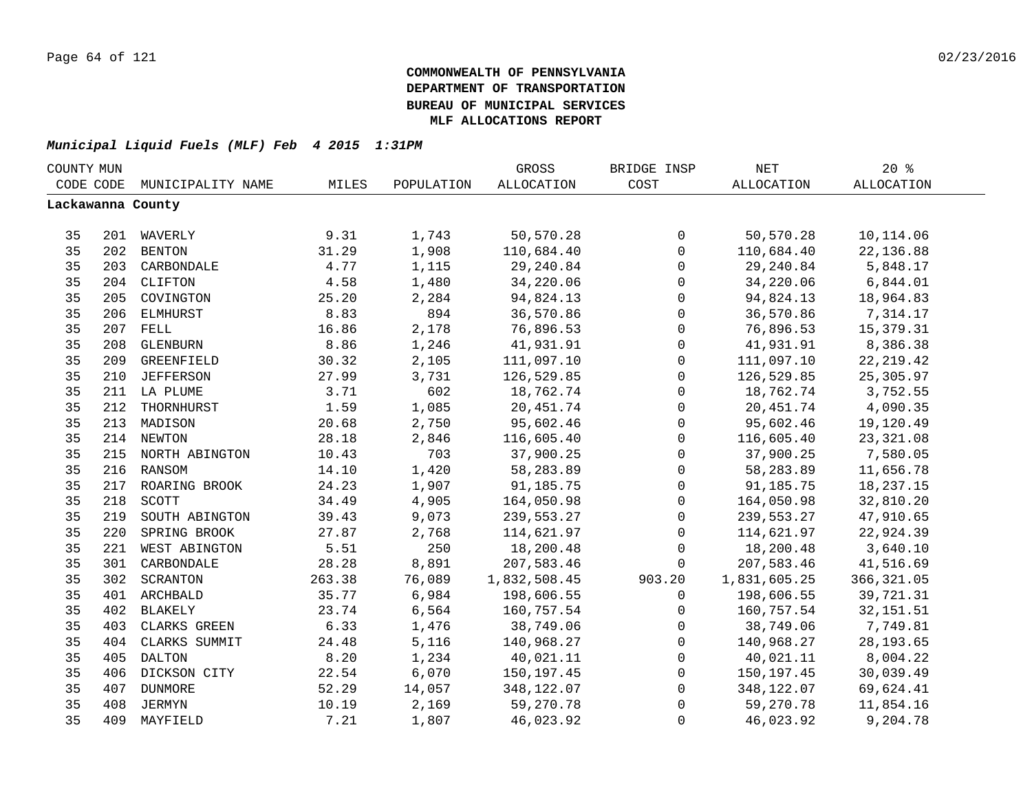| COUNTY MUN |     |                    |        |            | GROSS             | BRIDGE INSP         | NET          | 20%               |  |
|------------|-----|--------------------|--------|------------|-------------------|---------------------|--------------|-------------------|--|
| CODE CODE  |     | MUNICIPALITY NAME  | MILES  | POPULATION | <b>ALLOCATION</b> | COST                | ALLOCATION   | <b>ALLOCATION</b> |  |
|            |     | Lackawanna County  |        |            |                   |                     |              |                   |  |
|            |     |                    |        |            |                   |                     |              |                   |  |
| 35         |     | 201 WAVERLY        | 9.31   | 1,743      | 50,570.28         | 0                   | 50,570.28    | 10,114.06         |  |
| 35         |     | 202 BENTON         | 31.29  | 1,908      | 110,684.40        | $\mathsf{O}$        | 110,684.40   | 22,136.88         |  |
| 35         | 203 | CARBONDALE         | 4.77   | 1,115      | 29, 240.84        | $\mathsf{O}$        | 29, 240.84   | 5,848.17          |  |
| 35         |     | 204 CLIFTON        | 4.58   | 1,480      | 34,220.06         | $\mathsf{O}\xspace$ | 34,220.06    | 6,844.01          |  |
| 35         | 205 | COVINGTON          | 25.20  | 2,284      | 94,824.13         | $\mathsf{O}\xspace$ | 94,824.13    | 18,964.83         |  |
| 35         | 206 | ELMHURST           | 8.83   | 894        | 36,570.86         | $\mathbf 0$         | 36,570.86    | 7,314.17          |  |
| 35         | 207 | <b>FELL</b>        | 16.86  | 2,178      | 76,896.53         | $\mathbf 0$         | 76,896.53    | 15,379.31         |  |
| 35         | 208 | GLENBURN           | 8.86   | 1,246      | 41,931.91         | $\mathbf 0$         | 41,931.91    | 8,386.38          |  |
| 35         | 209 | GREENFIELD         | 30.32  | 2,105      | 111,097.10        | $\mathbf 0$         | 111,097.10   | 22, 219.42        |  |
| 35         | 210 | <b>JEFFERSON</b>   | 27.99  | 3,731      | 126,529.85        | $\mathbf 0$         | 126,529.85   | 25,305.97         |  |
| 35         |     | 211 LA PLUME       | 3.71   | 602        | 18,762.74         | $\mathbf 0$         | 18,762.74    | 3,752.55          |  |
| 35         | 212 | THORNHURST         | 1.59   | 1,085      | 20,451.74         | $\mathsf{O}$        | 20,451.74    | 4,090.35          |  |
| 35         | 213 | MADISON            | 20.68  | 2,750      | 95,602.46         | $\mathsf{O}$        | 95,602.46    | 19,120.49         |  |
| 35         |     | 214 NEWTON         | 28.18  | 2,846      | 116,605.40        | $\mathsf{O}$        | 116,605.40   | 23, 321.08        |  |
| 35         |     | 215 NORTH ABINGTON | 10.43  | 703        | 37,900.25         | 0                   | 37,900.25    | 7,580.05          |  |
| 35         |     | 216 RANSOM         | 14.10  | 1,420      | 58,283.89         | 0                   | 58,283.89    | 11,656.78         |  |
| 35         |     | 217 ROARING BROOK  | 24.23  | 1,907      | 91,185.75         | $\mathsf{O}\xspace$ | 91,185.75    | 18, 237. 15       |  |
| 35         | 218 | SCOTT              | 34.49  | 4,905      | 164,050.98        | $\mathsf{O}\xspace$ | 164,050.98   | 32,810.20         |  |
| 35         | 219 | SOUTH ABINGTON     | 39.43  | 9,073      | 239,553.27        | 0                   | 239,553.27   | 47,910.65         |  |
| 35         | 220 | SPRING BROOK       | 27.87  | 2,768      | 114,621.97        | $\mathsf{O}$        | 114,621.97   | 22,924.39         |  |
| 35         | 221 | WEST ABINGTON      | 5.51   | 250        | 18,200.48         | $\mathsf{O}$        | 18,200.48    | 3,640.10          |  |
| 35         | 301 | CARBONDALE         | 28.28  | 8,891      | 207,583.46        | $\Omega$            | 207,583.46   | 41,516.69         |  |
| 35         | 302 | SCRANTON           | 263.38 | 76,089     | 1,832,508.45      | 903.20              | 1,831,605.25 | 366, 321.05       |  |
| 35         |     | 401 ARCHBALD       | 35.77  | 6,984      | 198,606.55        | $\mathbf 0$         | 198,606.55   | 39,721.31         |  |
| 35         | 402 | BLAKELY            | 23.74  | 6,564      | 160,757.54        | $\mathbf 0$         | 160,757.54   | 32, 151.51        |  |
| 35         | 403 | CLARKS GREEN       | 6.33   | 1,476      | 38,749.06         | $\mathsf{O}$        | 38,749.06    | 7,749.81          |  |
| 35         | 404 | CLARKS SUMMIT      | 24.48  | 5,116      | 140,968.27        | 0                   | 140,968.27   | 28, 193.65        |  |
| 35         | 405 | DALTON             | 8.20   | 1,234      | 40,021.11         | $\mathsf{O}$        | 40,021.11    | 8,004.22          |  |
| 35         |     | 406 DICKSON CITY   | 22.54  | 6,070      | 150,197.45        | $\mathsf{O}$        | 150,197.45   | 30,039.49         |  |
| 35         | 407 | <b>DUNMORE</b>     | 52.29  | 14,057     | 348,122.07        | $\mathbf 0$         | 348,122.07   | 69,624.41         |  |
| 35         | 408 | JERMYN             | 10.19  | 2,169      | 59,270.78         | 0                   | 59,270.78    | 11,854.16         |  |
| 35         | 409 | MAYFIELD           | 7.21   | 1,807      | 46,023.92         | 0                   | 46,023.92    | 9,204.78          |  |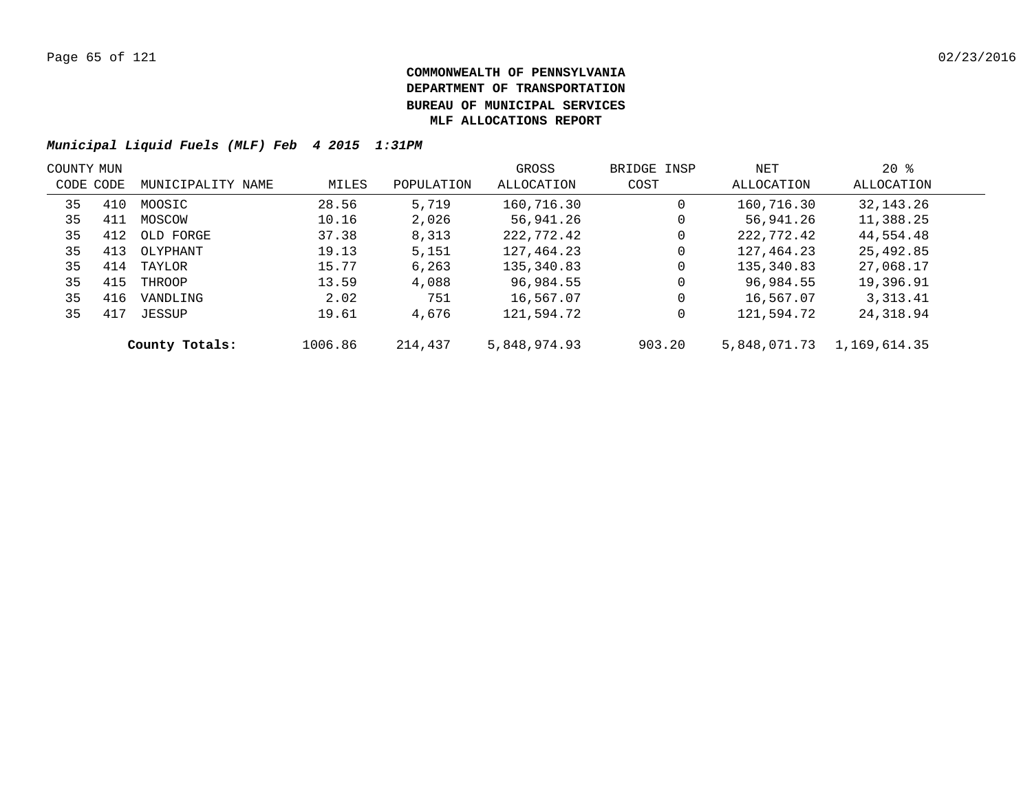| COUNTY MUN |     |                   |         |            | GROSS        | BRIDGE INSP | NET          | $20*$        |  |
|------------|-----|-------------------|---------|------------|--------------|-------------|--------------|--------------|--|
| CODE CODE  |     | MUNICIPALITY NAME | MILES   | POPULATION | ALLOCATION   | COST        | ALLOCATION   | ALLOCATION   |  |
| 35         | 410 | MOOSIC            | 28.56   | 5,719      | 160,716.30   | 0           | 160,716.30   | 32, 143. 26  |  |
| 35         | 411 | MOSCOW            | 10.16   | 2,026      | 56,941.26    | 0           | 56,941.26    | 11,388.25    |  |
| 35         | 412 | OLD FORGE         | 37.38   | 8,313      | 222,772.42   | 0           | 222,772.42   | 44,554.48    |  |
| 35         | 413 | OLYPHANT          | 19.13   | 5,151      | 127,464.23   | 0           | 127,464.23   | 25,492.85    |  |
| 35         | 414 | TAYLOR            | 15.77   | 6,263      | 135,340.83   | 0           | 135,340.83   | 27,068.17    |  |
| 35         | 415 | THROOP            | 13.59   | 4,088      | 96,984.55    | 0           | 96,984.55    | 19,396.91    |  |
| 35         | 416 | VANDLING          | 2.02    | 751        | 16,567.07    | 0           | 16,567.07    | 3, 313. 41   |  |
| 35         | 417 | JESSUP            | 19.61   | 4,676      | 121,594.72   | 0           | 121,594.72   | 24,318.94    |  |
|            |     | County Totals:    | 1006.86 | 214,437    | 5,848,974.93 | 903.20      | 5,848,071.73 | 1,169,614.35 |  |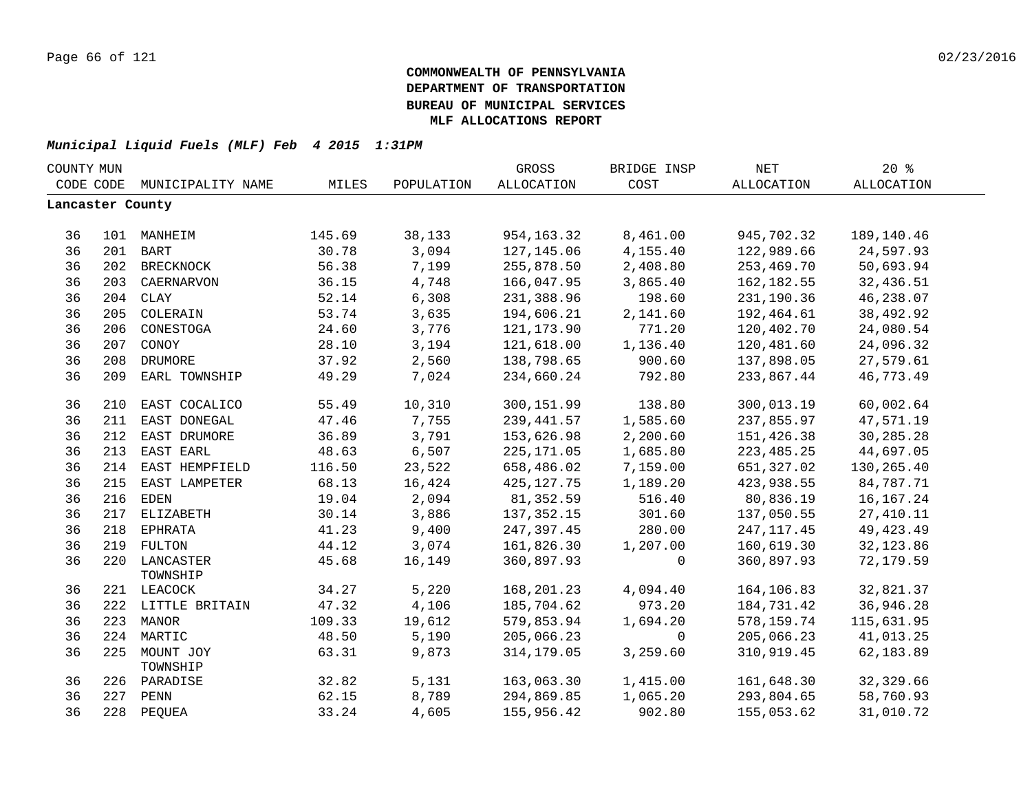| COST<br>CODE CODE<br>MUNICIPALITY NAME<br>MILES<br>POPULATION<br>ALLOCATION<br>ALLOCATION     | ALLOCATION  |  |
|-----------------------------------------------------------------------------------------------|-------------|--|
| Lancaster County                                                                              |             |  |
|                                                                                               |             |  |
| 145.69<br>38,133<br>954,163.32<br>8,461.00<br>945,702.32<br>36<br>101 MANHEIM                 | 189,140.46  |  |
| 36<br>201 BART<br>30.78<br>3,094<br>127,145.06<br>4,155.40<br>122,989.66                      | 24,597.93   |  |
| 36<br>56.38<br>7,199<br>2,408.80<br>253,469.70<br>202 BRECKNOCK<br>255,878.50                 | 50,693.94   |  |
| 36<br>203<br>36.15<br>4,748<br>166,047.95<br>3,865.40<br>162, 182.55<br>CAERNARVON            | 32,436.51   |  |
| 36<br>52.14<br>6,308<br>204<br>CLAY<br>231,388.96<br>198.60<br>231,190.36                     | 46,238.07   |  |
| 36<br>53.74<br>3,635<br>2,141.60<br>192,464.61<br>205<br>COLERAIN<br>194,606.21               | 38,492.92   |  |
| 36<br>24.60<br>3,776<br>206<br>CONESTOGA<br>121,173.90<br>771.20<br>120,402.70                | 24,080.54   |  |
| 36<br>207<br>28.10<br>3,194<br>121,618.00<br>1,136.40<br>120,481.60<br>CONOY                  | 24,096.32   |  |
| 36<br>208<br>37.92<br>2,560<br>DRUMORE<br>138,798.65<br>900.60<br>137,898.05                  | 27,579.61   |  |
| 36<br>7,024<br>209<br>49.29<br>234,660.24<br>792.80<br>233,867.44<br>EARL TOWNSHIP            | 46,773.49   |  |
| EAST COCALICO<br>55.49<br>10,310<br>300,151.99<br>138.80<br>300,013.19<br>36<br>210           | 60,002.64   |  |
| 36<br>211<br>47.46<br>7,755<br>239,441.57<br>1,585.60<br>EAST DONEGAL<br>237,855.97           | 47,571.19   |  |
| 36<br>3,791<br>2,200.60<br>212<br>EAST DRUMORE<br>36.89<br>153,626.98<br>151,426.38           | 30,285.28   |  |
| 6,507<br>36<br>213<br>EAST EARL<br>225, 171.05<br>1,685.80<br>223, 485. 25<br>48.63           | 44,697.05   |  |
| 36<br>23,522<br>7,159.00<br>214 EAST HEMPFIELD<br>116.50<br>658,486.02<br>651,327.02          | 130,265.40  |  |
| 36<br>68.13<br>16,424<br>1,189.20<br>423,938.55<br>215 EAST LAMPETER<br>425, 127. 75          | 84,787.71   |  |
| 36<br>81,352.59<br>80,836.19<br>216 EDEN<br>19.04<br>2,094<br>516.40                          | 16, 167. 24 |  |
| 36<br>30.14<br>3,886<br>301.60<br>137,050.55<br>217 ELIZABETH<br>137, 352. 15                 | 27, 410.11  |  |
| 36<br>9,400<br>280.00<br>218 EPHRATA<br>41.23<br>247,397.45<br>247, 117.45                    | 49, 423. 49 |  |
| 36<br>219 FULTON<br>44.12<br>3,074<br>161,826.30<br>1,207.00<br>160,619.30                    | 32, 123.86  |  |
| 36<br>220 LANCASTER<br>45.68<br>16,149<br>360,897.93<br>360,897.93<br>$\mathbf 0$<br>TOWNSHIP | 72,179.59   |  |
| 5,220<br>36<br>34.27<br>168,201.23<br>4,094.40<br>164,106.83<br>221 LEACOCK                   | 32,821.37   |  |
| 36<br>47.32<br>4,106<br>185,704.62<br>973.20<br>184,731.42<br>222 LITTLE BRITAIN              | 36,946.28   |  |
| 36<br>109.33<br>19,612<br>579,853.94<br>1,694.20<br>223 MANOR<br>578,159.74                   | 115,631.95  |  |
| 36<br>224<br>MARTIC<br>48.50<br>205,066.23<br>205,066.23<br>5,190<br>$\mathbf 0$              | 41,013.25   |  |
| 36<br>9,873<br>3,259.60<br>225<br>MOUNT JOY<br>63.31<br>314, 179.05<br>310,919.45<br>TOWNSHIP | 62,183.89   |  |
| 36<br>32.82<br>5,131<br>163,063.30<br>1,415.00<br>161,648.30<br>226 PARADISE                  | 32,329.66   |  |
| 36<br>227<br>62.15<br>8,789<br>294,869.85<br>1,065.20<br>293,804.65<br>PENN                   | 58,760.93   |  |
| 36<br>228 PEQUEA<br>33.24<br>4,605<br>155,956.42<br>902.80<br>155,053.62                      | 31,010.72   |  |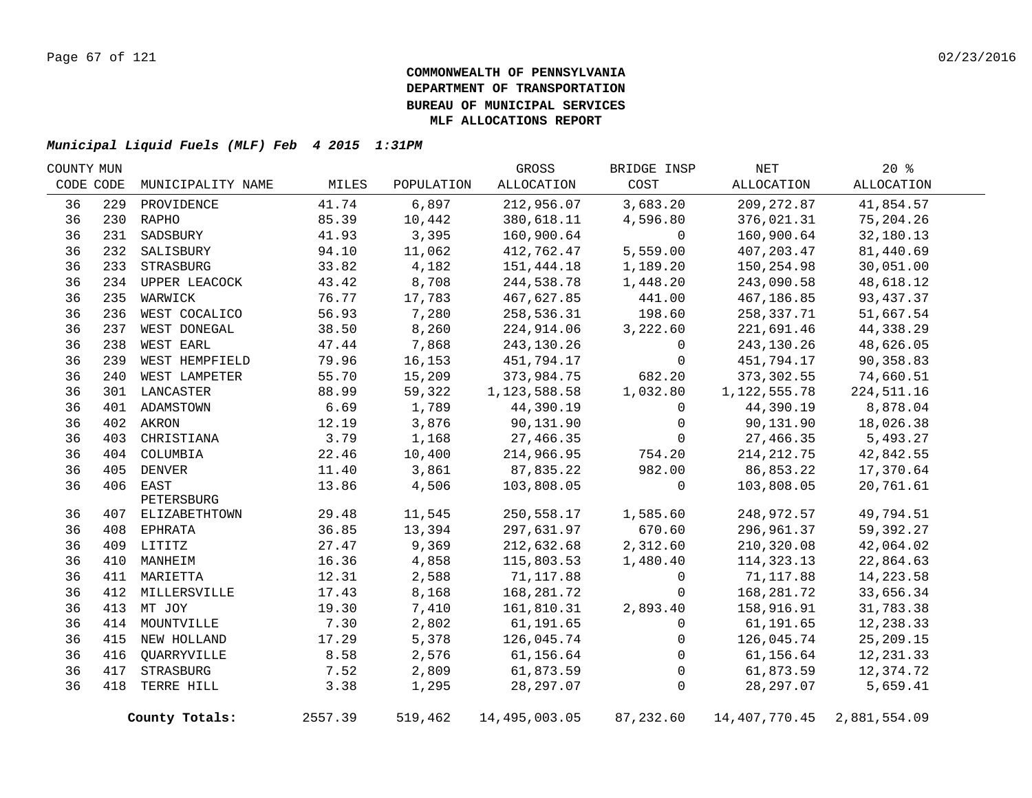| COUNTY MUN |     |                   |         |            | GROSS          | BRIDGE INSP | NET              | $20*$        |  |
|------------|-----|-------------------|---------|------------|----------------|-------------|------------------|--------------|--|
| CODE CODE  |     | MUNICIPALITY NAME | MILES   | POPULATION | ALLOCATION     | COST        | ALLOCATION       | ALLOCATION   |  |
| 36         | 229 | PROVIDENCE        | 41.74   | 6,897      | 212,956.07     | 3,683.20    | 209, 272.87      | 41,854.57    |  |
| 36         |     | 230 RAPHO         | 85.39   | 10,442     | 380,618.11     | 4,596.80    | 376,021.31       | 75,204.26    |  |
| 36         | 231 | SADSBURY          | 41.93   | 3,395      | 160,900.64     | $\mathbf 0$ | 160,900.64       | 32,180.13    |  |
| 36         |     | 232 SALISBURY     | 94.10   | 11,062     | 412,762.47     | 5,559.00    | 407, 203.47      | 81,440.69    |  |
| 36         |     | 233 STRASBURG     | 33.82   | 4,182      | 151,444.18     | 1,189.20    | 150,254.98       | 30,051.00    |  |
| 36         |     | 234 UPPER LEACOCK | 43.42   | 8,708      | 244,538.78     | 1,448.20    | 243,090.58       | 48,618.12    |  |
| 36         |     | 235 WARWICK       | 76.77   | 17,783     | 467,627.85     | 441.00      | 467,186.85       | 93, 437.37   |  |
| 36         |     | 236 WEST COCALICO | 56.93   | 7,280      | 258,536.31     | 198.60      | 258,337.71       | 51,667.54    |  |
| 36         | 237 | WEST DONEGAL      | 38.50   | 8,260      | 224,914.06     | 3,222.60    | 221,691.46       | 44,338.29    |  |
| 36         | 238 | <b>WEST EARL</b>  | 47.44   | 7,868      | 243,130.26     | 0           | 243,130.26       | 48,626.05    |  |
| 36         | 239 | WEST HEMPFIELD    | 79.96   | 16,153     | 451,794.17     | 0           | 451,794.17       | 90,358.83    |  |
| 36         | 240 | WEST LAMPETER     | 55.70   | 15,209     | 373,984.75     | 682.20      | 373,302.55       | 74,660.51    |  |
| 36         |     | 301 LANCASTER     | 88.99   | 59,322     | 1, 123, 588.58 | 1,032.80    | 1,122,555.78     | 224, 511.16  |  |
| 36         |     | 401 ADAMSTOWN     | 6.69    | 1,789      | 44,390.19      | $\mathbf 0$ | 44,390.19        | 8,878.04     |  |
| 36         |     | 402 AKRON         | 12.19   | 3,876      | 90,131.90      | $\mathbf 0$ | 90,131.90        | 18,026.38    |  |
| 36         | 403 | CHRISTIANA        | 3.79    | 1,168      | 27,466.35      | $\mathbf 0$ | 27,466.35        | 5,493.27     |  |
| 36         |     | 404 COLUMBIA      | 22.46   | 10,400     | 214,966.95     | 754.20      | 214, 212.75      | 42,842.55    |  |
| 36         |     | 405 DENVER        | 11.40   | 3,861      | 87,835.22      | 982.00      | 86,853.22        | 17,370.64    |  |
| 36         |     | 406 EAST          | 13.86   | 4,506      | 103,808.05     | 0           | 103,808.05       | 20,761.61    |  |
|            |     | PETERSBURG        |         |            |                |             |                  |              |  |
| 36         |     | 407 ELIZABETHTOWN | 29.48   | 11,545     | 250,558.17     | 1,585.60    | 248,972.57       | 49,794.51    |  |
| 36         |     | 408 EPHRATA       | 36.85   | 13,394     | 297,631.97     | 670.60      | 296,961.37       | 59,392.27    |  |
| 36         |     | 409 LITITZ        | 27.47   | 9,369      | 212,632.68     | 2,312.60    | 210,320.08       | 42,064.02    |  |
| 36         |     | 410 MANHEIM       | 16.36   | 4,858      | 115,803.53     | 1,480.40    | 114, 323. 13     | 22,864.63    |  |
| 36         |     | 411 MARIETTA      | 12.31   | 2,588      | 71,117.88      | 0           | 71,117.88        | 14,223.58    |  |
| 36         |     | 412 MILLERSVILLE  | 17.43   | 8,168      | 168,281.72     | $\mathbf 0$ | 168,281.72       | 33,656.34    |  |
| 36         |     | 413 MT JOY        | 19.30   | 7,410      | 161,810.31     | 2,893.40    | 158,916.91       | 31,783.38    |  |
| 36         |     | 414 MOUNTVILLE    | 7.30    | 2,802      | 61,191.65      | $\mathbf 0$ | 61,191.65        | 12,238.33    |  |
| 36         |     | 415 NEW HOLLAND   | 17.29   | 5,378      | 126,045.74     | $\mathbf 0$ | 126,045.74       | 25,209.15    |  |
| 36         | 416 | QUARRYVILLE       | 8.58    | 2,576      | 61,156.64      | $\Omega$    | 61,156.64        | 12, 231.33   |  |
| 36         | 417 | STRASBURG         | 7.52    | 2,809      | 61,873.59      | 0           | 61,873.59        | 12,374.72    |  |
| 36         | 418 | TERRE HILL        | 3.38    | 1,295      | 28, 297.07     | 0           | 28, 297.07       | 5,659.41     |  |
|            |     | County Totals:    | 2557.39 | 519,462    | 14,495,003.05  | 87,232.60   | 14, 407, 770. 45 | 2,881,554.09 |  |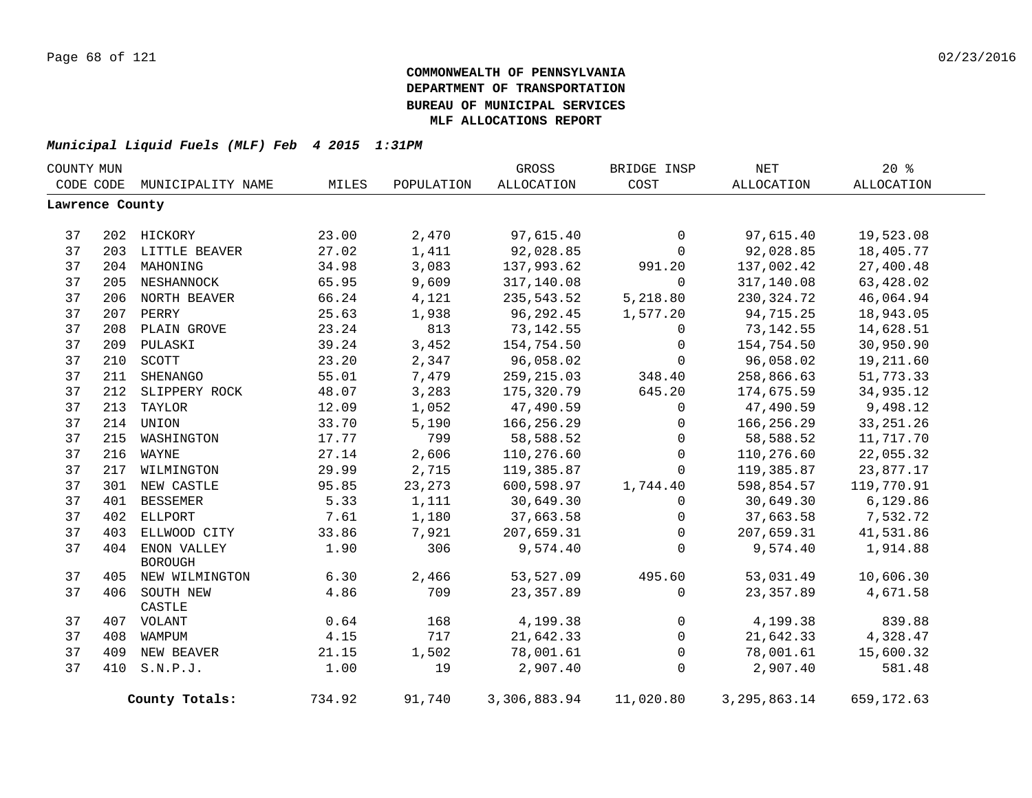| COUNTY MUN      |     |                    |        |            | GROSS        | BRIDGE INSP  | $\operatorname{NET}$ | 20%         |  |
|-----------------|-----|--------------------|--------|------------|--------------|--------------|----------------------|-------------|--|
| CODE CODE       |     | MUNICIPALITY NAME  | MILES  | POPULATION | ALLOCATION   | COST         | ALLOCATION           | ALLOCATION  |  |
| Lawrence County |     |                    |        |            |              |              |                      |             |  |
|                 |     |                    |        |            |              |              |                      |             |  |
| 37              |     | 202 HICKORY        | 23.00  | 2,470      | 97,615.40    | $\mathbf 0$  | 97,615.40            | 19,523.08   |  |
| 37              |     | 203 LITTLE BEAVER  | 27.02  | 1,411      | 92,028.85    | $\mathbf 0$  | 92,028.85            | 18,405.77   |  |
| 37              |     | 204 MAHONING       | 34.98  | 3,083      | 137,993.62   | 991.20       | 137,002.42           | 27,400.48   |  |
| 37              |     | 205 NESHANNOCK     | 65.95  | 9,609      | 317,140.08   | $\mathbf 0$  | 317,140.08           | 63,428.02   |  |
| 37              |     | 206 NORTH BEAVER   | 66.24  | 4,121      | 235,543.52   | 5,218.80     | 230, 324. 72         | 46,064.94   |  |
| 37              |     | 207 PERRY          | 25.63  | 1,938      | 96,292.45    | 1,577.20     | 94,715.25            | 18,943.05   |  |
| 37              |     | 208 PLAIN GROVE    | 23.24  | 813        | 73,142.55    | 0            | 73, 142.55           | 14,628.51   |  |
| 37              |     | 209 PULASKI        | 39.24  | 3,452      | 154,754.50   | $\mathbf 0$  | 154,754.50           | 30,950.90   |  |
| 37              |     | 210 SCOTT          | 23.20  | 2,347      | 96,058.02    | $\mathbf 0$  | 96,058.02            | 19,211.60   |  |
| 37              | 211 | SHENANGO           | 55.01  | 7,479      | 259,215.03   | 348.40       | 258,866.63           | 51,773.33   |  |
| 37              | 212 | SLIPPERY ROCK      | 48.07  | 3,283      | 175,320.79   | 645.20       | 174,675.59           | 34,935.12   |  |
| 37              |     | 213 TAYLOR         | 12.09  | 1,052      | 47,490.59    | 0            | 47,490.59            | 9,498.12    |  |
| 37              |     | 214 UNION          | 33.70  | 5,190      | 166,256.29   | $\mathbf 0$  | 166,256.29           | 33, 251. 26 |  |
| 37              |     | 215 WASHINGTON     | 17.77  | 799        | 58,588.52    | $\mathbf 0$  | 58,588.52            | 11,717.70   |  |
| 37              |     | 216 WAYNE          | 27.14  | 2,606      | 110,276.60   | $\mathbf 0$  | 110,276.60           | 22,055.32   |  |
| 37              |     | 217 WILMINGTON     | 29.99  | 2,715      | 119,385.87   | $\Omega$     | 119,385.87           | 23,877.17   |  |
| 37              |     | 301 NEW CASTLE     | 95.85  | 23,273     | 600,598.97   | 1,744.40     | 598,854.57           | 119,770.91  |  |
| 37              | 401 | <b>BESSEMER</b>    | 5.33   | 1,111      | 30,649.30    | 0            | 30,649.30            | 6,129.86    |  |
| 37              | 402 | <b>ELLPORT</b>     | 7.61   | 1,180      | 37,663.58    | 0            | 37,663.58            | 7,532.72    |  |
| 37              | 403 | ELLWOOD CITY       | 33.86  | 7,921      | 207,659.31   | $\mathbf 0$  | 207,659.31           | 41,531.86   |  |
| 37              |     | 404 ENON VALLEY    | 1.90   | 306        | 9,574.40     | $\mathbf 0$  | 9,574.40             | 1,914.88    |  |
|                 |     | <b>BOROUGH</b>     |        |            |              |              |                      |             |  |
| 37              |     | 405 NEW WILMINGTON | 6.30   | 2,466      | 53,527.09    | 495.60       | 53,031.49            | 10,606.30   |  |
| 37              |     | 406 SOUTH NEW      | 4.86   | 709        | 23, 357.89   | $\mathbf 0$  | 23, 357.89           | 4,671.58    |  |
|                 |     | CASTLE             |        |            |              |              |                      |             |  |
| 37              |     | 407 VOLANT         | 0.64   | 168        | 4,199.38     | 0            | 4,199.38             | 839.88      |  |
| 37              |     | 408 WAMPUM         | 4.15   | 717        | 21,642.33    | $\mathsf{O}$ | 21,642.33            | 4,328.47    |  |
| 37              |     | 409 NEW BEAVER     | 21.15  | 1,502      | 78,001.61    | 0            | 78,001.61            | 15,600.32   |  |
| 37              |     | 410 S.N.P.J.       | 1.00   | 19         | 2,907.40     | $\mathbf 0$  | 2,907.40             | 581.48      |  |
|                 |     | County Totals:     | 734.92 | 91,740     | 3,306,883.94 | 11,020.80    | 3, 295, 863. 14      | 659,172.63  |  |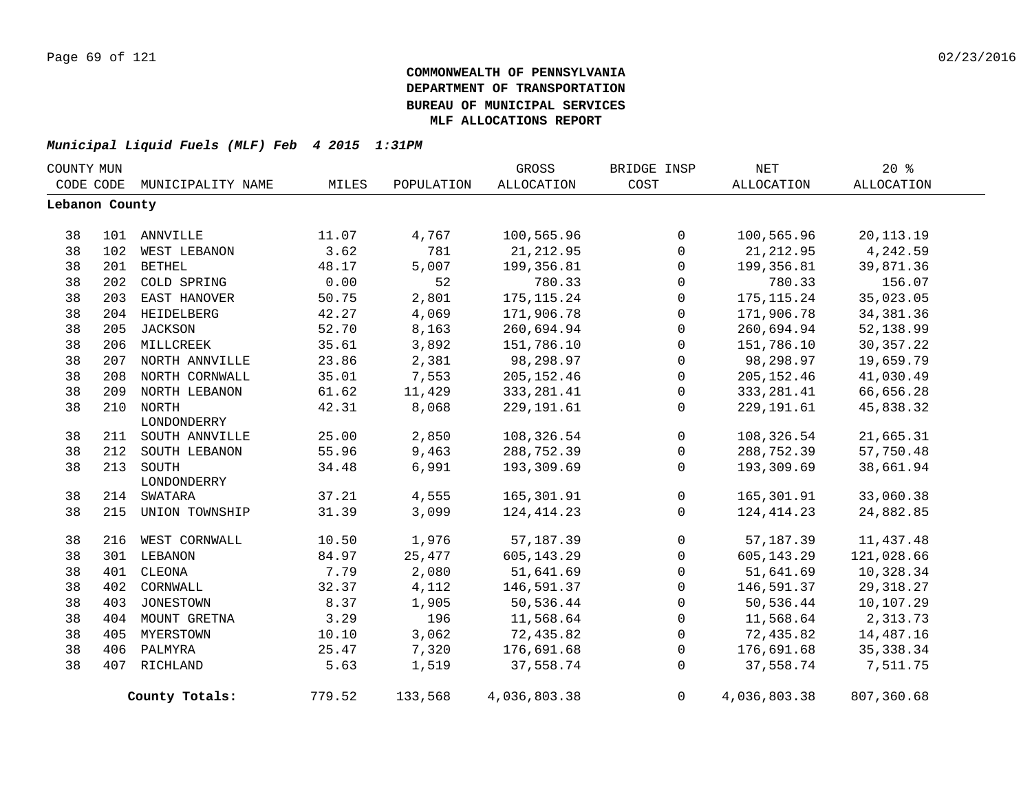|                | COUNTY MUN |                    |        |            | GROSS             | BRIDGE INSP    | NET          | $20*$       |  |
|----------------|------------|--------------------|--------|------------|-------------------|----------------|--------------|-------------|--|
| CODE CODE      |            | MUNICIPALITY NAME  | MILES  | POPULATION | <b>ALLOCATION</b> | COST           | ALLOCATION   | ALLOCATION  |  |
| Lebanon County |            |                    |        |            |                   |                |              |             |  |
|                |            |                    |        |            |                   |                |              |             |  |
| 38             |            | 101 ANNVILLE       | 11.07  | 4,767      | 100,565.96        | $\mathbf 0$    | 100,565.96   | 20, 113. 19 |  |
| 38             | 102        | WEST LEBANON       | 3.62   | 781        | 21, 212.95        | $\mathbf 0$    | 21, 212.95   | 4,242.59    |  |
| 38             | 201        | <b>BETHEL</b>      | 48.17  | 5,007      | 199,356.81        | $\mathbf 0$    | 199,356.81   | 39,871.36   |  |
| 38             | 202        | COLD SPRING        | 0.00   | 52         | 780.33            | 0              | 780.33       | 156.07      |  |
| 38             |            | 203 EAST HANOVER   | 50.75  | 2,801      | 175, 115. 24      | 0              | 175, 115. 24 | 35,023.05   |  |
| 38             |            | 204 HEIDELBERG     | 42.27  | 4,069      | 171,906.78        | $\mathsf{O}$   | 171,906.78   | 34, 381.36  |  |
| 38             |            | 205 JACKSON        | 52.70  | 8,163      | 260,694.94        | $\mathbf 0$    | 260,694.94   | 52,138.99   |  |
| 38             |            | 206 MILLCREEK      | 35.61  | 3,892      | 151,786.10        | $\mathbf 0$    | 151,786.10   | 30, 357.22  |  |
| 38             |            | 207 NORTH ANNVILLE | 23.86  | 2,381      | 98,298.97         | $\mathbf 0$    | 98,298.97    | 19,659.79   |  |
| 38             |            | 208 NORTH CORNWALL | 35.01  | 7,553      | 205, 152.46       | $\mathbf 0$    | 205, 152.46  | 41,030.49   |  |
| 38             |            | 209 NORTH LEBANON  | 61.62  | 11,429     | 333, 281.41       | 0              | 333, 281.41  | 66,656.28   |  |
| 38             |            | 210 NORTH          | 42.31  | 8,068      | 229, 191.61       | $\mathbf 0$    | 229, 191.61  | 45,838.32   |  |
|                |            | LONDONDERRY        |        |            |                   |                |              |             |  |
| 38             |            | 211 SOUTH ANNVILLE | 25.00  | 2,850      | 108,326.54        | $\mathsf{O}$   | 108,326.54   | 21,665.31   |  |
| 38             | 212        | SOUTH LEBANON      | 55.96  | 9,463      | 288,752.39        | $\mathsf{O}$   | 288,752.39   | 57,750.48   |  |
| 38             | 213        | SOUTH              | 34.48  | 6,991      | 193,309.69        | $\mathbf 0$    | 193,309.69   | 38,661.94   |  |
|                |            | LONDONDERRY        |        |            |                   |                |              |             |  |
| 38             | 214        | SWATARA            | 37.21  | 4,555      | 165,301.91        | $\overline{0}$ | 165,301.91   | 33,060.38   |  |
| 38             | 215        | UNION TOWNSHIP     | 31.39  | 3,099      | 124, 414. 23      | $\Omega$       | 124, 414. 23 | 24,882.85   |  |
| 38             |            | 216 WEST CORNWALL  | 10.50  | 1,976      | 57,187.39         | 0              | 57, 187.39   | 11,437.48   |  |
| 38             |            | 301 LEBANON        | 84.97  | 25,477     | 605, 143. 29      | $\mathbf{0}$   | 605,143.29   | 121,028.66  |  |
| 38             | 401        | CLEONA             | 7.79   | 2,080      | 51,641.69         | 0              | 51,641.69    | 10,328.34   |  |
| 38             | 402        | CORNWALL           | 32.37  | 4,112      | 146,591.37        | $\mathbf 0$    | 146,591.37   | 29, 318.27  |  |
| 38             | 403        | JONESTOWN          | 8.37   | 1,905      | 50,536.44         | 0              | 50,536.44    | 10,107.29   |  |
| 38             |            | 404 MOUNT GRETNA   | 3.29   | 196        | 11,568.64         | 0              | 11,568.64    | 2,313.73    |  |
| 38             |            | 405 MYERSTOWN      | 10.10  | 3,062      | 72,435.82         | 0              | 72,435.82    | 14,487.16   |  |
| 38             |            | 406 PALMYRA        | 25.47  | 7,320      | 176,691.68        | $\mathbf 0$    | 176,691.68   | 35, 338.34  |  |
| 38             |            | 407 RICHLAND       | 5.63   | 1,519      | 37,558.74         | $\mathbf 0$    | 37,558.74    | 7,511.75    |  |
|                |            |                    |        |            |                   |                |              |             |  |
|                |            | County Totals:     | 779.52 | 133,568    | 4,036,803.38      | $\Omega$       | 4,036,803.38 | 807,360.68  |  |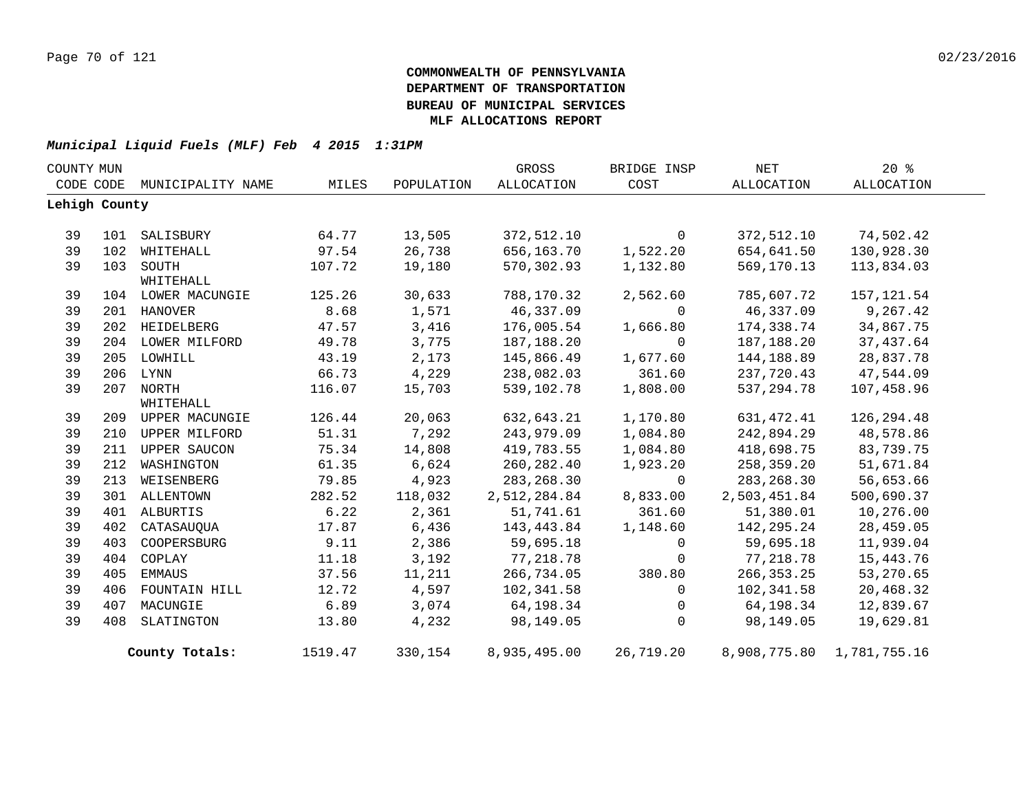|    | COUNTY MUN    |                        |         |            | GROSS        | BRIDGE INSP  | <b>NET</b>   | 20%          |  |
|----|---------------|------------------------|---------|------------|--------------|--------------|--------------|--------------|--|
|    | CODE CODE     | MUNICIPALITY NAME      | MILES   | POPULATION | ALLOCATION   | COST         | ALLOCATION   | ALLOCATION   |  |
|    | Lehigh County |                        |         |            |              |              |              |              |  |
| 39 | 101           | SALISBURY              | 64.77   | 13,505     | 372,512.10   | $\mathbf 0$  | 372,512.10   | 74,502.42    |  |
|    |               |                        | 97.54   |            |              |              |              |              |  |
| 39 | 102           | WHITEHALL              |         | 26,738     | 656,163.70   | 1,522.20     | 654,641.50   | 130,928.30   |  |
| 39 |               | 103 SOUTH<br>WHITEHALL | 107.72  | 19,180     | 570,302.93   | 1,132.80     | 569,170.13   | 113,834.03   |  |
| 39 |               | 104 LOWER MACUNGIE     | 125.26  | 30,633     | 788,170.32   | 2,562.60     | 785,607.72   | 157, 121.54  |  |
| 39 |               | 201 HANOVER            | 8.68    | 1,571      | 46,337.09    | $\Omega$     | 46,337.09    | 9,267.42     |  |
| 39 |               | 202 HEIDELBERG         | 47.57   | 3,416      | 176,005.54   | 1,666.80     | 174,338.74   | 34,867.75    |  |
| 39 |               | 204 LOWER MILFORD      | 49.78   | 3,775      | 187,188.20   | $\Omega$     | 187,188.20   | 37,437.64    |  |
| 39 |               | 205 LOWHILL            | 43.19   | 2,173      | 145,866.49   | 1,677.60     | 144,188.89   | 28,837.78    |  |
| 39 |               | 206 LYNN               | 66.73   | 4,229      | 238,082.03   | 361.60       | 237,720.43   | 47,544.09    |  |
| 39 |               | 207 NORTH              | 116.07  | 15,703     | 539,102.78   | 1,808.00     | 537,294.78   | 107,458.96   |  |
|    |               | WHITEHALL              |         |            |              |              |              |              |  |
| 39 |               | 209 UPPER MACUNGIE     | 126.44  | 20,063     | 632,643.21   | 1,170.80     | 631,472.41   | 126, 294.48  |  |
| 39 | 210           | UPPER MILFORD          | 51.31   | 7,292      | 243,979.09   | 1,084.80     | 242,894.29   | 48,578.86    |  |
| 39 |               | 211 UPPER SAUCON       | 75.34   | 14,808     | 419,783.55   | 1,084.80     | 418,698.75   | 83,739.75    |  |
| 39 | 212           | WASHINGTON             | 61.35   | 6,624      | 260,282.40   | 1,923.20     | 258,359.20   | 51,671.84    |  |
| 39 | 213           | WEISENBERG             | 79.85   | 4,923      | 283, 268.30  | $\mathbf{0}$ | 283, 268.30  | 56,653.66    |  |
| 39 |               | 301 ALLENTOWN          | 282.52  | 118,032    | 2,512,284.84 | 8,833.00     | 2,503,451.84 | 500,690.37   |  |
| 39 | 401           | ALBURTIS               | 6.22    | 2,361      | 51,741.61    | 361.60       | 51,380.01    | 10,276.00    |  |
| 39 | 402           | CATASAUQUA             | 17.87   | 6,436      | 143,443.84   | 1,148.60     | 142,295.24   | 28,459.05    |  |
| 39 | 403           | COOPERSBURG            | 9.11    | 2,386      | 59,695.18    | 0            | 59,695.18    | 11,939.04    |  |
| 39 | 404           | COPLAY                 | 11.18   | 3,192      | 77,218.78    | $\mathbf 0$  | 77, 218.78   | 15, 443. 76  |  |
| 39 | 405           | EMMAUS                 | 37.56   | 11,211     | 266,734.05   | 380.80       | 266, 353. 25 | 53,270.65    |  |
| 39 | 406           | FOUNTAIN HILL          | 12.72   | 4,597      | 102,341.58   | $\mathbf 0$  | 102,341.58   | 20,468.32    |  |
| 39 | 407           | MACUNGIE               | 6.89    | 3,074      | 64,198.34    | 0            | 64,198.34    | 12,839.67    |  |
| 39 | 408           | SLATINGTON             | 13.80   | 4,232      | 98,149.05    | $\mathbf 0$  | 98,149.05    | 19,629.81    |  |
|    |               | County Totals:         | 1519.47 | 330,154    | 8,935,495.00 | 26,719.20    | 8,908,775.80 | 1,781,755.16 |  |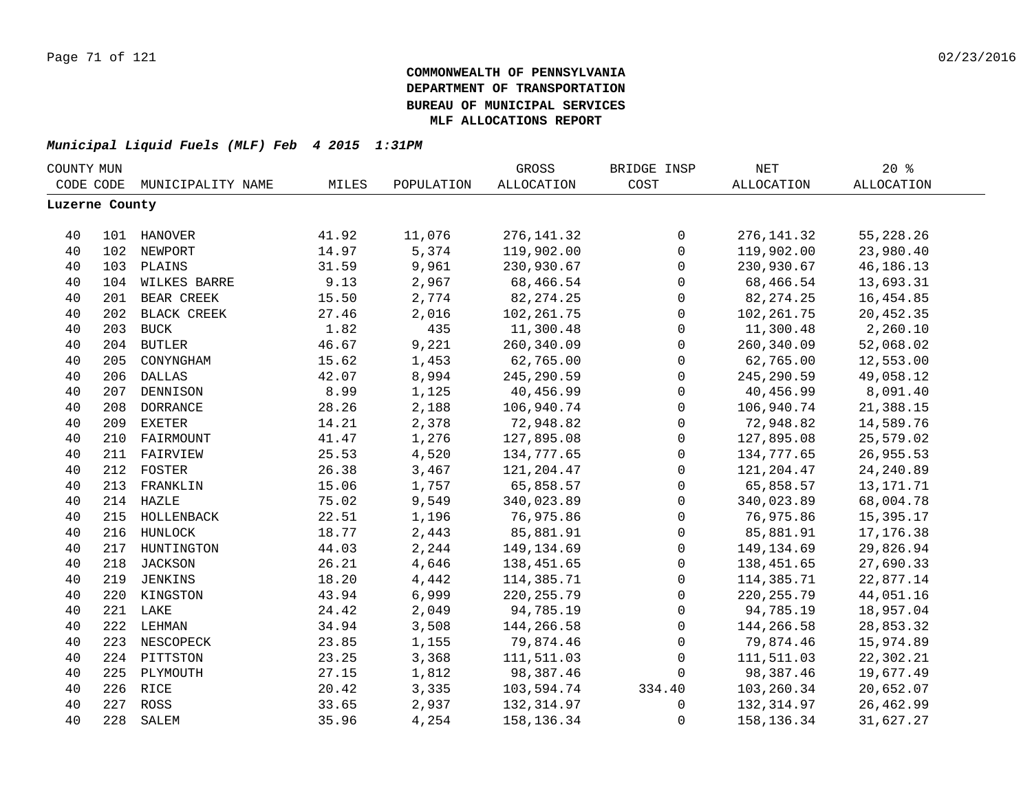| COUNTY MUN     |     |                   |       |            | GROSS             | BRIDGE INSP  | $\operatorname{NET}$ | 20%               |  |
|----------------|-----|-------------------|-------|------------|-------------------|--------------|----------------------|-------------------|--|
| CODE CODE      |     | MUNICIPALITY NAME | MILES | POPULATION | <b>ALLOCATION</b> | COST         | <b>ALLOCATION</b>    | <b>ALLOCATION</b> |  |
| Luzerne County |     |                   |       |            |                   |              |                      |                   |  |
|                |     |                   |       |            |                   |              |                      |                   |  |
| 40             |     | 101 HANOVER       | 41.92 | 11,076     | 276, 141.32       | $\mathsf 0$  | 276, 141.32          | 55, 228.26        |  |
| 40             |     | 102 NEWPORT       | 14.97 | 5,374      | 119,902.00        | $\mathsf{O}$ | 119,902.00           | 23,980.40         |  |
| 40             |     | 103 PLAINS        | 31.59 | 9,961      | 230,930.67        | $\mathsf{O}$ | 230,930.67           | 46,186.13         |  |
| 40             |     | 104 WILKES BARRE  | 9.13  | 2,967      | 68,466.54         | $\mathsf{O}$ | 68,466.54            | 13,693.31         |  |
| 40             |     | 201 BEAR CREEK    | 15.50 | 2,774      | 82, 274. 25       | $\mathsf{O}$ | 82, 274. 25          | 16, 454.85        |  |
| 40             |     | 202 BLACK CREEK   | 27.46 | 2,016      | 102, 261.75       | 0            | 102, 261.75          | 20,452.35         |  |
| 40             |     | 203 BUCK          | 1.82  | 435        | 11,300.48         | $\mathbf 0$  | 11,300.48            | 2,260.10          |  |
| 40             |     | 204 BUTLER        | 46.67 | 9,221      | 260,340.09        | $\mathsf{O}$ | 260,340.09           | 52,068.02         |  |
| 40             | 205 | CONYNGHAM         | 15.62 | 1,453      | 62,765.00         | $\mathbf 0$  | 62,765.00            | 12,553.00         |  |
| 40             | 206 | <b>DALLAS</b>     | 42.07 | 8,994      | 245,290.59        | $\mathsf{O}$ | 245, 290.59          | 49,058.12         |  |
| 40             | 207 | DENNISON          | 8.99  | 1,125      | 40,456.99         | $\mathbf 0$  | 40,456.99            | 8,091.40          |  |
| 40             | 208 | <b>DORRANCE</b>   | 28.26 | 2,188      | 106,940.74        | $\mathbf 0$  | 106,940.74           | 21,388.15         |  |
| 40             | 209 | <b>EXETER</b>     | 14.21 | 2,378      | 72,948.82         | $\mathbf 0$  | 72,948.82            | 14,589.76         |  |
| 40             |     | 210 FAIRMOUNT     | 41.47 | 1,276      | 127,895.08        | $\mathsf 0$  | 127,895.08           | 25,579.02         |  |
| 40             |     | 211 FAIRVIEW      | 25.53 | 4,520      | 134,777.65        | $\mathsf 0$  | 134,777.65           | 26,955.53         |  |
| 40             |     | 212 FOSTER        | 26.38 | 3,467      | 121,204.47        | $\mathsf 0$  | 121,204.47           | 24, 240.89        |  |
| 40             |     | 213 FRANKLIN      | 15.06 | 1,757      | 65,858.57         | $\mathsf 0$  | 65,858.57            | 13, 171. 71       |  |
| 40             |     | 214 HAZLE         | 75.02 | 9,549      | 340,023.89        | $\mathsf{O}$ | 340,023.89           | 68,004.78         |  |
| 40             |     | 215 HOLLENBACK    | 22.51 | 1,196      | 76,975.86         | $\mathsf{O}$ | 76,975.86            | 15,395.17         |  |
| 40             |     | 216 HUNLOCK       | 18.77 | 2,443      | 85,881.91         | $\mathbf 0$  | 85,881.91            | 17, 176.38        |  |
| 40             |     | 217 HUNTINGTON    | 44.03 | 2,244      | 149,134.69        | $\mathbf 0$  | 149, 134.69          | 29,826.94         |  |
| 40             |     | 218 JACKSON       | 26.21 | 4,646      | 138,451.65        | $\mathbf 0$  | 138,451.65           | 27,690.33         |  |
| 40             |     | 219 JENKINS       | 18.20 | 4,442      | 114,385.71        | $\mathbf 0$  | 114,385.71           | 22,877.14         |  |
| 40             |     | 220 KINGSTON      | 43.94 | 6,999      | 220, 255.79       | $\mathbf 0$  | 220, 255.79          | 44,051.16         |  |
| 40             |     | 221 LAKE          | 24.42 | 2,049      | 94,785.19         | $\mathbf 0$  | 94,785.19            | 18,957.04         |  |
| 40             |     | 222 LEHMAN        | 34.94 | 3,508      | 144,266.58        | $\mathbf 0$  | 144,266.58           | 28,853.32         |  |
| 40             | 223 | NESCOPECK         | 23.85 | 1,155      | 79,874.46         | $\mathbf 0$  | 79,874.46            | 15,974.89         |  |
| 40             |     | 224 PITTSTON      | 23.25 | 3,368      | 111,511.03        | $\Omega$     | 111,511.03           | 22,302.21         |  |
| 40             | 225 | PLYMOUTH          | 27.15 | 1,812      | 98,387.46         | $\Omega$     | 98,387.46            | 19,677.49         |  |
| 40             |     | 226 RICE          | 20.42 | 3,335      | 103,594.74        | 334.40       | 103,260.34           | 20,652.07         |  |
| 40             |     | 227 ROSS          | 33.65 | 2,937      | 132,314.97        | 0            | 132,314.97           | 26,462.99         |  |
| 40             | 228 | SALEM             | 35.96 | 4,254      | 158, 136. 34      | $\mathbf 0$  | 158, 136. 34         | 31,627.27         |  |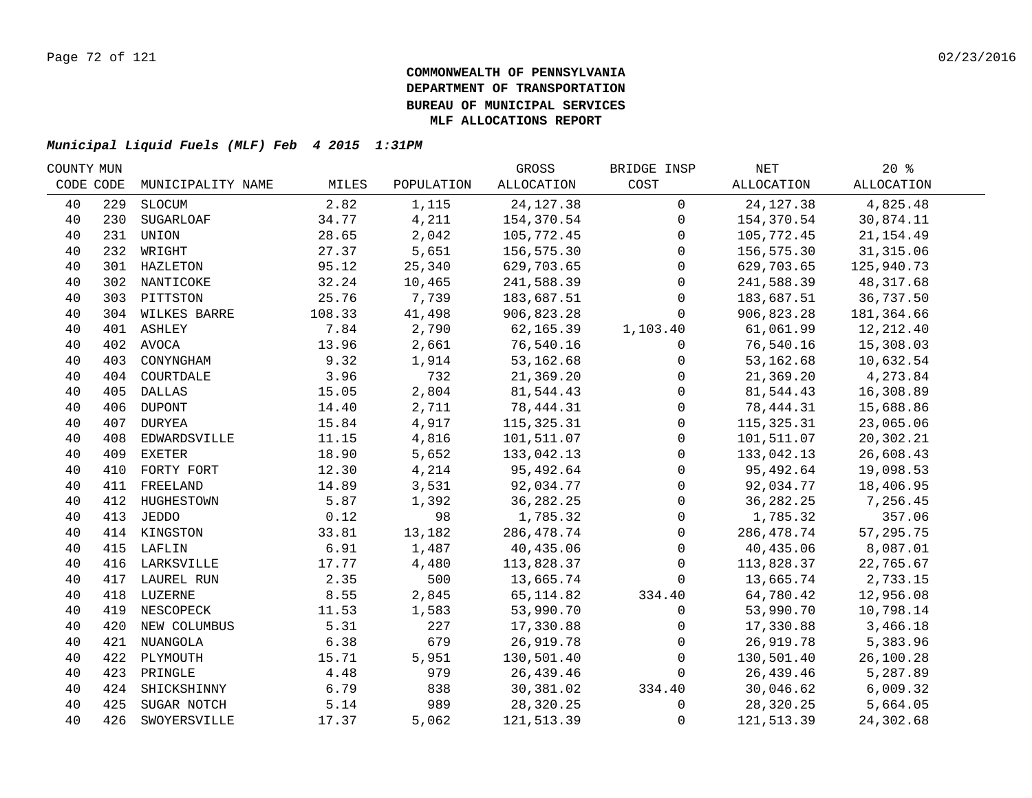| COUNTY MUN |     |                   |        |            | GROSS       | BRIDGE INSP         | NET         | $20*$      |  |
|------------|-----|-------------------|--------|------------|-------------|---------------------|-------------|------------|--|
| CODE CODE  |     | MUNICIPALITY NAME | MILES  | POPULATION | ALLOCATION  | COST                | ALLOCATION  | ALLOCATION |  |
| 40         | 229 | SLOCUM            | 2.82   | 1,115      | 24, 127.38  | $\overline{0}$      | 24, 127. 38 | 4,825.48   |  |
| 40         | 230 | SUGARLOAF         | 34.77  | 4,211      | 154,370.54  | $\mathbf 0$         | 154,370.54  | 30,874.11  |  |
| 40         | 231 | UNION             | 28.65  | 2,042      | 105,772.45  | $\mathbf{0}$        | 105,772.45  | 21, 154.49 |  |
| 40         | 232 | WRIGHT            | 27.37  | 5,651      | 156,575.30  | $\Omega$            | 156,575.30  | 31,315.06  |  |
| 40         |     | 301 HAZLETON      | 95.12  | 25,340     | 629,703.65  | $\mathbf 0$         | 629,703.65  | 125,940.73 |  |
| 40         |     | 302 NANTICOKE     | 32.24  | 10,465     | 241,588.39  | $\mathbf 0$         | 241,588.39  | 48,317.68  |  |
| 40         |     | 303 PITTSTON      | 25.76  | 7,739      | 183,687.51  | $\mathbf 0$         | 183,687.51  | 36,737.50  |  |
| 40         |     | 304 WILKES BARRE  | 108.33 | 41,498     | 906,823.28  | $\Omega$            | 906,823.28  | 181,364.66 |  |
| 40         |     | 401 ASHLEY        | 7.84   | 2,790      | 62,165.39   | 1,103.40            | 61,061.99   | 12, 212.40 |  |
| 40         |     | 402 AVOCA         | 13.96  | 2,661      | 76,540.16   | 0                   | 76,540.16   | 15,308.03  |  |
| 40         | 403 | CONYNGHAM         | 9.32   | 1,914      | 53,162.68   | $\mathsf{O}$        | 53,162.68   | 10,632.54  |  |
| 40         | 404 | COURTDALE         | 3.96   | 732        | 21,369.20   | $\mathbf 0$         | 21,369.20   | 4,273.84   |  |
| 40         | 405 | <b>DALLAS</b>     | 15.05  | 2,804      | 81,544.43   | $\mathbf{0}$        | 81,544.43   | 16,308.89  |  |
| 40         | 406 | <b>DUPONT</b>     | 14.40  | 2,711      | 78,444.31   | $\mathbf{0}$        | 78,444.31   | 15,688.86  |  |
| 40         | 407 | DURYEA            | 15.84  | 4,917      | 115, 325.31 | $\mathbf 0$         | 115,325.31  | 23,065.06  |  |
| 40         | 408 | EDWARDSVILLE      | 11.15  | 4,816      | 101,511.07  | $\mathbf 0$         | 101,511.07  | 20,302.21  |  |
| 40         | 409 | <b>EXETER</b>     | 18.90  | 5,652      | 133,042.13  | $\Omega$            | 133,042.13  | 26,608.43  |  |
| 40         | 410 | FORTY FORT        | 12.30  | 4,214      | 95,492.64   | $\mathbf{0}$        | 95,492.64   | 19,098.53  |  |
| 40         |     | 411 FREELAND      | 14.89  | 3,531      | 92,034.77   | $\mathbf 0$         | 92,034.77   | 18,406.95  |  |
| 40         |     | 412 HUGHESTOWN    | 5.87   | 1,392      | 36, 282. 25 | $\mathsf{O}$        | 36, 282. 25 | 7,256.45   |  |
| 40         |     | 413 JEDDO         | 0.12   | 98         | 1,785.32    | $\mathsf{O}\xspace$ | 1,785.32    | 357.06     |  |
| 40         |     | 414 KINGSTON      | 33.81  | 13,182     | 286,478.74  | $\mathbf 0$         | 286,478.74  | 57,295.75  |  |
| 40         |     | 415 LAFLIN        | 6.91   | 1,487      | 40,435.06   | $\mathsf{O}$        | 40,435.06   | 8,087.01   |  |
| 40         |     | 416 LARKSVILLE    | 17.77  | 4,480      | 113,828.37  | $\overline{0}$      | 113,828.37  | 22,765.67  |  |
| 40         |     | 417 LAUREL RUN    | 2.35   | 500        | 13,665.74   | $\mathbf 0$         | 13,665.74   | 2,733.15   |  |
| 40         |     | 418 LUZERNE       | 8.55   | 2,845      | 65, 114.82  | 334.40              | 64,780.42   | 12,956.08  |  |
| 40         |     | 419 NESCOPECK     | 11.53  | 1,583      | 53,990.70   | $\mathbf 0$         | 53,990.70   | 10,798.14  |  |
| 40         | 420 | NEW COLUMBUS      | 5.31   | 227        | 17,330.88   | $\mathbf 0$         | 17,330.88   | 3,466.18   |  |
| 40         |     | 421 NUANGOLA      | 6.38   | 679        | 26,919.78   | $\Omega$            | 26,919.78   | 5,383.96   |  |
| 40         | 422 | PLYMOUTH          | 15.71  | 5,951      | 130,501.40  | $\Omega$            | 130,501.40  | 26,100.28  |  |
| 40         | 423 | PRINGLE           | 4.48   | 979        | 26,439.46   | $\Omega$            | 26,439.46   | 5,287.89   |  |
| 40         | 424 | SHICKSHINNY       | 6.79   | 838        | 30,381.02   | 334.40              | 30,046.62   | 6,009.32   |  |
| 40         | 425 | SUGAR NOTCH       | 5.14   | 989        | 28,320.25   | 0                   | 28,320.25   | 5,664.05   |  |
| 40         | 426 | SWOYERSVILLE      | 17.37  | 5,062      | 121,513.39  | $\mathbf 0$         | 121,513.39  | 24,302.68  |  |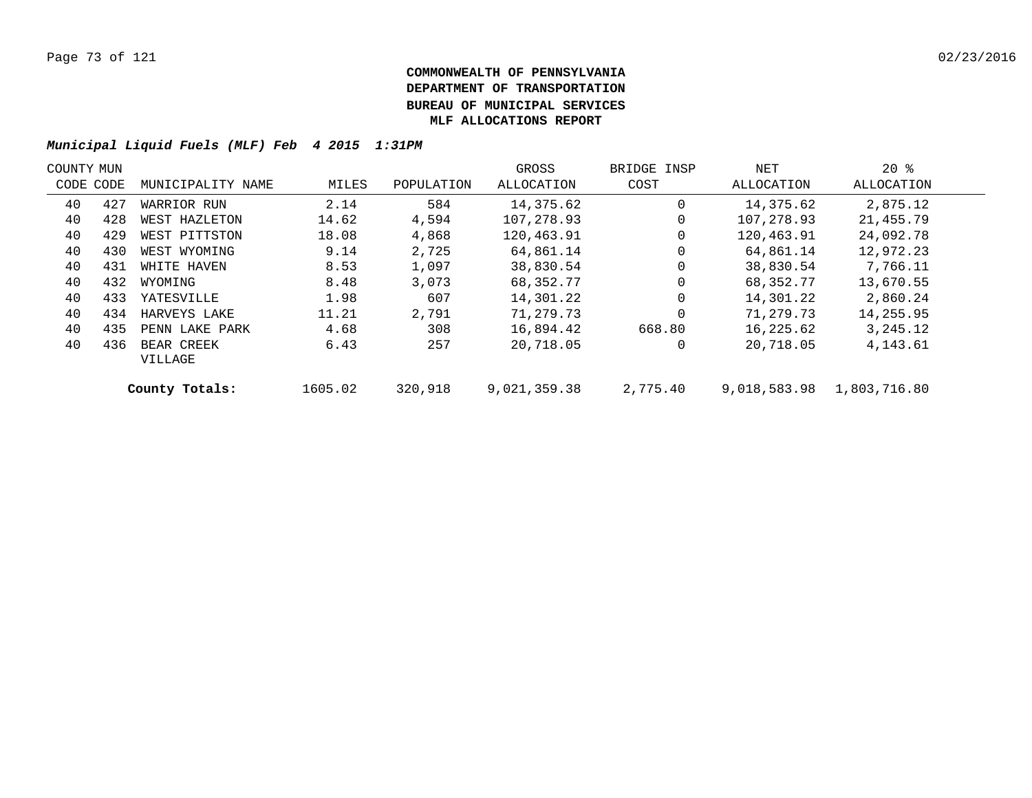| COUNTY MUN |     |                   |         |            | GROSS        | BRIDGE INSP | NET          | $20*$        |  |
|------------|-----|-------------------|---------|------------|--------------|-------------|--------------|--------------|--|
| CODE CODE  |     | MUNICIPALITY NAME | MILES   | POPULATION | ALLOCATION   | COST        | ALLOCATION   | ALLOCATION   |  |
| 40         | 427 | WARRIOR RUN       | 2.14    | 584        | 14,375.62    | 0           | 14,375.62    | 2,875.12     |  |
| 40         | 428 | WEST HAZLETON     | 14.62   | 4,594      | 107,278.93   | 0           | 107,278.93   | 21,455.79    |  |
| 40         | 429 | WEST PITTSTON     | 18.08   | 4,868      | 120,463.91   | $\mathbf 0$ | 120,463.91   | 24,092.78    |  |
| 40         | 430 | WEST WYOMING      | 9.14    | 2,725      | 64,861.14    | 0           | 64,861.14    | 12,972.23    |  |
| 40         | 431 | WHITE HAVEN       | 8.53    | 1,097      | 38,830.54    | $\mathbf 0$ | 38,830.54    | 7,766.11     |  |
| 40         | 432 | WYOMING           | 8.48    | 3,073      | 68,352.77    | $\Omega$    | 68,352.77    | 13,670.55    |  |
| 40         | 433 | YATESVILLE        | 1.98    | 607        | 14,301.22    | $\mathbf 0$ | 14,301.22    | 2,860.24     |  |
| 40         | 434 | HARVEYS LAKE      | 11.21   | 2,791      | 71,279.73    | $\Omega$    | 71,279.73    | 14,255.95    |  |
| 40         | 435 | PENN LAKE PARK    | 4.68    | 308        | 16,894.42    | 668.80      | 16,225.62    | 3,245.12     |  |
| 40         | 436 | BEAR CREEK        | 6.43    | 257        | 20,718.05    | 0           | 20,718.05    | 4, 143.61    |  |
|            |     | VILLAGE           |         |            |              |             |              |              |  |
|            |     | County Totals:    | 1605.02 | 320,918    | 9,021,359.38 | 2,775.40    | 9,018,583.98 | 1,803,716.80 |  |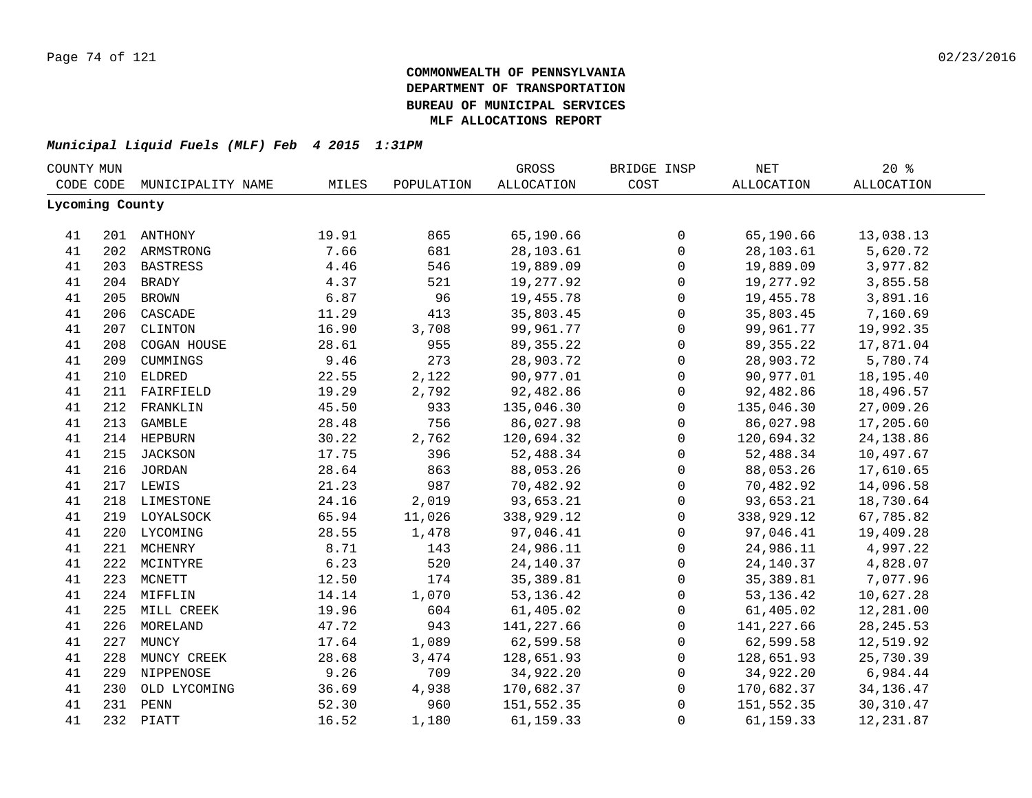| COUNTY MUN |                 |                   |       |            | GROSS       | BRIDGE INSP  | NET         | $20*$             |  |
|------------|-----------------|-------------------|-------|------------|-------------|--------------|-------------|-------------------|--|
|            | CODE CODE       | MUNICIPALITY NAME | MILES | POPULATION | ALLOCATION  | COST         | ALLOCATION  | <b>ALLOCATION</b> |  |
|            | Lycoming County |                   |       |            |             |              |             |                   |  |
|            |                 |                   |       |            |             |              |             |                   |  |
| 41         |                 | 201 ANTHONY       | 19.91 | 865        | 65,190.66   | $\mathbf 0$  | 65,190.66   | 13,038.13         |  |
| 41         |                 | 202 ARMSTRONG     | 7.66  | 681        | 28,103.61   | $\mathbf 0$  | 28,103.61   | 5,620.72          |  |
| 41         |                 | 203 BASTRESS      | 4.46  | 546        | 19,889.09   | $\mathbf{0}$ | 19,889.09   | 3,977.82          |  |
| 41         |                 | 204 BRADY         | 4.37  | 521        | 19,277.92   | $\mathbf 0$  | 19,277.92   | 3,855.58          |  |
| 41         | 205             | <b>BROWN</b>      | 6.87  | 96         | 19,455.78   | $\mathsf{O}$ | 19,455.78   | 3,891.16          |  |
| 41         | 206             | CASCADE           | 11.29 | 413        | 35,803.45   | $\mathbf 0$  | 35,803.45   | 7,160.69          |  |
| 41         | 207             | CLINTON           | 16.90 | 3,708      | 99,961.77   | $\mathbf 0$  | 99,961.77   | 19,992.35         |  |
| 41         | 208             | COGAN HOUSE       | 28.61 | 955        | 89, 355. 22 | $\mathbf{0}$ | 89, 355. 22 | 17,871.04         |  |
| 41         | 209             | CUMMINGS          | 9.46  | 273        | 28,903.72   | $\mathbf 0$  | 28,903.72   | 5,780.74          |  |
| 41         | 210             | <b>ELDRED</b>     | 22.55 | 2,122      | 90,977.01   | $\mathbf 0$  | 90,977.01   | 18,195.40         |  |
| 41         | 211             | FAIRFIELD         | 19.29 | 2,792      | 92,482.86   | $\mathbf 0$  | 92,482.86   | 18,496.57         |  |
| 41         | 212             | FRANKLIN          | 45.50 | 933        | 135,046.30  | $\mathbf 0$  | 135,046.30  | 27,009.26         |  |
| 41         | 213             | GAMBLE            | 28.48 | 756        | 86,027.98   | $\mathbf 0$  | 86,027.98   | 17,205.60         |  |
| 41         |                 | 214 HEPBURN       | 30.22 | 2,762      | 120,694.32  | $\mathbf 0$  | 120,694.32  | 24, 138.86        |  |
| 41         |                 | 215 JACKSON       | 17.75 | 396        | 52,488.34   | $\mathbf 0$  | 52,488.34   | 10,497.67         |  |
| 41         |                 | 216 JORDAN        | 28.64 | 863        | 88,053.26   | $\mathbf 0$  | 88,053.26   | 17,610.65         |  |
| 41         |                 | 217 LEWIS         | 21.23 | 987        | 70,482.92   | $\mathbf 0$  | 70,482.92   | 14,096.58         |  |
| 41         |                 | 218 LIMESTONE     | 24.16 | 2,019      | 93,653.21   | $\mathbf 0$  | 93,653.21   | 18,730.64         |  |
| 41         |                 | 219 LOYALSOCK     | 65.94 | 11,026     | 338,929.12  | $\mathbf 0$  | 338,929.12  | 67,785.82         |  |
| 41         |                 | 220 LYCOMING      | 28.55 | 1,478      | 97,046.41   | $\mathsf{O}$ | 97,046.41   | 19,409.28         |  |
| 41         |                 | 221 MCHENRY       | 8.71  | 143        | 24,986.11   | 0            | 24,986.11   | 4,997.22          |  |
| 41         |                 | 222 MCINTYRE      | 6.23  | 520        | 24, 140. 37 | $\mathbf 0$  | 24,140.37   | 4,828.07          |  |
| 41         | 223             | MCNETT            | 12.50 | 174        | 35,389.81   | $\mathbf 0$  | 35,389.81   | 7,077.96          |  |
| 41         | 224             | MIFFLIN           | 14.14 | 1,070      | 53, 136. 42 | $\mathbf 0$  | 53,136.42   | 10,627.28         |  |
| 41         | 225             | MILL CREEK        | 19.96 | 604        | 61,405.02   | $\mathbf 0$  | 61,405.02   | 12,281.00         |  |
| 41         | 226             | MORELAND          | 47.72 | 943        | 141,227.66  | $\mathbf 0$  | 141,227.66  | 28, 245.53        |  |
| 41         | 227             | MUNCY             | 17.64 | 1,089      | 62,599.58   | $\mathbf 0$  | 62,599.58   | 12,519.92         |  |
| 41         | 228             | MUNCY CREEK       | 28.68 | 3,474      | 128,651.93  | $\mathbf 0$  | 128,651.93  | 25,730.39         |  |
| 41         | 229             | NIPPENOSE         | 9.26  | 709        | 34,922.20   | $\mathbf 0$  | 34,922.20   | 6,984.44          |  |
| 41         | 230             | OLD LYCOMING      | 36.69 | 4,938      | 170,682.37  | $\mathbf 0$  | 170,682.37  | 34, 136. 47       |  |
| 41         | 231             | PENN              | 52.30 | 960        | 151,552.35  | $\mathbf 0$  | 151,552.35  | 30, 310.47        |  |
| 41         |                 | 232 PIATT         | 16.52 | 1,180      | 61,159.33   | $\mathbf 0$  | 61,159.33   | 12,231.87         |  |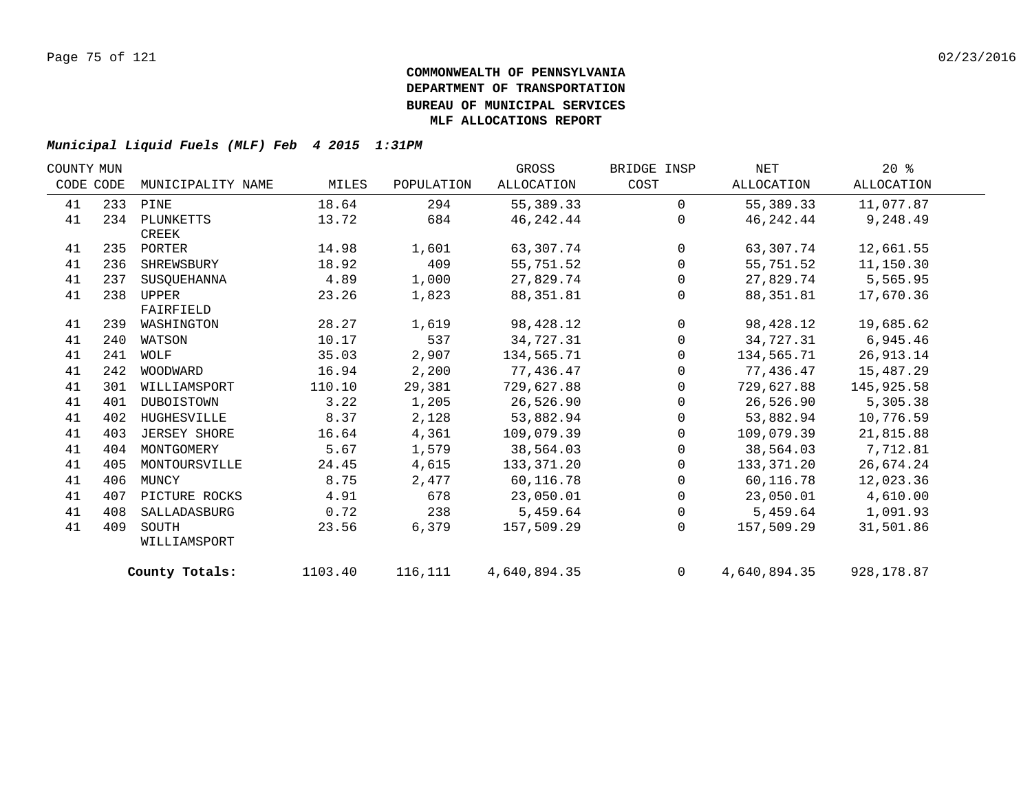| COUNTY MUN |     |                   |         |            | GROSS        | BRIDGE INSP    | NET          | $20*$       |  |
|------------|-----|-------------------|---------|------------|--------------|----------------|--------------|-------------|--|
| CODE CODE  |     | MUNICIPALITY NAME | MILES   | POPULATION | ALLOCATION   | COST           | ALLOCATION   | ALLOCATION  |  |
| 41         |     | 233 PINE          | 18.64   | 294        | 55,389.33    | $\Omega$       | 55,389.33    | 11,077.87   |  |
| 41         | 234 | PLUNKETTS         | 13.72   | 684        | 46,242.44    | $\Omega$       | 46,242.44    | 9,248.49    |  |
|            |     | CREEK             |         |            |              |                |              |             |  |
| 41         |     | 235 PORTER        | 14.98   | 1,601      | 63,307.74    | $\overline{0}$ | 63,307.74    | 12,661.55   |  |
| 41         | 236 | SHREWSBURY        | 18.92   | 409        | 55,751.52    | $\mathbf 0$    | 55,751.52    | 11,150.30   |  |
| 41         | 237 | SUSOUEHANNA       | 4.89    | 1,000      | 27,829.74    | 0              | 27,829.74    | 5,565.95    |  |
| 41         | 238 | UPPER             | 23.26   | 1,823      | 88, 351.81   | $\Omega$       | 88,351.81    | 17,670.36   |  |
|            |     | FAIRFIELD         |         |            |              |                |              |             |  |
| 41         | 239 | WASHINGTON        | 28.27   | 1,619      | 98,428.12    | $\mathbf 0$    | 98,428.12    | 19,685.62   |  |
| 41         | 240 | WATSON            | 10.17   | 537        | 34,727.31    | $\mathbf 0$    | 34,727.31    | 6,945.46    |  |
| 41         | 241 | WOLF              | 35.03   | 2,907      | 134,565.71   | $\Omega$       | 134,565.71   | 26, 913. 14 |  |
| 41         | 242 | WOODWARD          | 16.94   | 2,200      | 77,436.47    | $\Omega$       | 77,436.47    | 15,487.29   |  |
| 41         | 301 | WILLIAMSPORT      | 110.10  | 29,381     | 729,627.88   | $\mathbf 0$    | 729,627.88   | 145,925.58  |  |
| 41         | 401 | DUBOISTOWN        | 3.22    | 1,205      | 26,526.90    | 0              | 26,526.90    | 5,305.38    |  |
| 41         | 402 | HUGHESVILLE       | 8.37    | 2,128      | 53,882.94    | $\mathbf 0$    | 53,882.94    | 10,776.59   |  |
| 41         | 403 | JERSEY SHORE      | 16.64   | 4,361      | 109,079.39   | $\mathbf 0$    | 109,079.39   | 21,815.88   |  |
| 41         | 404 | MONTGOMERY        | 5.67    | 1,579      | 38,564.03    | $\mathbf 0$    | 38,564.03    | 7,712.81    |  |
| 41         | 405 | MONTOURSVILLE     | 24.45   | 4,615      | 133,371.20   | $\mathbf 0$    | 133,371.20   | 26,674.24   |  |
| 41         | 406 | MUNCY             | 8.75    | 2,477      | 60,116.78    | 0              | 60,116.78    | 12,023.36   |  |
| 41         | 407 | PICTURE ROCKS     | 4.91    | 678        | 23,050.01    | $\mathbf 0$    | 23,050.01    | 4,610.00    |  |
| 41         | 408 | SALLADASBURG      | 0.72    | 238        | 5,459.64     | $\overline{0}$ | 5,459.64     | 1,091.93    |  |
| 41         | 409 | SOUTH             | 23.56   | 6,379      | 157,509.29   | $\Omega$       | 157,509.29   | 31,501.86   |  |
|            |     | WILLIAMSPORT      |         |            |              |                |              |             |  |
|            |     | County Totals:    | 1103.40 | 116,111    | 4,640,894.35 | $\Omega$       | 4,640,894.35 | 928,178.87  |  |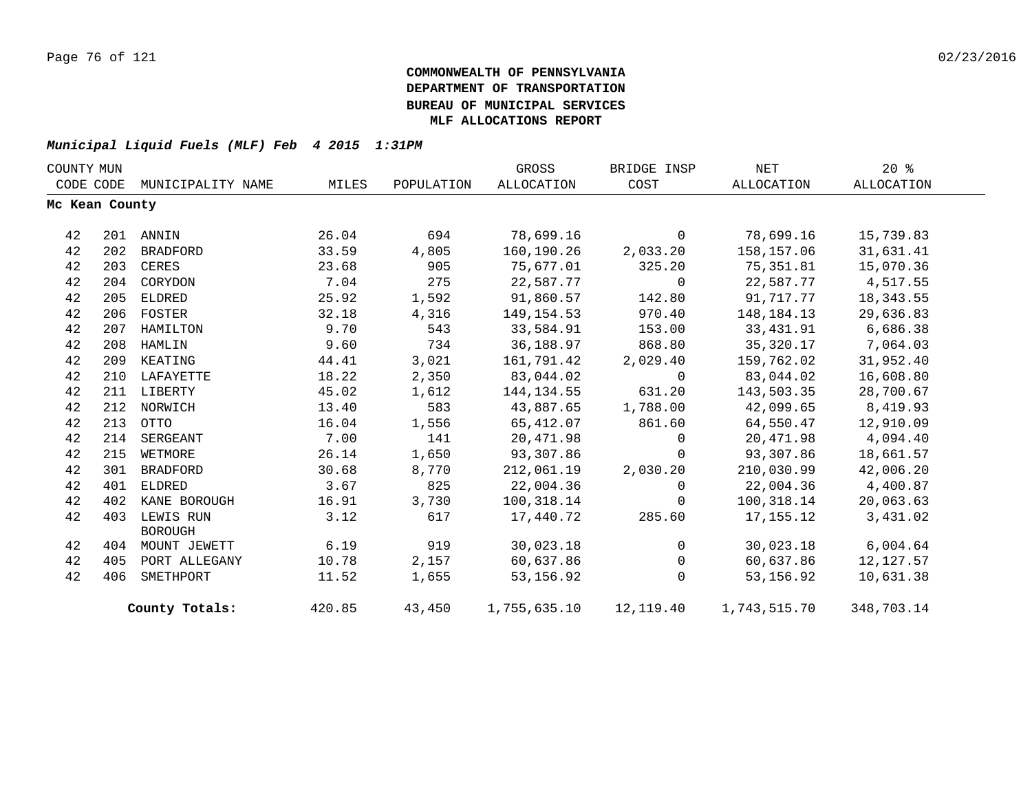| COUNTY MUN |                |                   |        |            | GROSS             | BRIDGE INSP    | NET                                              | $20*$      |  |
|------------|----------------|-------------------|--------|------------|-------------------|----------------|--------------------------------------------------|------------|--|
| CODE CODE  |                | MUNICIPALITY NAME | MILES  | POPULATION | <b>ALLOCATION</b> | COST           | ALLOCATION                                       | ALLOCATION |  |
|            | Mc Kean County |                   |        |            |                   |                |                                                  |            |  |
| 42         |                | 201 ANNIN         | 26.04  | 694        | 78,699.16         | $\mathbf{0}$   | 78,699.16                                        | 15,739.83  |  |
| 42         |                | 202 BRADFORD      | 33.59  | 4,805      | 160,190.26        | 2,033.20       | 158,157.06                                       | 31,631.41  |  |
| 42         |                | 203 CERES         | 23.68  | 905        | 75,677.01         | 325.20         | 75,351.81                                        | 15,070.36  |  |
| 42         |                | 204 CORYDON       | 7.04   | 275        | 22,587.77         | $\overline{0}$ | 22,587.77                                        | 4,517.55   |  |
| 42         | 205            | ELDRED            | 25.92  | 1,592      | 91,860.57         | 142.80         | 91,717.77                                        | 18, 343.55 |  |
| 42         |                | 206 FOSTER        | 32.18  | 4,316      | 149,154.53        | 970.40         | 148,184.13                                       | 29,636.83  |  |
| 42         |                | 207 HAMILTON      | 9.70   | 543        | 33,584.91         | 153.00         | 33,431.91                                        | 6,686.38   |  |
| 42         |                | 208 HAMLIN        | 9.60   | 734        | 36,188.97         | 868.80         | 35,320.17                                        | 7,064.03   |  |
| 42         | 209            | KEATING           | 44.41  | 3,021      | 161,791.42        | 2,029.40       | 159,762.02                                       | 31,952.40  |  |
| 42         |                | 210 LAFAYETTE     | 18.22  | 2,350      | 83,044.02         | $\Omega$       | 83,044.02                                        | 16,608.80  |  |
| 42         |                | 211 LIBERTY       | 45.02  | 1,612      | 144,134.55        | 631.20         | 143,503.35                                       | 28,700.67  |  |
| 42         |                | 212 NORWICH       | 13.40  | 583        | 43,887.65         | 1,788.00       | 42,099.65                                        | 8,419.93   |  |
| 42         | 213            | OTTO              | 16.04  | 1,556      | 65,412.07         | 861.60         | 64,550.47                                        | 12,910.09  |  |
| 42         | 214            | SERGEANT          | 7.00   | 141        | 20,471.98         | $\mathbf 0$    | 20,471.98                                        | 4,094.40   |  |
| 42         | 215            | WETMORE           | 26.14  | 1,650      | 93,307.86         | $\Omega$       | 93,307.86                                        | 18,661.57  |  |
| 42         | 301            | BRADFORD          | 30.68  | 8,770      | 212,061.19        | 2,030.20       | 210,030.99                                       | 42,006.20  |  |
| 42         | 401            | ELDRED            | 3.67   | 825        | 22,004.36         | $\Omega$       | 22,004.36 4,400.87                               |            |  |
| 42         | 402            | KANE BOROUGH      | 16.91  | 3,730      | 100,318.14        | $\mathbf 0$    | 100,318.14                                       | 20,063.63  |  |
| 42         |                | 403 LEWIS RUN     | 3.12   | 617        | 17,440.72         | 285.60         | 17,155.12                                        | 3,431.02   |  |
|            |                | <b>BOROUGH</b>    |        |            |                   |                |                                                  |            |  |
| 42         |                | 404 MOUNT JEWETT  | 6.19   | 919        | 30,023.18         | $\overline{0}$ | 30,023.18                                        | 6,004.64   |  |
| 42         | 405            | PORT ALLEGANY     | 10.78  | 2,157      | 60,637.86         | 0              | 60,637.86                                        | 12,127.57  |  |
| 42         | 406            | SMETHPORT         | 11.52  | 1,655      | 53, 156.92        | $\Omega$       | 53,156.92                                        | 10,631.38  |  |
|            |                | County Totals:    | 420.85 |            |                   |                | 43,450   1,755,635.10   12,119.40   1,743,515.70 | 348,703.14 |  |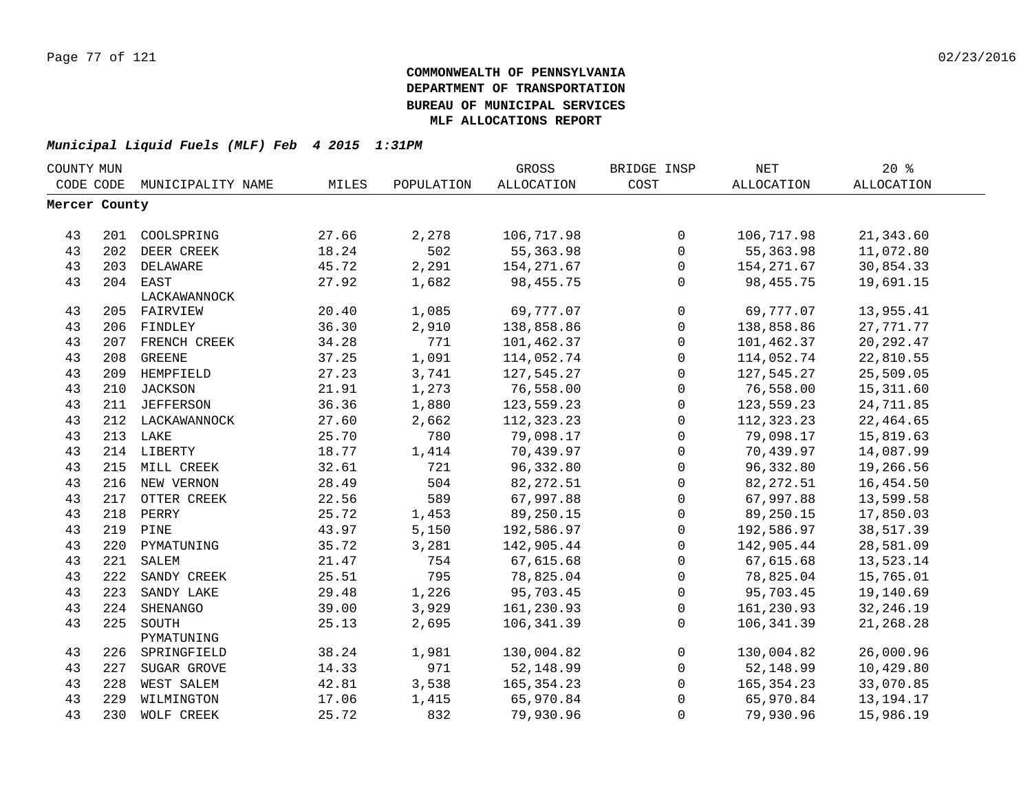| COUNTY MUN    |     |                   |       |            | GROSS        | BRIDGE INSP         | <b>NET</b>        | $20*$             |  |
|---------------|-----|-------------------|-------|------------|--------------|---------------------|-------------------|-------------------|--|
| CODE CODE     |     | MUNICIPALITY NAME | MILES | POPULATION | ALLOCATION   | COST                | <b>ALLOCATION</b> | <b>ALLOCATION</b> |  |
| Mercer County |     |                   |       |            |              |                     |                   |                   |  |
|               |     |                   |       |            |              |                     |                   |                   |  |
| 43            |     | 201 COOLSPRING    | 27.66 | 2,278      | 106,717.98   | $\mathsf{O}$        | 106,717.98        | 21,343.60         |  |
| 43            | 202 | DEER CREEK        | 18.24 | 502        | 55, 363.98   | $\mathsf{O}$        | 55, 363.98        | 11,072.80         |  |
| 43            |     | 203 DELAWARE      | 45.72 | 2,291      | 154, 271.67  | $\mathbf 0$         | 154, 271.67       | 30,854.33         |  |
| 43            |     | 204 EAST          | 27.92 | 1,682      | 98,455.75    | $\mathbf 0$         | 98,455.75         | 19,691.15         |  |
|               |     | LACKAWANNOCK      |       |            |              |                     |                   |                   |  |
| 43            |     | 205 FAIRVIEW      | 20.40 | 1,085      | 69,777.07    | $\mathsf{O}$        | 69,777.07         | 13,955.41         |  |
| 43            |     | 206 FINDLEY       | 36.30 | 2,910      | 138,858.86   | $\mathsf{O}\xspace$ | 138,858.86        | 27, 771. 77       |  |
| 43            | 207 | FRENCH CREEK      | 34.28 | 771        | 101,462.37   | $\mathbf 0$         | 101,462.37        | 20, 292.47        |  |
| 43            | 208 | <b>GREENE</b>     | 37.25 | 1,091      | 114,052.74   | $\mathsf{O}$        | 114,052.74        | 22,810.55         |  |
| 43            | 209 | HEMPFIELD         | 27.23 | 3,741      | 127,545.27   | $\mathsf{O}$        | 127,545.27        | 25,509.05         |  |
| 43            | 210 | <b>JACKSON</b>    | 21.91 | 1,273      | 76,558.00    | $\mathbf 0$         | 76,558.00         | 15,311.60         |  |
| 43            | 211 | JEFFERSON         | 36.36 | 1,880      | 123,559.23   | $\mathbf 0$         | 123,559.23        | 24,711.85         |  |
| 43            |     | 212 LACKAWANNOCK  | 27.60 | 2,662      | 112,323.23   | $\mathbf 0$         | 112,323.23        | 22,464.65         |  |
| 43            |     | 213 LAKE          | 25.70 | 780        | 79,098.17    | $\mathbf 0$         | 79,098.17         | 15,819.63         |  |
| 43            |     | 214 LIBERTY       | 18.77 | 1,414      | 70,439.97    | $\mathsf{O}$        | 70,439.97         | 14,087.99         |  |
| 43            | 215 | MILL CREEK        | 32.61 | 721        | 96,332.80    | 0                   | 96,332.80         | 19,266.56         |  |
| 43            | 216 | NEW VERNON        | 28.49 | 504        | 82, 272.51   | 0                   | 82, 272.51        | 16,454.50         |  |
| 43            | 217 | OTTER CREEK       | 22.56 | 589        | 67,997.88    | $\mathsf 0$         | 67,997.88         | 13,599.58         |  |
| 43            | 218 | PERRY             | 25.72 | 1,453      | 89,250.15    | $\mathbf 0$         | 89,250.15         | 17,850.03         |  |
| 43            | 219 | PINE              | 43.97 | 5,150      | 192,586.97   | $\mathsf{O}\xspace$ | 192,586.97        | 38,517.39         |  |
| 43            | 220 | PYMATUNING        | 35.72 | 3,281      | 142,905.44   | 0                   | 142,905.44        | 28,581.09         |  |
| 43            | 221 | SALEM             | 21.47 | 754        | 67,615.68    | $\mathbf 0$         | 67,615.68         | 13,523.14         |  |
| 43            | 222 | SANDY CREEK       | 25.51 | 795        | 78,825.04    | $\mathbf 0$         | 78,825.04         | 15,765.01         |  |
| 43            | 223 | SANDY LAKE        | 29.48 | 1,226      | 95,703.45    | $\mathbf 0$         | 95,703.45         | 19,140.69         |  |
| 43            | 224 | SHENANGO          | 39.00 | 3,929      | 161,230.93   | $\mathsf{O}$        | 161,230.93        | 32, 246.19        |  |
| 43            | 225 | SOUTH             | 25.13 | 2,695      | 106,341.39   | $\Omega$            | 106,341.39        | 21,268.28         |  |
|               |     | PYMATUNING        |       |            |              |                     |                   |                   |  |
| 43            | 226 | SPRINGFIELD       | 38.24 | 1,981      | 130,004.82   | $\mathbf 0$         | 130,004.82        | 26,000.96         |  |
| 43            | 227 | SUGAR GROVE       | 14.33 | 971        | 52,148.99    | $\mathbf 0$         | 52,148.99         | 10,429.80         |  |
| 43            | 228 | WEST SALEM        | 42.81 | 3,538      | 165, 354. 23 | $\mathbf 0$         | 165, 354. 23      | 33,070.85         |  |
| 43            | 229 | WILMINGTON        | 17.06 | 1,415      | 65,970.84    | $\mathbf 0$         | 65,970.84         | 13, 194. 17       |  |
| 43            | 230 | WOLF CREEK        | 25.72 | 832        | 79,930.96    | 0                   | 79,930.96         | 15,986.19         |  |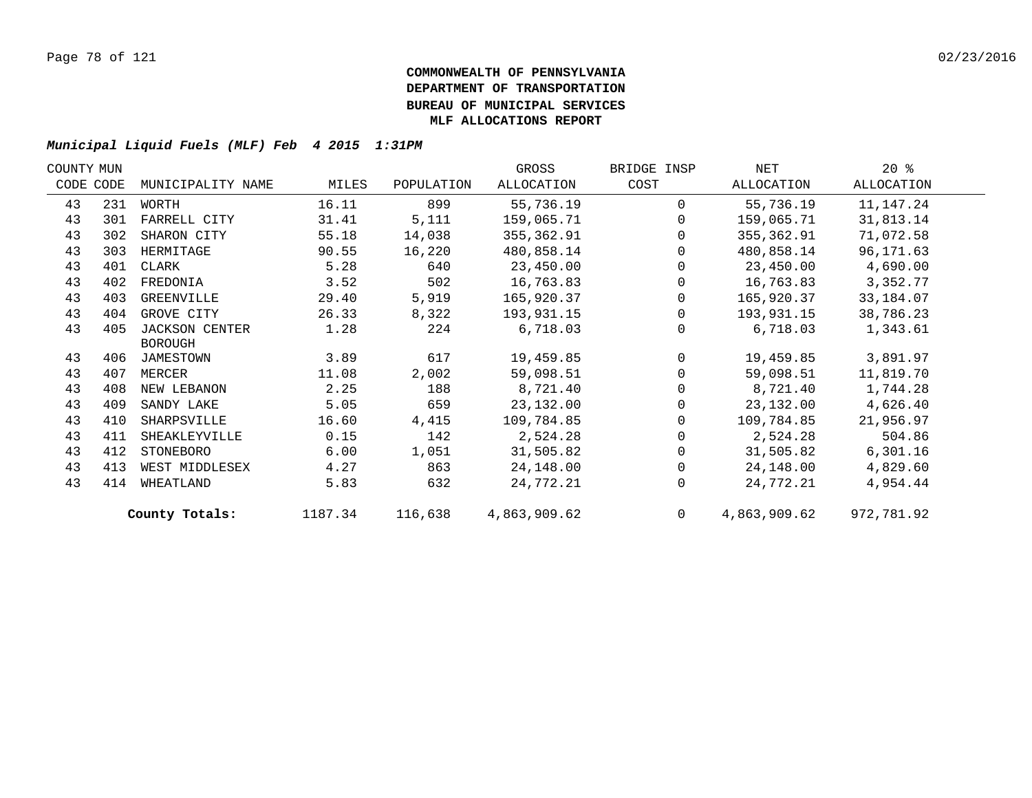| COUNTY MUN |                   |                       |            | GROSS        | BRIDGE INSP    | NET          | $20*$      |  |
|------------|-------------------|-----------------------|------------|--------------|----------------|--------------|------------|--|
|            | MUNICIPALITY NAME | MILES                 | POPULATION | ALLOCATION   | COST           | ALLOCATION   | ALLOCATION |  |
| 231        | WORTH             | 16.11                 | 899        | 55,736.19    | $\Omega$       | 55,736.19    | 11,147.24  |  |
| 301        | FARRELL CITY      | 31.41                 | 5,111      | 159,065.71   | $\Omega$       | 159,065.71   | 31,813.14  |  |
| 302        | SHARON CITY       | 55.18                 | 14,038     | 355,362.91   | $\Omega$       | 355,362.91   | 71,072.58  |  |
| 303        | HERMITAGE         | 90.55                 | 16,220     | 480,858.14   | $\Omega$       | 480,858.14   | 96,171.63  |  |
| 401        | CLARK             | 5.28                  | 640        | 23,450.00    | $\Omega$       | 23,450.00    | 4,690.00   |  |
| 402        | FREDONIA          | 3.52                  | 502        | 16,763.83    | $\Omega$       | 16,763.83    | 3,352.77   |  |
| 403        | GREENVILLE        | 29.40                 | 5,919      | 165,920.37   | $\mathbf 0$    | 165,920.37   | 33,184.07  |  |
| 404        | GROVE CITY        | 26.33                 | 8,322      | 193,931.15   | $\Omega$       | 193,931.15   | 38,786.23  |  |
| 405        | JACKSON CENTER    | 1.28                  | 224        | 6,718.03     | $\Omega$       | 6,718.03     | 1,343.61   |  |
|            | <b>BOROUGH</b>    |                       |            |              |                |              |            |  |
|            | JAMESTOWN         | 3.89                  | 617        | 19,459.85    | $\Omega$       | 19,459.85    | 3,891.97   |  |
| 407        | MERCER            | 11.08                 | 2,002      | 59,098.51    |                | 59,098.51    | 11,819.70  |  |
| 408        | NEW LEBANON       | 2.25                  | 188        | 8,721.40     |                | 8,721.40     | 1,744.28   |  |
| 409        | SANDY LAKE        | 5.05                  | 659        | 23, 132.00   | $\Omega$       | 23,132.00    | 4,626.40   |  |
| 410        | SHARPSVILLE       | 16.60                 | 4,415      | 109,784.85   | 0              | 109,784.85   | 21,956.97  |  |
| 411        | SHEAKLEYVILLE     | 0.15                  | 142        | 2,524.28     | $\Omega$       | 2,524.28     | 504.86     |  |
| 412        | STONEBORO         | 6.00                  | 1,051      | 31,505.82    | 0              | 31,505.82    | 6,301.16   |  |
| 413        | WEST MIDDLESEX    | 4.27                  | 863        | 24,148.00    | $\Omega$       | 24,148.00    | 4,829.60   |  |
| 414        | WHEATLAND         | 5.83                  | 632        | 24,772.21    | $\Omega$       | 24,772.21    | 4,954.44   |  |
|            |                   | 1187.34               | 116,638    | 4,863,909.62 | $\overline{0}$ | 4,863,909.62 | 972,781.92 |  |
|            | CODE CODE         | 406<br>County Totals: |            |              |                |              |            |  |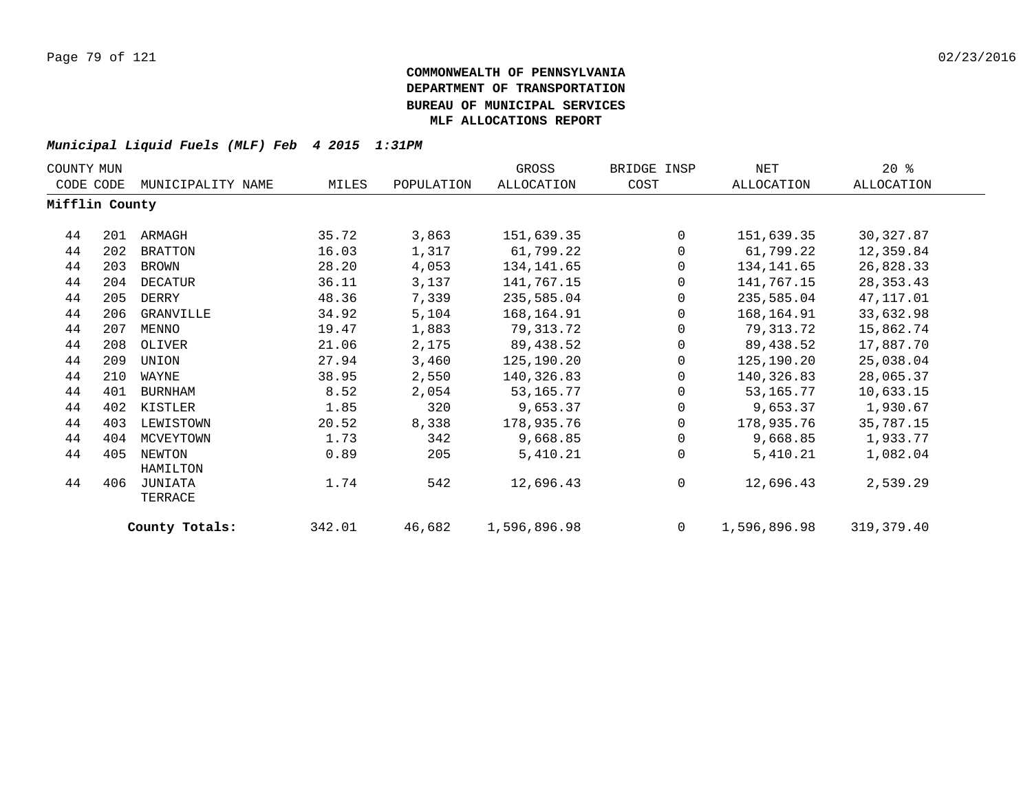| COUNTY MUN     |     |                    |        |            | GROSS        | BRIDGE INSP | NET          | $20*$       |
|----------------|-----|--------------------|--------|------------|--------------|-------------|--------------|-------------|
| CODE CODE      |     | MUNICIPALITY NAME  | MILES  | POPULATION | ALLOCATION   | COST        | ALLOCATION   | ALLOCATION  |
| Mifflin County |     |                    |        |            |              |             |              |             |
| 44             | 201 | ARMAGH             | 35.72  | 3,863      | 151,639.35   | 0           | 151,639.35   | 30, 327.87  |
| 44             | 202 | <b>BRATTON</b>     | 16.03  | 1,317      | 61,799.22    | 0           | 61,799.22    | 12,359.84   |
| 44             | 203 | BROWN              | 28.20  | 4,053      | 134,141.65   | $\Omega$    | 134,141.65   | 26,828.33   |
| 44             | 204 | DECATUR            | 36.11  | 3,137      | 141,767.15   | 0           | 141,767.15   | 28, 353. 43 |
| 44             | 205 | DERRY              | 48.36  | 7,339      | 235,585.04   | 0           | 235,585.04   | 47,117.01   |
| 44             | 206 | GRANVILLE          | 34.92  | 5,104      | 168,164.91   | 0           | 168,164.91   | 33,632.98   |
| 44             | 207 | MENNO              | 19.47  | 1,883      | 79,313.72    | 0           | 79,313.72    | 15,862.74   |
| 44             | 208 | OLIVER             | 21.06  | 2,175      | 89,438.52    | 0           | 89,438.52    | 17,887.70   |
| 44             | 209 | UNION              | 27.94  | 3,460      | 125,190.20   | 0           | 125,190.20   | 25,038.04   |
| 44             | 210 | WAYNE              | 38.95  | 2,550      | 140,326.83   | 0           | 140,326.83   | 28,065.37   |
| 44             | 401 | <b>BURNHAM</b>     | 8.52   | 2,054      | 53,165.77    | $\Omega$    | 53,165.77    | 10,633.15   |
| 44             | 402 | KISTLER            | 1.85   | 320        | 9,653.37     | 0           | 9,653.37     | 1,930.67    |
| 44             | 403 | LEWISTOWN          | 20.52  | 8,338      | 178,935.76   | $\Omega$    | 178,935.76   | 35,787.15   |
| 44             | 404 | MCVEYTOWN          | 1.73   | 342        | 9,668.85     | 0           | 9,668.85     | 1,933.77    |
| 44             | 405 | NEWTON<br>HAMILTON | 0.89   | 205        | 5,410.21     | $\mathbf 0$ | 5,410.21     | 1,082.04    |
| 44             | 406 | JUNIATA<br>TERRACE | 1.74   | 542        | 12,696.43    | 0           | 12,696.43    | 2,539.29    |
|                |     | County Totals:     | 342.01 | 46,682     | 1,596,896.98 | $\mathbf 0$ | 1,596,896.98 | 319, 379.40 |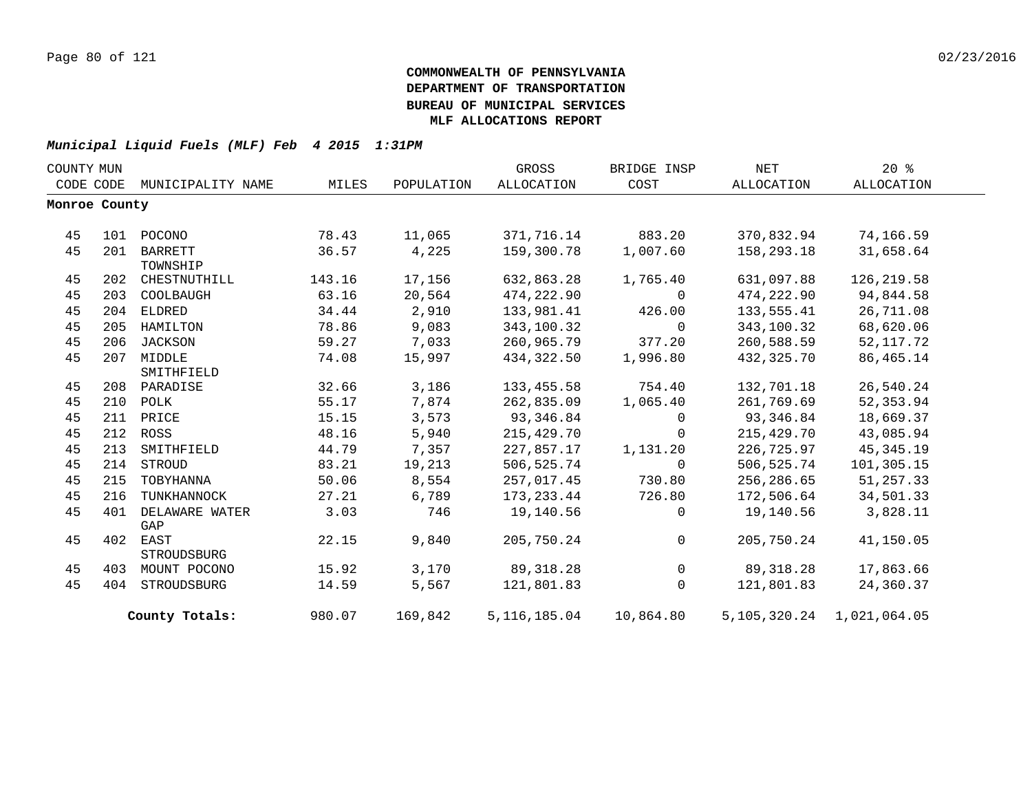| COUNTY MUN |               |                   |        |            | GROSS             | BRIDGE INSP    | NET        | $20*$                     |  |
|------------|---------------|-------------------|--------|------------|-------------------|----------------|------------|---------------------------|--|
| CODE CODE  |               | MUNICIPALITY NAME | MILES  | POPULATION | <b>ALLOCATION</b> | COST           | ALLOCATION | ALLOCATION                |  |
|            | Monroe County |                   |        |            |                   |                |            |                           |  |
|            |               |                   |        |            |                   |                |            |                           |  |
| 45         | 101           | POCONO            | 78.43  | 11,065     | 371,716.14        | 883.20         | 370,832.94 | 74,166.59                 |  |
| 45         | 201           | <b>BARRETT</b>    | 36.57  | 4,225      | 159,300.78        | 1,007.60       | 158,293.18 | 31,658.64                 |  |
|            |               | TOWNSHIP          |        |            |                   |                |            |                           |  |
| 45         | 202           | CHESTNUTHILL      | 143.16 | 17,156     | 632,863.28        | 1,765.40       | 631,097.88 | 126, 219.58               |  |
| 45         | 203           | COOLBAUGH         | 63.16  | 20,564     | 474,222.90        | $\mathbf{0}$   | 474,222.90 | 94,844.58                 |  |
| 45         | 204           | ELDRED            | 34.44  | 2,910      | 133,981.41        | 426.00         | 133,555.41 | 26,711.08                 |  |
| 45         | 205           | HAMILTON          | 78.86  | 9,083      | 343,100.32        | $\Omega$       | 343,100.32 | 68,620.06                 |  |
| 45         | 206           | JACKSON           | 59.27  | 7,033      | 260,965.79        | 377.20         | 260,588.59 | 52, 117.72                |  |
| 45         | 207           | MIDDLE            | 74.08  | 15,997     | 434,322.50        | 1,996.80       | 432,325.70 | 86, 465. 14               |  |
|            |               | SMITHFIELD        |        |            |                   |                |            |                           |  |
| 45         | 208           | PARADISE          | 32.66  | 3,186      | 133,455.58        | 754.40         | 132,701.18 | 26,540.24                 |  |
| 45         | 210           | POLK              | 55.17  | 7,874      | 262,835.09        | 1,065.40       | 261,769.69 | 52, 353.94                |  |
| 45         | 211           | PRICE             | 15.15  | 3,573      | 93,346.84         | $\Omega$       | 93,346.84  | 18,669.37                 |  |
| 45         | 212           | ROSS              | 48.16  | 5,940      | 215,429.70        | $\mathbf 0$    | 215,429.70 | 43,085.94                 |  |
| 45         | 213           | SMITHFIELD        | 44.79  | 7,357      | 227,857.17        | 1,131.20       | 226,725.97 | 45, 345. 19               |  |
| 45         | 214           | STROUD            | 83.21  | 19,213     | 506,525.74        | $\Omega$       | 506,525.74 | 101,305.15                |  |
| 45         | 215           | TOBYHANNA         | 50.06  | 8,554      | 257,017.45        | 730.80         | 256,286.65 | 51, 257.33                |  |
| 45         | 216           | TUNKHANNOCK       | 27.21  | 6,789      | 173,233.44        | 726.80         | 172,506.64 | 34,501.33                 |  |
| 45         | 401           | DELAWARE WATER    | 3.03   | 746        | 19,140.56         | $\Omega$       | 19,140.56  | 3,828.11                  |  |
|            |               | GAP               |        |            |                   |                |            |                           |  |
| 45         | 402           | EAST              | 22.15  | 9,840      | 205,750.24        | $\Omega$       | 205,750.24 | 41,150.05                 |  |
|            |               | STROUDSBURG       |        |            |                   |                |            |                           |  |
| 45         | 403           | MOUNT POCONO      | 15.92  | 3,170      | 89, 318.28        | $\overline{0}$ | 89,318.28  | 17,863.66                 |  |
| 45         | 404           | STROUDSBURG       | 14.59  | 5,567      | 121,801.83        | $\Omega$       | 121,801.83 | 24,360.37                 |  |
|            |               | County Totals:    | 980.07 | 169,842    | 5, 116, 185.04    | 10,864.80      |            | 5,105,320.24 1,021,064.05 |  |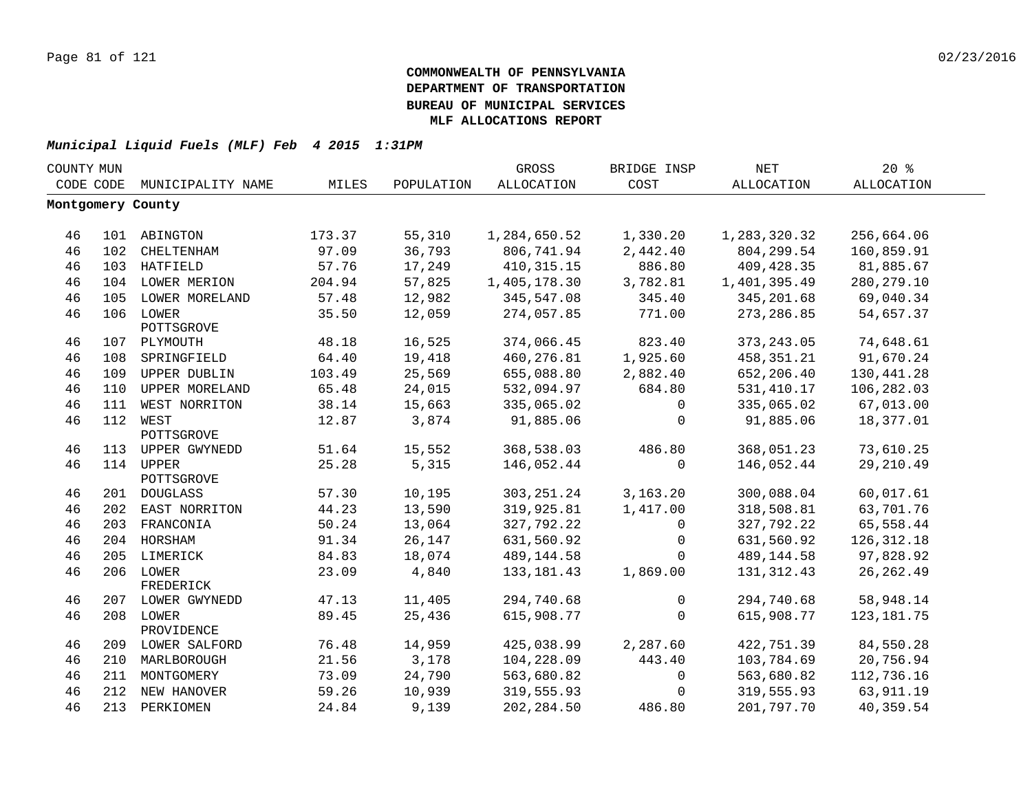| COUNTY MUN |     |                         |        |            | GROSS             | BRIDGE INSP | <b>NET</b>        | 20%          |  |
|------------|-----|-------------------------|--------|------------|-------------------|-------------|-------------------|--------------|--|
| CODE CODE  |     | MUNICIPALITY NAME       | MILES  | POPULATION | <b>ALLOCATION</b> | COST        | <b>ALLOCATION</b> | ALLOCATION   |  |
|            |     | Montgomery County       |        |            |                   |             |                   |              |  |
|            |     |                         |        |            |                   |             |                   |              |  |
| 46         |     | 101 ABINGTON            | 173.37 | 55,310     | 1,284,650.52      | 1,330.20    | 1,283,320.32      | 256,664.06   |  |
| 46         | 102 | CHELTENHAM              | 97.09  | 36,793     | 806,741.94        | 2,442.40    | 804, 299.54       | 160,859.91   |  |
| 46         |     | 103 HATFIELD            | 57.76  | 17,249     | 410, 315. 15      | 886.80      | 409, 428.35       | 81,885.67    |  |
| 46         |     | 104 LOWER MERION        | 204.94 | 57,825     | 1,405,178.30      | 3,782.81    | 1,401,395.49      | 280, 279. 10 |  |
| 46         | 105 | LOWER MORELAND          | 57.48  | 12,982     | 345,547.08        | 345.40      | 345, 201.68       | 69,040.34    |  |
| 46         | 106 | LOWER<br>POTTSGROVE     | 35.50  | 12,059     | 274,057.85        | 771.00      | 273, 286.85       | 54,657.37    |  |
| 46         |     | 107 PLYMOUTH            | 48.18  | 16,525     | 374,066.45        | 823.40      | 373, 243.05       | 74,648.61    |  |
| 46         | 108 | SPRINGFIELD             | 64.40  | 19,418     | 460,276.81        | 1,925.60    | 458, 351. 21      | 91,670.24    |  |
| 46         | 109 | UPPER DUBLIN            | 103.49 | 25,569     | 655,088.80        | 2,882.40    | 652,206.40        | 130,441.28   |  |
| 46         | 110 | UPPER MORELAND          | 65.48  | 24,015     | 532,094.97        | 684.80      | 531, 410.17       | 106,282.03   |  |
| 46         | 111 | WEST NORRITON           | 38.14  | 15,663     | 335,065.02        | 0           | 335,065.02        | 67,013.00    |  |
| 46         |     | 112 WEST<br>POTTSGROVE  | 12.87  | 3,874      | 91,885.06         | $\mathbf 0$ | 91,885.06         | 18,377.01    |  |
| 46         |     | 113 UPPER GWYNEDD       | 51.64  | 15,552     | 368,538.03        | 486.80      | 368,051.23        | 73,610.25    |  |
| 46         |     | 114 UPPER               | 25.28  | 5,315      | 146,052.44        | $\mathbf 0$ | 146,052.44        | 29, 210.49   |  |
|            |     | POTTSGROVE              |        |            |                   |             |                   |              |  |
| 46         |     | 201 DOUGLASS            | 57.30  | 10,195     | 303, 251.24       | 3,163.20    | 300,088.04        | 60,017.61    |  |
| 46         |     | 202 EAST NORRITON       | 44.23  | 13,590     | 319,925.81        | 1,417.00    | 318,508.81        | 63,701.76    |  |
| 46         |     | 203 FRANCONIA           | 50.24  | 13,064     | 327,792.22        | 0           | 327,792.22        | 65,558.44    |  |
| 46         |     | 204 HORSHAM             | 91.34  | 26,147     | 631,560.92        | $\mathbf 0$ | 631,560.92        | 126, 312.18  |  |
| 46         |     | 205 LIMERICK            | 84.83  | 18,074     | 489,144.58        | $\Omega$    | 489,144.58        | 97,828.92    |  |
| 46         |     | 206 LOWER<br>FREDERICK  | 23.09  | 4,840      | 133, 181. 43      | 1,869.00    | 131, 312.43       | 26, 262.49   |  |
| 46         |     | 207 LOWER GWYNEDD       | 47.13  | 11,405     | 294,740.68        | $\mathbf 0$ | 294,740.68        | 58,948.14    |  |
| 46         |     | 208 LOWER<br>PROVIDENCE | 89.45  | 25,436     | 615,908.77        | $\mathbf 0$ | 615,908.77        | 123, 181. 75 |  |
| 46         |     | 209 LOWER SALFORD       | 76.48  | 14,959     | 425,038.99        | 2,287.60    | 422,751.39        | 84,550.28    |  |
| 46         |     | 210 MARLBOROUGH         | 21.56  | 3,178      | 104,228.09        | 443.40      | 103,784.69        | 20,756.94    |  |
| 46         | 211 | MONTGOMERY              | 73.09  | 24,790     | 563,680.82        | 0           | 563,680.82        | 112,736.16   |  |
| 46         |     | 212 NEW HANOVER         | 59.26  | 10,939     | 319,555.93        | 0           | 319,555.93        | 63,911.19    |  |
| 46         | 213 | PERKIOMEN               | 24.84  | 9,139      | 202, 284.50       | 486.80      | 201,797.70        | 40,359.54    |  |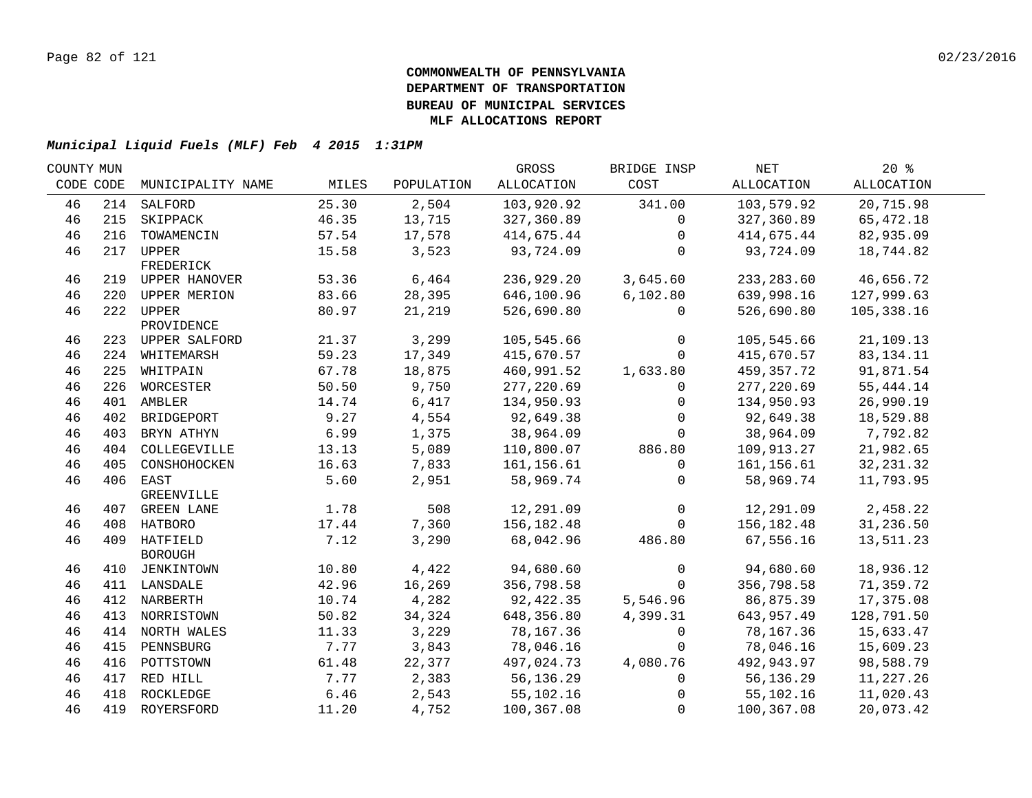| COUNTY MUN |                   |                                                                                                                                                                                                                                                                                                                                                                                            |                                                                                                                  | GROSS                                                                                                                                     | BRIDGE INSP                                                                                                                                                                      | NET                                                                                  | $20*$                                                                                                                                                                                                         |                                                                                                                                                                             |
|------------|-------------------|--------------------------------------------------------------------------------------------------------------------------------------------------------------------------------------------------------------------------------------------------------------------------------------------------------------------------------------------------------------------------------------------|------------------------------------------------------------------------------------------------------------------|-------------------------------------------------------------------------------------------------------------------------------------------|----------------------------------------------------------------------------------------------------------------------------------------------------------------------------------|--------------------------------------------------------------------------------------|---------------------------------------------------------------------------------------------------------------------------------------------------------------------------------------------------------------|-----------------------------------------------------------------------------------------------------------------------------------------------------------------------------|
| CODE CODE  | MUNICIPALITY NAME | MILES                                                                                                                                                                                                                                                                                                                                                                                      | POPULATION                                                                                                       | ALLOCATION                                                                                                                                | COST                                                                                                                                                                             | ALLOCATION                                                                           | ALLOCATION                                                                                                                                                                                                    |                                                                                                                                                                             |
|            |                   | 25.30                                                                                                                                                                                                                                                                                                                                                                                      | 2,504                                                                                                            | 103,920.92                                                                                                                                | 341.00                                                                                                                                                                           | 103,579.92                                                                           | 20,715.98                                                                                                                                                                                                     |                                                                                                                                                                             |
|            |                   | 46.35                                                                                                                                                                                                                                                                                                                                                                                      | 13,715                                                                                                           | 327,360.89                                                                                                                                | $\mathbf{0}$                                                                                                                                                                     | 327,360.89                                                                           | 65,472.18                                                                                                                                                                                                     |                                                                                                                                                                             |
| 216        | TOWAMENCIN        | 57.54                                                                                                                                                                                                                                                                                                                                                                                      | 17,578                                                                                                           | 414,675.44                                                                                                                                | $\mathbf{0}$                                                                                                                                                                     | 414,675.44                                                                           | 82,935.09                                                                                                                                                                                                     |                                                                                                                                                                             |
|            |                   | 15.58                                                                                                                                                                                                                                                                                                                                                                                      | 3,523                                                                                                            | 93,724.09                                                                                                                                 | $\mathbf 0$                                                                                                                                                                      | 93,724.09                                                                            | 18,744.82                                                                                                                                                                                                     |                                                                                                                                                                             |
|            | FREDERICK         |                                                                                                                                                                                                                                                                                                                                                                                            |                                                                                                                  |                                                                                                                                           |                                                                                                                                                                                  |                                                                                      |                                                                                                                                                                                                               |                                                                                                                                                                             |
|            |                   |                                                                                                                                                                                                                                                                                                                                                                                            |                                                                                                                  |                                                                                                                                           |                                                                                                                                                                                  |                                                                                      |                                                                                                                                                                                                               |                                                                                                                                                                             |
|            |                   |                                                                                                                                                                                                                                                                                                                                                                                            |                                                                                                                  |                                                                                                                                           |                                                                                                                                                                                  |                                                                                      |                                                                                                                                                                                                               |                                                                                                                                                                             |
|            |                   |                                                                                                                                                                                                                                                                                                                                                                                            |                                                                                                                  |                                                                                                                                           | $\mathbf{0}$                                                                                                                                                                     |                                                                                      |                                                                                                                                                                                                               |                                                                                                                                                                             |
|            | PROVIDENCE        |                                                                                                                                                                                                                                                                                                                                                                                            |                                                                                                                  |                                                                                                                                           |                                                                                                                                                                                  |                                                                                      |                                                                                                                                                                                                               |                                                                                                                                                                             |
|            |                   |                                                                                                                                                                                                                                                                                                                                                                                            |                                                                                                                  |                                                                                                                                           | $\mathbf{0}$                                                                                                                                                                     |                                                                                      |                                                                                                                                                                                                               |                                                                                                                                                                             |
|            |                   |                                                                                                                                                                                                                                                                                                                                                                                            |                                                                                                                  |                                                                                                                                           | $\Omega$                                                                                                                                                                         |                                                                                      |                                                                                                                                                                                                               |                                                                                                                                                                             |
|            |                   |                                                                                                                                                                                                                                                                                                                                                                                            |                                                                                                                  | 460,991.52                                                                                                                                |                                                                                                                                                                                  |                                                                                      |                                                                                                                                                                                                               |                                                                                                                                                                             |
|            |                   | 50.50                                                                                                                                                                                                                                                                                                                                                                                      |                                                                                                                  |                                                                                                                                           | 0                                                                                                                                                                                |                                                                                      | 55,444.14                                                                                                                                                                                                     |                                                                                                                                                                             |
| 401        | AMBLER            | 14.74                                                                                                                                                                                                                                                                                                                                                                                      | 6,417                                                                                                            | 134,950.93                                                                                                                                | 0                                                                                                                                                                                | 134,950.93                                                                           | 26,990.19                                                                                                                                                                                                     |                                                                                                                                                                             |
| 402        | BRIDGEPORT        | 9.27                                                                                                                                                                                                                                                                                                                                                                                       | 4,554                                                                                                            | 92,649.38                                                                                                                                 | $\Omega$                                                                                                                                                                         | 92,649.38                                                                            | 18,529.88                                                                                                                                                                                                     |                                                                                                                                                                             |
| 403        | BRYN ATHYN        | 6.99                                                                                                                                                                                                                                                                                                                                                                                       | 1,375                                                                                                            | 38,964.09                                                                                                                                 | $\Omega$                                                                                                                                                                         | 38,964.09                                                                            | 7,792.82                                                                                                                                                                                                      |                                                                                                                                                                             |
| 404        | COLLEGEVILLE      | 13.13                                                                                                                                                                                                                                                                                                                                                                                      | 5,089                                                                                                            | 110,800.07                                                                                                                                | 886.80                                                                                                                                                                           | 109,913.27                                                                           | 21,982.65                                                                                                                                                                                                     |                                                                                                                                                                             |
| 405        | CONSHOHOCKEN      | 16.63                                                                                                                                                                                                                                                                                                                                                                                      | 7,833                                                                                                            | 161,156.61                                                                                                                                | $\mathbf{0}$                                                                                                                                                                     | 161,156.61                                                                           | 32, 231.32                                                                                                                                                                                                    |                                                                                                                                                                             |
|            |                   | 5.60                                                                                                                                                                                                                                                                                                                                                                                       | 2,951                                                                                                            | 58,969.74                                                                                                                                 | $\Omega$                                                                                                                                                                         | 58,969.74                                                                            | 11,793.95                                                                                                                                                                                                     |                                                                                                                                                                             |
|            | GREENVILLE        |                                                                                                                                                                                                                                                                                                                                                                                            |                                                                                                                  |                                                                                                                                           |                                                                                                                                                                                  |                                                                                      |                                                                                                                                                                                                               |                                                                                                                                                                             |
|            |                   | 1.78                                                                                                                                                                                                                                                                                                                                                                                       | 508                                                                                                              | 12,291.09                                                                                                                                 | $\mathsf{O}$                                                                                                                                                                     | 12,291.09                                                                            | 2,458.22                                                                                                                                                                                                      |                                                                                                                                                                             |
|            |                   |                                                                                                                                                                                                                                                                                                                                                                                            |                                                                                                                  |                                                                                                                                           | $\Omega$                                                                                                                                                                         |                                                                                      |                                                                                                                                                                                                               |                                                                                                                                                                             |
|            |                   | 7.12                                                                                                                                                                                                                                                                                                                                                                                       |                                                                                                                  | 68,042.96                                                                                                                                 | 486.80                                                                                                                                                                           |                                                                                      | 13,511.23                                                                                                                                                                                                     |                                                                                                                                                                             |
|            | <b>BOROUGH</b>    |                                                                                                                                                                                                                                                                                                                                                                                            |                                                                                                                  |                                                                                                                                           |                                                                                                                                                                                  |                                                                                      |                                                                                                                                                                                                               |                                                                                                                                                                             |
|            |                   |                                                                                                                                                                                                                                                                                                                                                                                            |                                                                                                                  |                                                                                                                                           |                                                                                                                                                                                  |                                                                                      |                                                                                                                                                                                                               |                                                                                                                                                                             |
|            |                   |                                                                                                                                                                                                                                                                                                                                                                                            |                                                                                                                  |                                                                                                                                           |                                                                                                                                                                                  |                                                                                      |                                                                                                                                                                                                               |                                                                                                                                                                             |
|            |                   |                                                                                                                                                                                                                                                                                                                                                                                            |                                                                                                                  |                                                                                                                                           |                                                                                                                                                                                  |                                                                                      |                                                                                                                                                                                                               |                                                                                                                                                                             |
|            |                   |                                                                                                                                                                                                                                                                                                                                                                                            |                                                                                                                  |                                                                                                                                           |                                                                                                                                                                                  |                                                                                      |                                                                                                                                                                                                               |                                                                                                                                                                             |
|            |                   |                                                                                                                                                                                                                                                                                                                                                                                            |                                                                                                                  |                                                                                                                                           | 0                                                                                                                                                                                |                                                                                      |                                                                                                                                                                                                               |                                                                                                                                                                             |
| 415        |                   |                                                                                                                                                                                                                                                                                                                                                                                            |                                                                                                                  |                                                                                                                                           | $\Omega$                                                                                                                                                                         |                                                                                      |                                                                                                                                                                                                               |                                                                                                                                                                             |
| 416        | POTTSTOWN         | 61.48                                                                                                                                                                                                                                                                                                                                                                                      | 22,377                                                                                                           | 497,024.73                                                                                                                                | 4,080.76                                                                                                                                                                         | 492,943.97                                                                           | 98,588.79                                                                                                                                                                                                     |                                                                                                                                                                             |
|            |                   | 7.77                                                                                                                                                                                                                                                                                                                                                                                       | 2,383                                                                                                            | 56,136.29                                                                                                                                 | $\mathbf{0}$                                                                                                                                                                     | 56,136.29                                                                            | 11,227.26                                                                                                                                                                                                     |                                                                                                                                                                             |
|            |                   | 6.46                                                                                                                                                                                                                                                                                                                                                                                       | 2,543                                                                                                            | 55,102.16                                                                                                                                 | $\Omega$                                                                                                                                                                         | 55,102.16                                                                            | 11,020.43                                                                                                                                                                                                     |                                                                                                                                                                             |
|            |                   | 11.20                                                                                                                                                                                                                                                                                                                                                                                      | 4,752                                                                                                            | 100,367.08                                                                                                                                | $\mathbf 0$                                                                                                                                                                      | 100,367.08                                                                           | 20,073.42                                                                                                                                                                                                     |                                                                                                                                                                             |
|            |                   | 214 SALFORD<br>215 SKIPPACK<br>217 UPPER<br>219 UPPER HANOVER<br>220 UPPER MERION<br>222 UPPER<br>223 UPPER SALFORD<br>224 WHITEMARSH<br>225 WHITPAIN<br>226 WORCESTER<br>406 EAST<br>407 GREEN LANE<br>408 HATBORO<br>409 HATFIELD<br>410 JENKINTOWN<br>411 LANSDALE<br>412 NARBERTH<br>413 NORRISTOWN<br>414 NORTH WALES<br>PENNSBURG<br>417 RED HILL<br>418 ROCKLEDGE<br>419 ROYERSFORD | 53.36<br>83.66<br>80.97<br>21.37<br>59.23<br>67.78<br>17.44<br>10.80<br>42.96<br>10.74<br>50.82<br>11.33<br>7.77 | 6,464<br>28,395<br>21,219<br>3,299<br>17,349<br>18,875<br>9,750<br>7,360<br>3,290<br>4,422<br>16,269<br>4,282<br>34,324<br>3,229<br>3,843 | 236,929.20<br>646,100.96<br>526,690.80<br>105,545.66<br>415,670.57<br>277,220.69<br>156, 182. 48<br>94,680.60<br>356,798.58<br>92,422.35<br>648,356.80<br>78,167.36<br>78,046.16 | 3,645.60<br>6, 102.80<br>1,633.80<br>$\mathbf 0$<br>$\Omega$<br>5,546.96<br>4,399.31 | 233, 283.60<br>639,998.16<br>526,690.80<br>105,545.66<br>415,670.57<br>459,357.72<br>277, 220.69<br>156, 182. 48<br>67,556.16<br>94,680.60<br>356,798.58<br>86,875.39<br>643,957.49<br>78,167.36<br>78,046.16 | 46,656.72<br>127,999.63<br>105, 338.16<br>21,109.13<br>83, 134. 11<br>91,871.54<br>31,236.50<br>18,936.12<br>71,359.72<br>17,375.08<br>128,791.50<br>15,633.47<br>15,609.23 |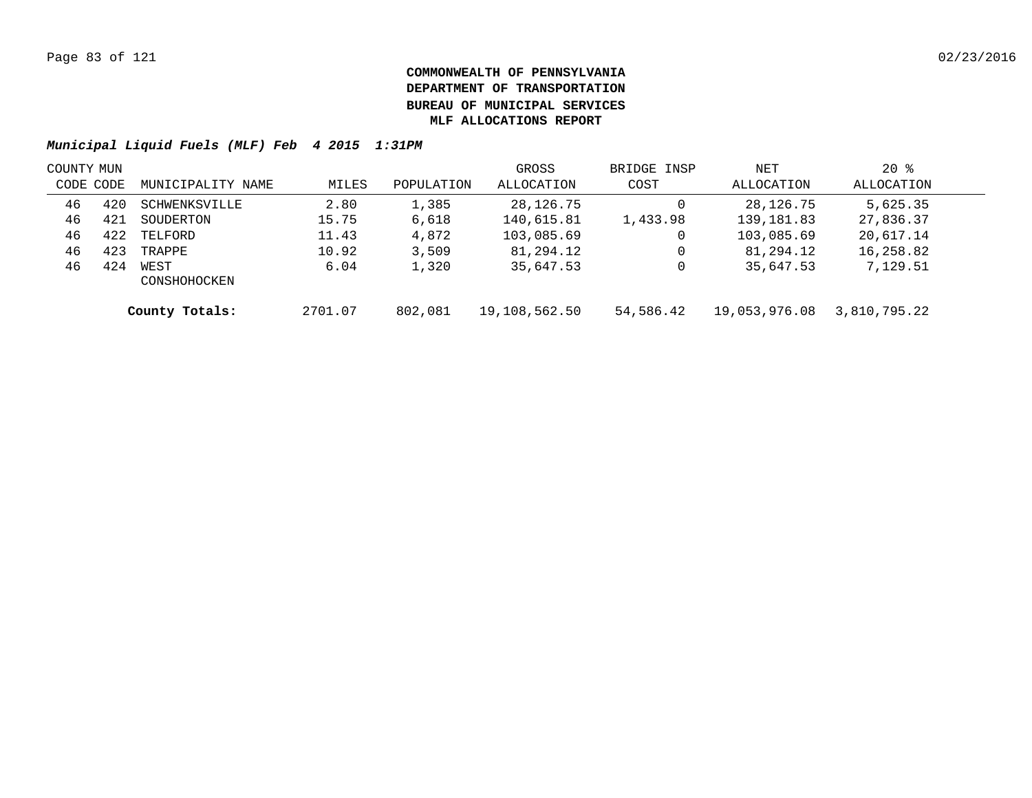| COUNTY MUN |     |                      |         |            | GROSS         | BRIDGE INSP | NET           | $20*$        |  |
|------------|-----|----------------------|---------|------------|---------------|-------------|---------------|--------------|--|
| CODE CODE  |     | MUNICIPALITY NAME    | MILES   | POPULATION | ALLOCATION    | COST        | ALLOCATION    | ALLOCATION   |  |
| 46         | 420 | SCHWENKSVILLE        | 2.80    | 1,385      | 28,126.75     |             | 28,126.75     | 5,625.35     |  |
| 46         | 421 | SOUDERTON            | 15.75   | 6,618      | 140,615.81    | 1,433.98    | 139, 181.83   | 27,836.37    |  |
| 46         | 422 | TELFORD              | 11.43   | 4,872      | 103,085.69    |             | 103,085.69    | 20,617.14    |  |
| 46         | 423 | TRAPPE               | 10.92   | 3,509      | 81,294.12     | 0           | 81,294.12     | 16,258.82    |  |
| 46         | 424 | WEST<br>CONSHOHOCKEN | 6.04    | 1,320      | 35,647.53     |             | 35,647.53     | 7,129.51     |  |
|            |     | County Totals:       | 2701.07 | 802,081    | 19,108,562.50 | 54,586.42   | 19,053,976.08 | 3,810,795.22 |  |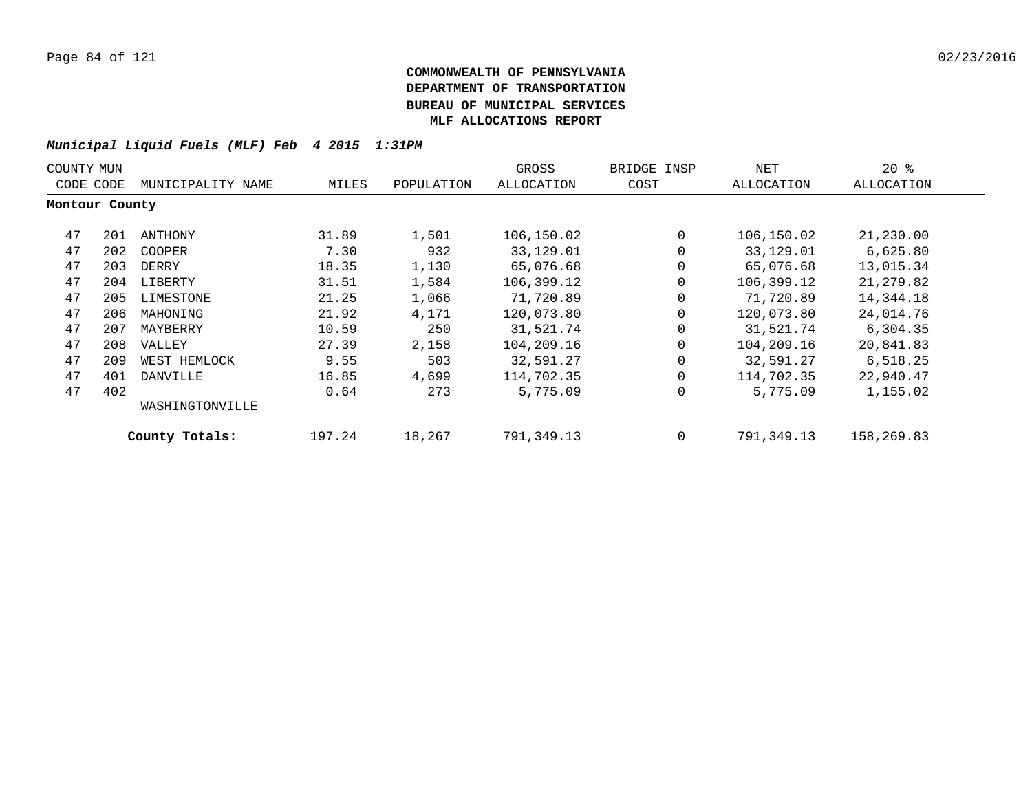| COUNTY MUN     |                                |                 |        |            | GROSS             | BRIDGE INSP | NET        | $20*$      |
|----------------|--------------------------------|-----------------|--------|------------|-------------------|-------------|------------|------------|
|                | MUNICIPALITY NAME<br>CODE CODE |                 | MILES  | POPULATION | <b>ALLOCATION</b> | COST        | ALLOCATION | ALLOCATION |
| Montour County |                                |                 |        |            |                   |             |            |            |
| 47             | 201                            | ANTHONY         | 31.89  | 1,501      | 106,150.02        | $\Omega$    | 106,150.02 | 21,230.00  |
| 47             | 202                            | COOPER          | 7.30   | 932        | 33,129.01         | 0           | 33,129.01  | 6,625.80   |
| 47             | 203                            | DERRY           | 18.35  | 1,130      | 65,076.68         | 0           | 65,076.68  | 13,015.34  |
| 47             | 204                            | LIBERTY         | 31.51  | 1,584      | 106,399.12        | 0           | 106,399.12 | 21,279.82  |
| 47             | 205                            | LIMESTONE       | 21.25  | 1,066      | 71,720.89         | $\mathbf 0$ | 71,720.89  | 14,344.18  |
| 47             | 206                            | MAHONING        | 21.92  | 4,171      | 120,073.80        | 0           | 120,073.80 | 24,014.76  |
| 47             | 207                            | MAYBERRY        | 10.59  | 250        | 31,521.74         | 0           | 31,521.74  | 6,304.35   |
| 47             | 208                            | VALLEY          | 27.39  | 2,158      | 104,209.16        | 0           | 104,209.16 | 20,841.83  |
| 47             | 209                            | WEST HEMLOCK    | 9.55   | 503        | 32,591.27         | 0           | 32,591.27  | 6,518.25   |
| 47             | 401                            | DANVILLE        | 16.85  | 4,699      | 114,702.35        | 0           | 114,702.35 | 22,940.47  |
| 47             | 402                            |                 | 0.64   | 273        | 5,775.09          | 0           | 5,775.09   | 1,155.02   |
|                |                                | WASHINGTONVILLE |        |            |                   |             |            |            |
|                |                                | County Totals:  | 197.24 | 18,267     | 791,349.13        | 0           | 791,349.13 | 158,269.83 |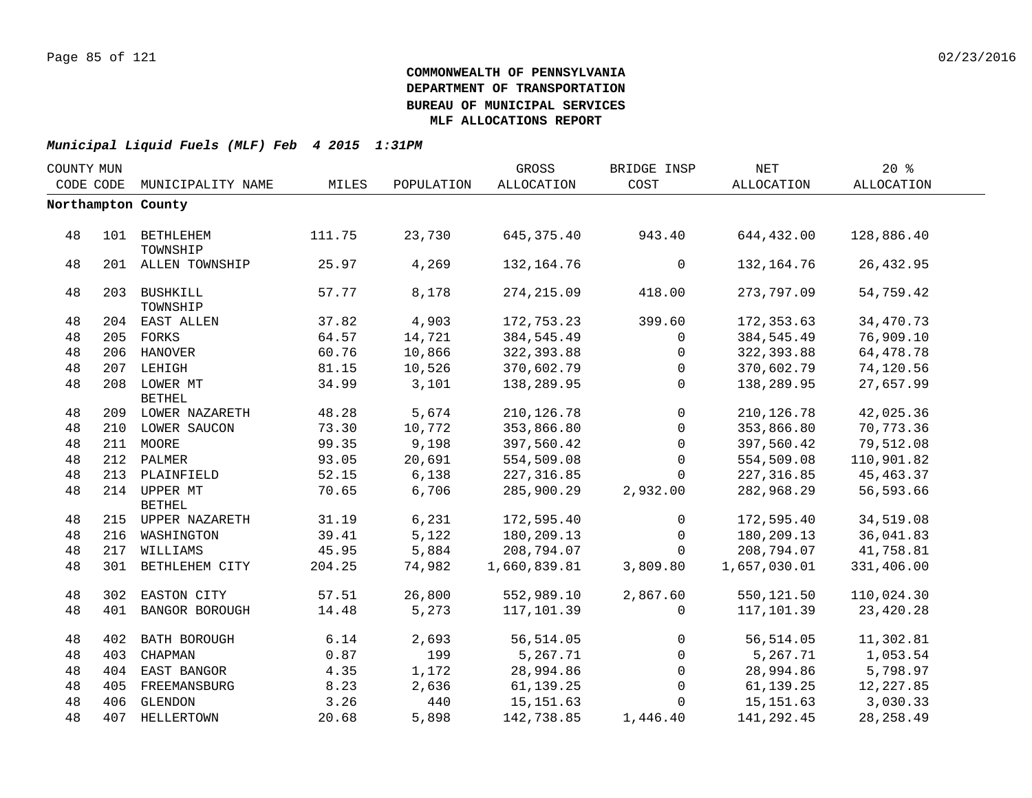| COUNTY MUN |           |                               |        |            | GROSS             | BRIDGE INSP  | $\operatorname{NET}$ | 20%        |  |
|------------|-----------|-------------------------------|--------|------------|-------------------|--------------|----------------------|------------|--|
|            | CODE CODE | MUNICIPALITY NAME             | MILES  | POPULATION | <b>ALLOCATION</b> | COST         | ALLOCATION           | ALLOCATION |  |
|            |           | Northampton County            |        |            |                   |              |                      |            |  |
|            |           |                               |        |            |                   |              |                      |            |  |
| 48         |           | 101 BETHLEHEM<br>TOWNSHIP     | 111.75 | 23,730     | 645, 375.40       | 943.40       | 644,432.00           | 128,886.40 |  |
| 48         |           | 201 ALLEN TOWNSHIP            | 25.97  | 4,269      | 132, 164. 76      | $\mathsf{O}$ | 132,164.76           | 26, 432.95 |  |
| 48         |           | 203 BUSHKILL<br>TOWNSHIP      | 57.77  | 8,178      | 274, 215.09       | 418.00       | 273,797.09           | 54,759.42  |  |
| 48         |           | 204 EAST ALLEN                | 37.82  | 4,903      | 172,753.23        | 399.60       | 172,353.63           | 34,470.73  |  |
| 48         |           | 205 FORKS                     | 64.57  | 14,721     | 384,545.49        | $\Omega$     | 384,545.49           | 76,909.10  |  |
| 48         |           | 206 HANOVER                   | 60.76  | 10,866     | 322,393.88        | 0            | 322,393.88           | 64,478.78  |  |
| 48         |           | 207 LEHIGH                    | 81.15  | 10,526     | 370,602.79        | $\mathbf{0}$ | 370,602.79           | 74,120.56  |  |
| 48         |           | 208 LOWER MT<br><b>BETHEL</b> | 34.99  | 3,101      | 138,289.95        | $\mathbf{0}$ | 138,289.95           | 27,657.99  |  |
| 48         |           | 209 LOWER NAZARETH            | 48.28  | 5,674      | 210, 126.78       | $\mathbf 0$  | 210, 126.78          | 42,025.36  |  |
| 48         |           | 210 LOWER SAUCON              | 73.30  | 10,772     | 353,866.80        | $\mathbf{0}$ | 353,866.80           | 70,773.36  |  |
| 48         |           | 211 MOORE                     | 99.35  | 9,198      | 397,560.42        | $\mathbf{0}$ | 397,560.42           | 79,512.08  |  |
| 48         |           | 212 PALMER                    | 93.05  | 20,691     | 554,509.08        | $\mathbf{0}$ | 554,509.08           | 110,901.82 |  |
| 48         |           | 213 PLAINFIELD                | 52.15  | 6,138      | 227, 316.85       | $\Omega$     | 227,316.85           | 45, 463.37 |  |
| 48         |           | 214 UPPER MT<br><b>BETHEL</b> | 70.65  | 6,706      | 285,900.29        | 2,932.00     | 282,968.29           | 56,593.66  |  |
| 48         |           | 215 UPPER NAZARETH            | 31.19  | 6,231      | 172,595.40        | $\mathbf{0}$ | 172,595.40           | 34,519.08  |  |
| 48         |           | 216 WASHINGTON                | 39.41  | 5,122      | 180,209.13        | 0            | 180,209.13           | 36,041.83  |  |
| 48         |           | 217 WILLIAMS                  | 45.95  | 5,884      | 208,794.07        | 0            | 208,794.07           | 41,758.81  |  |
| 48         |           | 301 BETHLEHEM CITY            | 204.25 | 74,982     | 1,660,839.81      | 3,809.80     | 1,657,030.01         | 331,406.00 |  |
| 48         |           | 302 EASTON CITY               | 57.51  | 26,800     | 552,989.10        | 2,867.60     | 550,121.50           | 110,024.30 |  |
| 48         |           | 401 BANGOR BOROUGH            | 14.48  | 5,273      | 117,101.39        | $\mathbf{0}$ | 117,101.39           | 23,420.28  |  |
| 48         |           | 402 BATH BOROUGH              | 6.14   | 2,693      | 56, 514.05        | $\mathbf{0}$ | 56, 514.05           | 11,302.81  |  |
| 48         | 403       | CHAPMAN                       | 0.87   | 199        | 5,267.71          | $\mathbf{0}$ | 5,267.71             | 1,053.54   |  |
| 48         |           | 404 EAST BANGOR               | 4.35   | 1,172      | 28,994.86         | $\mathbf{0}$ | 28,994.86            | 5,798.97   |  |
| 48         |           | 405 FREEMANSBURG              | 8.23   | 2,636      | 61,139.25         | $\mathbf{0}$ | 61,139.25            | 12,227.85  |  |
| 48         |           | 406 GLENDON                   | 3.26   | 440        | 15,151.63         | $\Omega$     | 15,151.63            | 3,030.33   |  |
| 48         |           | 407 HELLERTOWN                | 20.68  | 5,898      | 142,738.85        | 1,446.40     | 141,292.45           | 28, 258.49 |  |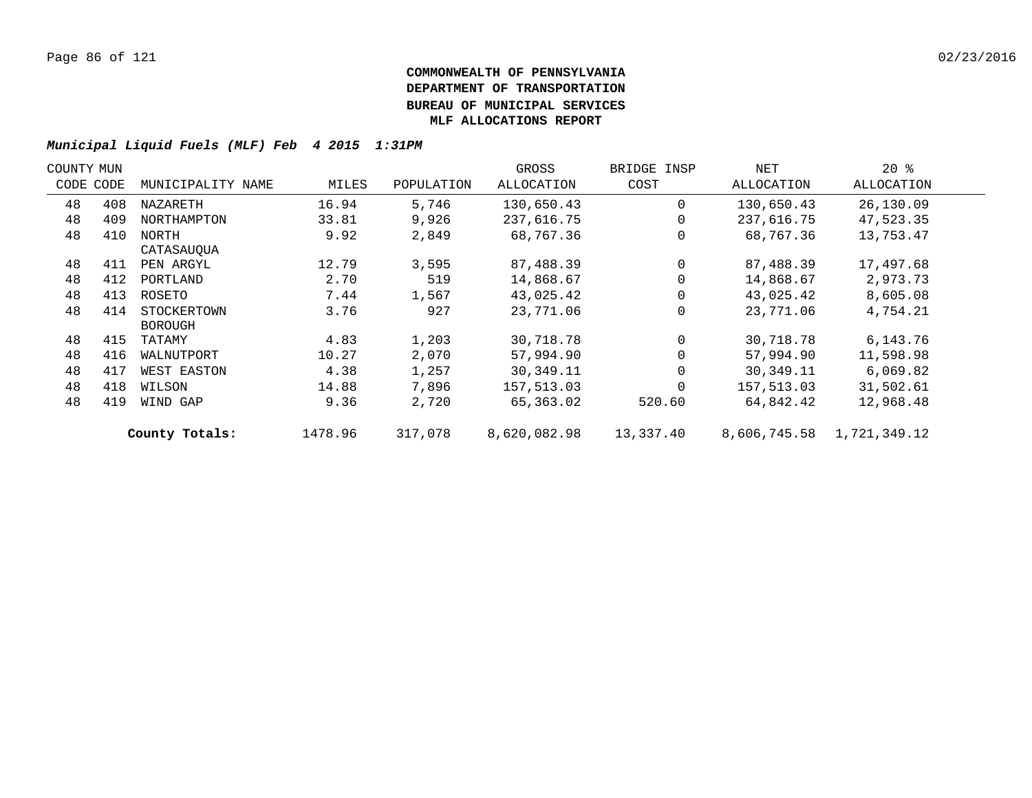| COUNTY MUN |     |                   |         |            | GROSS        | BRIDGE INSP | NET          | $20*$        |  |
|------------|-----|-------------------|---------|------------|--------------|-------------|--------------|--------------|--|
| CODE CODE  |     | MUNICIPALITY NAME | MILES   | POPULATION | ALLOCATION   | COST        | ALLOCATION   | ALLOCATION   |  |
| 48         | 408 | NAZARETH          | 16.94   | 5,746      | 130,650.43   | $\Omega$    | 130,650.43   | 26,130.09    |  |
| 48         | 409 | NORTHAMPTON       | 33.81   | 9,926      | 237,616.75   | $\Omega$    | 237,616.75   | 47,523.35    |  |
| 48         | 410 | NORTH             | 9.92    | 2,849      | 68,767.36    | $\Omega$    | 68,767.36    | 13,753.47    |  |
|            |     | CATASAUOUA        |         |            |              |             |              |              |  |
| 48         | 411 | PEN ARGYL         | 12.79   | 3,595      | 87,488.39    | $\Omega$    | 87,488.39    | 17,497.68    |  |
| 48         | 412 | PORTLAND          | 2.70    | 519        | 14,868.67    | $\Omega$    | 14,868.67    | 2,973.73     |  |
| 48         | 413 | ROSETO            | 7.44    | 1,567      | 43,025.42    | $\Omega$    | 43,025.42    | 8,605.08     |  |
| 48         | 414 | STOCKERTOWN       | 3.76    | 927        | 23,771.06    | $\Omega$    | 23,771.06    | 4,754.21     |  |
|            |     | <b>BOROUGH</b>    |         |            |              |             |              |              |  |
| 48         | 415 | TATAMY            | 4.83    | 1,203      | 30,718.78    | $\Omega$    | 30,718.78    | 6,143.76     |  |
| 48         | 416 | WALNUTPORT        | 10.27   | 2,070      | 57,994.90    | $\Omega$    | 57,994.90    | 11,598.98    |  |
| 48         | 417 | WEST EASTON       | 4.38    | 1,257      | 30,349.11    | $\Omega$    | 30,349.11    | 6,069.82     |  |
| 48         | 418 | WILSON            | 14.88   | 7,896      | 157,513.03   | $\Omega$    | 157,513.03   | 31,502.61    |  |
| 48         | 419 | WIND GAP          | 9.36    | 2,720      | 65,363.02    | 520.60      | 64,842.42    | 12,968.48    |  |
|            |     | County Totals:    | 1478.96 | 317,078    | 8,620,082.98 | 13,337.40   | 8,606,745.58 | 1,721,349.12 |  |
|            |     |                   |         |            |              |             |              |              |  |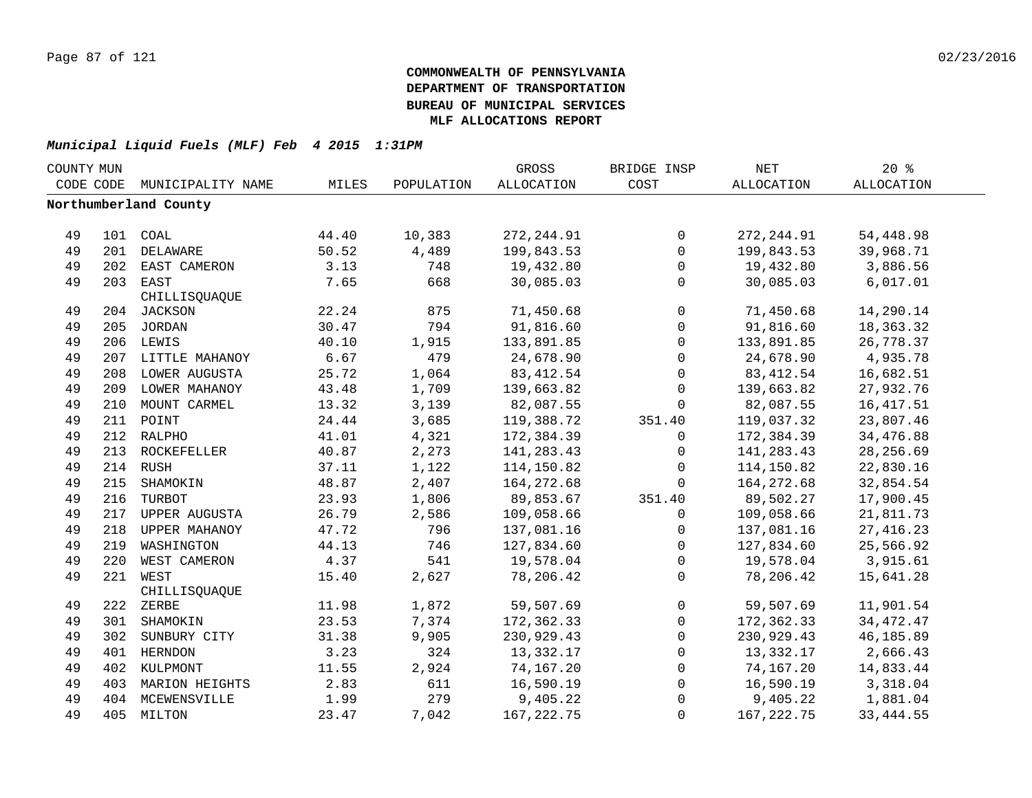| COUNTY MUN |     |                       |       |            | GROSS       | BRIDGE INSP         | <b>NET</b>        | 20%               |  |
|------------|-----|-----------------------|-------|------------|-------------|---------------------|-------------------|-------------------|--|
| CODE CODE  |     | MUNICIPALITY NAME     | MILES | POPULATION | ALLOCATION  | COST                | <b>ALLOCATION</b> | <b>ALLOCATION</b> |  |
|            |     | Northumberland County |       |            |             |                     |                   |                   |  |
|            |     |                       |       |            |             |                     |                   |                   |  |
| 49         |     | 101 COAL              | 44.40 | 10,383     | 272, 244.91 | 0                   | 272, 244.91       | 54,448.98         |  |
| 49         |     | 201 DELAWARE          | 50.52 | 4,489      | 199,843.53  | $\mathbf 0$         | 199,843.53        | 39,968.71         |  |
| 49         |     | 202 EAST CAMERON      | 3.13  | 748        | 19,432.80   | $\mathsf{O}$        | 19,432.80         | 3,886.56          |  |
| 49         |     | 203 EAST              | 7.65  | 668        | 30,085.03   | $\mathbf 0$         | 30,085.03         | 6,017.01          |  |
|            |     | CHILLISQUAQUE         |       |            |             |                     |                   |                   |  |
| 49         |     | 204 JACKSON           | 22.24 | 875        | 71,450.68   | $\mathbf 0$         | 71,450.68         | 14,290.14         |  |
| 49         |     | 205 JORDAN            | 30.47 | 794        | 91,816.60   | $\mathsf{O}\xspace$ | 91,816.60         | 18,363.32         |  |
| 49         |     | 206 LEWIS             | 40.10 | 1,915      | 133,891.85  | $\mathsf{O}\xspace$ | 133,891.85        | 26,778.37         |  |
| 49         | 207 | LITTLE MAHANOY        | 6.67  | 479        | 24,678.90   | $\mathbf 0$         | 24,678.90         | 4,935.78          |  |
| 49         | 208 | LOWER AUGUSTA         | 25.72 | 1,064      | 83, 412.54  | $\mathbf 0$         | 83, 412.54        | 16,682.51         |  |
| 49         | 209 | LOWER MAHANOY         | 43.48 | 1,709      | 139,663.82  | $\mathbf 0$         | 139,663.82        | 27,932.76         |  |
| 49         | 210 | MOUNT CARMEL          | 13.32 | 3,139      | 82,087.55   | $\Omega$            | 82,087.55         | 16, 417.51        |  |
| 49         |     | 211 POINT             | 24.44 | 3,685      | 119,388.72  | 351.40              | 119,037.32        | 23,807.46         |  |
| 49         |     | 212 RALPHO            | 41.01 | 4,321      | 172,384.39  | 0                   | 172,384.39        | 34,476.88         |  |
| 49         |     | 213 ROCKEFELLER       | 40.87 | 2,273      | 141,283.43  | $\Omega$            | 141, 283.43       | 28, 256.69        |  |
| 49         |     | 214 RUSH              | 37.11 | 1,122      | 114,150.82  | $\mathbf 0$         | 114,150.82        | 22,830.16         |  |
| 49         |     | 215 SHAMOKIN          | 48.87 | 2,407      | 164,272.68  | $\Omega$            | 164,272.68        | 32,854.54         |  |
| 49         |     | 216 TURBOT            | 23.93 | 1,806      | 89,853.67   | 351.40              | 89,502.27         | 17,900.45         |  |
| 49         |     | 217 UPPER AUGUSTA     | 26.79 | 2,586      | 109,058.66  | 0                   | 109,058.66        | 21,811.73         |  |
| 49         |     | 218 UPPER MAHANOY     | 47.72 | 796        | 137,081.16  | $\mathsf{O}$        | 137,081.16        | 27, 416.23        |  |
| 49         |     | 219 WASHINGTON        | 44.13 | 746        | 127,834.60  | $\mathbf 0$         | 127,834.60        | 25,566.92         |  |
| 49         | 220 | WEST CAMERON          | 4.37  | 541        | 19,578.04   | $\Omega$            | 19,578.04         | 3,915.61          |  |
| 49         |     | 221 WEST              | 15.40 | 2,627      | 78,206.42   | $\Omega$            | 78,206.42         | 15,641.28         |  |
|            |     | CHILLISQUAQUE         |       |            |             |                     |                   |                   |  |
| 49         |     | 222 ZERBE             | 11.98 | 1,872      | 59,507.69   | $\mathbf 0$         | 59,507.69         | 11,901.54         |  |
| 49         |     | 301 SHAMOKIN          | 23.53 | 7,374      | 172,362.33  | $\mathbf 0$         | 172,362.33        | 34, 472. 47       |  |
| 49         |     | 302 SUNBURY CITY      | 31.38 | 9,905      | 230,929.43  | $\mathbf 0$         | 230,929.43        | 46,185.89         |  |
| 49         |     | 401 HERNDON           | 3.23  | 324        | 13,332.17   | $\mathbf 0$         | 13,332.17         | 2,666.43          |  |
| 49         |     | 402 KULPMONT          | 11.55 | 2,924      | 74,167.20   | 0                   | 74,167.20         | 14,833.44         |  |
| 49         |     | 403 MARION HEIGHTS    | 2.83  | 611        | 16,590.19   | $\mathsf{O}$        | 16,590.19         | 3,318.04          |  |
| 49         |     | 404 MCEWENSVILLE      | 1.99  | 279        | 9,405.22    | $\Omega$            | 9,405.22          | 1,881.04          |  |
| 49         |     | 405 MILTON            | 23.47 | 7,042      | 167, 222.75 | $\Omega$            | 167, 222.75       | 33, 444.55        |  |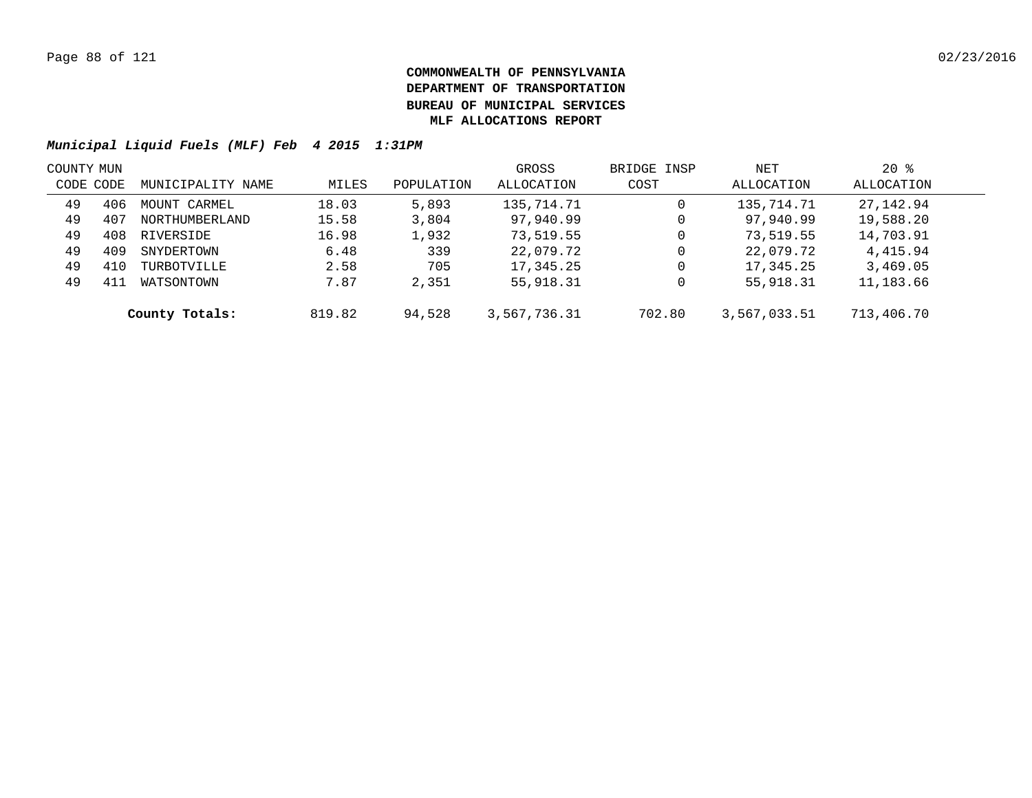| COUNTY MUN |     |                   |        |            | GROSS        | BRIDGE INSP | NET          | $20*$      |  |
|------------|-----|-------------------|--------|------------|--------------|-------------|--------------|------------|--|
| CODE CODE  |     | MUNICIPALITY NAME | MILES  | POPULATION | ALLOCATION   | COST        | ALLOCATION   | ALLOCATION |  |
| 49         | 406 | MOUNT CARMEL      | 18.03  | 5,893      | 135,714.71   | 0           | 135,714.71   | 27,142.94  |  |
| 49         | 407 | NORTHUMBERLAND    | 15.58  | 3,804      | 97,940.99    | 0           | 97,940.99    | 19,588.20  |  |
| 49         | 408 | RIVERSIDE         | 16.98  | 1,932      | 73,519.55    | 0           | 73,519.55    | 14,703.91  |  |
| 49         | 409 | SNYDERTOWN        | 6.48   | 339        | 22,079.72    | 0           | 22,079.72    | 4,415.94   |  |
| 49         | 410 | TURBOTVILLE       | 2.58   | 705        | 17,345.25    | 0           | 17,345.25    | 3,469.05   |  |
| 49         | 411 | WATSONTOWN        | 7.87   | 2,351      | 55,918.31    | 0           | 55,918.31    | 11,183.66  |  |
|            |     | County Totals:    | 819.82 | 94,528     | 3,567,736.31 | 702.80      | 3,567,033.51 | 713,406.70 |  |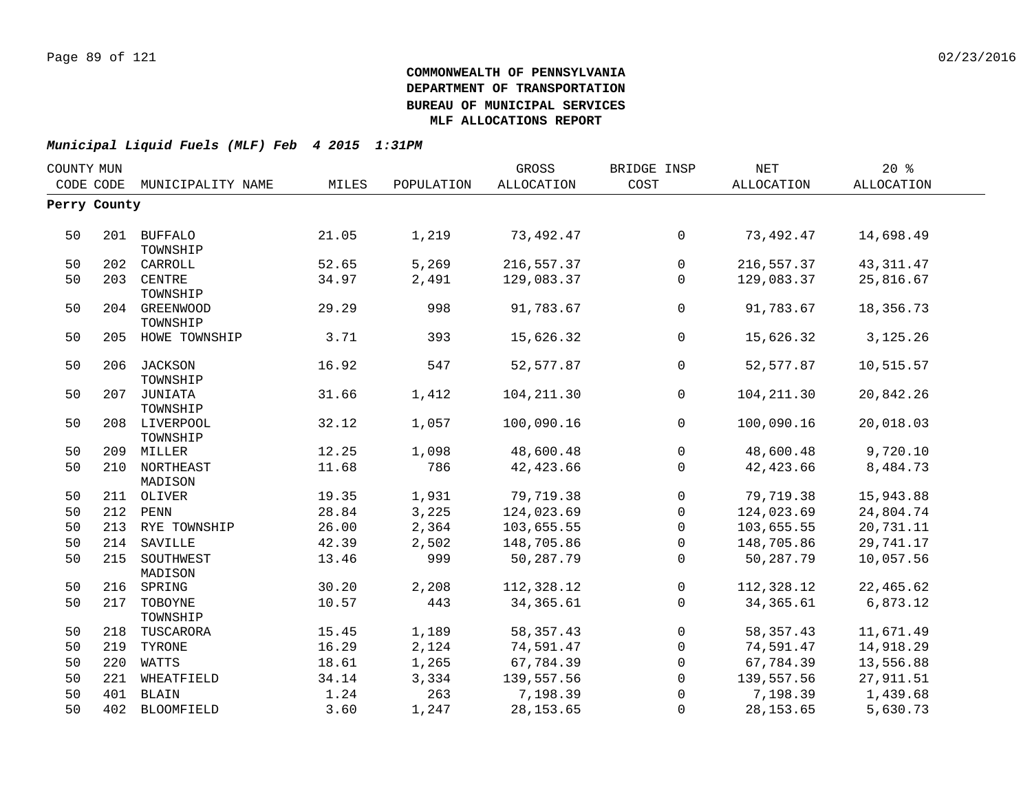| COUNTY MUN |              |                             |       |            | GROSS       | BRIDGE INSP    | <b>NET</b>  | 20%               |  |
|------------|--------------|-----------------------------|-------|------------|-------------|----------------|-------------|-------------------|--|
|            |              | CODE CODE MUNICIPALITY NAME | MILES | POPULATION | ALLOCATION  | COST           | ALLOCATION  | <b>ALLOCATION</b> |  |
|            | Perry County |                             |       |            |             |                |             |                   |  |
|            |              |                             |       |            |             |                |             |                   |  |
| 50         |              | 201 BUFFALO                 | 21.05 | 1,219      | 73,492.47   | $\overline{0}$ | 73,492.47   | 14,698.49         |  |
|            |              | TOWNSHIP                    |       |            |             |                |             |                   |  |
| 50         |              | 202 CARROLL                 | 52.65 | 5,269      | 216,557.37  | $\overline{0}$ | 216,557.37  | 43, 311.47        |  |
| 50         |              | 203 CENTRE<br>TOWNSHIP      | 34.97 | 2,491      | 129,083.37  | $\mathbf 0$    | 129,083.37  | 25,816.67         |  |
| 50         | 204          | GREENWOOD                   | 29.29 | 998        | 91,783.67   | $\mathsf{O}$   | 91,783.67   | 18,356.73         |  |
|            |              | TOWNSHIP                    |       |            |             |                |             |                   |  |
| 50         |              | 205 HOWE TOWNSHIP           | 3.71  | 393        | 15,626.32   | $\overline{0}$ | 15,626.32   | 3,125.26          |  |
| 50         |              | 206 JACKSON                 | 16.92 | 547        | 52, 577.87  | $\Omega$       | 52, 577.87  | 10,515.57         |  |
|            |              | TOWNSHIP                    |       |            |             |                |             |                   |  |
| 50         |              | 207 JUNIATA                 | 31.66 | 1,412      | 104, 211.30 | $\mathbf 0$    | 104, 211.30 | 20,842.26         |  |
|            |              | TOWNSHIP                    |       |            |             |                |             |                   |  |
| 50         |              | 208 LIVERPOOL<br>TOWNSHIP   | 32.12 | 1,057      | 100,090.16  | $\Omega$       | 100,090.16  | 20,018.03         |  |
| 50         |              | 209 MILLER                  | 12.25 | 1,098      | 48,600.48   | $\overline{0}$ | 48,600.48   | 9,720.10          |  |
| 50         |              | 210 NORTHEAST               | 11.68 | 786        | 42, 423.66  | $\mathbf 0$    | 42, 423.66  | 8,484.73          |  |
|            |              | MADISON                     |       |            |             |                |             |                   |  |
| 50         |              | 211 OLIVER                  | 19.35 | 1,931      | 79,719.38   | $\mathsf{O}$   | 79,719.38   | 15,943.88         |  |
| 50         |              | 212 PENN                    | 28.84 | 3,225      | 124,023.69  | $\mathsf{O}$   | 124,023.69  | 24,804.74         |  |
| 50         |              | 213 RYE TOWNSHIP            | 26.00 | 2,364      | 103,655.55  | 0              | 103,655.55  | 20,731.11         |  |
| 50         |              | 214 SAVILLE                 | 42.39 | 2,502      | 148,705.86  | $\mathbf 0$    | 148,705.86  | 29,741.17         |  |
| 50         |              | 215 SOUTHWEST               | 13.46 | 999        | 50,287.79   | $\mathbf 0$    | 50,287.79   | 10,057.56         |  |
|            |              | MADISON                     |       |            |             |                |             |                   |  |
| 50         |              | 216 SPRING                  | 30.20 | 2,208      | 112,328.12  | 0              | 112,328.12  | 22,465.62         |  |
| 50         |              | 217 TOBOYNE                 | 10.57 | 443        | 34, 365.61  | $\mathbf 0$    | 34, 365.61  | 6,873.12          |  |
|            |              | TOWNSHIP                    |       |            |             |                |             |                   |  |
| 50         |              | 218 TUSCARORA               | 15.45 | 1,189      | 58, 357.43  | $\overline{0}$ | 58, 357. 43 | 11,671.49         |  |
| 50         | 219          | TYRONE                      | 16.29 | 2,124      | 74,591.47   | $\overline{0}$ | 74,591.47   | 14,918.29         |  |
| 50         | 220          | WATTS                       | 18.61 | 1,265      | 67,784.39   | 0              | 67,784.39   | 13,556.88         |  |
| 50         | 221          | WHEATFIELD                  | 34.14 | 3,334      | 139,557.56  | $\overline{0}$ | 139,557.56  | 27,911.51         |  |
| 50         |              | 401 BLAIN                   | 1.24  | 263        | 7,198.39    | $\mathbf 0$    | 7,198.39    | 1,439.68          |  |
| 50         |              | 402 BLOOMFIELD              | 3.60  | 1,247      | 28, 153.65  | $\mathbf 0$    | 28, 153.65  | 5,630.73          |  |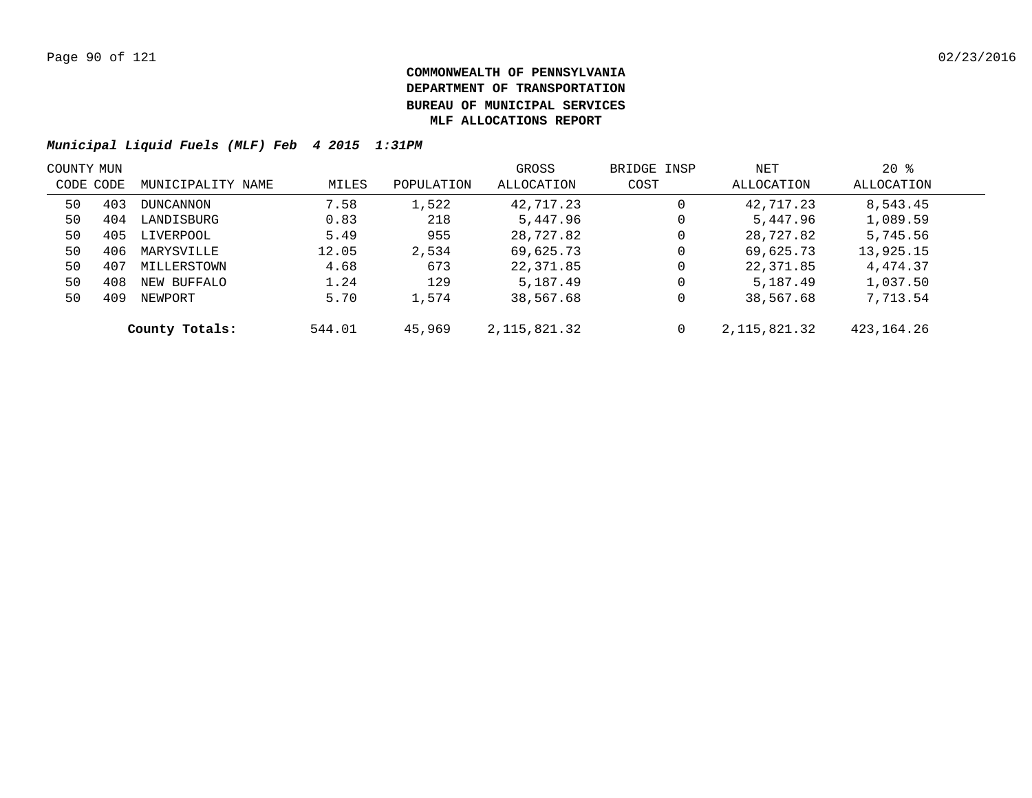| COUNTY MUN |     |                   |        |            | GROSS          | BRIDGE INSP | NET            | $20*$        |  |
|------------|-----|-------------------|--------|------------|----------------|-------------|----------------|--------------|--|
| CODE CODE  |     | MUNICIPALITY NAME | MILES  | POPULATION | ALLOCATION     | COST        | ALLOCATION     | ALLOCATION   |  |
| 50         | 403 | <b>DUNCANNON</b>  | 7.58   | 1,522      | 42,717.23      | 0           | 42,717.23      | 8,543.45     |  |
| 50         | 404 | LANDISBURG        | 0.83   | 218        | 5,447.96       | 0           | 5,447.96       | 1,089.59     |  |
| 50         | 405 | LIVERPOOL         | 5.49   | 955        | 28,727.82      | 0           | 28,727.82      | 5,745.56     |  |
| 50         | 406 | MARYSVILLE        | 12.05  | 2,534      | 69,625.73      | 0           | 69,625.73      | 13,925.15    |  |
| 50         | 407 | MILLERSTOWN       | 4.68   | 673        | 22,371.85      | 0           | 22,371.85      | 4,474.37     |  |
| 50         | 408 | NEW BUFFALO       | 1.24   | 129        | 5,187.49       | 0           | 5,187.49       | 1,037.50     |  |
| 50         | 409 | NEWPORT           | 5.70   | 1,574      | 38,567.68      | 0           | 38,567.68      | 7,713.54     |  |
|            |     | County Totals:    | 544.01 | 45,969     | 2, 115, 821.32 | $\mathbf 0$ | 2, 115, 821.32 | 423, 164. 26 |  |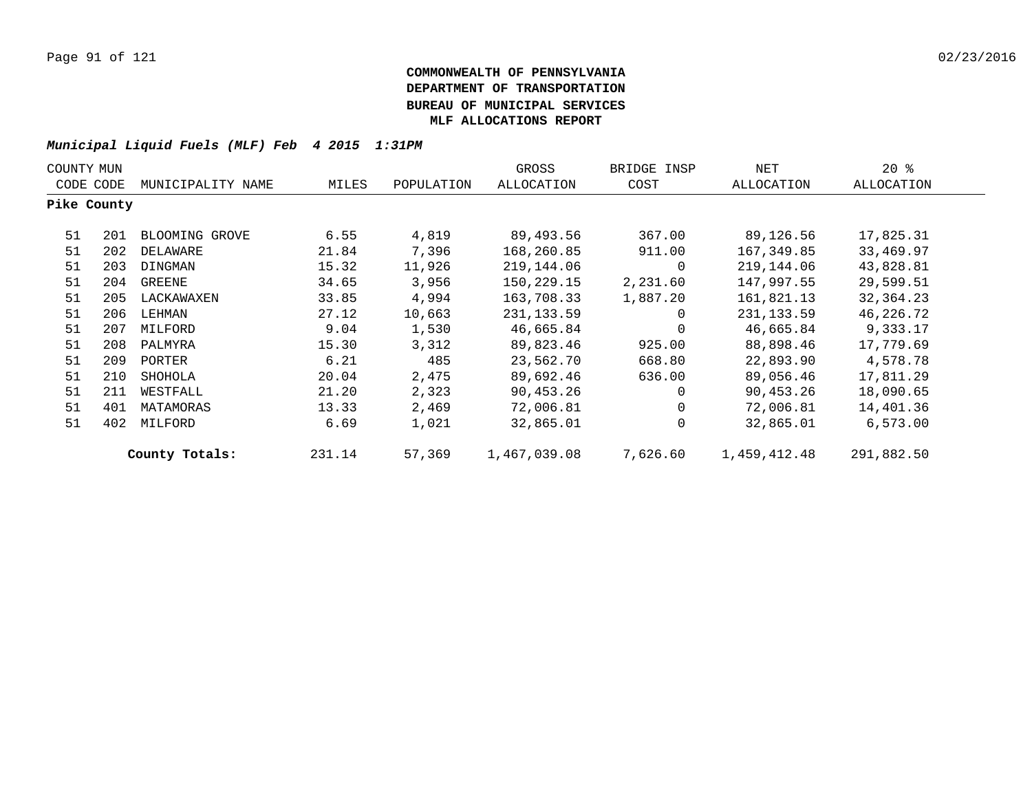| COUNTY MUN  |     |                   |        |            | GROSS        | BRIDGE INSP | NET          | $20*$      |  |
|-------------|-----|-------------------|--------|------------|--------------|-------------|--------------|------------|--|
| CODE CODE   |     | MUNICIPALITY NAME | MILES  | POPULATION | ALLOCATION   | COST        | ALLOCATION   | ALLOCATION |  |
| Pike County |     |                   |        |            |              |             |              |            |  |
| 51          | 201 | BLOOMING GROVE    | 6.55   | 4,819      | 89,493.56    | 367.00      | 89,126.56    | 17,825.31  |  |
| 51          | 202 | DELAWARE          | 21.84  | 7,396      | 168,260.85   | 911.00      | 167,349.85   | 33,469.97  |  |
| 51          | 203 | DINGMAN           | 15.32  | 11,926     | 219,144.06   | 0           | 219,144.06   | 43,828.81  |  |
| 51          | 204 | GREENE            | 34.65  | 3,956      | 150,229.15   | 2,231.60    | 147,997.55   | 29,599.51  |  |
| 51          | 205 | LACKAWAXEN        | 33.85  | 4,994      | 163,708.33   | 1,887.20    | 161,821.13   | 32,364.23  |  |
| 51          | 206 | LEHMAN            | 27.12  | 10,663     | 231, 133.59  | 0           | 231, 133.59  | 46,226.72  |  |
| 51          | 207 | MILFORD           | 9.04   | 1,530      | 46,665.84    | 0           | 46,665.84    | 9,333.17   |  |
| 51          | 208 | PALMYRA           | 15.30  | 3,312      | 89,823.46    | 925.00      | 88,898.46    | 17,779.69  |  |
| 51          | 209 | PORTER            | 6.21   | 485        | 23,562.70    | 668.80      | 22,893.90    | 4,578.78   |  |
| 51          | 210 | SHOHOLA           | 20.04  | 2,475      | 89,692.46    | 636.00      | 89,056.46    | 17,811.29  |  |
| 51          | 211 | WESTFALL          | 21.20  | 2,323      | 90,453.26    | $\mathbf 0$ | 90,453.26    | 18,090.65  |  |
| 51          | 401 | MATAMORAS         | 13.33  | 2,469      | 72,006.81    | $\mathbf 0$ | 72,006.81    | 14,401.36  |  |
| 51          | 402 | MILFORD           | 6.69   | 1,021      | 32,865.01    | 0           | 32,865.01    | 6,573.00   |  |
|             |     | County Totals:    | 231.14 | 57,369     | 1,467,039.08 | 7,626.60    | 1,459,412.48 | 291,882.50 |  |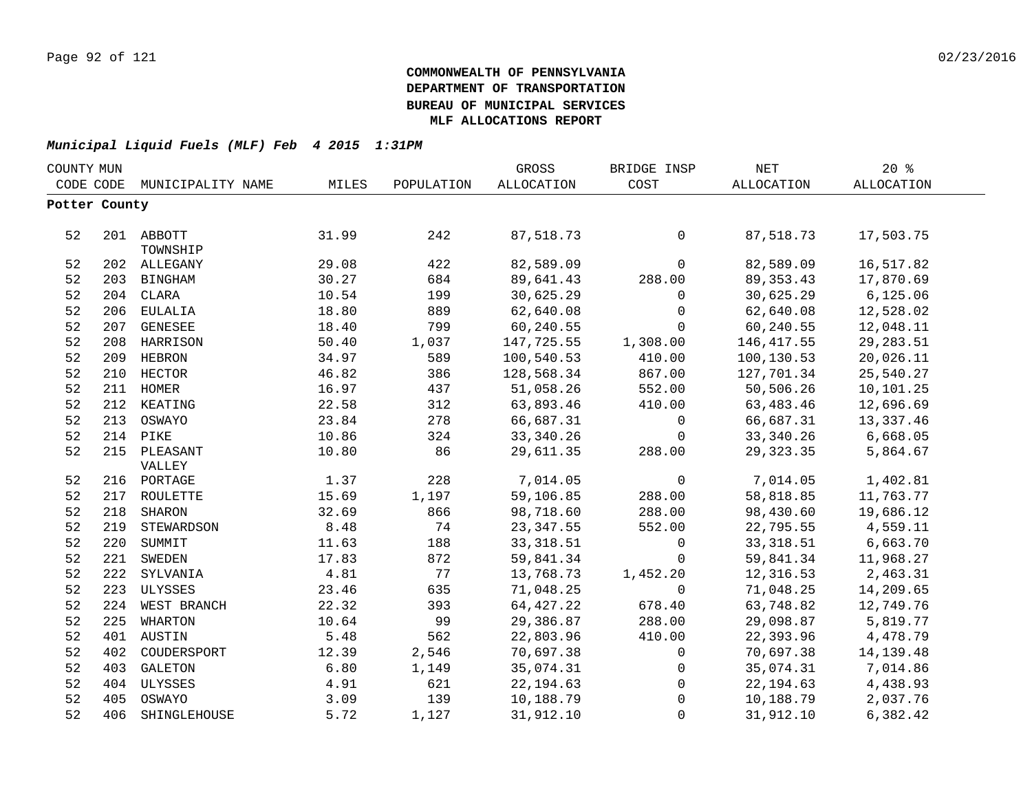| COUNTY MUN    |     |                   |       |            | GROSS             | BRIDGE INSP         | <b>NET</b>  | 20%               |  |
|---------------|-----|-------------------|-------|------------|-------------------|---------------------|-------------|-------------------|--|
| CODE CODE     |     | MUNICIPALITY NAME | MILES | POPULATION | <b>ALLOCATION</b> | COST                | ALLOCATION  | <b>ALLOCATION</b> |  |
| Potter County |     |                   |       |            |                   |                     |             |                   |  |
|               |     |                   |       |            |                   |                     |             |                   |  |
| 52            |     | 201 ABBOTT        | 31.99 | 242        | 87,518.73         | $\mathbf 0$         | 87,518.73   | 17,503.75         |  |
|               |     | TOWNSHIP          |       |            |                   |                     |             |                   |  |
| 52            |     | 202 ALLEGANY      | 29.08 | 422        | 82,589.09         | $\mathsf{O}$        | 82,589.09   | 16,517.82         |  |
| 52            |     | 203 BINGHAM       | 30.27 | 684        | 89,641.43         | 288.00              | 89, 353. 43 | 17,870.69         |  |
| 52            |     | 204 CLARA         | 10.54 | 199        | 30,625.29         | $\mathbf 0$         | 30,625.29   | 6, 125.06         |  |
| 52            |     | 206 EULALIA       | 18.80 | 889        | 62,640.08         | $\mathsf{O}\xspace$ | 62,640.08   | 12,528.02         |  |
| 52            |     | 207 GENESEE       | 18.40 | 799        | 60,240.55         | $\mathbf 0$         | 60,240.55   | 12,048.11         |  |
| 52            |     | 208 HARRISON      | 50.40 | 1,037      | 147,725.55        | 1,308.00            | 146, 417.55 | 29, 283.51        |  |
| 52            | 209 | HEBRON            | 34.97 | 589        | 100,540.53        | 410.00              | 100,130.53  | 20,026.11         |  |
| 52            | 210 | HECTOR            | 46.82 | 386        | 128,568.34        | 867.00              | 127,701.34  | 25,540.27         |  |
| 52            | 211 | HOMER             | 16.97 | 437        | 51,058.26         | 552.00              | 50,506.26   | 10,101.25         |  |
| 52            | 212 | KEATING           | 22.58 | 312        | 63,893.46         | 410.00              | 63,483.46   | 12,696.69         |  |
| 52            | 213 | OSWAYO            | 23.84 | 278        | 66,687.31         | $\overline{0}$      | 66,687.31   | 13,337.46         |  |
| 52            | 214 | PIKE              | 10.86 | 324        | 33, 340. 26       | $\mathbf 0$         | 33,340.26   | 6,668.05          |  |
| 52            |     | 215 PLEASANT      | 10.80 | 86         | 29,611.35         | 288.00              | 29, 323. 35 | 5,864.67          |  |
|               |     | VALLEY            |       |            |                   |                     |             |                   |  |
| 52            |     | 216 PORTAGE       | 1.37  | 228        | 7,014.05          | $\mathbf 0$         | 7,014.05    | 1,402.81          |  |
| 52            | 217 | ROULETTE          | 15.69 | 1,197      | 59,106.85         | 288.00              | 58,818.85   | 11,763.77         |  |
| 52            | 218 | <b>SHARON</b>     | 32.69 | 866        | 98,718.60         | 288.00              | 98,430.60   | 19,686.12         |  |
| 52            | 219 | STEWARDSON        | 8.48  | 74         | 23, 347.55        | 552.00              | 22,795.55   | 4,559.11          |  |
| 52            |     | 220 SUMMIT        | 11.63 | 188        | 33, 318.51        | $\mathsf{O}$        | 33, 318.51  | 6,663.70          |  |
| 52            |     | 221 SWEDEN        | 17.83 | 872        | 59,841.34         | $\mathbf 0$         | 59,841.34   | 11,968.27         |  |
| 52            |     | 222 SYLVANIA      | 4.81  | 77         | 13,768.73         | 1,452.20            | 12,316.53   | 2,463.31          |  |
| 52            |     | 223 ULYSSES       | 23.46 | 635        | 71,048.25         | $\mathbf 0$         | 71,048.25   | 14,209.65         |  |
| 52            |     | 224 WEST BRANCH   | 22.32 | 393        | 64, 427.22        | 678.40              | 63,748.82   | 12,749.76         |  |
| 52            | 225 | WHARTON           | 10.64 | 99         | 29,386.87         | 288.00              | 29,098.87   | 5,819.77          |  |
| 52            |     | 401 AUSTIN        | 5.48  | 562        | 22,803.96         | 410.00              | 22,393.96   | 4,478.79          |  |
| 52            | 402 | COUDERSPORT       | 12.39 | 2,546      | 70,697.38         | 0                   | 70,697.38   | 14, 139. 48       |  |
| 52            | 403 | <b>GALETON</b>    | 6.80  | 1,149      | 35,074.31         | 0                   | 35,074.31   | 7,014.86          |  |
| 52            | 404 | ULYSSES           | 4.91  | 621        | 22, 194.63        | $\mathsf{O}$        | 22, 194.63  | 4,438.93          |  |
| 52            | 405 | OSWAYO            | 3.09  | 139        | 10,188.79         | $\mathbf 0$         | 10,188.79   | 2,037.76          |  |
| 52            | 406 | SHINGLEHOUSE      | 5.72  | 1,127      | 31,912.10         | $\Omega$            | 31,912.10   | 6,382.42          |  |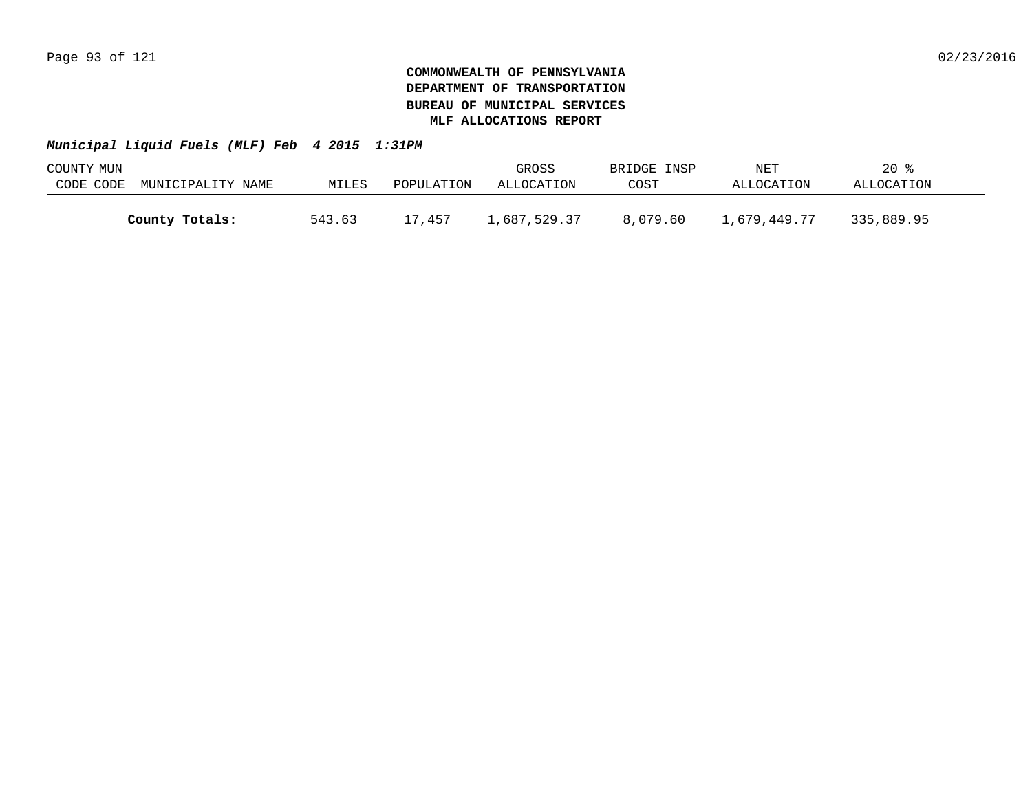| COUNTY MUN |                   |        |            | GROSS        | BRIDGE INSP | NET          | 20 %       |  |
|------------|-------------------|--------|------------|--------------|-------------|--------------|------------|--|
| CODE CODE  | MUNICIPALITY NAME | MILES  | POPULATION | ALLOCATION   | COST        | ALLOCATION   | ALLOCATION |  |
|            |                   |        |            |              |             |              |            |  |
|            | County Totals:    | 543.63 | 17,457     | .,687,529.37 | 8.079.60    | 1,679,449.77 | 335,889.95 |  |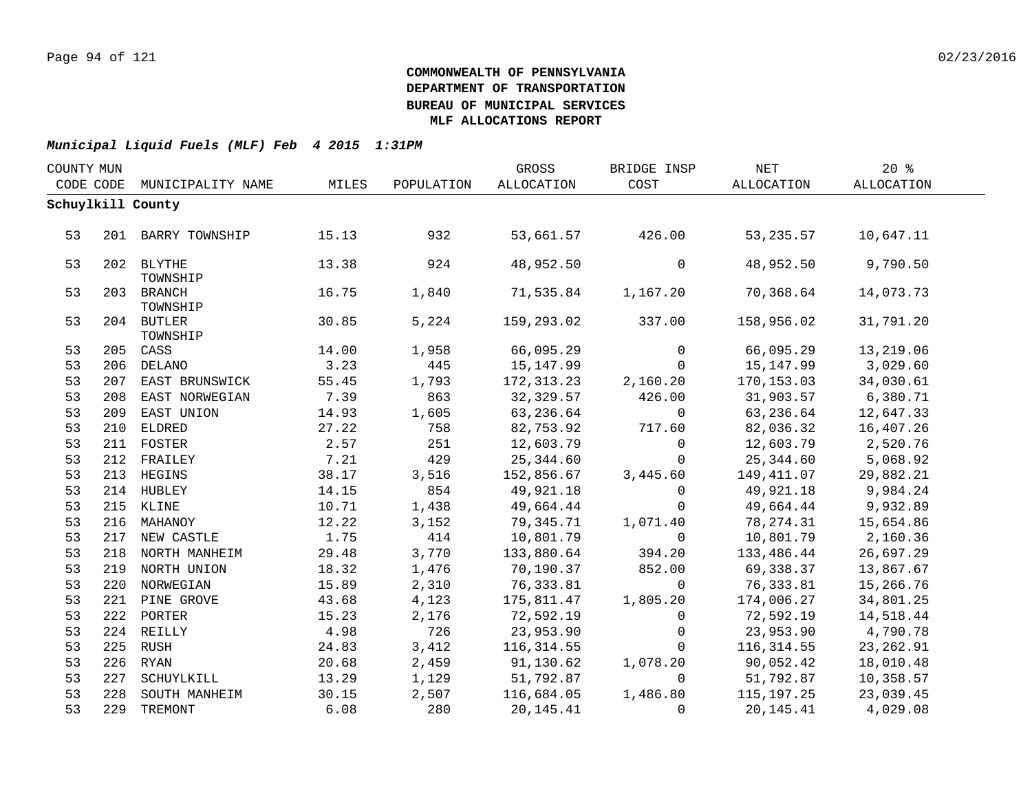| COUNTY MUN |                        |       |            | GROSS       | BRIDGE INSP  | NET        | 20%        |  |
|------------|------------------------|-------|------------|-------------|--------------|------------|------------|--|
| CODE CODE  | MUNICIPALITY NAME      | MILES | POPULATION | ALLOCATION  | COST         | ALLOCATION | ALLOCATION |  |
|            | Schuylkill County      |       |            |             |              |            |            |  |
|            |                        |       |            |             |              |            |            |  |
| 53         | 201 BARRY TOWNSHIP     | 15.13 | 932        | 53,661.57   | 426.00       | 53, 235.57 | 10,647.11  |  |
|            |                        |       |            |             |              |            |            |  |
| 53         | 202 BLYTHE             | 13.38 | 924        | 48,952.50   | 0            | 48,952.50  | 9,790.50   |  |
|            | TOWNSHIP               |       |            |             |              |            |            |  |
| 53         | 203 BRANCH             | 16.75 | 1,840      | 71,535.84   | 1,167.20     | 70,368.64  | 14,073.73  |  |
| 53         | TOWNSHIP<br>204 BUTLER | 30.85 | 5,224      | 159,293.02  | 337.00       | 158,956.02 | 31,791.20  |  |
|            | TOWNSHIP               |       |            |             |              |            |            |  |
| 53         | 205 CASS               | 14.00 | 1,958      | 66,095.29   | $\mathbf 0$  | 66,095.29  | 13,219.06  |  |
| 53         | 206 DELANO             | 3.23  | 445        | 15,147.99   | $\mathbf{0}$ | 15,147.99  | 3,029.60   |  |
| 53         | 207 EAST BRUNSWICK     | 55.45 | 1,793      | 172,313.23  | 2,160.20     | 170,153.03 | 34,030.61  |  |
| 53         | 208 EAST NORWEGIAN     | 7.39  | 863        | 32,329.57   | 426.00       | 31,903.57  | 6,380.71   |  |
| 53         | 209 EAST UNION         | 14.93 | 1,605      | 63,236.64   | $\mathbf 0$  | 63,236.64  | 12,647.33  |  |
| 53         | 210 ELDRED             | 27.22 | 758        | 82,753.92   | 717.60       | 82,036.32  | 16,407.26  |  |
| 53         | 211 FOSTER             | 2.57  | 251        | 12,603.79   | $\mathbf 0$  | 12,603.79  | 2,520.76   |  |
| 53         | 212 FRAILEY            | 7.21  | 429        | 25,344.60   | $\mathbf 0$  | 25,344.60  | 5,068.92   |  |
| 53         | 213 HEGINS             | 38.17 | 3,516      | 152,856.67  | 3,445.60     | 149,411.07 | 29,882.21  |  |
| 53         | 214 HUBLEY             | 14.15 | 854        | 49,921.18   | $\Omega$     | 49,921.18  | 9,984.24   |  |
| 53         | 215 KLINE              | 10.71 | 1,438      | 49,664.44   | $\mathbf 0$  | 49,664.44  | 9,932.89   |  |
| 53         | 216 MAHANOY            | 12.22 | 3,152      | 79,345.71   | 1,071.40     | 78,274.31  | 15,654.86  |  |
| 53         | 217 NEW CASTLE         | 1.75  | 414        | 10,801.79   | $\mathbf 0$  | 10,801.79  | 2,160.36   |  |
| 53         | 218 NORTH MANHEIM      | 29.48 | 3,770      | 133,880.64  | 394.20       | 133,486.44 | 26,697.29  |  |
| 53         | 219 NORTH UNION        | 18.32 | 1,476      | 70,190.37   | 852.00       | 69,338.37  | 13,867.67  |  |
| 53         | 220 NORWEGIAN          | 15.89 | 2,310      | 76,333.81   | $\mathbf 0$  | 76,333.81  | 15,266.76  |  |
| 53         | 221 PINE GROVE         | 43.68 | 4,123      | 175,811.47  | 1,805.20     | 174,006.27 | 34,801.25  |  |
| 53         | 222 PORTER             | 15.23 | 2,176      | 72,592.19   | $\mathbf 0$  | 72,592.19  | 14,518.44  |  |
| 53         | 224 REILLY             | 4.98  | 726        | 23,953.90   | $\mathbf 0$  | 23,953.90  | 4,790.78   |  |
| 53         | 225 RUSH               | 24.83 | 3,412      | 116,314.55  | $\Omega$     | 116,314.55 | 23, 262.91 |  |
| 53         | 226 RYAN               | 20.68 | 2,459      | 91,130.62   | 1,078.20     | 90,052.42  | 18,010.48  |  |
| 53         | 227 SCHUYLKILL         | 13.29 | 1,129      | 51,792.87   | $\Omega$     | 51,792.87  | 10,358.57  |  |
| 53         | 228 SOUTH MANHEIM      | 30.15 | 2,507      | 116,684.05  | 1,486.80     | 115,197.25 | 23,039.45  |  |
| 53         | 229 TREMONT            | 6.08  | 280        | 20, 145. 41 | $\Omega$     | 20,145.41  | 4,029.08   |  |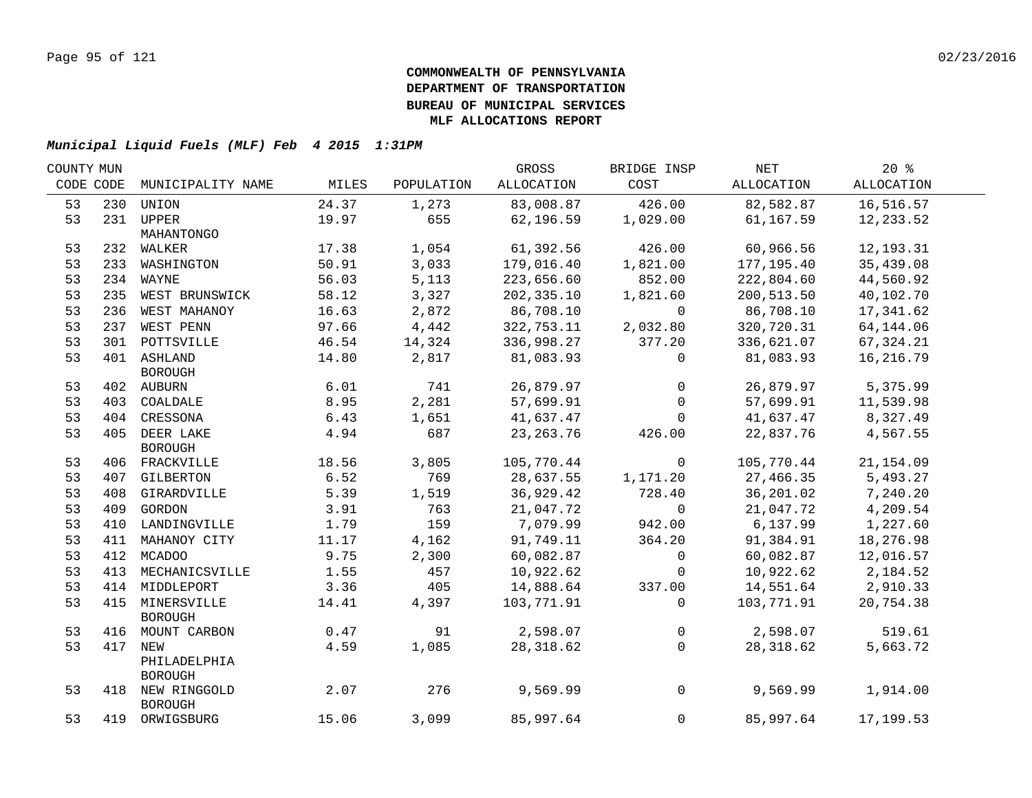| COUNTY MUN |     |                    |       |            | GROSS       | BRIDGE INSP  | NET        | $20*$       |  |
|------------|-----|--------------------|-------|------------|-------------|--------------|------------|-------------|--|
| CODE CODE  |     | MUNICIPALITY NAME  | MILES | POPULATION | ALLOCATION  | COST         | ALLOCATION | ALLOCATION  |  |
| 53         | 230 | UNION              | 24.37 | 1,273      | 83,008.87   | 426.00       | 82,582.87  | 16,516.57   |  |
| 53         |     | 231 UPPER          | 19.97 | 655        | 62,196.59   | 1,029.00     | 61,167.59  | 12,233.52   |  |
|            |     | MAHANTONGO         |       |            |             |              |            |             |  |
| 53         |     | 232 WALKER         | 17.38 | 1,054      | 61,392.56   | 426.00       | 60,966.56  | 12, 193. 31 |  |
| 53         |     | 233 WASHINGTON     | 50.91 | 3,033      | 179,016.40  | 1,821.00     | 177,195.40 | 35,439.08   |  |
| 53         |     | 234 WAYNE          | 56.03 | 5,113      | 223,656.60  | 852.00       | 222,804.60 | 44,560.92   |  |
| 53         |     | 235 WEST BRUNSWICK | 58.12 | 3,327      | 202,335.10  | 1,821.60     | 200,513.50 | 40,102.70   |  |
| 53         | 236 | WEST MAHANOY       | 16.63 | 2,872      | 86,708.10   | $\mathbf 0$  | 86,708.10  | 17,341.62   |  |
| 53         |     | 237 WEST PENN      | 97.66 | 4,442      | 322,753.11  | 2,032.80     | 320,720.31 | 64, 144.06  |  |
| 53         |     | 301 POTTSVILLE     | 46.54 | 14,324     | 336,998.27  | 377.20       | 336,621.07 | 67,324.21   |  |
| 53         |     | 401 ASHLAND        | 14.80 | 2,817      | 81,083.93   | 0            | 81,083.93  | 16,216.79   |  |
|            |     | <b>BOROUGH</b>     |       |            |             |              |            |             |  |
| 53         |     | 402 AUBURN         | 6.01  | 741        | 26,879.97   | $\mathbf 0$  | 26,879.97  | 5,375.99    |  |
| 53         |     | 403 COALDALE       | 8.95  | 2,281      | 57,699.91   | $\mathbf 0$  | 57,699.91  | 11,539.98   |  |
| 53         |     | 404 CRESSONA       | 6.43  | 1,651      | 41,637.47   | $\Omega$     | 41,637.47  | 8,327.49    |  |
| 53         |     | 405 DEER LAKE      | 4.94  | 687        | 23, 263. 76 | 426.00       | 22,837.76  | 4,567.55    |  |
|            |     | <b>BOROUGH</b>     |       |            |             |              |            |             |  |
| 53         |     | 406 FRACKVILLE     | 18.56 | 3,805      | 105,770.44  | 0            | 105,770.44 | 21, 154.09  |  |
| 53         |     | 407 GILBERTON      | 6.52  | 769        | 28,637.55   | 1,171.20     | 27,466.35  | 5,493.27    |  |
| 53         |     | 408 GIRARDVILLE    | 5.39  | 1,519      | 36,929.42   | 728.40       | 36,201.02  | 7,240.20    |  |
| 53         |     | 409 GORDON         | 3.91  | 763        | 21,047.72   | $\mathbf 0$  | 21,047.72  | 4,209.54    |  |
| 53         |     | 410 LANDINGVILLE   | 1.79  | 159        | 7,079.99    | 942.00       | 6,137.99   | 1,227.60    |  |
| 53         |     | 411 MAHANOY CITY   | 11.17 | 4,162      | 91,749.11   | 364.20       | 91,384.91  | 18,276.98   |  |
| 53         |     | 412 MCADOO         | 9.75  | 2,300      | 60,082.87   | $\mathsf{O}$ | 60,082.87  | 12,016.57   |  |
| 53         | 413 | MECHANICSVILLE     | 1.55  | 457        | 10,922.62   | $\mathbf 0$  | 10,922.62  | 2,184.52    |  |
| 53         |     | 414 MIDDLEPORT     | 3.36  | 405        | 14,888.64   | 337.00       | 14,551.64  | 2,910.33    |  |
| 53         |     | 415 MINERSVILLE    | 14.41 | 4,397      | 103,771.91  | $\mathbf 0$  | 103,771.91 | 20,754.38   |  |
|            |     | <b>BOROUGH</b>     |       |            |             |              |            |             |  |
| 53         |     | 416 MOUNT CARBON   | 0.47  | 91         | 2,598.07    | 0            | 2,598.07   | 519.61      |  |
| 53         |     | 417 NEW            | 4.59  | 1,085      | 28,318.62   | $\mathbf 0$  | 28,318.62  | 5,663.72    |  |
|            |     | PHILADELPHIA       |       |            |             |              |            |             |  |
|            |     | <b>BOROUGH</b>     |       |            |             |              |            |             |  |
| 53         |     | 418 NEW RINGGOLD   | 2.07  | 276        | 9,569.99    | $\mathbf 0$  | 9,569.99   | 1,914.00    |  |
|            |     | <b>BOROUGH</b>     |       |            |             |              |            |             |  |
| 53         |     | 419 ORWIGSBURG     | 15.06 | 3,099      | 85,997.64   | $\mathbf 0$  | 85,997.64  | 17,199.53   |  |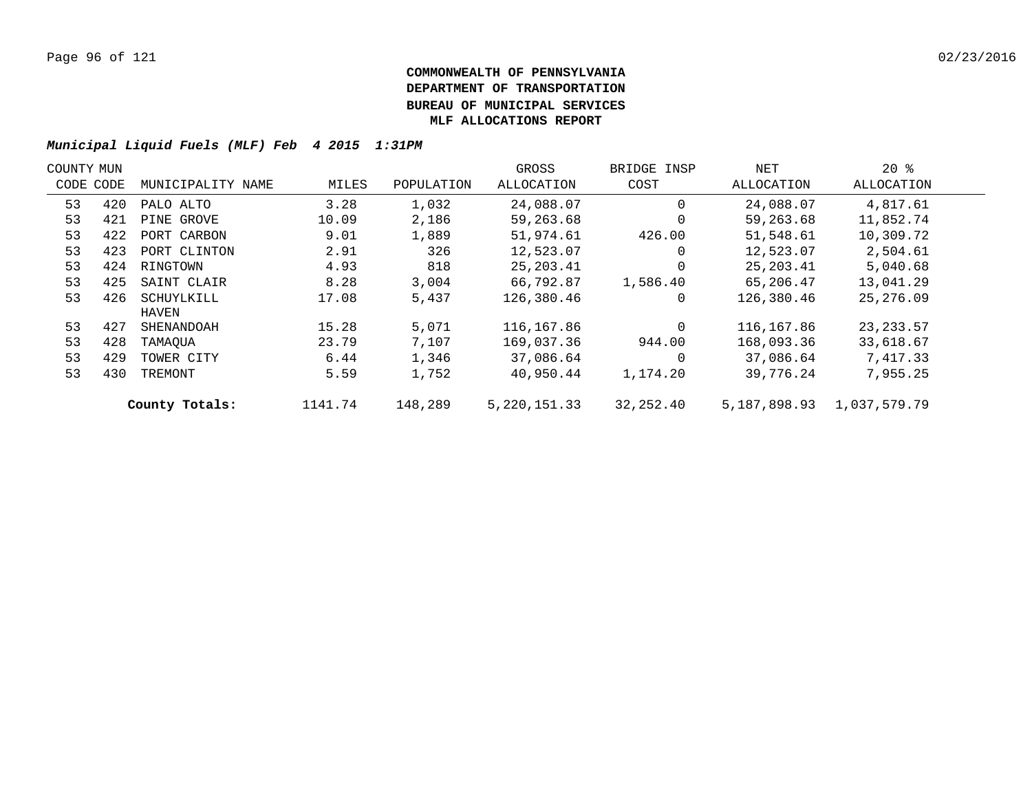| COUNTY MUN |     |                   |         |            | GROSS          | BRIDGE INSP | NET          | $20*$        |  |
|------------|-----|-------------------|---------|------------|----------------|-------------|--------------|--------------|--|
| CODE CODE  |     | MUNICIPALITY NAME | MILES   | POPULATION | ALLOCATION     | COST        | ALLOCATION   | ALLOCATION   |  |
| 53         | 420 | PALO ALTO         | 3.28    | 1,032      | 24,088.07      | $\Omega$    | 24,088.07    | 4,817.61     |  |
| 53         | 421 | PINE GROVE        | 10.09   | 2,186      | 59,263.68      | $\Omega$    | 59,263.68    | 11,852.74    |  |
| 53         | 422 | PORT CARBON       | 9.01    | 1,889      | 51,974.61      | 426.00      | 51,548.61    | 10,309.72    |  |
| 53         | 423 | PORT CLINTON      | 2.91    | 326        | 12,523.07      | $\Omega$    | 12,523.07    | 2,504.61     |  |
| 53         | 424 | RINGTOWN          | 4.93    | 818        | 25, 203.41     | $\Omega$    | 25,203.41    | 5,040.68     |  |
| 53         | 425 | SAINT CLAIR       | 8.28    | 3,004      | 66,792.87      | 1,586.40    | 65,206.47    | 13,041.29    |  |
| 53         | 426 | SCHUYLKILL        | 17.08   | 5,437      | 126,380.46     | 0           | 126,380.46   | 25, 276, 09  |  |
|            |     | HAVEN             |         |            |                |             |              |              |  |
| 53         | 427 | SHENANDOAH        | 15.28   | 5,071      | 116,167.86     | $\Omega$    | 116,167.86   | 23, 233.57   |  |
| 53         | 428 | TAMAOUA           | 23.79   | 7,107      | 169,037.36     | 944.00      | 168,093.36   | 33,618.67    |  |
| 53         | 429 | TOWER CITY        | 6.44    | 1,346      | 37,086.64      | $\Omega$    | 37,086.64    | 7,417.33     |  |
| 53         | 430 | TREMONT           | 5.59    | 1,752      | 40,950.44      | 1,174.20    | 39,776.24    | 7,955.25     |  |
|            |     | County Totals:    | 1141.74 | 148,289    | 5, 220, 151.33 | 32,252.40   | 5,187,898.93 | 1,037,579.79 |  |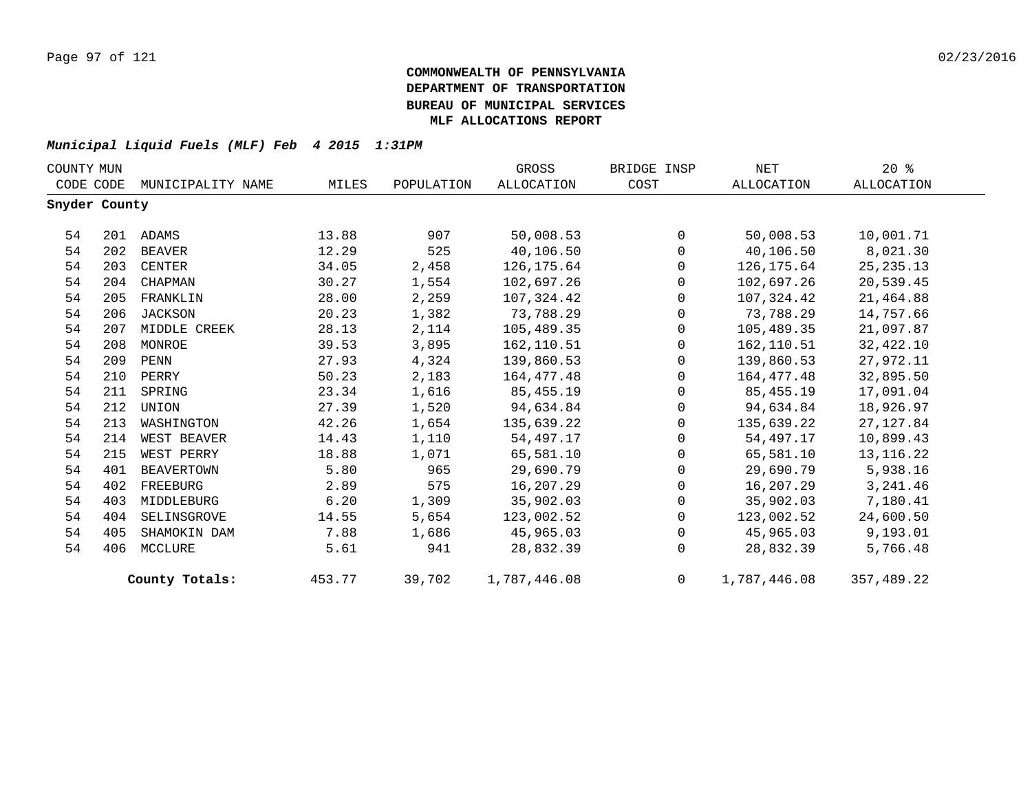| COUNTY MUN    |     |                   |        |            | GROSS             | BRIDGE INSP    | NET          | $20*$       |
|---------------|-----|-------------------|--------|------------|-------------------|----------------|--------------|-------------|
| CODE CODE     |     | MUNICIPALITY NAME | MILES  | POPULATION | <b>ALLOCATION</b> | COST           | ALLOCATION   | ALLOCATION  |
| Snyder County |     |                   |        |            |                   |                |              |             |
| 54            |     | 201 ADAMS         | 13.88  | 907        | 50,008.53         | $\Omega$       | 50,008.53    | 10,001.71   |
| 54            | 202 | BEAVER            | 12.29  | 525        | 40,106.50         | $\Omega$       | 40,106.50    | 8,021.30    |
| 54            | 203 | CENTER            | 34.05  | 2,458      | 126,175.64        | $\Omega$       | 126,175.64   | 25, 235. 13 |
| 54            | 204 | CHAPMAN           | 30.27  | 1,554      | 102,697.26        | $\Omega$       | 102,697.26   | 20,539.45   |
| 54            | 205 | FRANKLIN          | 28.00  | 2,259      | 107,324.42        | $\Omega$       | 107,324.42   | 21,464.88   |
| 54            | 206 | <b>JACKSON</b>    | 20.23  | 1,382      | 73,788.29         | $\mathbf 0$    | 73,788.29    | 14,757.66   |
| 54            | 207 | MIDDLE CREEK      | 28.13  | 2,114      | 105,489.35        | 0              | 105,489.35   | 21,097.87   |
| 54            | 208 | MONROE            | 39.53  | 3,895      | 162,110.51        | $\mathbf 0$    | 162,110.51   | 32,422.10   |
| 54            | 209 | PENN              | 27.93  | 4,324      | 139,860.53        | $\Omega$       | 139,860.53   | 27,972.11   |
| 54            | 210 | PERRY             | 50.23  | 2,183      | 164,477.48        | $\mathbf 0$    | 164,477.48   | 32,895.50   |
| 54            | 211 | SPRING            | 23.34  | 1,616      | 85,455.19         | $\mathbf 0$    | 85,455.19    | 17,091.04   |
| 54            | 212 | UNION             | 27.39  | 1,520      | 94,634.84         | $\mathbf 0$    | 94,634.84    | 18,926.97   |
| 54            | 213 | WASHINGTON        | 42.26  | 1,654      | 135,639.22        | $\Omega$       | 135,639.22   | 27, 127.84  |
| 54            | 214 | WEST BEAVER       | 14.43  | 1,110      | 54,497.17         | $\mathbf 0$    | 54,497.17    | 10,899.43   |
| 54            | 215 | WEST PERRY        | 18.88  | 1,071      | 65,581.10         | $\mathbf 0$    | 65,581.10    | 13, 116. 22 |
| 54            | 401 | <b>BEAVERTOWN</b> | 5.80   | 965        | 29,690.79         | $\mathbf 0$    | 29,690.79    | 5,938.16    |
| 54            | 402 | FREEBURG          | 2.89   | 575        | 16,207.29         | $\Omega$       | 16,207.29    | 3, 241.46   |
| 54            | 403 | MIDDLEBURG        | 6.20   | 1,309      | 35,902.03         | $\mathbf 0$    | 35,902.03    | 7,180.41    |
| 54            | 404 | SELINSGROVE       | 14.55  | 5,654      | 123,002.52        | $\mathbf 0$    | 123,002.52   | 24,600.50   |
| 54            | 405 | SHAMOKIN DAM      | 7.88   | 1,686      | 45,965.03         | $\mathbf 0$    | 45,965.03    | 9,193.01    |
| 54            | 406 | MCCLURE           | 5.61   | 941        | 28,832.39         | $\Omega$       | 28,832.39    | 5,766.48    |
|               |     | County Totals:    | 453.77 | 39,702     | 1,787,446.08      | $\overline{0}$ | 1,787,446.08 | 357,489.22  |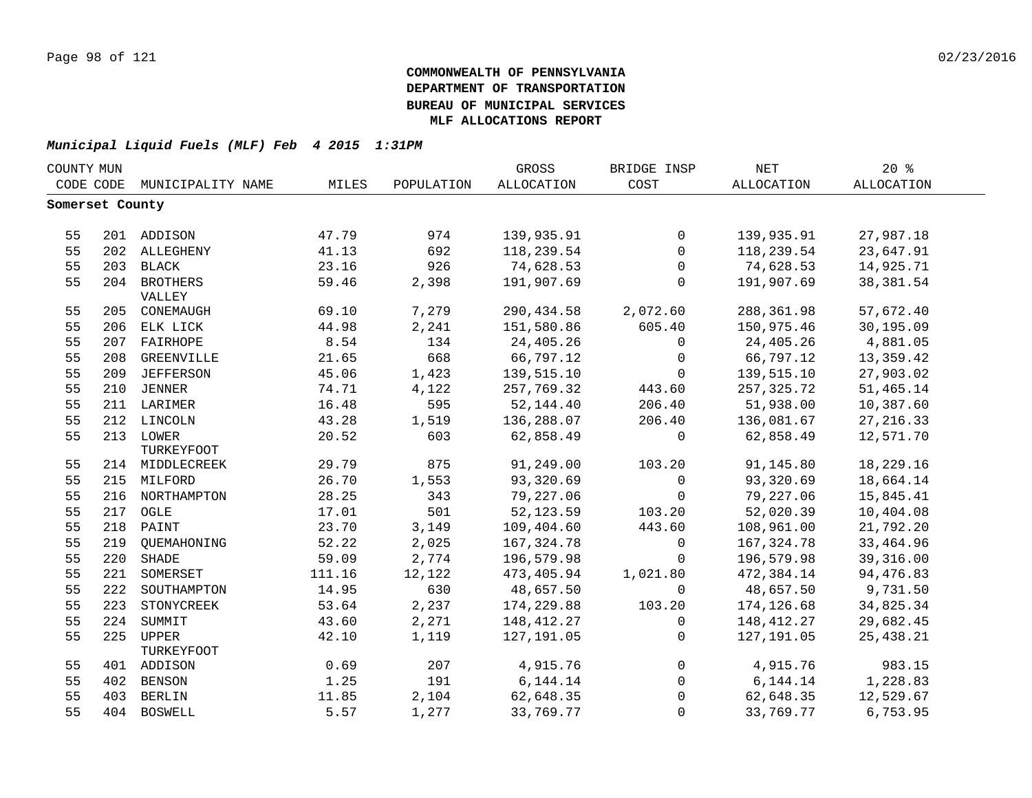| COUNTY MUN |                 |                             |        |            | GROSS       | BRIDGE INSP    | <b>NET</b>  | 20%        |  |
|------------|-----------------|-----------------------------|--------|------------|-------------|----------------|-------------|------------|--|
|            |                 | CODE CODE MUNICIPALITY NAME | MILES  | POPULATION | ALLOCATION  | COST           | ALLOCATION  | ALLOCATION |  |
|            | Somerset County |                             |        |            |             |                |             |            |  |
|            |                 |                             |        |            |             |                |             |            |  |
| 55         |                 | 201 ADDISON                 | 47.79  | 974        | 139,935.91  | $\mathbf 0$    | 139,935.91  | 27,987.18  |  |
| 55         |                 | 202 ALLEGHENY               | 41.13  | 692        | 118,239.54  | $\mathbf{0}$   | 118,239.54  | 23,647.91  |  |
| 55         |                 | 203 BLACK                   | 23.16  | 926        | 74,628.53   | $\mathbf 0$    | 74,628.53   | 14,925.71  |  |
| 55         |                 | 204 BROTHERS                | 59.46  | 2,398      | 191,907.69  | $\Omega$       | 191,907.69  | 38, 381.54 |  |
|            |                 | VALLEY                      |        |            |             |                |             |            |  |
| 55         |                 | 205 CONEMAUGH               | 69.10  | 7,279      | 290,434.58  | 2,072.60       | 288, 361.98 | 57,672.40  |  |
| 55         |                 | 206 ELK LICK                | 44.98  | 2,241      | 151,580.86  | 605.40         | 150,975.46  | 30,195.09  |  |
| 55         |                 | 207 FAIRHOPE                | 8.54   | 134        | 24,405.26   | $\mathbf 0$    | 24,405.26   | 4,881.05   |  |
| 55         | 208             | GREENVILLE                  | 21.65  | 668        | 66,797.12   | $\overline{0}$ | 66,797.12   | 13,359.42  |  |
| 55         | 209             | <b>JEFFERSON</b>            | 45.06  | 1,423      | 139,515.10  | $\overline{0}$ | 139,515.10  | 27,903.02  |  |
| 55         | 210             | JENNER                      | 74.71  | 4,122      | 257,769.32  | 443.60         | 257,325.72  | 51,465.14  |  |
| 55         |                 | 211 LARIMER                 | 16.48  | 595        | 52,144.40   | 206.40         | 51,938.00   | 10,387.60  |  |
| 55         |                 | 212 LINCOLN                 | 43.28  | 1,519      | 136,288.07  | 206.40         | 136,081.67  | 27, 216.33 |  |
| 55         |                 | 213 LOWER                   | 20.52  | 603        | 62,858.49   | $\mathbf{0}$   | 62,858.49   | 12,571.70  |  |
|            |                 | TURKEYFOOT                  |        |            |             |                |             |            |  |
| 55         |                 | 214 MIDDLECREEK             | 29.79  | 875        | 91,249.00   | 103.20         | 91,145.80   | 18,229.16  |  |
| 55         |                 | 215 MILFORD                 | 26.70  | 1,553      | 93,320.69   | $\Omega$       | 93,320.69   | 18,664.14  |  |
| 55         |                 | 216 NORTHAMPTON             | 28.25  | 343        | 79,227.06   | $\mathbf 0$    | 79,227.06   | 15,845.41  |  |
| 55         |                 | 217 OGLE                    | 17.01  | 501        | 52, 123.59  | 103.20         | 52,020.39   | 10,404.08  |  |
| 55         |                 | 218 PAINT                   | 23.70  | 3,149      | 109,404.60  | 443.60         | 108,961.00  | 21,792.20  |  |
| 55         |                 | 219 QUEMAHONING             | 52.22  | 2,025      | 167, 324.78 | $\mathbf 0$    | 167, 324.78 | 33, 464.96 |  |
| 55         | 220             | SHADE                       | 59.09  | 2,774      | 196,579.98  | $\mathbf 0$    | 196,579.98  | 39,316.00  |  |
| 55         | 221             | SOMERSET                    | 111.16 | 12,122     | 473,405.94  | 1,021.80       | 472,384.14  | 94,476.83  |  |
| 55         | 222             | SOUTHAMPTON                 | 14.95  | 630        | 48,657.50   | $\Omega$       | 48,657.50   | 9,731.50   |  |
| 55         | 223             | STONYCREEK                  | 53.64  | 2,237      | 174,229.88  | 103.20         | 174,126.68  | 34,825.34  |  |
| 55         | 224             | SUMMIT                      | 43.60  | 2,271      | 148,412.27  | $\mathbf 0$    | 148,412.27  | 29,682.45  |  |
| 55         | 225             | <b>UPPER</b>                | 42.10  | 1,119      | 127,191.05  | $\mathbf 0$    | 127, 191.05 | 25, 438.21 |  |
|            |                 | TURKEYFOOT                  |        |            |             |                |             |            |  |
| 55         |                 | 401 ADDISON                 | 0.69   | 207        | 4,915.76    | $\mathsf{O}$   | 4,915.76    | 983.15     |  |
| 55         |                 | 402 BENSON                  | 1.25   | 191        | 6,144.14    | $\overline{0}$ | 6,144.14    | 1,228.83   |  |
| 55         | 403             | <b>BERLIN</b>               | 11.85  | 2,104      | 62,648.35   | $\Omega$       | 62,648.35   | 12,529.67  |  |
| 55         |                 | 404 BOSWELL                 | 5.57   | 1,277      | 33,769.77   | $\Omega$       | 33,769.77   | 6,753.95   |  |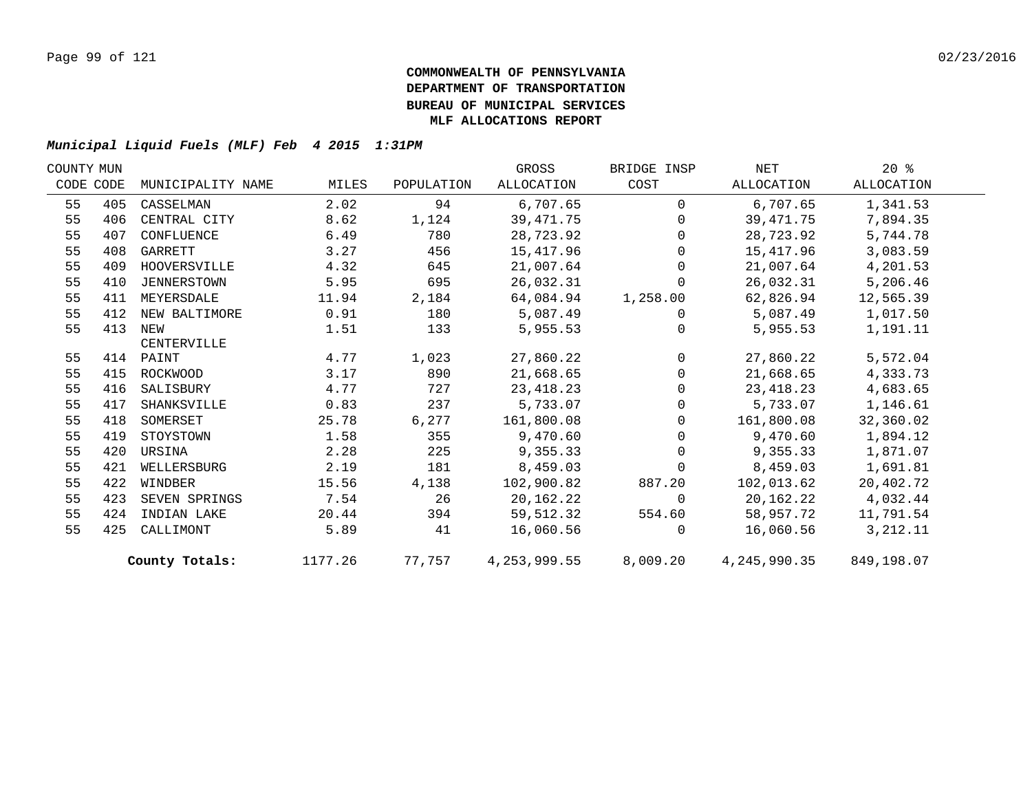| COUNTY MUN |           |                    |         |            | GROSS          | BRIDGE INSP  | NET          | $20*$      |  |
|------------|-----------|--------------------|---------|------------|----------------|--------------|--------------|------------|--|
|            | CODE CODE | MUNICIPALITY NAME  | MILES   | POPULATION | ALLOCATION     | COST         | ALLOCATION   | ALLOCATION |  |
| 55         | 405       | CASSELMAN          | 2.02    | 94         | 6,707.65       | $\Omega$     | 6,707.65     | 1,341.53   |  |
| 55         | 406       | CENTRAL CITY       | 8.62    | 1,124      | 39, 471.75     | $\Omega$     | 39,471.75    | 7,894.35   |  |
| 55         | 407       | CONFLUENCE         | 6.49    | 780        | 28,723.92      | $\Omega$     | 28,723.92    | 5,744.78   |  |
| 55         | 408       | GARRETT            | 3.27    | 456        | 15,417.96      | $\Omega$     | 15,417.96    | 3,083.59   |  |
| 55         | 409       | HOOVERSVILLE       | 4.32    | 645        | 21,007.64      | $\Omega$     | 21,007.64    | 4,201.53   |  |
| 55         | 410       | <b>JENNERSTOWN</b> | 5.95    | 695        | 26,032.31      | $\mathbf 0$  | 26,032.31    | 5,206.46   |  |
| 55         | 411       | MEYERSDALE         | 11.94   | 2,184      | 64,084.94      | 1,258.00     | 62,826.94    | 12,565.39  |  |
| 55         | 412       | NEW BALTIMORE      | 0.91    | 180        | 5,087.49       | $\mathbf 0$  | 5,087.49     | 1,017.50   |  |
| 55         | 413       | NEW                | 1.51    | 133        | 5,955.53       | $\Omega$     | 5,955.53     | 1,191.11   |  |
|            |           | CENTERVILLE        |         |            |                |              |              |            |  |
| 55         |           | 414 PAINT          | 4.77    | 1,023      | 27,860.22      | $\mathbf{0}$ | 27,860.22    | 5,572.04   |  |
| 55         | 415       | ROCKWOOD           | 3.17    | 890        | 21,668.65      | $\Omega$     | 21,668.65    | 4,333.73   |  |
| 55         | 416       | SALISBURY          | 4.77    | 727        | 23, 418.23     | $\Omega$     | 23, 418.23   | 4,683.65   |  |
| 55         | 417       | SHANKSVILLE        | 0.83    | 237        | 5,733.07       | $\Omega$     | 5,733.07     | 1,146.61   |  |
| 55         | 418       | SOMERSET           | 25.78   | 6,277      | 161,800.08     | $\Omega$     | 161,800.08   | 32,360.02  |  |
| 55         | 419       | STOYSTOWN          | 1.58    | 355        | 9,470.60       | $\Omega$     | 9,470.60     | 1,894.12   |  |
| 55         | 420       | URSINA             | 2.28    | 225        | 9,355.33       | $\mathbf 0$  | 9,355.33     | 1,871.07   |  |
| 55         | 421       | WELLERSBURG        | 2.19    | 181        | 8,459.03       | $\mathbf 0$  | 8,459.03     | 1,691.81   |  |
| 55         | 422       | WINDBER            | 15.56   | 4,138      | 102,900.82     | 887.20       | 102,013.62   | 20,402.72  |  |
| 55         | 423       | SEVEN SPRINGS      | 7.54    | 26         | 20,162.22      | $\Omega$     | 20,162.22    | 4,032.44   |  |
| 55         | 424       | INDIAN LAKE        | 20.44   | 394        | 59,512.32      | 554.60       | 58,957.72    | 11,791.54  |  |
| 55         | 425       | CALLIMONT          | 5.89    | 41         | 16,060.56      | $\Omega$     | 16,060.56    | 3,212.11   |  |
|            |           | County Totals:     | 1177.26 | 77,757     | 4, 253, 999.55 | 8,009.20     | 4,245,990.35 | 849,198.07 |  |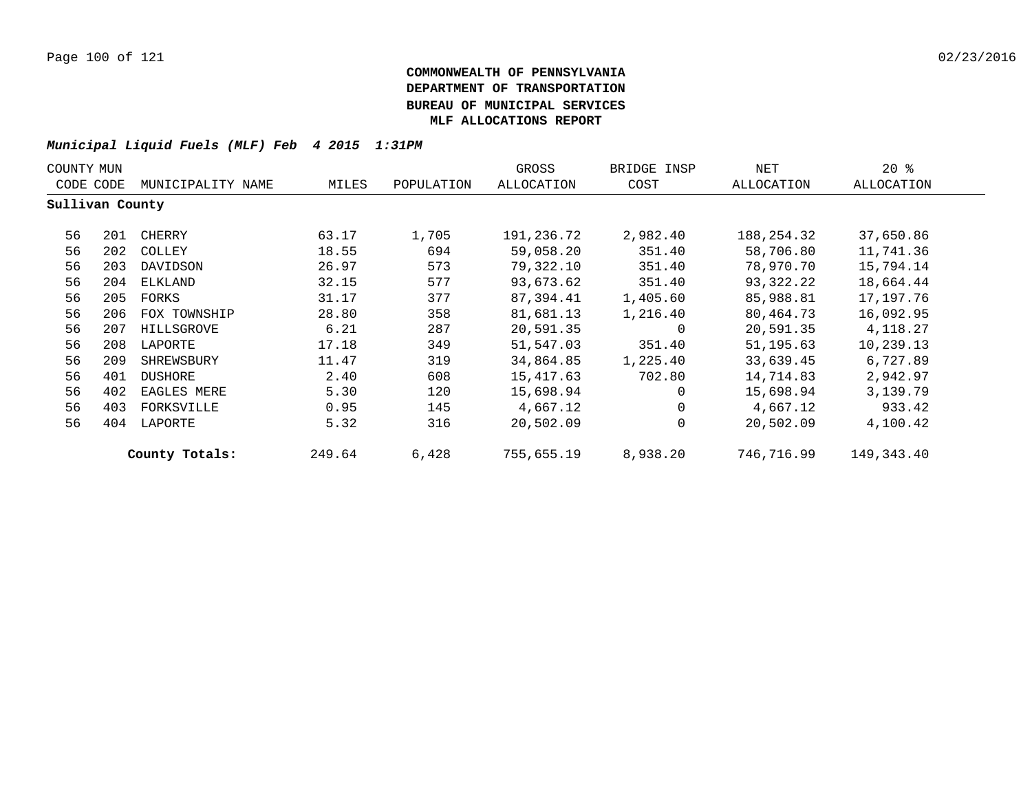| COUNTY MUN      |     |                   |        |            | GROSS      | BRIDGE INSP  | NET        | $20*$      |
|-----------------|-----|-------------------|--------|------------|------------|--------------|------------|------------|
| CODE CODE       |     | MUNICIPALITY NAME | MILES  | POPULATION | ALLOCATION | COST         | ALLOCATION | ALLOCATION |
| Sullivan County |     |                   |        |            |            |              |            |            |
| 56              | 201 | CHERRY            | 63.17  | 1,705      | 191,236.72 | 2,982.40     | 188,254.32 | 37,650.86  |
| 56              | 202 | COLLEY            | 18.55  | 694        | 59,058.20  | 351.40       | 58,706.80  | 11,741.36  |
| 56              | 203 | DAVIDSON          | 26.97  | 573        | 79,322.10  | 351.40       | 78,970.70  | 15,794.14  |
| 56              | 204 | ELKLAND           | 32.15  | 577        | 93,673.62  | 351.40       | 93,322.22  | 18,664.44  |
| 56              | 205 | FORKS             | 31.17  | 377        | 87,394.41  | 1,405.60     | 85,988.81  | 17,197.76  |
| 56              | 206 | FOX TOWNSHIP      | 28.80  | 358        | 81,681.13  | 1,216.40     | 80,464.73  | 16,092.95  |
| 56              | 207 | HILLSGROVE        | 6.21   | 287        | 20,591.35  | 0            | 20,591.35  | 4,118.27   |
| 56              | 208 | LAPORTE           | 17.18  | 349        | 51,547.03  | 351.40       | 51,195.63  | 10,239.13  |
| 56              | 209 | SHREWSBURY        | 11.47  | 319        | 34,864.85  | 1,225.40     | 33,639.45  | 6,727.89   |
| 56              | 401 | <b>DUSHORE</b>    | 2.40   | 608        | 15,417.63  | 702.80       | 14,714.83  | 2,942.97   |
| 56              | 402 | EAGLES MERE       | 5.30   | 120        | 15,698.94  | $\Omega$     | 15,698.94  | 3,139.79   |
| 56              | 403 | FORKSVILLE        | 0.95   | 145        | 4,667.12   | 0            | 4,667.12   | 933.42     |
| 56              | 404 | LAPORTE           | 5.32   | 316        | 20,502.09  | $\mathbf{0}$ | 20,502.09  | 4,100.42   |
|                 |     | County Totals:    | 249.64 | 6,428      | 755,655.19 | 8,938.20     | 746,716.99 | 149,343.40 |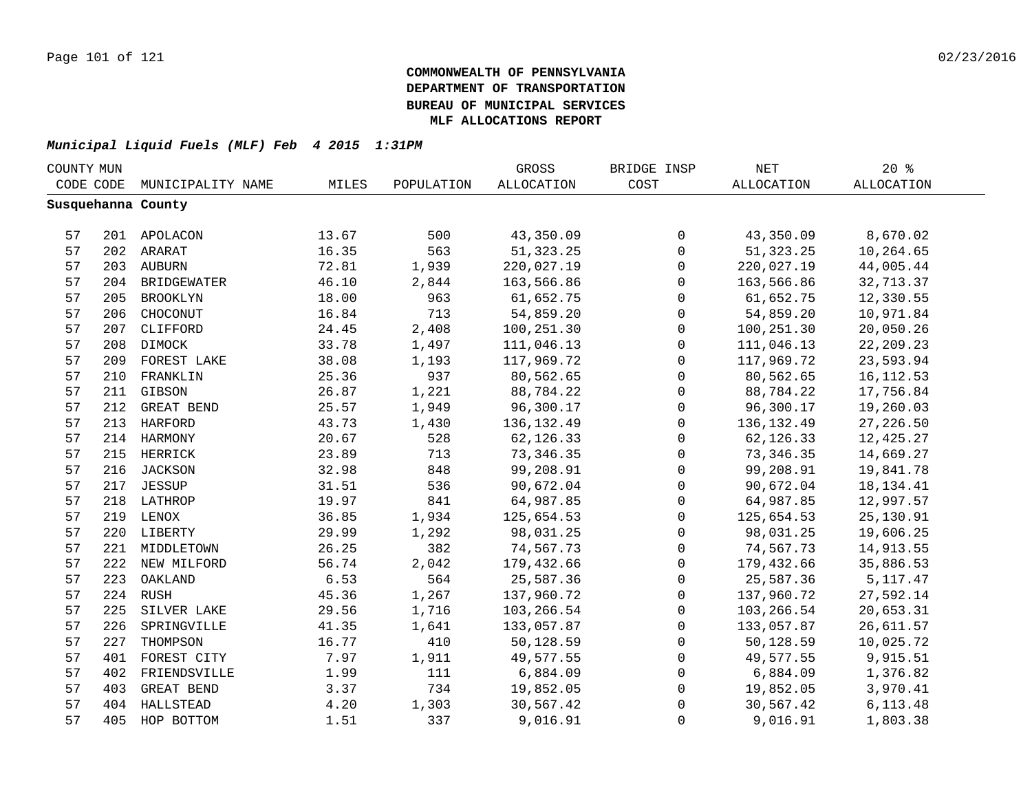| COUNTY MUN |     |                    |       | GROSS      | BRIDGE INSP | NET          | 20%         |                   |  |
|------------|-----|--------------------|-------|------------|-------------|--------------|-------------|-------------------|--|
| CODE CODE  |     | MUNICIPALITY NAME  | MILES | POPULATION | ALLOCATION  | COST         | ALLOCATION  | <b>ALLOCATION</b> |  |
|            |     | Susquehanna County |       |            |             |              |             |                   |  |
|            |     |                    |       |            |             |              |             |                   |  |
| 57         |     | 201 APOLACON       | 13.67 | 500        | 43,350.09   | 0            | 43,350.09   | 8,670.02          |  |
| 57         |     | 202 ARARAT         | 16.35 | 563        | 51, 323. 25 | $\mathbf 0$  | 51, 323. 25 | 10,264.65         |  |
| 57         |     | 203 AUBURN         | 72.81 | 1,939      | 220,027.19  | $\mathbf 0$  | 220,027.19  | 44,005.44         |  |
| 57         |     | 204 BRIDGEWATER    | 46.10 | 2,844      | 163,566.86  | $\mathbf 0$  | 163,566.86  | 32,713.37         |  |
| 57         | 205 | <b>BROOKLYN</b>    | 18.00 | 963        | 61,652.75   | $\mathbf 0$  | 61,652.75   | 12,330.55         |  |
| 57         | 206 | CHOCONUT           | 16.84 | 713        | 54,859.20   | $\mathbf 0$  | 54,859.20   | 10,971.84         |  |
| 57         | 207 | CLIFFORD           | 24.45 | 2,408      | 100,251.30  | $\mathbf 0$  | 100,251.30  | 20,050.26         |  |
| 57         | 208 | DIMOCK             | 33.78 | 1,497      | 111,046.13  | $\mathbf 0$  | 111,046.13  | 22, 209. 23       |  |
| 57         | 209 | FOREST LAKE        | 38.08 | 1,193      | 117,969.72  | $\Omega$     | 117,969.72  | 23,593.94         |  |
| 57         | 210 | FRANKLIN           | 25.36 | 937        | 80,562.65   | $\Omega$     | 80,562.65   | 16, 112.53        |  |
| 57         | 211 | GIBSON             | 26.87 | 1,221      | 88,784.22   | $\mathbf{0}$ | 88,784.22   | 17,756.84         |  |
| 57         | 212 | GREAT BEND         | 25.57 | 1,949      | 96,300.17   | $\mathbf 0$  | 96,300.17   | 19,260.03         |  |
| 57         | 213 | HARFORD            | 43.73 | 1,430      | 136, 132.49 | $\mathbf 0$  | 136,132.49  | 27,226.50         |  |
| 57         |     | 214 HARMONY        | 20.67 | 528        | 62, 126.33  | $\mathbf 0$  | 62, 126.33  | 12,425.27         |  |
| 57         |     | 215 HERRICK        | 23.89 | 713        | 73,346.35   | $\mathbf 0$  | 73, 346.35  | 14,669.27         |  |
| 57         |     | 216 JACKSON        | 32.98 | 848        | 99,208.91   | $\mathbf 0$  | 99,208.91   | 19,841.78         |  |
| 57         |     | 217 JESSUP         | 31.51 | 536        | 90,672.04   | $\mathbf 0$  | 90,672.04   | 18, 134. 41       |  |
| 57         |     | 218 LATHROP        | 19.97 | 841        | 64,987.85   | $\mathbf 0$  | 64,987.85   | 12,997.57         |  |
| 57         |     | 219 LENOX          | 36.85 | 1,934      | 125,654.53  | $\mathbf 0$  | 125,654.53  | 25,130.91         |  |
| 57         |     | 220 LIBERTY        | 29.99 | 1,292      | 98,031.25   | $\mathbf 0$  | 98,031.25   | 19,606.25         |  |
| 57         |     | 221 MIDDLETOWN     | 26.25 | 382        | 74,567.73   | $\mathbf 0$  | 74,567.73   | 14,913.55         |  |
| 57         |     | 222 NEW MILFORD    | 56.74 | 2,042      | 179,432.66  | $\mathbf 0$  | 179,432.66  | 35,886.53         |  |
| 57         | 223 | OAKLAND            | 6.53  | 564        | 25,587.36   | $\mathbf 0$  | 25,587.36   | 5, 117. 47        |  |
| 57         |     | 224 RUSH           | 45.36 | 1,267      | 137,960.72  | $\mathbf 0$  | 137,960.72  | 27,592.14         |  |
| 57         | 225 | SILVER LAKE        | 29.56 | 1,716      | 103,266.54  | $\mathbf 0$  | 103,266.54  | 20,653.31         |  |
| 57         | 226 | SPRINGVILLE        | 41.35 | 1,641      | 133,057.87  | $\mathbf{0}$ | 133,057.87  | 26,611.57         |  |
| 57         | 227 | THOMPSON           | 16.77 | 410        | 50,128.59   | $\mathbf{0}$ | 50,128.59   | 10,025.72         |  |
| 57         | 401 | FOREST CITY        | 7.97  | 1,911      | 49,577.55   | $\mathbf 0$  | 49,577.55   | 9,915.51          |  |
| 57         | 402 | FRIENDSVILLE       | 1.99  | 111        | 6,884.09    | 0            | 6,884.09    | 1,376.82          |  |
| 57         | 403 | GREAT BEND         | 3.37  | 734        | 19,852.05   | $\mathbf 0$  | 19,852.05   | 3,970.41          |  |
| 57         |     | 404 HALLSTEAD      | 4.20  | 1,303      | 30,567.42   | 0            | 30,567.42   | 6,113.48          |  |
| 57         | 405 | HOP BOTTOM         | 1.51  | 337        | 9,016.91    | $\mathbf 0$  | 9,016.91    | 1,803.38          |  |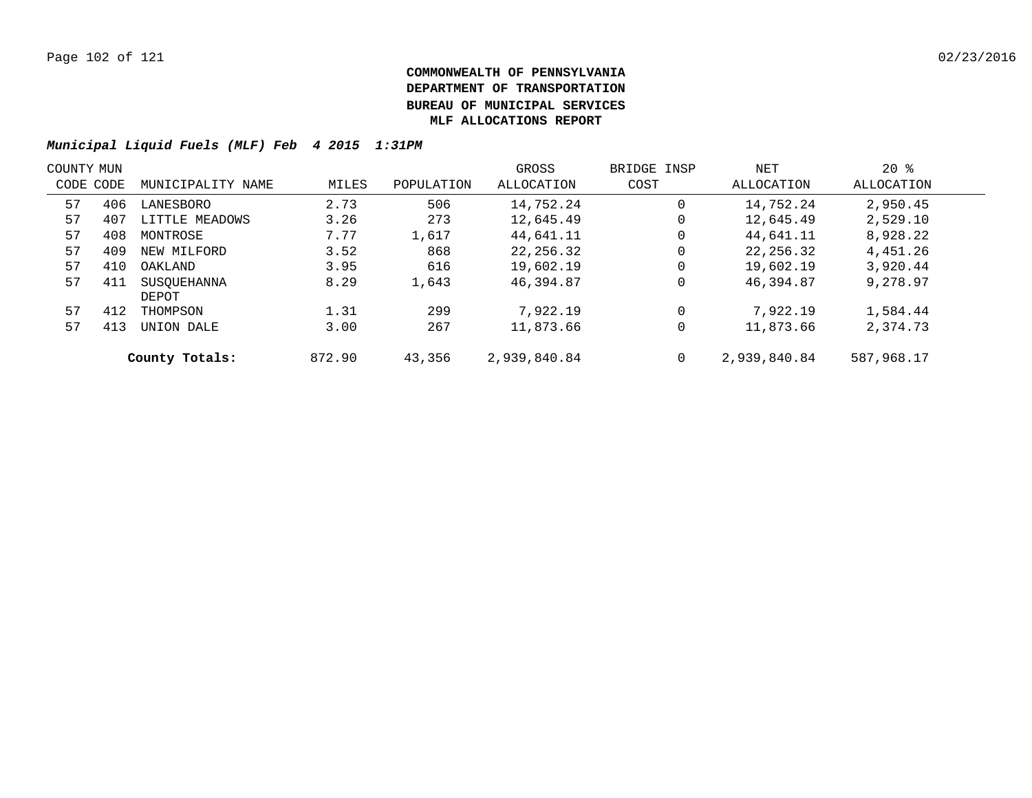| COUNTY MUN |     |                   |        |            | GROSS        | BRIDGE INSP | NET          | $20*$      |  |
|------------|-----|-------------------|--------|------------|--------------|-------------|--------------|------------|--|
| CODE CODE  |     | MUNICIPALITY NAME | MILES  | POPULATION | ALLOCATION   | COST        | ALLOCATION   | ALLOCATION |  |
| 57         | 406 | LANESBORO         | 2.73   | 506        | 14,752.24    | 0           | 14,752.24    | 2,950.45   |  |
| 57         | 407 | LITTLE MEADOWS    | 3.26   | 273        | 12,645.49    | 0           | 12,645.49    | 2,529.10   |  |
| 57         | 408 | MONTROSE          | 7.77   | 1,617      | 44,641.11    | 0           | 44,641.11    | 8,928.22   |  |
| 57         | 409 | NEW MILFORD       | 3.52   | 868        | 22, 256, 32  | $\mathbf 0$ | 22, 256.32   | 4,451.26   |  |
| 57         | 410 | OAKLAND           | 3.95   | 616        | 19,602.19    | $\mathbf 0$ | 19,602.19    | 3,920.44   |  |
| 57         | 411 | SUSOUEHANNA       | 8.29   | 1,643      | 46,394.87    | $\mathbf 0$ | 46,394.87    | 9,278.97   |  |
|            |     | DEPOT             |        |            |              |             |              |            |  |
| 57         | 412 | THOMPSON          | 1.31   | 299        | 7,922.19     | $\mathbf 0$ | 7,922.19     | 1,584.44   |  |
| 57         | 413 | UNION DALE        | 3.00   | 267        | 11,873.66    | $\mathbf 0$ | 11,873.66    | 2,374.73   |  |
|            |     | County Totals:    | 872.90 | 43,356     | 2,939,840.84 | $\mathbf 0$ | 2,939,840.84 | 587,968.17 |  |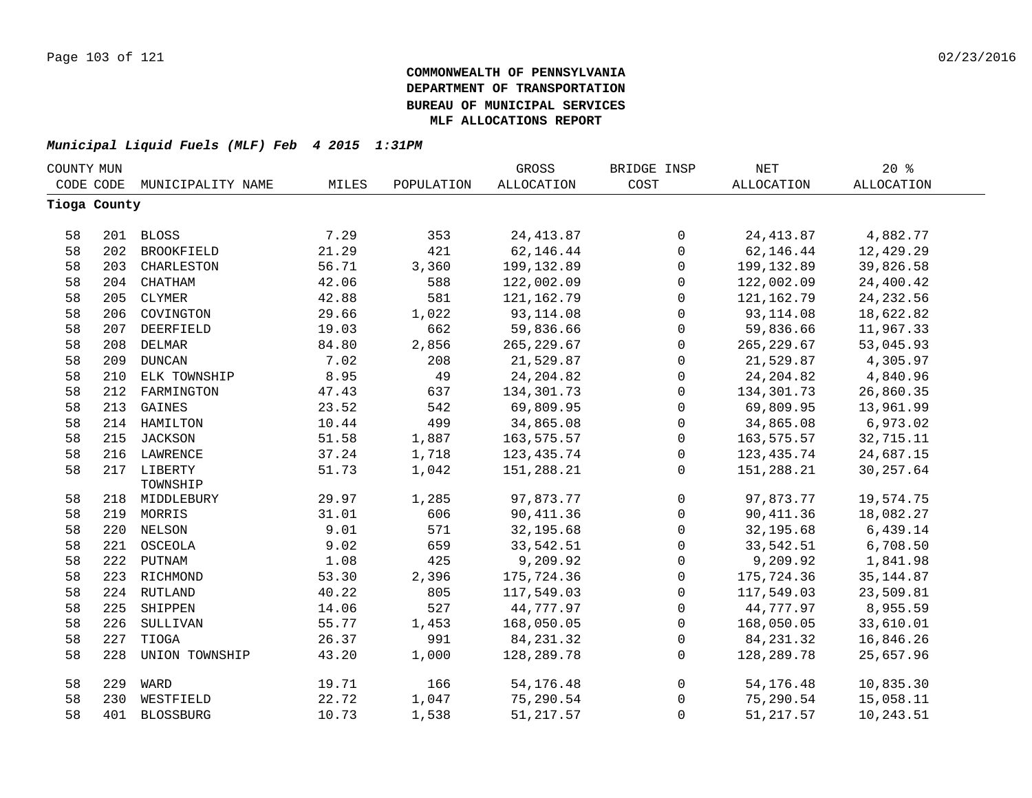| COUNTY MUN |              |                   |       |            | GROSS             | BRIDGE INSP    | <b>NET</b>  | 20%               |  |
|------------|--------------|-------------------|-------|------------|-------------------|----------------|-------------|-------------------|--|
|            | CODE CODE    | MUNICIPALITY NAME | MILES | POPULATION | <b>ALLOCATION</b> | COST           | ALLOCATION  | <b>ALLOCATION</b> |  |
|            | Tioga County |                   |       |            |                   |                |             |                   |  |
|            |              |                   |       |            |                   |                |             |                   |  |
| 58         |              | 201 BLOSS         | 7.29  | 353        | 24, 413.87        | $\mathsf{O}$   | 24, 413.87  | 4,882.77          |  |
| 58         | 202          | BROOKFIELD        | 21.29 | 421        | 62,146.44         | $\mathsf{O}$   | 62,146.44   | 12,429.29         |  |
| 58         | 203          | CHARLESTON        | 56.71 | 3,360      | 199,132.89        | $\mathsf{O}$   | 199,132.89  | 39,826.58         |  |
| 58         | 204          | CHATHAM           | 42.06 | 588        | 122,002.09        | 0              | 122,002.09  | 24,400.42         |  |
| 58         | 205          | CLYMER            | 42.88 | 581        | 121, 162. 79      | $\mathbf 0$    | 121,162.79  | 24, 232.56        |  |
| 58         | 206          | COVINGTON         | 29.66 | 1,022      | 93, 114.08        | 0              | 93,114.08   | 18,622.82         |  |
| 58         | 207          | DEERFIELD         | 19.03 | 662        | 59,836.66         | 0              | 59,836.66   | 11,967.33         |  |
| 58         | 208          | DELMAR            | 84.80 | 2,856      | 265, 229.67       | $\mathsf{O}$   | 265, 229.67 | 53,045.93         |  |
| 58         | 209          | <b>DUNCAN</b>     | 7.02  | 208        | 21,529.87         | $\mathsf{O}$   | 21,529.87   | 4,305.97          |  |
| 58         | 210          | ELK TOWNSHIP      | 8.95  | 49         | 24, 204.82        | 0              | 24, 204.82  | 4,840.96          |  |
| 58         | 212          | FARMINGTON        | 47.43 | 637        | 134,301.73        | 0              | 134,301.73  | 26,860.35         |  |
| 58         |              | 213 GAINES        | 23.52 | 542        | 69,809.95         | 0              | 69,809.95   | 13,961.99         |  |
| 58         |              | 214 HAMILTON      | 10.44 | 499        | 34,865.08         | $\mathsf{O}$   | 34,865.08   | 6,973.02          |  |
| 58         |              | 215 JACKSON       | 51.58 | 1,887      | 163,575.57        | $\mathsf{O}$   | 163,575.57  | 32,715.11         |  |
| 58         |              | 216 LAWRENCE      | 37.24 | 1,718      | 123, 435. 74      | $\mathsf{O}$   | 123,435.74  | 24,687.15         |  |
| 58         |              | 217 LIBERTY       | 51.73 | 1,042      | 151,288.21        | $\overline{0}$ | 151,288.21  | 30, 257.64        |  |
|            |              | TOWNSHIP          |       |            |                   |                |             |                   |  |
| 58         |              | 218 MIDDLEBURY    | 29.97 | 1,285      | 97,873.77         | 0              | 97,873.77   | 19,574.75         |  |
| 58         |              | 219 MORRIS        | 31.01 | 606        | 90, 411.36        | $\mathsf{O}$   | 90, 411.36  | 18,082.27         |  |
| 58         |              | 220 NELSON        | 9.01  | 571        | 32,195.68         | $\mathsf{O}$   | 32,195.68   | 6,439.14          |  |
| 58         |              | 221 OSCEOLA       | 9.02  | 659        | 33,542.51         | 0              | 33,542.51   | 6,708.50          |  |
| 58         |              | 222 PUTNAM        | 1.08  | 425        | 9,209.92          | 0              | 9,209.92    | 1,841.98          |  |
| 58         |              | 223 RICHMOND      | 53.30 | 2,396      | 175,724.36        | 0              | 175,724.36  | 35, 144.87        |  |
| 58         |              | 224 RUTLAND       | 40.22 | 805        | 117,549.03        | $\mathbf 0$    | 117,549.03  | 23,509.81         |  |
| 58         | 225          | SHIPPEN           | 14.06 | 527        | 44,777.97         | $\mathbf 0$    | 44,777.97   | 8,955.59          |  |
| 58         | 226          | SULLIVAN          | 55.77 | 1,453      | 168,050.05        | 0              | 168,050.05  | 33,610.01         |  |
| 58         | 227          | TIOGA             | 26.37 | 991        | 84, 231.32        | 0              | 84, 231.32  | 16,846.26         |  |
| 58         | 228          | UNION TOWNSHIP    | 43.20 | 1,000      | 128,289.78        | 0              | 128,289.78  | 25,657.96         |  |
| 58         | 229          | WARD              | 19.71 | 166        | 54, 176. 48       | $\mathsf{O}$   | 54,176.48   | 10,835.30         |  |
| 58         | 230          | WESTFIELD         | 22.72 | 1,047      | 75,290.54         | 0              | 75,290.54   | 15,058.11         |  |
| 58         | 401          | <b>BLOSSBURG</b>  | 10.73 | 1,538      | 51, 217.57        | 0              | 51, 217.57  | 10,243.51         |  |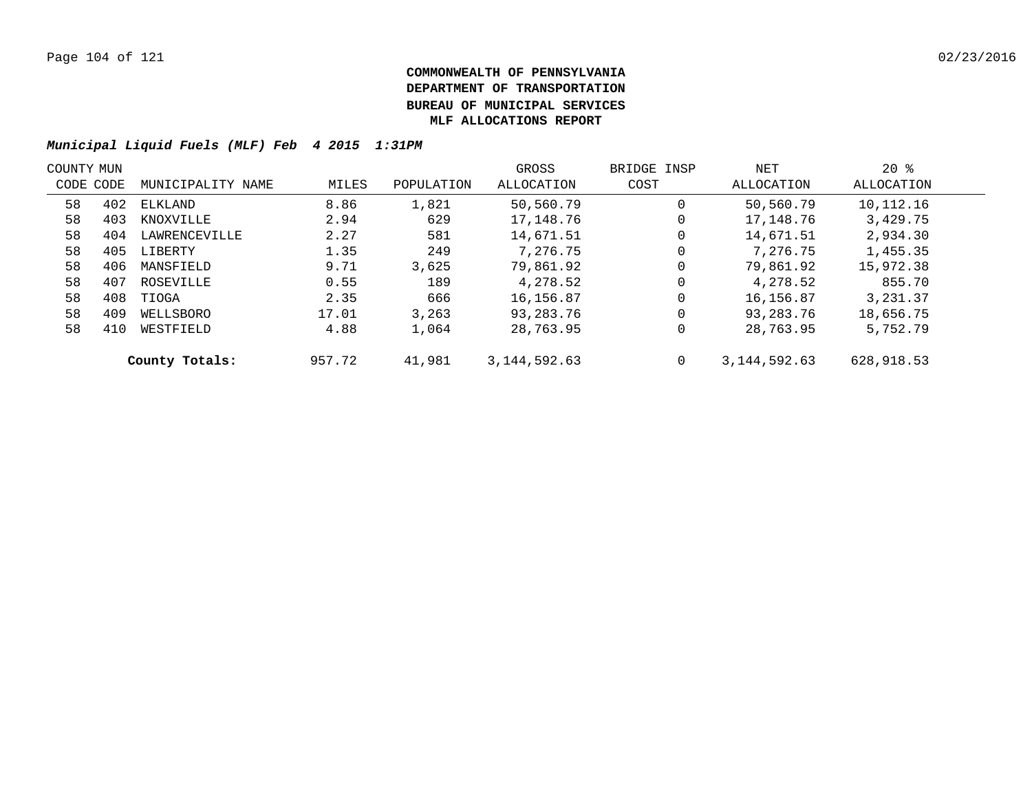| COUNTY MUN |     |                   |        |            | GROSS          | BRIDGE INSP | NET             | $20*$      |  |
|------------|-----|-------------------|--------|------------|----------------|-------------|-----------------|------------|--|
| CODE CODE  |     | MUNICIPALITY NAME | MILES  | POPULATION | ALLOCATION     | COST        | ALLOCATION      | ALLOCATION |  |
| 58         | 402 | ELKLAND           | 8.86   | 1,821      | 50,560.79      | $\mathbf 0$ | 50,560.79       | 10,112.16  |  |
| 58         | 403 | KNOXVILLE         | 2.94   | 629        | 17,148.76      | 0           | 17,148.76       | 3,429.75   |  |
| 58         | 404 | LAWRENCEVILLE     | 2.27   | 581        | 14,671.51      | 0           | 14,671.51       | 2,934.30   |  |
| 58         | 405 | LIBERTY           | 1.35   | 249        | 7,276.75       | $\mathbf 0$ | 7,276.75        | 1,455.35   |  |
| 58         | 406 | MANSFIELD         | 9.71   | 3.625      | 79,861.92      | $\mathbf 0$ | 79,861.92       | 15,972.38  |  |
| 58         | 407 | ROSEVILLE         | 0.55   | 189        | 4,278.52       | $\mathbf 0$ | 4,278.52        | 855.70     |  |
| 58         | 408 | TIOGA             | 2.35   | 666        | 16,156.87      | $\mathbf 0$ | 16,156.87       | 3,231.37   |  |
| 58         | 409 | WELLSBORO         | 17.01  | 3,263      | 93,283.76      | $\mathbf 0$ | 93,283.76       | 18,656.75  |  |
| 58         | 410 | WESTFIELD         | 4.88   | 1,064      | 28,763.95      | 0           | 28,763.95       | 5,752.79   |  |
|            |     | County Totals:    | 957.72 | 41,981     | 3, 144, 592.63 | $\mathbf 0$ | 3, 144, 592, 63 | 628,918.53 |  |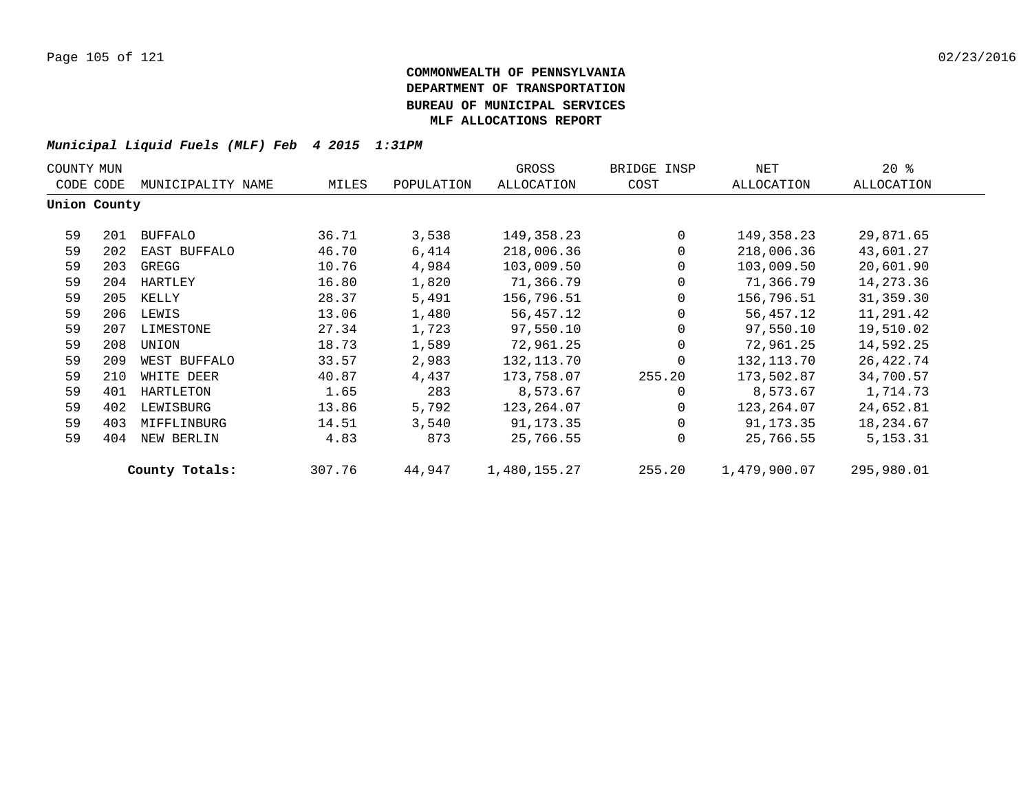| $20*$<br>GROSS<br>NET<br>COUNTY MUN<br>BRIDGE INSP |              |                   |        |            |              |              |              |            |  |
|----------------------------------------------------|--------------|-------------------|--------|------------|--------------|--------------|--------------|------------|--|
|                                                    | CODE CODE    | MUNICIPALITY NAME | MILES  | POPULATION | ALLOCATION   | COST         | ALLOCATION   | ALLOCATION |  |
|                                                    | Union County |                   |        |            |              |              |              |            |  |
| 59                                                 | 201          | BUFFALO           | 36.71  | 3,538      | 149,358.23   | $\Omega$     | 149,358.23   | 29,871.65  |  |
| 59                                                 | 202          | EAST BUFFALO      | 46.70  | 6,414      | 218,006.36   | $\Omega$     | 218,006.36   | 43,601.27  |  |
| 59                                                 | 203          | GREGG             | 10.76  | 4,984      | 103,009.50   | $\mathbf 0$  | 103,009.50   | 20,601.90  |  |
| 59                                                 | 204          | HARTLEY           | 16.80  | 1,820      | 71,366.79    | $\mathbf 0$  | 71,366.79    | 14,273.36  |  |
| 59                                                 | 205          | KELLY             | 28.37  | 5,491      | 156,796.51   | $\mathbf{0}$ | 156,796.51   | 31,359.30  |  |
| 59                                                 | 206          | LEWIS             | 13.06  | 1,480      | 56,457.12    | $\mathbf 0$  | 56,457.12    | 11,291.42  |  |
| 59                                                 | 207          | LIMESTONE         | 27.34  | 1,723      | 97,550.10    | $\mathbf{0}$ | 97,550.10    | 19,510.02  |  |
| 59                                                 | 208          | UNION             | 18.73  | 1,589      | 72,961.25    | $\Omega$     | 72,961.25    | 14,592.25  |  |
| 59                                                 | 209          | WEST BUFFALO      | 33.57  | 2,983      | 132,113.70   | $\Omega$     | 132,113.70   | 26,422.74  |  |
| 59                                                 | 210          | WHITE DEER        | 40.87  | 4,437      | 173,758.07   | 255.20       | 173,502.87   | 34,700.57  |  |
| 59                                                 | 401          | HARTLETON         | 1.65   | 283        | 8,573.67     | $\Omega$     | 8,573.67     | 1,714.73   |  |
| 59                                                 | 402          | LEWISBURG         | 13.86  | 5,792      | 123,264.07   | $\mathbf{0}$ | 123,264.07   | 24,652.81  |  |
| 59                                                 | 403          | MIFFLINBURG       | 14.51  | 3,540      | 91,173.35    | $\mathbf{0}$ | 91,173.35    | 18,234.67  |  |
| 59                                                 | 404          | NEW BERLIN        | 4.83   | 873        | 25,766.55    | $\Omega$     | 25,766.55    | 5, 153. 31 |  |
|                                                    |              | County Totals:    | 307.76 | 44,947     | 1,480,155.27 | 255.20       | 1,479,900.07 | 295,980.01 |  |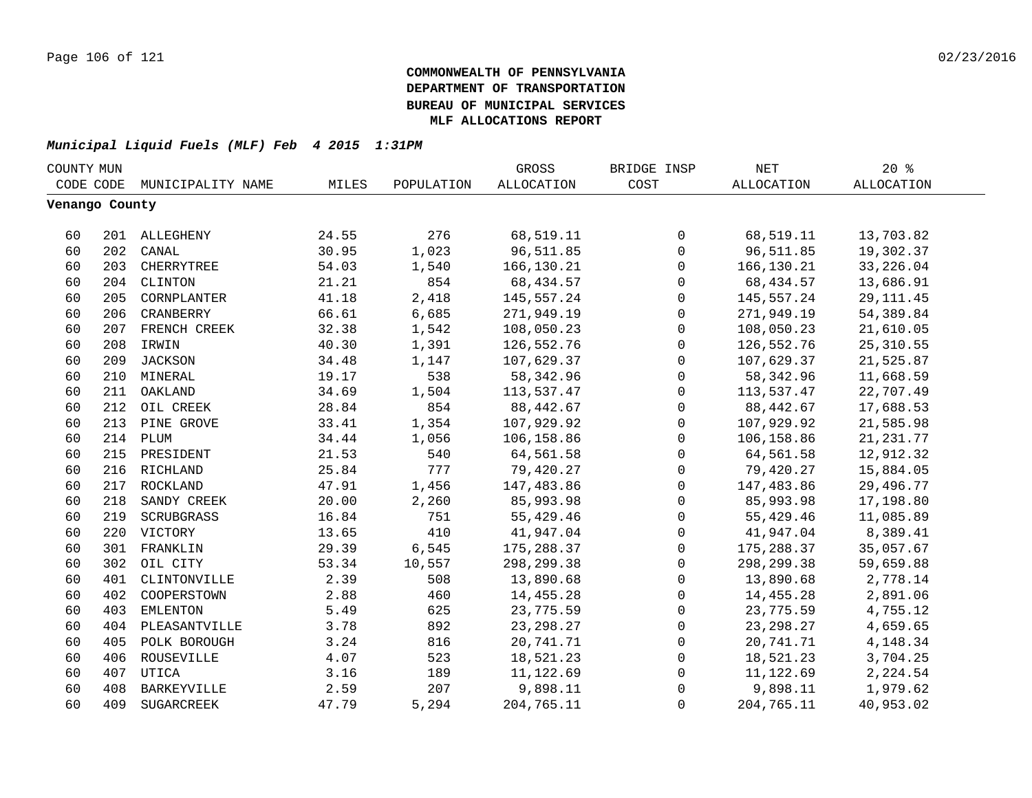| COUNTY MUN     |     |                   |       |            | GROSS             | BRIDGE INSP  | NET         | $20*$             |  |
|----------------|-----|-------------------|-------|------------|-------------------|--------------|-------------|-------------------|--|
| CODE CODE      |     | MUNICIPALITY NAME | MILES | POPULATION | <b>ALLOCATION</b> | COST         | ALLOCATION  | <b>ALLOCATION</b> |  |
| Venango County |     |                   |       |            |                   |              |             |                   |  |
|                |     |                   |       |            |                   |              |             |                   |  |
| 60             |     | 201 ALLEGHENY     | 24.55 | 276        | 68,519.11         | 0            | 68,519.11   | 13,703.82         |  |
| 60             | 202 | CANAL             | 30.95 | 1,023      | 96,511.85         | $\mathbf 0$  | 96,511.85   | 19,302.37         |  |
| 60             | 203 | CHERRYTREE        | 54.03 | 1,540      | 166,130.21        | $\mathbf 0$  | 166,130.21  | 33, 226.04        |  |
| 60             | 204 | CLINTON           | 21.21 | 854        | 68, 434.57        | $\mathbf 0$  | 68,434.57   | 13,686.91         |  |
| 60             | 205 | CORNPLANTER       | 41.18 | 2,418      | 145,557.24        | 0            | 145,557.24  | 29, 111.45        |  |
| 60             | 206 | CRANBERRY         | 66.61 | 6,685      | 271,949.19        | 0            | 271,949.19  | 54,389.84         |  |
| 60             |     | 207 FRENCH CREEK  | 32.38 | 1,542      | 108,050.23        | 0            | 108,050.23  | 21,610.05         |  |
| 60             | 208 | IRWIN             | 40.30 | 1,391      | 126,552.76        | 0            | 126,552.76  | 25, 310.55        |  |
| 60             |     | 209 JACKSON       | 34.48 | 1,147      | 107,629.37        | 0            | 107,629.37  | 21,525.87         |  |
| 60             |     | 210 MINERAL       | 19.17 | 538        | 58, 342.96        | $\mathbf 0$  | 58, 342.96  | 11,668.59         |  |
| 60             | 211 | OAKLAND           | 34.69 | 1,504      | 113,537.47        | $\mathbf 0$  | 113,537.47  | 22,707.49         |  |
| 60             | 212 | OIL CREEK         | 28.84 | 854        | 88,442.67         | $\mathbf 0$  | 88,442.67   | 17,688.53         |  |
| 60             | 213 | PINE GROVE        | 33.41 | 1,354      | 107,929.92        | $\mathbf 0$  | 107,929.92  | 21,585.98         |  |
| 60             | 214 | PLUM              | 34.44 | 1,056      | 106,158.86        | $\mathbf 0$  | 106,158.86  | 21, 231. 77       |  |
| 60             |     | 215 PRESIDENT     | 21.53 | 540        | 64,561.58         | $\mathbf 0$  | 64,561.58   | 12,912.32         |  |
| 60             |     | 216 RICHLAND      | 25.84 | 777        | 79,420.27         | $\mathsf{O}$ | 79,420.27   | 15,884.05         |  |
| 60             |     | 217 ROCKLAND      | 47.91 | 1,456      | 147,483.86        | $\mathsf{O}$ | 147,483.86  | 29,496.77         |  |
| 60             | 218 | SANDY CREEK       | 20.00 | 2,260      | 85,993.98         | $\mathbf 0$  | 85,993.98   | 17,198.80         |  |
| 60             | 219 | SCRUBGRASS        | 16.84 | 751        | 55,429.46         | $\mathbf 0$  | 55,429.46   | 11,085.89         |  |
| 60             | 220 | VICTORY           | 13.65 | 410        | 41,947.04         | $\mathbf 0$  | 41,947.04   | 8,389.41          |  |
| 60             | 301 | FRANKLIN          | 29.39 | 6,545      | 175,288.37        | 0            | 175,288.37  | 35,057.67         |  |
| 60             | 302 | OIL CITY          | 53.34 | 10,557     | 298,299.38        | $\mathbf 0$  | 298,299.38  | 59,659.88         |  |
| 60             | 401 | CLINTONVILLE      | 2.39  | 508        | 13,890.68         | 0            | 13,890.68   | 2,778.14          |  |
| 60             | 402 | COOPERSTOWN       | 2.88  | 460        | 14,455.28         | 0            | 14,455.28   | 2,891.06          |  |
| 60             | 403 | EMLENTON          | 5.49  | 625        | 23,775.59         | 0            | 23,775.59   | 4,755.12          |  |
| 60             | 404 | PLEASANTVILLE     | 3.78  | 892        | 23, 298. 27       | $\mathbf 0$  | 23, 298. 27 | 4,659.65          |  |
| 60             | 405 | POLK BOROUGH      | 3.24  | 816        | 20,741.71         | $\mathbf 0$  | 20,741.71   | 4,148.34          |  |
| 60             | 406 | ROUSEVILLE        | 4.07  | 523        | 18,521.23         | $\mathbf 0$  | 18,521.23   | 3,704.25          |  |
| 60             | 407 | UTICA             | 3.16  | 189        | 11,122.69         | $\mathbf 0$  | 11,122.69   | 2,224.54          |  |
| 60             | 408 | BARKEYVILLE       | 2.59  | 207        | 9,898.11          | $\Omega$     | 9,898.11    | 1,979.62          |  |
| 60             | 409 | SUGARCREEK        | 47.79 | 5,294      | 204,765.11        | $\Omega$     | 204,765.11  | 40,953.02         |  |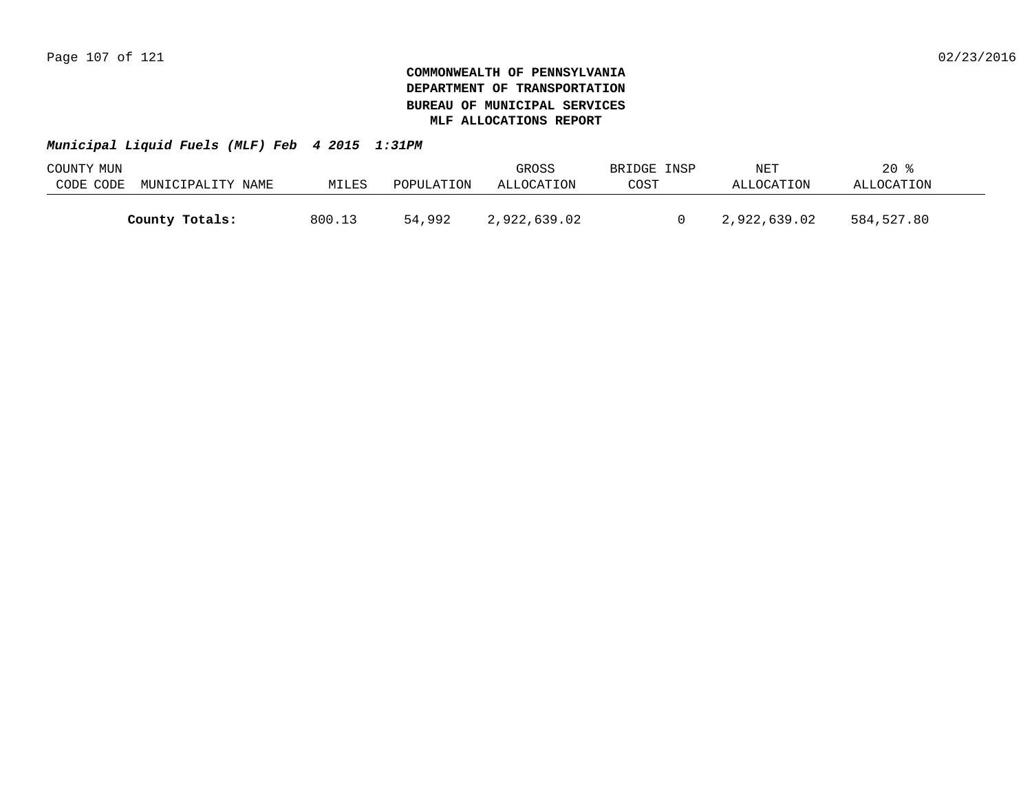| COUNTY MUN |                   |        |            | GROSS        | BRIDGE INSP | NET          | 20         |  |
|------------|-------------------|--------|------------|--------------|-------------|--------------|------------|--|
| CODE CODE  | MUNICIPALITY NAME | MILES  | POPULATION | ALLOCATION   | COST        | ALLOCATION   | ALLOCATION |  |
|            |                   |        |            |              |             |              |            |  |
|            | County Totals:    | 800.13 | 54,992     | 2,922,639.02 |             | 2,922,639.02 | 584,527.80 |  |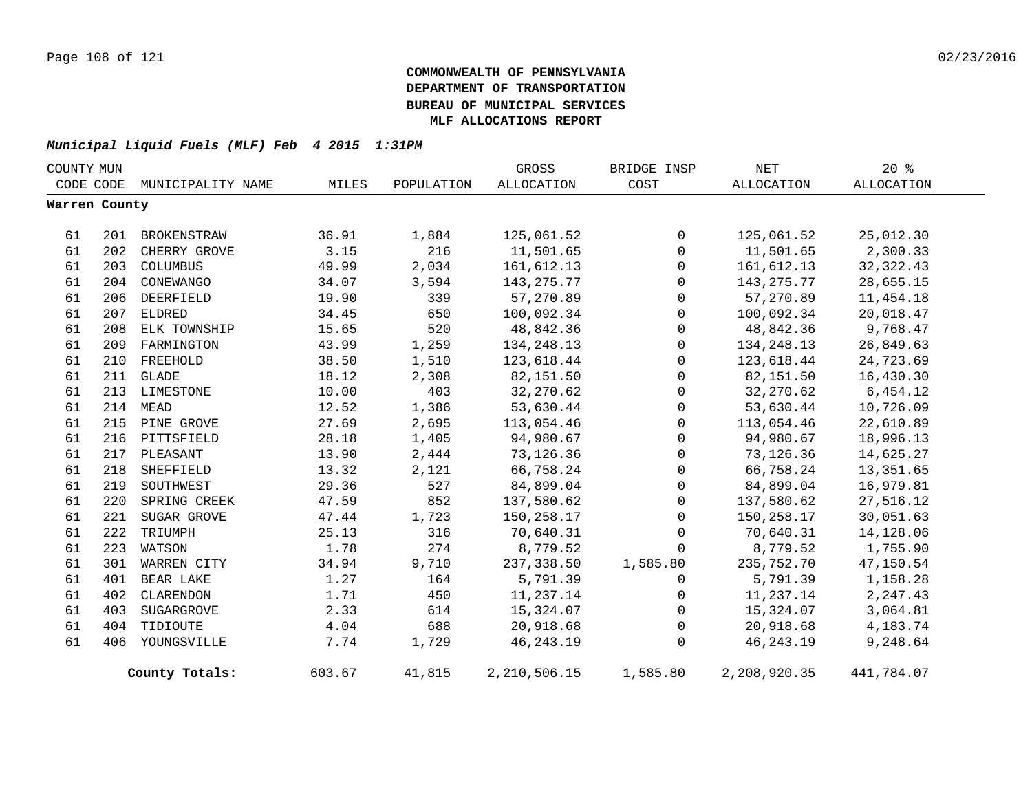| COUNTY MUN    |     |                             |        |            | GROSS           | BRIDGE INSP  | NET          | $20*$      |
|---------------|-----|-----------------------------|--------|------------|-----------------|--------------|--------------|------------|
|               |     | CODE CODE MUNICIPALITY NAME | MILES  | POPULATION | ALLOCATION      | COST         | ALLOCATION   | ALLOCATION |
| Warren County |     |                             |        |            |                 |              |              |            |
| 61            | 201 | BROKENSTRAW                 | 36.91  | 1,884      | 125,061.52      | 0            | 125,061.52   | 25,012.30  |
| 61            | 202 | CHERRY GROVE                | 3.15   | 216        | 11,501.65       | $\mathsf{O}$ | 11,501.65    | 2,300.33   |
| 61            | 203 | COLUMBUS                    | 49.99  | 2,034      | 161,612.13      | $\mathsf{O}$ | 161,612.13   | 32, 322.43 |
| 61            | 204 | CONEWANGO                   | 34.07  | 3,594      | 143, 275. 77    | 0            | 143,275.77   | 28,655.15  |
| 61            | 206 | DEERFIELD                   | 19.90  | 339        | 57,270.89       | 0            | 57,270.89    | 11,454.18  |
| 61            | 207 | ELDRED                      | 34.45  | 650        | 100,092.34      | $\mathsf{O}$ | 100,092.34   | 20,018.47  |
| 61            | 208 | ELK TOWNSHIP                | 15.65  | 520        | 48,842.36       | 0            | 48,842.36    | 9,768.47   |
| 61            | 209 | FARMINGTON                  | 43.99  | 1,259      | 134, 248. 13    | 0            | 134,248.13   | 26,849.63  |
| 61            | 210 | FREEHOLD                    | 38.50  | 1,510      | 123,618.44      | $\mathsf{O}$ | 123,618.44   | 24,723.69  |
| 61            |     | 211 GLADE                   | 18.12  | 2,308      | 82,151.50       | 0            | 82,151.50    | 16,430.30  |
| 61            |     | 213 LIMESTONE               | 10.00  | 403        | 32,270.62       | $\mathbf 0$  | 32,270.62    | 6,454.12   |
| 61            | 214 | MEAD                        | 12.52  | 1,386      | 53,630.44       | 0            | 53,630.44    | 10,726.09  |
| 61            |     | 215 PINE GROVE              | 27.69  | 2,695      | 113,054.46      | $\mathbf 0$  | 113,054.46   | 22,610.89  |
| 61            |     | 216 PITTSFIELD              | 28.18  | 1,405      | 94,980.67       | $\mathsf{O}$ | 94,980.67    | 18,996.13  |
| 61            |     | 217 PLEASANT                | 13.90  | 2,444      | 73, 126.36      | $\mathsf{O}$ | 73,126.36    | 14,625.27  |
| 61            | 218 | SHEFFIELD                   | 13.32  | 2,121      | 66,758.24       | $\mathsf{O}$ | 66,758.24    | 13,351.65  |
| 61            | 219 | SOUTHWEST                   | 29.36  | 527        | 84,899.04       | 0            | 84,899.04    | 16,979.81  |
| 61            | 220 | SPRING CREEK                | 47.59  | 852        | 137,580.62      | $\mathsf{O}$ | 137,580.62   | 27,516.12  |
| 61            | 221 | SUGAR GROVE                 | 47.44  | 1,723      | 150,258.17      | $\mathbf 0$  | 150,258.17   | 30,051.63  |
| 61            | 222 | TRIUMPH                     | 25.13  | 316        | 70,640.31       | $\mathbf 0$  | 70,640.31    | 14,128.06  |
| 61            | 223 | WATSON                      | 1.78   | 274        | 8,779.52        | $\Omega$     | 8,779.52     | 1,755.90   |
| 61            | 301 | WARREN CITY                 | 34.94  | 9,710      | 237,338.50      | 1,585.80     | 235,752.70   | 47,150.54  |
| 61            | 401 | BEAR LAKE                   | 1.27   | 164        | 5,791.39        | $\mathbf 0$  | 5,791.39     | 1,158.28   |
| 61            | 402 | CLARENDON                   | 1.71   | 450        | 11,237.14       | $\mathbf{0}$ | 11,237.14    | 2, 247.43  |
| 61            | 403 | SUGARGROVE                  | 2.33   | 614        | 15,324.07       | $\mathbf 0$  | 15,324.07    | 3,064.81   |
| 61            | 404 | TIDIOUTE                    | 4.04   | 688        | 20,918.68       | $\mathsf{O}$ | 20,918.68    | 4,183.74   |
| 61            | 406 | YOUNGSVILLE                 | 7.74   | 1,729      | 46, 243. 19     | $\mathbf 0$  | 46, 243. 19  | 9,248.64   |
|               |     | County Totals:              | 603.67 | 41,815     | 2, 210, 506. 15 | 1,585.80     | 2,208,920.35 | 441,784.07 |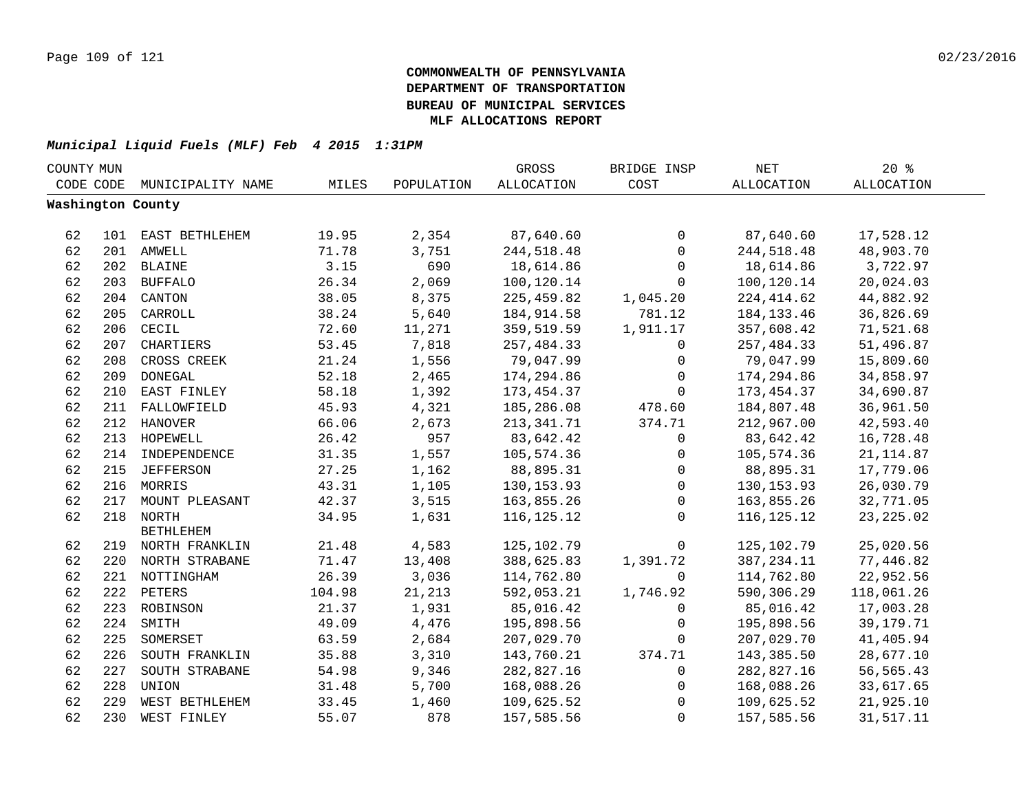| COUNTY MUN |     |                    |        |            | GROSS             | BRIDGE INSP  | <b>NET</b>        | $20*$             |  |
|------------|-----|--------------------|--------|------------|-------------------|--------------|-------------------|-------------------|--|
| CODE CODE  |     | MUNICIPALITY NAME  | MILES  | POPULATION | <b>ALLOCATION</b> | COST         | <b>ALLOCATION</b> | <b>ALLOCATION</b> |  |
|            |     | Washington County  |        |            |                   |              |                   |                   |  |
|            |     |                    |        |            |                   |              |                   |                   |  |
| 62         |     | 101 EAST BETHLEHEM | 19.95  | 2,354      | 87,640.60         | $\mathbf 0$  | 87,640.60         | 17,528.12         |  |
| 62         |     | 201 AMWELL         | 71.78  | 3,751      | 244,518.48        | 0            | 244,518.48        | 48,903.70         |  |
| 62         |     | 202 BLAINE         | 3.15   | 690        | 18,614.86         | $\mathsf{O}$ | 18,614.86         | 3,722.97          |  |
| 62         |     | 203 BUFFALO        | 26.34  | 2,069      | 100,120.14        | $\mathbf 0$  | 100,120.14        | 20,024.03         |  |
| 62         |     | 204 CANTON         | 38.05  | 8,375      | 225,459.82        | 1,045.20     | 224, 414.62       | 44,882.92         |  |
| 62         | 205 | CARROLL            | 38.24  | 5,640      | 184,914.58        | 781.12       | 184, 133. 46      | 36,826.69         |  |
| 62         | 206 | CECIL              | 72.60  | 11,271     | 359,519.59        | 1,911.17     | 357,608.42        | 71,521.68         |  |
| 62         | 207 | CHARTIERS          | 53.45  | 7,818      | 257,484.33        | $\mathbf 0$  | 257,484.33        | 51,496.87         |  |
| 62         | 208 | CROSS CREEK        | 21.24  | 1,556      | 79,047.99         | $\mathbf 0$  | 79,047.99         | 15,809.60         |  |
| 62         | 209 | <b>DONEGAL</b>     | 52.18  | 2,465      | 174,294.86        | $\mathbf 0$  | 174,294.86        | 34,858.97         |  |
| 62         | 210 | EAST FINLEY        | 58.18  | 1,392      | 173,454.37        | $\mathbf 0$  | 173,454.37        | 34,690.87         |  |
| 62         | 211 | FALLOWFIELD        | 45.93  | 4,321      | 185,286.08        | 478.60       | 184,807.48        | 36,961.50         |  |
| 62         |     | 212 HANOVER        | 66.06  | 2,673      | 213,341.71        | 374.71       | 212,967.00        | 42,593.40         |  |
| 62         |     | 213 HOPEWELL       | 26.42  | 957        | 83,642.42         | 0            | 83,642.42         | 16,728.48         |  |
| 62         |     | 214 INDEPENDENCE   | 31.35  | 1,557      | 105,574.36        | 0            | 105,574.36        | 21, 114.87        |  |
| 62         |     | 215 JEFFERSON      | 27.25  | 1,162      | 88,895.31         | 0            | 88,895.31         | 17,779.06         |  |
| 62         |     | 216 MORRIS         | 43.31  | 1,105      | 130, 153.93       | 0            | 130, 153.93       | 26,030.79         |  |
| 62         | 217 | MOUNT PLEASANT     | 42.37  | 3,515      | 163,855.26        | $\mathbf 0$  | 163,855.26        | 32,771.05         |  |
| 62         |     | 218 NORTH          | 34.95  | 1,631      | 116, 125. 12      | $\Omega$     | 116, 125. 12      | 23, 225.02        |  |
|            |     | <b>BETHLEHEM</b>   |        |            |                   |              |                   |                   |  |
| 62         |     | 219 NORTH FRANKLIN | 21.48  | 4,583      | 125,102.79        | $\mathbf 0$  | 125,102.79        | 25,020.56         |  |
| 62         |     | 220 NORTH STRABANE | 71.47  | 13,408     | 388,625.83        | 1,391.72     | 387, 234.11       | 77,446.82         |  |
| 62         |     | 221 NOTTINGHAM     | 26.39  | 3,036      | 114,762.80        | $\mathbf 0$  | 114,762.80        | 22,952.56         |  |
| 62         |     | 222 PETERS         | 104.98 | 21,213     | 592,053.21        | 1,746.92     | 590,306.29        | 118,061.26        |  |
| 62         |     | 223 ROBINSON       | 21.37  | 1,931      | 85,016.42         | $\mathbf 0$  | 85,016.42         | 17,003.28         |  |
| 62         | 224 | SMITH              | 49.09  | 4,476      | 195,898.56        | $\mathbf 0$  | 195,898.56        | 39, 179. 71       |  |
| 62         | 225 | SOMERSET           | 63.59  | 2,684      | 207,029.70        | $\mathbf 0$  | 207,029.70        | 41,405.94         |  |
| 62         | 226 | SOUTH FRANKLIN     | 35.88  | 3,310      | 143,760.21        | 374.71       | 143,385.50        | 28,677.10         |  |
| 62         | 227 | SOUTH STRABANE     | 54.98  | 9,346      | 282,827.16        | 0            | 282,827.16        | 56,565.43         |  |
| 62         | 228 | UNION              | 31.48  | 5,700      | 168,088.26        | 0            | 168,088.26        | 33,617.65         |  |
| 62         | 229 | WEST BETHLEHEM     | 33.45  | 1,460      | 109,625.52        | $\mathbf 0$  | 109,625.52        | 21,925.10         |  |
| 62         | 230 | WEST FINLEY        | 55.07  | 878        | 157,585.56        | $\mathbf 0$  | 157,585.56        | 31,517.11         |  |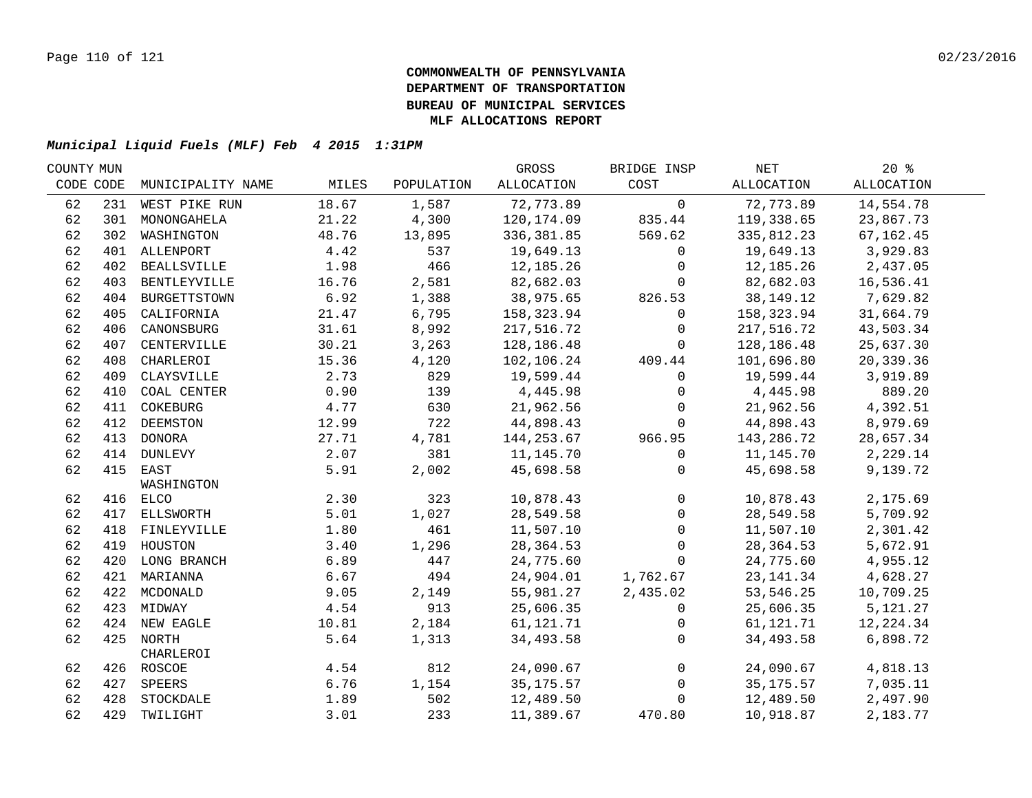| COUNTY MUN |     |                   |       |            | GROSS       | BRIDGE INSP    | NET        | $20*$             |  |
|------------|-----|-------------------|-------|------------|-------------|----------------|------------|-------------------|--|
| CODE CODE  |     | MUNICIPALITY NAME | MILES | POPULATION | ALLOCATION  | COST           | ALLOCATION | <b>ALLOCATION</b> |  |
| 62         |     | 231 WEST PIKE RUN | 18.67 | 1,587      | 72,773.89   | $\mathsf{O}$   | 72,773.89  | 14,554.78         |  |
| 62         | 301 | MONONGAHELA       | 21.22 | 4,300      | 120,174.09  | 835.44         | 119,338.65 | 23,867.73         |  |
| 62         | 302 | WASHINGTON        | 48.76 | 13,895     | 336,381.85  | 569.62         | 335,812.23 | 67,162.45         |  |
| 62         |     | 401 ALLENPORT     | 4.42  | 537        | 19,649.13   | $\mathbf 0$    | 19,649.13  | 3,929.83          |  |
| 62         |     | 402 BEALLSVILLE   | 1.98  | 466        | 12,185.26   | $\mathbf 0$    | 12,185.26  | 2,437.05          |  |
| 62         |     | 403 BENTLEYVILLE  | 16.76 | 2,581      | 82,682.03   | $\mathbf 0$    | 82,682.03  | 16,536.41         |  |
| 62         |     | 404 BURGETTSTOWN  | 6.92  | 1,388      | 38,975.65   | 826.53         | 38,149.12  | 7,629.82          |  |
| 62         | 405 | CALIFORNIA        | 21.47 | 6,795      | 158,323.94  | 0              | 158,323.94 | 31,664.79         |  |
| 62         | 406 | CANONSBURG        | 31.61 | 8,992      | 217,516.72  | $\mathbf 0$    | 217,516.72 | 43,503.34         |  |
| 62         | 407 | CENTERVILLE       | 30.21 | 3,263      | 128,186.48  | $\overline{0}$ | 128,186.48 | 25,637.30         |  |
| 62         | 408 | CHARLEROI         | 15.36 | 4,120      | 102,106.24  | 409.44         | 101,696.80 | 20,339.36         |  |
| 62         | 409 | CLAYSVILLE        | 2.73  | 829        | 19,599.44   | $\Omega$       | 19,599.44  | 3,919.89          |  |
| 62         | 410 | COAL CENTER       | 0.90  | 139        | 4,445.98    | $\mathbf 0$    | 4,445.98   | 889.20            |  |
| 62         | 411 | COKEBURG          | 4.77  | 630        | 21,962.56   | $\Omega$       | 21,962.56  | 4,392.51          |  |
| 62         | 412 | DEEMSTON          | 12.99 | 722        | 44,898.43   | $\Omega$       | 44,898.43  | 8,979.69          |  |
| 62         |     | 413 DONORA        | 27.71 | 4,781      | 144, 253.67 | 966.95         | 143,286.72 | 28,657.34         |  |
| 62         |     | 414 DUNLEVY       | 2.07  | 381        | 11,145.70   | $\mathbf 0$    | 11,145.70  | 2,229.14          |  |
| 62         |     | 415 EAST          | 5.91  | 2,002      | 45,698.58   | 0              | 45,698.58  | 9,139.72          |  |
|            |     | WASHINGTON        |       |            |             |                |            |                   |  |
| 62         |     | 416 ELCO          | 2.30  | 323        | 10,878.43   | $\mathbf 0$    | 10,878.43  | 2,175.69          |  |
| 62         |     | 417 ELLSWORTH     | 5.01  | 1,027      | 28,549.58   | $\mathsf{O}$   | 28,549.58  | 5,709.92          |  |
| 62         |     | 418 FINLEYVILLE   | 1.80  | 461        | 11,507.10   | $\mathbf{0}$   | 11,507.10  | 2,301.42          |  |
| 62         |     | 419 HOUSTON       | 3.40  | 1,296      | 28, 364.53  | $\mathbf 0$    | 28,364.53  | 5,672.91          |  |
| 62         |     | 420 LONG BRANCH   | 6.89  | 447        | 24,775.60   | $\mathbf 0$    | 24,775.60  | 4,955.12          |  |
| 62         |     | 421 MARIANNA      | 6.67  | 494        | 24,904.01   | 1,762.67       | 23, 141.34 | 4,628.27          |  |
| 62         |     | 422 MCDONALD      | 9.05  | 2,149      | 55,981.27   | 2,435.02       | 53,546.25  | 10,709.25         |  |
| 62         |     | 423 MIDWAY        | 4.54  | 913        | 25,606.35   | 0              | 25,606.35  | 5,121.27          |  |
| 62         |     | 424 NEW EAGLE     | 10.81 | 2,184      | 61,121.71   | $\mathbf 0$    | 61,121.71  | 12,224.34         |  |
| 62         |     | 425 NORTH         | 5.64  | 1,313      | 34,493.58   | $\mathbf 0$    | 34,493.58  | 6,898.72          |  |
|            |     | CHARLEROI         |       |            |             |                |            |                   |  |
| 62         |     | 426 ROSCOE        | 4.54  | 812        | 24,090.67   | $\overline{0}$ | 24,090.67  | 4,818.13          |  |
| 62         | 427 | SPEERS            | 6.76  | 1,154      | 35,175.57   | $\overline{0}$ | 35,175.57  | 7,035.11          |  |
| 62         | 428 | STOCKDALE         | 1.89  | 502        | 12,489.50   | $\mathbf 0$    | 12,489.50  | 2,497.90          |  |
| 62         |     | 429 TWILIGHT      | 3.01  | 233        | 11,389.67   | 470.80         | 10,918.87  | 2,183.77          |  |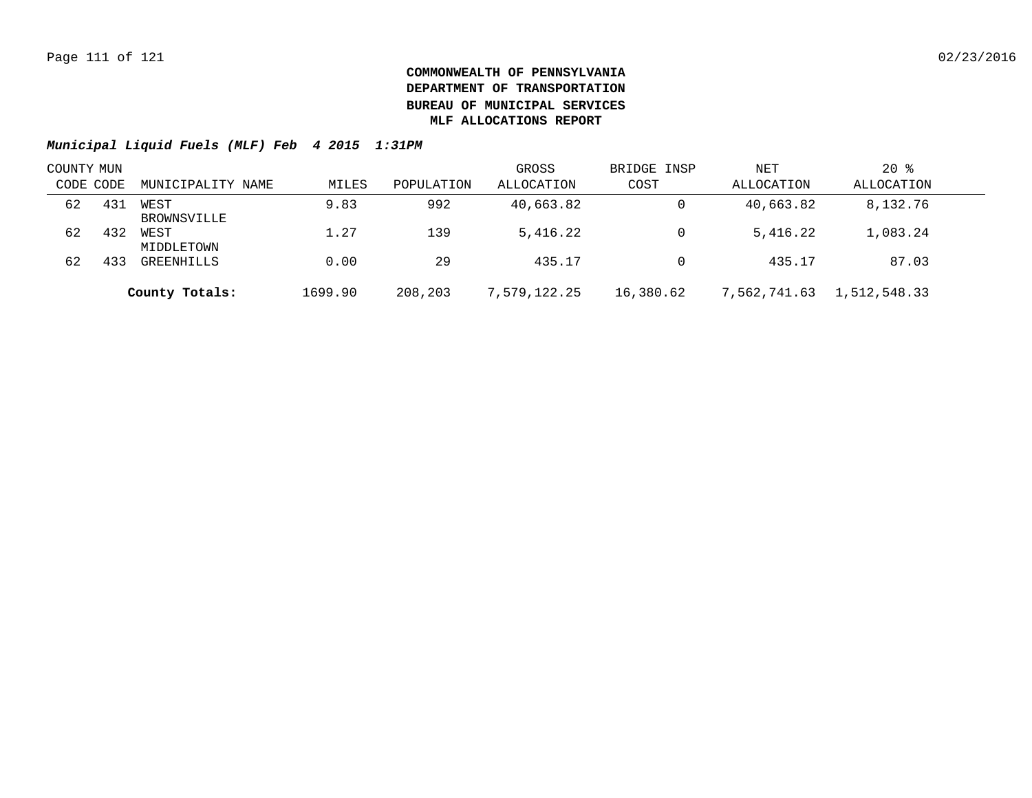| COUNTY MUN |     |                     |         |            | GROSS        | BRIDGE INSP | NET          | $20*$        |  |
|------------|-----|---------------------|---------|------------|--------------|-------------|--------------|--------------|--|
| CODE CODE  |     | MUNICIPALITY NAME   | MILES   | POPULATION | ALLOCATION   | COST        | ALLOCATION   | ALLOCATION   |  |
| 62         | 431 | WEST<br>BROWNSVILLE | 9.83    | 992        | 40,663.82    | 0           | 40,663.82    | 8,132.76     |  |
| 62         | 432 | WEST<br>MIDDLETOWN  | 1.27    | 139        | 5,416.22     | 0           | 5,416.22     | 1,083.24     |  |
| 62         | 433 | GREENHILLS          | 0.00    | 29         | 435.17       |             | 435.17       | 87.03        |  |
|            |     | County Totals:      | 1699.90 | 208,203    | 7,579,122.25 | 16,380.62   | 7,562,741.63 | 1,512,548.33 |  |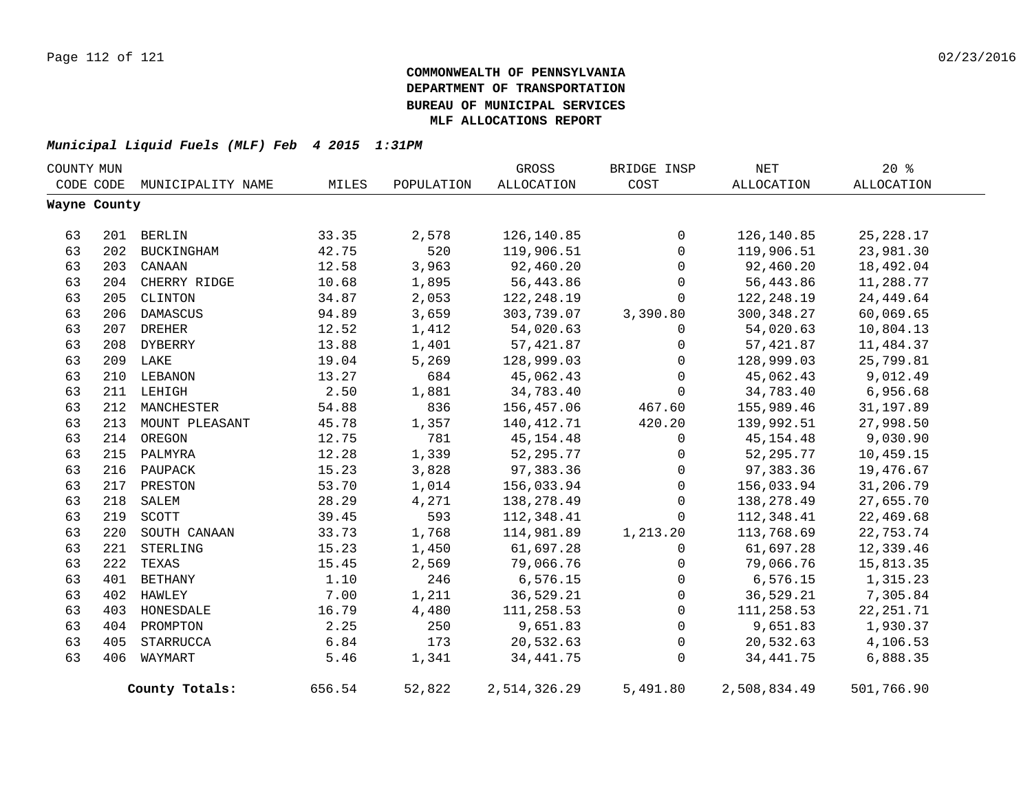| COUNTY MUN |              |                             |        |            | GROSS        | BRIDGE INSP  | NET          | $20*$      |  |
|------------|--------------|-----------------------------|--------|------------|--------------|--------------|--------------|------------|--|
|            |              | CODE CODE MUNICIPALITY NAME | MILES  | POPULATION | ALLOCATION   | COST         | ALLOCATION   | ALLOCATION |  |
|            | Wayne County |                             |        |            |              |              |              |            |  |
|            |              |                             |        |            |              |              |              |            |  |
| 63         |              | 201 BERLIN                  | 33.35  | 2,578      | 126,140.85   | 0            | 126,140.85   | 25, 228.17 |  |
| 63         | 202          | BUCKINGHAM                  | 42.75  | 520        | 119,906.51   | $\Omega$     | 119,906.51   | 23,981.30  |  |
| 63         |              | 203 CANAAN                  | 12.58  | 3,963      | 92,460.20    | $\mathbf 0$  | 92,460.20    | 18,492.04  |  |
| 63         |              | 204 CHERRY RIDGE            | 10.68  | 1,895      | 56,443.86    | $\mathbf 0$  | 56,443.86    | 11,288.77  |  |
| 63         |              | 205 CLINTON                 | 34.87  | 2,053      | 122,248.19   | $\mathbf 0$  | 122,248.19   | 24, 449.64 |  |
| 63         | 206          | DAMASCUS                    | 94.89  | 3,659      | 303,739.07   | 3,390.80     | 300,348.27   | 60,069.65  |  |
| 63         | 207          | <b>DREHER</b>               | 12.52  | 1,412      | 54,020.63    | 0            | 54,020.63    | 10,804.13  |  |
| 63         | 208          | DYBERRY                     | 13.88  | 1,401      | 57, 421.87   | 0            | 57,421.87    | 11,484.37  |  |
| 63         |              | 209 LAKE                    | 19.04  | 5,269      | 128,999.03   | $\mathsf{O}$ | 128,999.03   | 25,799.81  |  |
| 63         |              | 210 LEBANON                 | 13.27  | 684        | 45,062.43    | $\mathsf{O}$ | 45,062.43    | 9,012.49   |  |
| 63         |              | 211 LEHIGH                  | 2.50   | 1,881      | 34,783.40    | 0            | 34,783.40    | 6,956.68   |  |
| 63         | 212          | MANCHESTER                  | 54.88  | 836        | 156,457.06   | 467.60       | 155,989.46   | 31, 197.89 |  |
| 63         | 213          | MOUNT PLEASANT              | 45.78  | 1,357      | 140,412.71   | 420.20       | 139,992.51   | 27,998.50  |  |
| 63         |              | 214 OREGON                  | 12.75  | 781        | 45, 154. 48  | 0            | 45, 154.48   | 9,030.90   |  |
| 63         |              | 215 PALMYRA                 | 12.28  | 1,339      | 52,295.77    | 0            | 52, 295. 77  | 10,459.15  |  |
| 63         |              | 216 PAUPACK                 | 15.23  | 3,828      | 97,383.36    | 0            | 97,383.36    | 19,476.67  |  |
| 63         |              | 217 PRESTON                 | 53.70  | 1,014      | 156,033.94   | 0            | 156,033.94   | 31,206.79  |  |
| 63         | 218          | SALEM                       | 28.29  | 4,271      | 138,278.49   | $\mathbf 0$  | 138,278.49   | 27,655.70  |  |
| 63         | 219          | SCOTT                       | 39.45  | 593        | 112,348.41   | $\mathbf 0$  | 112,348.41   | 22,469.68  |  |
| 63         | 220          | SOUTH CANAAN                | 33.73  | 1,768      | 114,981.89   | 1,213.20     | 113,768.69   | 22,753.74  |  |
| 63         | 221          | STERLING                    | 15.23  | 1,450      | 61,697.28    | 0            | 61,697.28    | 12,339.46  |  |
| 63         | 222          | TEXAS                       | 15.45  | 2,569      | 79,066.76    | 0            | 79,066.76    | 15,813.35  |  |
| 63         | 401          | BETHANY                     | 1.10   | 246        | 6,576.15     | $\mathsf{O}$ | 6, 576.15    | 1,315.23   |  |
| 63         | 402          | HAWLEY                      | 7.00   | 1,211      | 36,529.21    | 0            | 36,529.21    | 7,305.84   |  |
| 63         | 403          | HONESDALE                   | 16.79  | 4,480      | 111,258.53   | $\mathsf{O}$ | 111,258.53   | 22, 251.71 |  |
| 63         |              | 404 PROMPTON                | 2.25   | 250        | 9,651.83     | 0            | 9,651.83     | 1,930.37   |  |
| 63         | 405          | STARRUCCA                   | 6.84   | 173        | 20,532.63    | $\mathsf{O}$ | 20,532.63    | 4,106.53   |  |
| 63         | 406          | WAYMART                     | 5.46   | 1,341      | 34, 441. 75  | $\mathbf 0$  | 34, 441.75   | 6,888.35   |  |
|            |              | County Totals:              | 656.54 | 52,822     | 2,514,326.29 | 5,491.80     | 2,508,834.49 | 501,766.90 |  |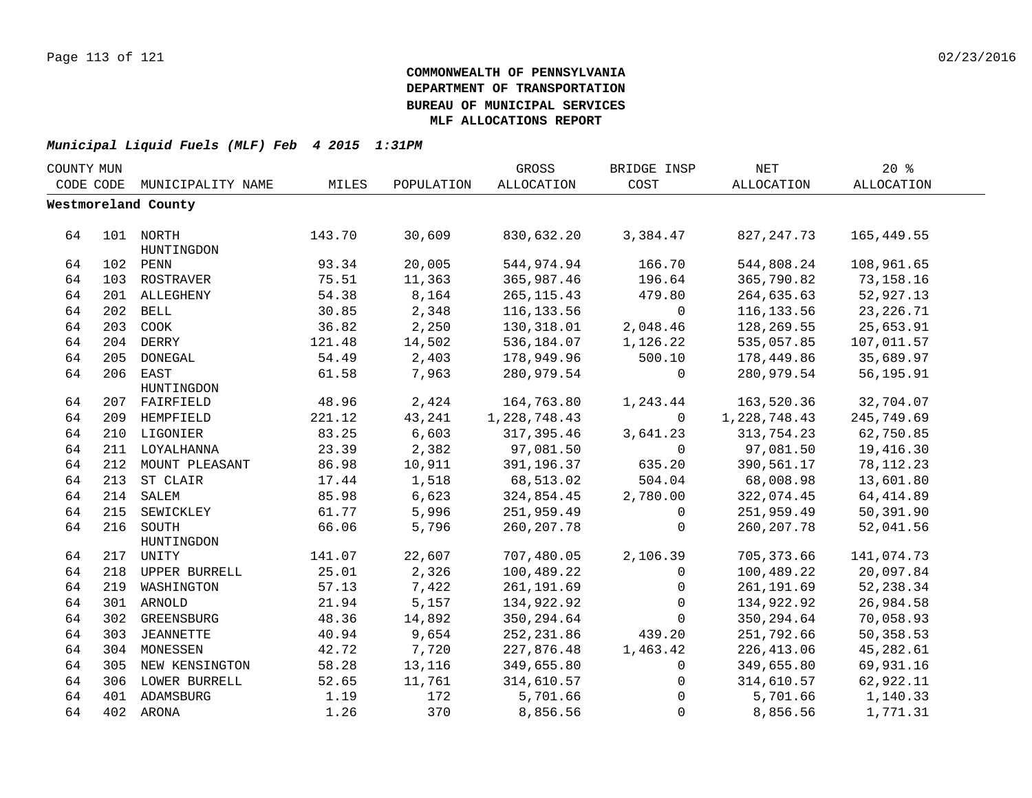| COUNTY MUN |     |                     |        |            | GROSS          | BRIDGE INSP    | <b>NET</b>   | 20%         |  |
|------------|-----|---------------------|--------|------------|----------------|----------------|--------------|-------------|--|
| CODE CODE  |     | MUNICIPALITY NAME   | MILES  | POPULATION | ALLOCATION     | COST           | ALLOCATION   | ALLOCATION  |  |
|            |     | Westmoreland County |        |            |                |                |              |             |  |
|            |     |                     |        |            |                |                |              |             |  |
| 64         |     | 101 NORTH           | 143.70 | 30,609     | 830,632.20     | 3,384.47       | 827,247.73   | 165,449.55  |  |
|            |     | HUNTINGDON          |        |            |                |                |              |             |  |
| 64         |     | 102 PENN            | 93.34  | 20,005     | 544,974.94     | 166.70         | 544,808.24   | 108,961.65  |  |
| 64         |     | 103 ROSTRAVER       | 75.51  | 11,363     | 365,987.46     | 196.64         | 365,790.82   | 73,158.16   |  |
| 64         |     | 201 ALLEGHENY       | 54.38  | 8,164      | 265, 115.43    | 479.80         | 264,635.63   | 52,927.13   |  |
| 64         |     | 202 BELL            | 30.85  | 2,348      | 116,133.56     | $\overline{0}$ | 116, 133.56  | 23, 226. 71 |  |
| 64         | 203 | COOK                | 36.82  | 2,250      | 130,318.01     | 2,048.46       | 128,269.55   | 25,653.91   |  |
| 64         |     | 204 DERRY           | 121.48 | 14,502     | 536,184.07     | 1,126.22       | 535,057.85   | 107,011.57  |  |
| 64         | 205 | DONEGAL             | 54.49  | 2,403      | 178,949.96     | 500.10         | 178,449.86   | 35,689.97   |  |
| 64         |     | 206 EAST            | 61.58  | 7,963      | 280,979.54     | 0              | 280,979.54   | 56,195.91   |  |
|            |     | HUNTINGDON          |        |            |                |                |              |             |  |
| 64         |     | 207 FAIRFIELD       | 48.96  | 2,424      | 164,763.80     | 1,243.44       | 163,520.36   | 32,704.07   |  |
| 64         |     | 209 HEMPFIELD       | 221.12 | 43,241     | 1, 228, 748.43 | $\Omega$       | 1,228,748.43 | 245,749.69  |  |
| 64         |     | 210 LIGONIER        | 83.25  | 6,603      | 317,395.46     | 3,641.23       | 313,754.23   | 62,750.85   |  |
| 64         |     | 211 LOYALHANNA      | 23.39  | 2,382      | 97,081.50      | $\mathbf 0$    | 97,081.50    | 19,416.30   |  |
| 64         | 212 | MOUNT PLEASANT      | 86.98  | 10,911     | 391,196.37     | 635.20         | 390,561.17   | 78, 112. 23 |  |
| 64         | 213 | ST CLAIR            | 17.44  | 1,518      | 68,513.02      | 504.04         | 68,008.98    | 13,601.80   |  |
| 64         |     | 214 SALEM           | 85.98  | 6,623      | 324,854.45     | 2,780.00       | 322,074.45   | 64, 414.89  |  |
| 64         |     | 215 SEWICKLEY       | 61.77  | 5,996      | 251,959.49     | 0              | 251,959.49   | 50,391.90   |  |
| 64         |     | 216 SOUTH           | 66.06  | 5,796      | 260, 207.78    | $\mathbf 0$    | 260, 207.78  | 52,041.56   |  |
|            |     | HUNTINGDON          |        |            |                |                |              |             |  |
| 64         |     | 217 UNITY           | 141.07 | 22,607     | 707,480.05     | 2,106.39       | 705,373.66   | 141,074.73  |  |
| 64         |     | 218 UPPER BURRELL   | 25.01  | 2,326      | 100,489.22     | 0              | 100,489.22   | 20,097.84   |  |
| 64         |     | 219 WASHINGTON      | 57.13  | 7,422      | 261, 191.69    | $\mathbf{0}$   | 261, 191.69  | 52, 238.34  |  |
| 64         |     | 301 ARNOLD          | 21.94  | 5,157      | 134,922.92     | 0              | 134,922.92   | 26,984.58   |  |
| 64         |     | 302 GREENSBURG      | 48.36  | 14,892     | 350,294.64     | $\mathbf 0$    | 350,294.64   | 70,058.93   |  |
| 64         |     | 303 JEANNETTE       | 40.94  | 9,654      | 252,231.86     | 439.20         | 251,792.66   | 50,358.53   |  |
| 64         |     | 304 MONESSEN        | 42.72  | 7,720      | 227,876.48     | 1,463.42       | 226, 413.06  | 45,282.61   |  |
| 64         |     | 305 NEW KENSINGTON  | 58.28  | 13,116     | 349,655.80     | $\mathbf{0}$   | 349,655.80   | 69,931.16   |  |
| 64         |     | 306 LOWER BURRELL   | 52.65  | 11,761     | 314,610.57     | 0              | 314,610.57   | 62,922.11   |  |
| 64         |     | 401 ADAMSBURG       | 1.19   | 172        | 5,701.66       | $\mathbf 0$    | 5,701.66     | 1,140.33    |  |
| 64         |     | 402 ARONA           | 1.26   | 370        | 8,856.56       | $\mathbf 0$    | 8,856.56     | 1,771.31    |  |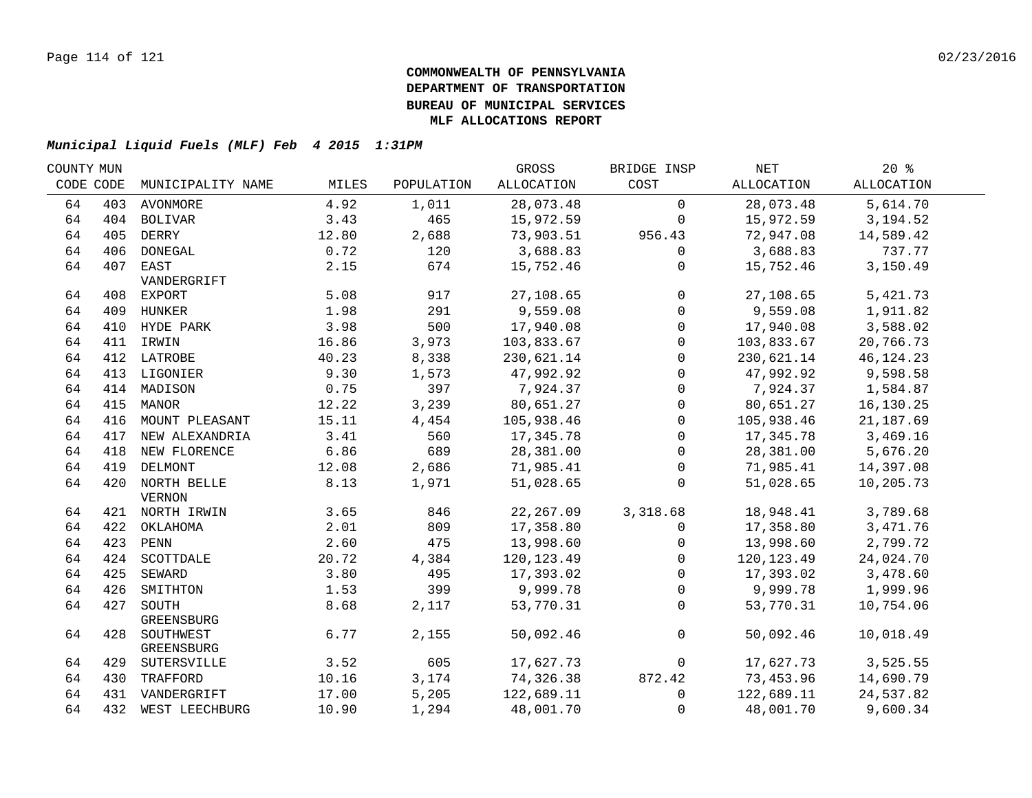| COUNTY MUN |           |                    |       |            | GROSS        | BRIDGE INSP  | NET          | $20*$       |  |
|------------|-----------|--------------------|-------|------------|--------------|--------------|--------------|-------------|--|
|            | CODE CODE | MUNICIPALITY NAME  | MILES | POPULATION | ALLOCATION   | COST         | ALLOCATION   | ALLOCATION  |  |
| 64         |           | 403 AVONMORE       | 4.92  | 1,011      | 28,073.48    | $\mathbf 0$  | 28,073.48    | 5,614.70    |  |
| 64         |           | 404 BOLIVAR        | 3.43  | 465        | 15,972.59    | $\mathbf 0$  | 15,972.59    | 3,194.52    |  |
| 64         |           | 405 DERRY          | 12.80 | 2,688      | 73,903.51    | 956.43       | 72,947.08    | 14,589.42   |  |
| 64         |           | 406 DONEGAL        | 0.72  | 120        | 3,688.83     | $\mathbf 0$  | 3,688.83     | 737.77      |  |
| 64         |           | 407 EAST           | 2.15  | 674        | 15,752.46    | $\mathbf{0}$ | 15,752.46    | 3,150.49    |  |
|            |           | VANDERGRIFT        |       |            |              |              |              |             |  |
| 64         |           | 408 EXPORT         | 5.08  | 917        | 27,108.65    | $\mathbf 0$  | 27,108.65    | 5,421.73    |  |
| 64         |           | 409 HUNKER         | 1.98  | 291        | 9,559.08     | $\mathbf 0$  | 9,559.08     | 1,911.82    |  |
| 64         |           | 410 HYDE PARK      | 3.98  | 500        | 17,940.08    | $\mathbf 0$  | 17,940.08    | 3,588.02    |  |
| 64         |           | 411 IRWIN          | 16.86 | 3,973      | 103,833.67   | 0            | 103,833.67   | 20,766.73   |  |
| 64         |           | 412 LATROBE        | 40.23 | 8,338      | 230,621.14   | $\mathbf 0$  | 230,621.14   | 46, 124. 23 |  |
| 64         | 413       | LIGONIER           | 9.30  | 1,573      | 47,992.92    | $\Omega$     | 47,992.92    | 9,598.58    |  |
| 64         | 414       | MADISON            | 0.75  | 397        | 7,924.37     | $\mathbf{0}$ | 7,924.37     | 1,584.87    |  |
| 64         | 415       | MANOR              | 12.22 | 3,239      | 80,651.27    | $\mathbf 0$  | 80,651.27    | 16,130.25   |  |
| 64         |           | 416 MOUNT PLEASANT | 15.11 | 4,454      | 105,938.46   | $\Omega$     | 105,938.46   | 21,187.69   |  |
| 64         |           | 417 NEW ALEXANDRIA | 3.41  | 560        | 17,345.78    | $\mathbf{0}$ | 17,345.78    | 3,469.16    |  |
| 64         |           | 418 NEW FLORENCE   | 6.86  | 689        | 28,381.00    | $\mathbf{0}$ | 28,381.00    | 5,676.20    |  |
| 64         |           | 419 DELMONT        | 12.08 | 2,686      | 71,985.41    | 0            | 71,985.41    | 14,397.08   |  |
| 64         |           | 420 NORTH BELLE    | 8.13  | 1,971      | 51,028.65    | $\mathbf 0$  | 51,028.65    | 10,205.73   |  |
|            |           | <b>VERNON</b>      |       |            |              |              |              |             |  |
| 64         |           | 421 NORTH IRWIN    | 3.65  | 846        | 22, 267.09   | 3,318.68     | 18,948.41    | 3,789.68    |  |
| 64         |           | 422 OKLAHOMA       | 2.01  | 809        | 17,358.80    | 0            | 17,358.80    | 3,471.76    |  |
| 64         |           | 423 PENN           | 2.60  | 475        | 13,998.60    | $\mathbf{0}$ | 13,998.60    | 2,799.72    |  |
| 64         |           | 424 SCOTTDALE      | 20.72 | 4,384      | 120, 123. 49 | $\Omega$     | 120, 123. 49 | 24,024.70   |  |
| 64         |           | 425 SEWARD         | 3.80  | 495        | 17,393.02    | $\mathbf 0$  | 17,393.02    | 3,478.60    |  |
| 64         | 426       | SMITHTON           | 1.53  | 399        | 9,999.78     | $\Omega$     | 9,999.78     | 1,999.96    |  |
| 64         | 427       | SOUTH              | 8.68  | 2,117      | 53,770.31    | $\mathbf 0$  | 53,770.31    | 10,754.06   |  |
|            |           | GREENSBURG         |       |            |              |              |              |             |  |
| 64         |           | 428 SOUTHWEST      | 6.77  | 2,155      | 50,092.46    | $\mathbf 0$  | 50,092.46    | 10,018.49   |  |
|            |           | GREENSBURG         |       |            |              |              |              |             |  |
| 64         |           | 429 SUTERSVILLE    | 3.52  | 605        | 17,627.73    | $\mathbf 0$  | 17,627.73    | 3,525.55    |  |
| 64         |           | 430 TRAFFORD       | 10.16 | 3,174      | 74,326.38    | 872.42       | 73,453.96    | 14,690.79   |  |
| 64         |           | 431 VANDERGRIFT    | 17.00 | 5,205      | 122,689.11   | $\mathbf 0$  | 122,689.11   | 24,537.82   |  |
| 64         |           | 432 WEST LEECHBURG | 10.90 | 1,294      | 48,001.70    | $\mathbf 0$  | 48,001.70    | 9,600.34    |  |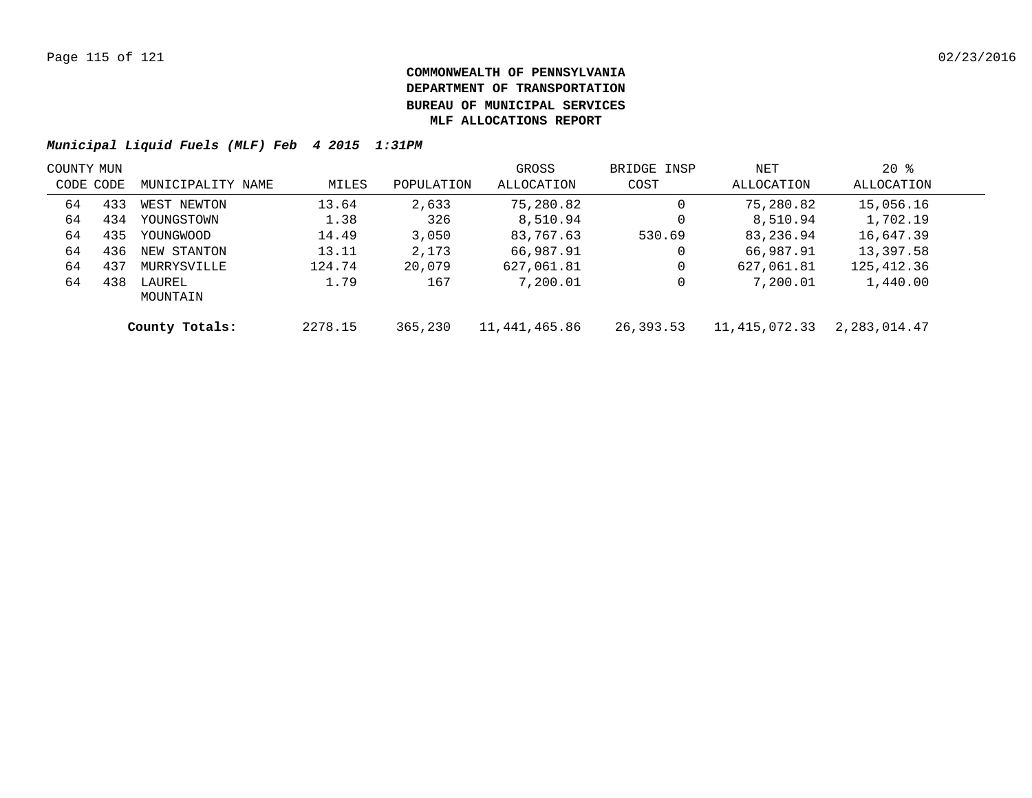| COUNTY MUN |     |                    |         |            | GROSS         | BRIDGE INSP | NET             | $20*$        |  |
|------------|-----|--------------------|---------|------------|---------------|-------------|-----------------|--------------|--|
| CODE CODE  |     | MUNICIPALITY NAME  | MILES   | POPULATION | ALLOCATION    | COST        | ALLOCATION      | ALLOCATION   |  |
| 64         | 433 | WEST NEWTON        | 13.64   | 2,633      | 75,280.82     | 0           | 75,280.82       | 15,056.16    |  |
| 64         | 434 | YOUNGSTOWN         | 1.38    | 326        | 8,510.94      | 0           | 8,510.94        | 1,702.19     |  |
| 64         | 435 | YOUNGWOOD          | 14.49   | 3,050      | 83,767.63     | 530.69      | 83,236.94       | 16,647.39    |  |
| 64         | 436 | NEW STANTON        | 13.11   | 2,173      | 66,987.91     | 0           | 66,987.91       | 13,397.58    |  |
| 64         | 437 | MURRYSVILLE        | 124.74  | 20,079     | 627,061.81    | 0           | 627,061.81      | 125,412.36   |  |
| 64         | 438 | LAUREL<br>MOUNTAIN | 1.79    | 167        | 7,200.01      | 0           | 7,200.01        | 1,440.00     |  |
|            |     | County Totals:     | 2278.15 | 365,230    | 11,441,465.86 | 26,393.53   | 11, 415, 072.33 | 2,283,014.47 |  |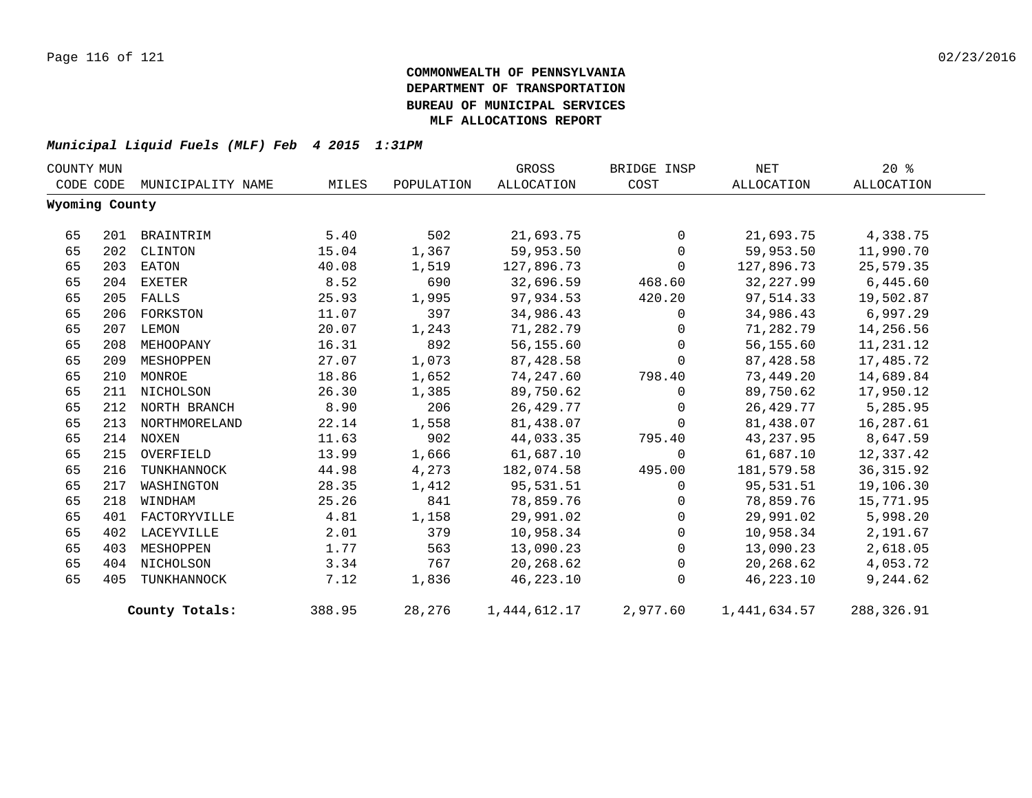| COUNTY MUN |                |                   |        | GROSS      | BRIDGE INSP  | NET            | $20*$        |            |  |
|------------|----------------|-------------------|--------|------------|--------------|----------------|--------------|------------|--|
|            | CODE CODE      | MUNICIPALITY NAME | MILES  | POPULATION | ALLOCATION   | COST           | ALLOCATION   | ALLOCATION |  |
|            | Wyoming County |                   |        |            |              |                |              |            |  |
| 65         |                | 201 BRAINTRIM     | 5.40   | 502        | 21,693.75    | $\overline{0}$ | 21,693.75    | 4,338.75   |  |
| 65         |                | 202 CLINTON       | 15.04  | 1,367      | 59,953.50    | $\mathbf{0}$   | 59,953.50    | 11,990.70  |  |
| 65         |                | 203 EATON         | 40.08  | 1,519      | 127,896.73   | $\Omega$       | 127,896.73   | 25,579.35  |  |
| 65         |                | 204 EXETER        | 8.52   | 690        | 32,696.59    | 468.60         | 32,227.99    | 6,445.60   |  |
| 65         |                | 205 FALLS         | 25.93  | 1,995      | 97,934.53    | 420.20         | 97,514.33    | 19,502.87  |  |
| 65         |                | 206 FORKSTON      | 11.07  | 397        | 34,986.43    | $\overline{0}$ | 34,986.43    | 6,997.29   |  |
| 65         |                | 207 LEMON         | 20.07  | 1,243      | 71,282.79    | $\mathbf{0}$   | 71,282.79    | 14,256.56  |  |
| 65         |                | 208 MEHOOPANY     | 16.31  | 892        | 56,155.60    | $\mathbf 0$    | 56,155.60    | 11,231.12  |  |
| 65         |                | 209 MESHOPPEN     | 27.07  | 1,073      | 87,428.58    | $\mathbf 0$    | 87,428.58    | 17,485.72  |  |
| 65         |                | 210 MONROE        | 18.86  | 1,652      | 74,247.60    | 798.40         | 73,449.20    | 14,689.84  |  |
| 65         |                | 211 NICHOLSON     | 26.30  | 1,385      | 89,750.62    | $\mathbf 0$    | 89,750.62    | 17,950.12  |  |
| 65         |                | 212 NORTH BRANCH  | 8.90   | 206        | 26,429.77    | $\mathbf 0$    | 26,429.77    | 5,285.95   |  |
| 65         |                | 213 NORTHMORELAND | 22.14  | 1,558      | 81,438.07    | $\mathbf 0$    | 81,438.07    | 16,287.61  |  |
| 65         |                | 214 NOXEN         | 11.63  | 902        | 44,033.35    | 795.40         | 43,237.95    | 8,647.59   |  |
| 65         | 215            | OVERFIELD         | 13.99  | 1,666      | 61,687.10    | $\Omega$       | 61,687.10    | 12,337.42  |  |
| 65         | 216            | TUNKHANNOCK       | 44.98  | 4,273      | 182,074.58   | 495.00         | 181,579.58   | 36, 315.92 |  |
| 65         | 217            | WASHINGTON        | 28.35  | 1,412      | 95,531.51    | $\Omega$       | 95,531.51    | 19,106.30  |  |
| 65         | 218            | WINDHAM           | 25.26  | 841        | 78,859.76    | $\mathbf 0$    | 78,859.76    | 15,771.95  |  |
| 65         |                | 401 FACTORYVILLE  | 4.81   | 1,158      | 29,991.02    | $\Omega$       | 29,991.02    | 5,998.20   |  |
| 65         |                | 402 LACEYVILLE    | 2.01   | 379        | 10,958.34    | $\mathbf 0$    | 10,958.34    | 2,191.67   |  |
| 65         | 403            | MESHOPPEN         | 1.77   | 563        | 13,090.23    | $\Omega$       | 13,090.23    | 2,618.05   |  |
| 65         |                | 404 NICHOLSON     | 3.34   | 767        | 20,268.62    | $\mathbf 0$    | 20,268.62    | 4,053.72   |  |
| 65         | 405            | TUNKHANNOCK       | 7.12   | 1,836      | 46, 223. 10  | $\Omega$       | 46,223.10    | 9,244.62   |  |
|            |                | County Totals:    | 388.95 | 28,276     | 1,444,612.17 | 2,977.60       | 1,441,634.57 | 288,326.91 |  |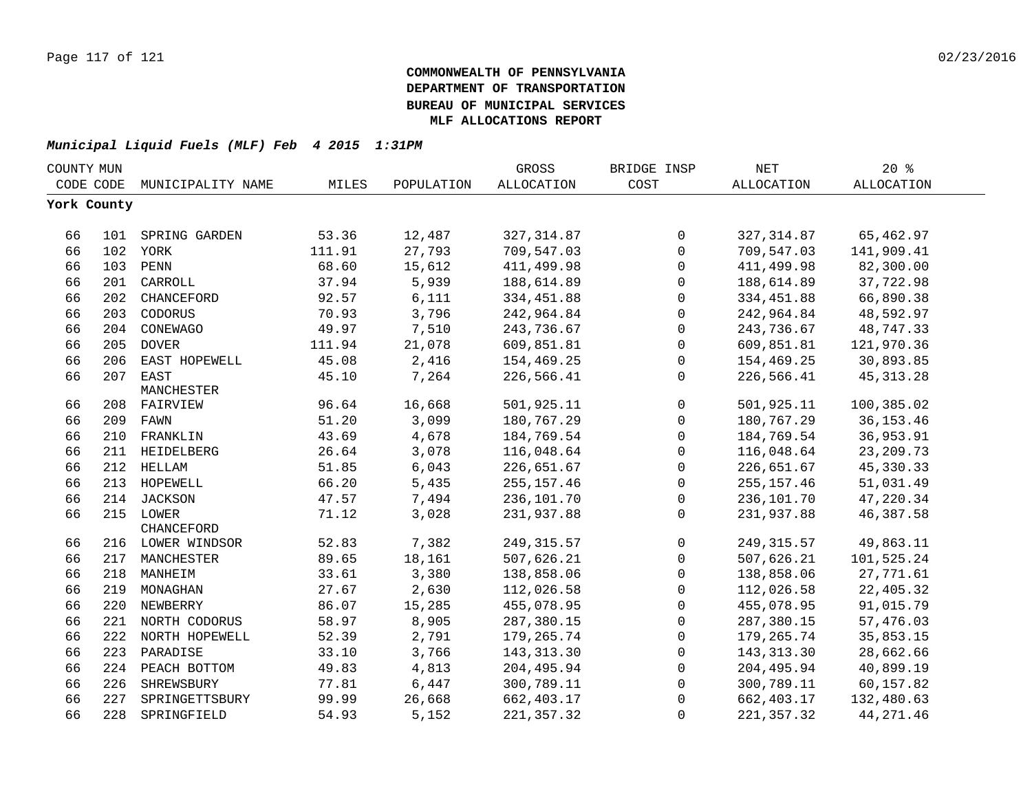| COUNTY MUN  |     |                    |        |            | GROSS       | BRIDGE INSP  | <b>NET</b>  | $20*$             |  |
|-------------|-----|--------------------|--------|------------|-------------|--------------|-------------|-------------------|--|
| CODE CODE   |     | MUNICIPALITY NAME  | MILES  | POPULATION | ALLOCATION  | COST         | ALLOCATION  | <b>ALLOCATION</b> |  |
| York County |     |                    |        |            |             |              |             |                   |  |
|             |     |                    |        |            |             |              |             |                   |  |
| 66          |     | 101 SPRING GARDEN  | 53.36  | 12,487     | 327, 314.87 | $\mathbf 0$  | 327, 314.87 | 65,462.97         |  |
| 66          |     | 102 YORK           | 111.91 | 27,793     | 709,547.03  | $\mathbf{0}$ | 709,547.03  | 141,909.41        |  |
| 66          |     | 103 PENN           | 68.60  | 15,612     | 411,499.98  | 0            | 411,499.98  | 82,300.00         |  |
| 66          |     | 201 CARROLL        | 37.94  | 5,939      | 188,614.89  | $\mathbf 0$  | 188,614.89  | 37,722.98         |  |
| 66          | 202 | CHANCEFORD         | 92.57  | 6,111      | 334,451.88  | $\mathbf 0$  | 334, 451.88 | 66,890.38         |  |
| 66          | 203 | CODORUS            | 70.93  | 3,796      | 242,964.84  | $\mathbf 0$  | 242,964.84  | 48,592.97         |  |
| 66          | 204 | CONEWAGO           | 49.97  | 7,510      | 243,736.67  | $\mathbf 0$  | 243,736.67  | 48,747.33         |  |
| 66          | 205 | <b>DOVER</b>       | 111.94 | 21,078     | 609,851.81  | $\mathbf{0}$ | 609,851.81  | 121,970.36        |  |
| 66          | 206 | EAST HOPEWELL      | 45.08  | 2,416      | 154,469.25  | $\mathbf 0$  | 154,469.25  | 30,893.85         |  |
| 66          | 207 | EAST               | 45.10  | 7,264      | 226,566.41  | $\Omega$     | 226,566.41  | 45, 313. 28       |  |
|             |     | MANCHESTER         |        |            |             |              |             |                   |  |
| 66          |     | 208 FAIRVIEW       | 96.64  | 16,668     | 501,925.11  | $\mathbf 0$  | 501,925.11  | 100,385.02        |  |
| 66          |     | 209 FAWN           | 51.20  | 3,099      | 180,767.29  | $\mathbf 0$  | 180,767.29  | 36, 153. 46       |  |
| 66          | 210 | FRANKLIN           | 43.69  | 4,678      | 184,769.54  | $\mathbf 0$  | 184,769.54  | 36,953.91         |  |
| 66          | 211 | HEIDELBERG         | 26.64  | 3,078      | 116,048.64  | $\Omega$     | 116,048.64  | 23, 209. 73       |  |
| 66          |     | 212 HELLAM         | 51.85  | 6,043      | 226,651.67  | $\mathbf 0$  | 226,651.67  | 45, 330. 33       |  |
| 66          |     | 213 HOPEWELL       | 66.20  | 5,435      | 255, 157.46 | $\mathbf 0$  | 255, 157.46 | 51,031.49         |  |
| 66          |     | 214 JACKSON        | 47.57  | 7,494      | 236,101.70  | $\mathbf 0$  | 236,101.70  | 47,220.34         |  |
| 66          |     | 215 LOWER          | 71.12  | 3,028      | 231,937.88  | $\mathbf{0}$ | 231,937.88  | 46, 387.58        |  |
|             |     | CHANCEFORD         |        |            |             |              |             |                   |  |
| 66          |     | 216 LOWER WINDSOR  | 52.83  | 7,382      | 249, 315.57 | $\mathbf 0$  | 249, 315.57 | 49,863.11         |  |
| 66          |     | 217 MANCHESTER     | 89.65  | 18,161     | 507,626.21  | $\mathbf 0$  | 507,626.21  | 101,525.24        |  |
| 66          |     | 218 MANHEIM        | 33.61  | 3,380      | 138,858.06  | $\mathbf 0$  | 138,858.06  | 27,771.61         |  |
| 66          |     | 219 MONAGHAN       | 27.67  | 2,630      | 112,026.58  | 0            | 112,026.58  | 22,405.32         |  |
| 66          |     | 220 NEWBERRY       | 86.07  | 15,285     | 455,078.95  | $\mathbf 0$  | 455,078.95  | 91,015.79         |  |
| 66          |     | 221 NORTH CODORUS  | 58.97  | 8,905      | 287,380.15  | $\mathbf 0$  | 287,380.15  | 57,476.03         |  |
| 66          |     | 222 NORTH HOPEWELL | 52.39  | 2,791      | 179,265.74  | $\mathbf{0}$ | 179,265.74  | 35,853.15         |  |
| 66          | 223 | PARADISE           | 33.10  | 3,766      | 143, 313.30 | $\Omega$     | 143, 313.30 | 28,662.66         |  |
| 66          | 224 | PEACH BOTTOM       | 49.83  | 4,813      | 204,495.94  | 0            | 204,495.94  | 40,899.19         |  |
| 66          | 226 | SHREWSBURY         | 77.81  | 6,447      | 300,789.11  | $\mathbf 0$  | 300,789.11  | 60,157.82         |  |
| 66          | 227 | SPRINGETTSBURY     | 99.99  | 26,668     | 662, 403.17 | $\Omega$     | 662,403.17  | 132,480.63        |  |
| 66          | 228 | SPRINGFIELD        | 54.93  | 5,152      | 221, 357.32 | $\Omega$     | 221, 357.32 | 44, 271.46        |  |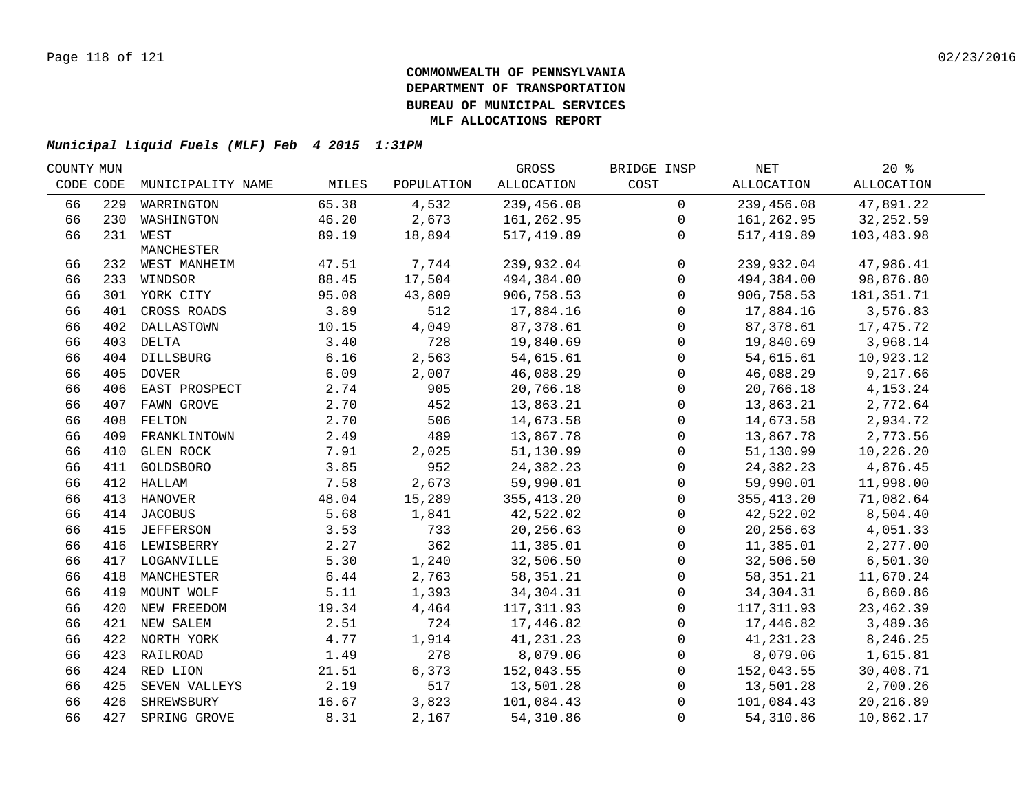|           |                   |                                                                                                                                                                                                                                                                                                                                                                                                                                                                               |                                                                                          | GROSS                                                                                            | BRIDGE INSP                                                                                                                                    | NET                                             | $20*$                                                                                                                                          |                                                                                                                                                        |
|-----------|-------------------|-------------------------------------------------------------------------------------------------------------------------------------------------------------------------------------------------------------------------------------------------------------------------------------------------------------------------------------------------------------------------------------------------------------------------------------------------------------------------------|------------------------------------------------------------------------------------------|--------------------------------------------------------------------------------------------------|------------------------------------------------------------------------------------------------------------------------------------------------|-------------------------------------------------|------------------------------------------------------------------------------------------------------------------------------------------------|--------------------------------------------------------------------------------------------------------------------------------------------------------|
| CODE CODE | MUNICIPALITY NAME | MILES                                                                                                                                                                                                                                                                                                                                                                                                                                                                         | POPULATION                                                                               | <b>ALLOCATION</b>                                                                                | COST                                                                                                                                           | ALLOCATION                                      | <b>ALLOCATION</b>                                                                                                                              |                                                                                                                                                        |
|           | WARRINGTON        | 65.38                                                                                                                                                                                                                                                                                                                                                                                                                                                                         | 4,532                                                                                    | 239,456.08                                                                                       | $\mathbf 0$                                                                                                                                    | 239,456.08                                      | 47,891.22                                                                                                                                      |                                                                                                                                                        |
|           |                   | 46.20                                                                                                                                                                                                                                                                                                                                                                                                                                                                         | 2,673                                                                                    | 161,262.95                                                                                       | $\mathbf 0$                                                                                                                                    | 161,262.95                                      | 32, 252.59                                                                                                                                     |                                                                                                                                                        |
|           |                   | 89.19                                                                                                                                                                                                                                                                                                                                                                                                                                                                         | 18,894                                                                                   | 517,419.89                                                                                       | $\Omega$                                                                                                                                       | 517,419.89                                      | 103,483.98                                                                                                                                     |                                                                                                                                                        |
|           | MANCHESTER        |                                                                                                                                                                                                                                                                                                                                                                                                                                                                               |                                                                                          |                                                                                                  |                                                                                                                                                |                                                 |                                                                                                                                                |                                                                                                                                                        |
|           |                   |                                                                                                                                                                                                                                                                                                                                                                                                                                                                               |                                                                                          |                                                                                                  |                                                                                                                                                |                                                 |                                                                                                                                                |                                                                                                                                                        |
|           |                   |                                                                                                                                                                                                                                                                                                                                                                                                                                                                               |                                                                                          |                                                                                                  |                                                                                                                                                |                                                 |                                                                                                                                                |                                                                                                                                                        |
|           |                   |                                                                                                                                                                                                                                                                                                                                                                                                                                                                               |                                                                                          |                                                                                                  |                                                                                                                                                |                                                 |                                                                                                                                                |                                                                                                                                                        |
|           |                   |                                                                                                                                                                                                                                                                                                                                                                                                                                                                               |                                                                                          |                                                                                                  | $\Omega$                                                                                                                                       |                                                 |                                                                                                                                                |                                                                                                                                                        |
|           |                   |                                                                                                                                                                                                                                                                                                                                                                                                                                                                               |                                                                                          |                                                                                                  | $\Omega$                                                                                                                                       |                                                 |                                                                                                                                                |                                                                                                                                                        |
|           |                   |                                                                                                                                                                                                                                                                                                                                                                                                                                                                               |                                                                                          |                                                                                                  | $\mathbf 0$                                                                                                                                    |                                                 |                                                                                                                                                |                                                                                                                                                        |
|           |                   |                                                                                                                                                                                                                                                                                                                                                                                                                                                                               |                                                                                          |                                                                                                  | $\mathbf 0$                                                                                                                                    |                                                 |                                                                                                                                                |                                                                                                                                                        |
|           |                   |                                                                                                                                                                                                                                                                                                                                                                                                                                                                               |                                                                                          |                                                                                                  | $\mathbf 0$                                                                                                                                    |                                                 |                                                                                                                                                |                                                                                                                                                        |
|           |                   |                                                                                                                                                                                                                                                                                                                                                                                                                                                                               |                                                                                          |                                                                                                  |                                                                                                                                                |                                                 |                                                                                                                                                |                                                                                                                                                        |
|           |                   |                                                                                                                                                                                                                                                                                                                                                                                                                                                                               |                                                                                          |                                                                                                  | $\mathbf 0$                                                                                                                                    |                                                 |                                                                                                                                                |                                                                                                                                                        |
| 408       | FELTON            |                                                                                                                                                                                                                                                                                                                                                                                                                                                                               |                                                                                          |                                                                                                  | $\mathbf 0$                                                                                                                                    |                                                 |                                                                                                                                                |                                                                                                                                                        |
| 409       | FRANKLINTOWN      | 2.49                                                                                                                                                                                                                                                                                                                                                                                                                                                                          | 489                                                                                      | 13,867.78                                                                                        | $\mathbf 0$                                                                                                                                    | 13,867.78                                       | 2,773.56                                                                                                                                       |                                                                                                                                                        |
| 410       | <b>GLEN ROCK</b>  | 7.91                                                                                                                                                                                                                                                                                                                                                                                                                                                                          |                                                                                          | 51,130.99                                                                                        | $\mathbf 0$                                                                                                                                    | 51,130.99                                       | 10,226.20                                                                                                                                      |                                                                                                                                                        |
|           |                   | 3.85                                                                                                                                                                                                                                                                                                                                                                                                                                                                          | 952                                                                                      | 24,382.23                                                                                        | $\mathbf 0$                                                                                                                                    | 24,382.23                                       | 4,876.45                                                                                                                                       |                                                                                                                                                        |
|           |                   | 7.58                                                                                                                                                                                                                                                                                                                                                                                                                                                                          | 2,673                                                                                    | 59,990.01                                                                                        | $\mathbf 0$                                                                                                                                    | 59,990.01                                       | 11,998.00                                                                                                                                      |                                                                                                                                                        |
|           |                   | 48.04                                                                                                                                                                                                                                                                                                                                                                                                                                                                         | 15,289                                                                                   | 355, 413.20                                                                                      | $\mathbf 0$                                                                                                                                    | 355, 413.20                                     | 71,082.64                                                                                                                                      |                                                                                                                                                        |
|           |                   | 5.68                                                                                                                                                                                                                                                                                                                                                                                                                                                                          | 1,841                                                                                    | 42,522.02                                                                                        | $\mathbf 0$                                                                                                                                    | 42,522.02                                       | 8,504.40                                                                                                                                       |                                                                                                                                                        |
|           |                   | 3.53                                                                                                                                                                                                                                                                                                                                                                                                                                                                          | 733                                                                                      | 20,256.63                                                                                        | $\Omega$                                                                                                                                       | 20,256.63                                       | 4,051.33                                                                                                                                       |                                                                                                                                                        |
|           |                   | 2.27                                                                                                                                                                                                                                                                                                                                                                                                                                                                          | 362                                                                                      | 11,385.01                                                                                        | $\mathbf 0$                                                                                                                                    | 11,385.01                                       | 2,277.00                                                                                                                                       |                                                                                                                                                        |
|           |                   | 5.30                                                                                                                                                                                                                                                                                                                                                                                                                                                                          | 1,240                                                                                    | 32,506.50                                                                                        | $\mathbf 0$                                                                                                                                    | 32,506.50                                       | 6,501.30                                                                                                                                       |                                                                                                                                                        |
|           |                   | 6.44                                                                                                                                                                                                                                                                                                                                                                                                                                                                          | 2,763                                                                                    | 58, 351. 21                                                                                      | $\mathbf 0$                                                                                                                                    | 58,351.21                                       | 11,670.24                                                                                                                                      |                                                                                                                                                        |
|           |                   | 5.11                                                                                                                                                                                                                                                                                                                                                                                                                                                                          | 1,393                                                                                    | 34, 304. 31                                                                                      | $\mathsf{O}$                                                                                                                                   | 34,304.31                                       | 6,860.86                                                                                                                                       |                                                                                                                                                        |
|           |                   | 19.34                                                                                                                                                                                                                                                                                                                                                                                                                                                                         | 4,464                                                                                    | 117, 311.93                                                                                      | 0                                                                                                                                              | 117,311.93                                      | 23, 462.39                                                                                                                                     |                                                                                                                                                        |
|           |                   | 2.51                                                                                                                                                                                                                                                                                                                                                                                                                                                                          | 724                                                                                      | 17,446.82                                                                                        | $\mathbf 0$                                                                                                                                    | 17,446.82                                       | 3,489.36                                                                                                                                       |                                                                                                                                                        |
|           |                   | 4.77                                                                                                                                                                                                                                                                                                                                                                                                                                                                          | 1,914                                                                                    | 41,231.23                                                                                        | $\mathbf 0$                                                                                                                                    | 41,231.23                                       | 8,246.25                                                                                                                                       |                                                                                                                                                        |
|           |                   | 1.49                                                                                                                                                                                                                                                                                                                                                                                                                                                                          | 278                                                                                      | 8,079.06                                                                                         | $\mathbf 0$                                                                                                                                    | 8,079.06                                        | 1,615.81                                                                                                                                       |                                                                                                                                                        |
|           |                   | 21.51                                                                                                                                                                                                                                                                                                                                                                                                                                                                         | 6,373                                                                                    | 152,043.55                                                                                       | $\mathbf 0$                                                                                                                                    | 152,043.55                                      | 30,408.71                                                                                                                                      |                                                                                                                                                        |
|           | SEVEN VALLEYS     | 2.19                                                                                                                                                                                                                                                                                                                                                                                                                                                                          | 517                                                                                      | 13,501.28                                                                                        | $\mathbf 0$                                                                                                                                    | 13,501.28                                       | 2,700.26                                                                                                                                       |                                                                                                                                                        |
|           | SHREWSBURY        | 16.67                                                                                                                                                                                                                                                                                                                                                                                                                                                                         | 3,823                                                                                    | 101,084.43                                                                                       | $\Omega$                                                                                                                                       |                                                 | 20,216.89                                                                                                                                      |                                                                                                                                                        |
|           | SPRING GROVE      | 8.31                                                                                                                                                                                                                                                                                                                                                                                                                                                                          | 2,167                                                                                    | 54,310.86                                                                                        | $\Omega$                                                                                                                                       | 54,310.86                                       | 10,862.17                                                                                                                                      |                                                                                                                                                        |
|           |                   | 229<br>230 WASHINGTON<br>231 WEST<br>232 WEST MANHEIM<br>233 WINDSOR<br>301 YORK CITY<br>401 CROSS ROADS<br>402 DALLASTOWN<br>403 DELTA<br>404 DILLSBURG<br>405 DOVER<br>406 EAST PROSPECT<br>407 FAWN GROVE<br>411 GOLDSBORO<br>412 HALLAM<br>413 HANOVER<br>414 JACOBUS<br>415 JEFFERSON<br>416 LEWISBERRY<br>417 LOGANVILLE<br>418 MANCHESTER<br>419 MOUNT WOLF<br>420 NEW FREEDOM<br>421 NEW SALEM<br>422 NORTH YORK<br>423 RAILROAD<br>424 RED LION<br>425<br>426<br>427 | 47.51<br>88.45<br>95.08<br>3.89<br>10.15<br>3.40<br>6.16<br>6.09<br>2.74<br>2.70<br>2.70 | 7,744<br>17,504<br>43,809<br>512<br>4,049<br>728<br>2,563<br>2,007<br>905<br>452<br>506<br>2,025 | 239,932.04<br>494,384.00<br>906,758.53<br>17,884.16<br>87,378.61<br>19,840.69<br>54,615.61<br>46,088.29<br>20,766.18<br>13,863.21<br>14,673.58 | $\Omega$<br>$\Omega$<br>$\Omega$<br>$\mathsf 0$ | 239,932.04<br>494,384.00<br>906,758.53<br>17,884.16<br>87,378.61<br>19,840.69<br>54,615.61<br>46,088.29<br>20,766.18<br>13,863.21<br>14,673.58 | 47,986.41<br>98,876.80<br>181,351.71<br>3,576.83<br>17,475.72<br>3,968.14<br>10,923.12<br>9,217.66<br>4, 153. 24<br>2,772.64<br>2,934.72<br>101,084.43 |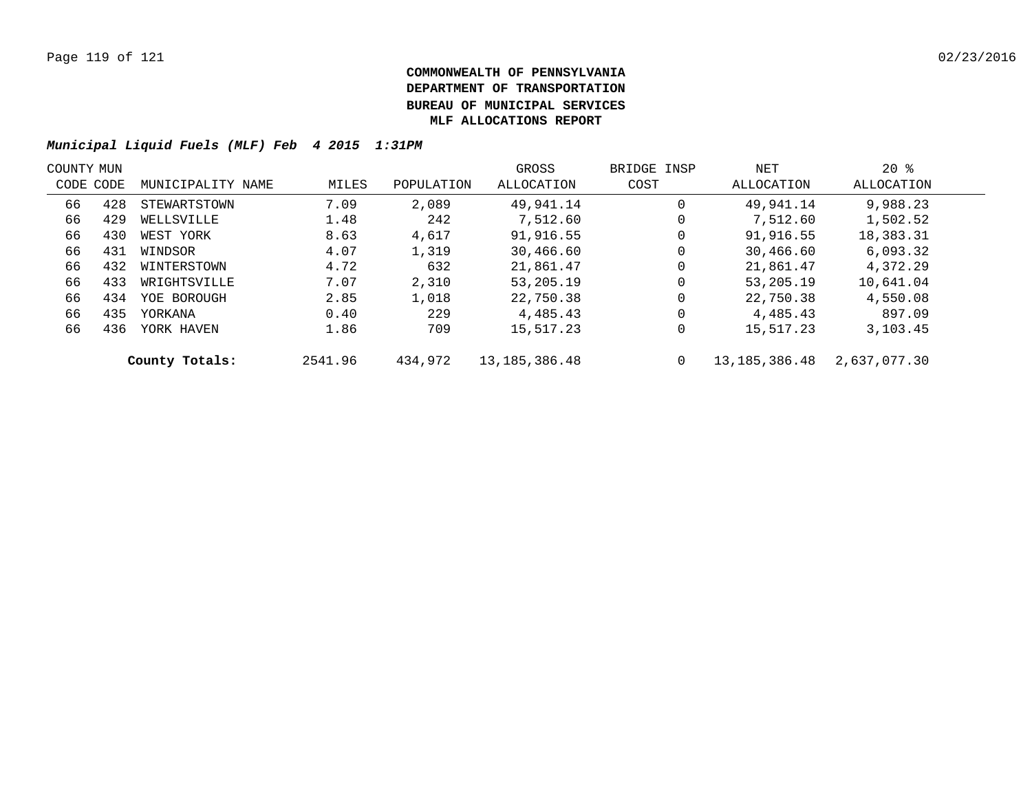| COUNTY MUN |           |                   |         |            | GROSS            | BRIDGE INSP | NET           | $20*$        |  |
|------------|-----------|-------------------|---------|------------|------------------|-------------|---------------|--------------|--|
|            | CODE CODE | MUNICIPALITY NAME | MILES   | POPULATION | ALLOCATION       | COST        | ALLOCATION    | ALLOCATION   |  |
| 66         | 428       | STEWARTSTOWN      | 7.09    | 2,089      | 49,941.14        | 0           | 49,941.14     | 9,988.23     |  |
| 66         | 429       | WELLSVILLE        | 1.48    | 242        | 7,512.60         | 0           | 7,512.60      | 1,502.52     |  |
| 66         | 430       | WEST YORK         | 8.63    | 4,617      | 91,916.55        | 0           | 91,916.55     | 18,383.31    |  |
| 66         | 431       | WINDSOR           | 4.07    | 1,319      | 30,466.60        | 0           | 30,466.60     | 6,093.32     |  |
| 66         | 432       | WINTERSTOWN       | 4.72    | 632        | 21,861.47        | 0           | 21,861.47     | 4,372.29     |  |
| 66         | 433       | WRIGHTSVILLE      | 7.07    | 2,310      | 53,205.19        | 0           | 53,205.19     | 10,641.04    |  |
| 66         | 434       | YOE BOROUGH       | 2.85    | 1,018      | 22,750.38        | 0           | 22,750.38     | 4,550.08     |  |
| 66         | 435       | YORKANA           | 0.40    | 229        | 4,485.43         | 0           | 4,485.43      | 897.09       |  |
| 66         | 436       | YORK HAVEN        | 1.86    | 709        | 15,517.23        | 0           | 15,517.23     | 3,103.45     |  |
|            |           | County Totals:    | 2541.96 | 434,972    | 13, 185, 386. 48 | 0           | 13,185,386.48 | 2,637,077.30 |  |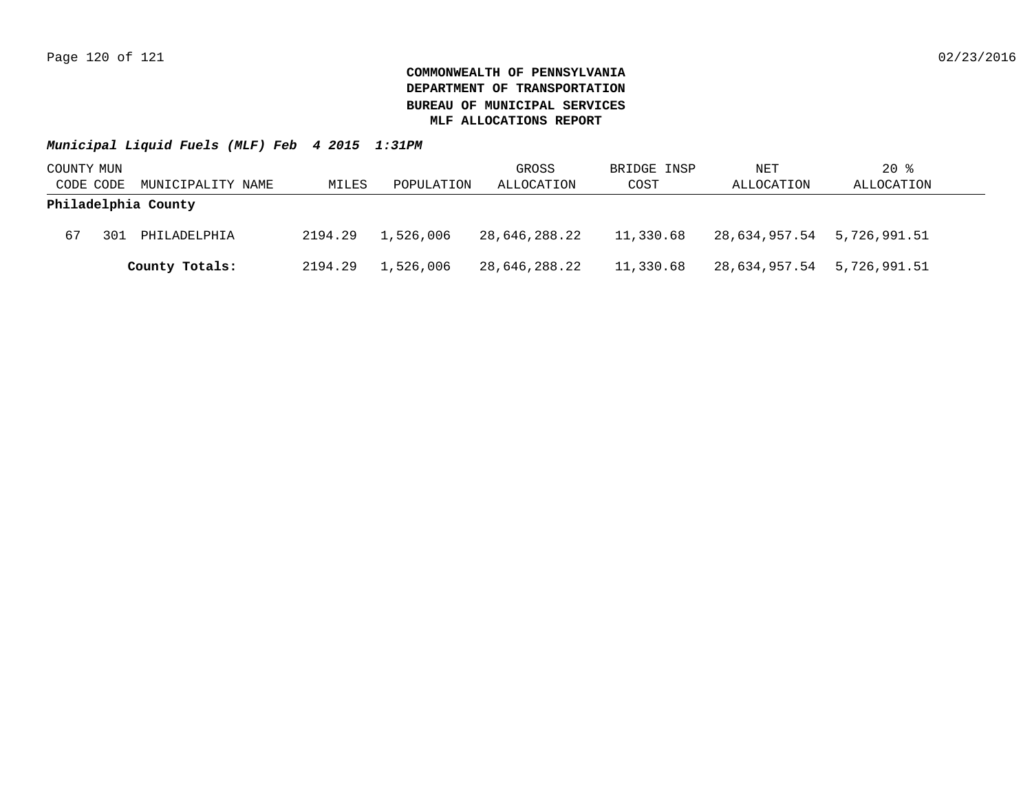| COUNTY MUN |     |                     |         |            | GROSS         | BRIDGE INSP | NET                        | $20$ %     |
|------------|-----|---------------------|---------|------------|---------------|-------------|----------------------------|------------|
| CODE CODE  |     | MUNICIPALITY NAME   | MILES   | POPULATION | ALLOCATION    | COST        | ALLOCATION                 | ALLOCATION |
|            |     | Philadelphia County |         |            |               |             |                            |            |
| 67         | 301 | PHILADELPHIA        | 2194.29 | 1,526,006  | 28,646,288.22 | 11,330.68   | 28,634,957.54 5,726,991.51 |            |
|            |     | County Totals:      | 2194.29 | 1,526,006  | 28,646,288.22 | 11,330.68   | 28,634,957.54 5,726,991.51 |            |